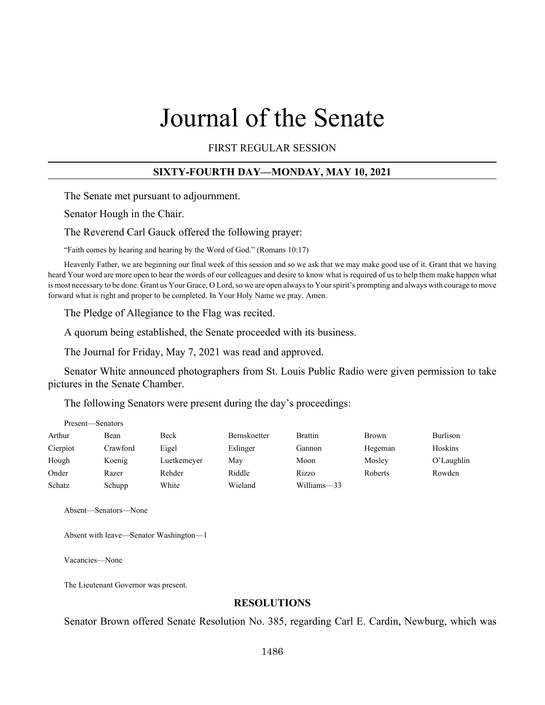# Journal of the Senate

FIRST REGULAR SESSION

#### **SIXTY-FOURTH DAY—MONDAY, MAY 10, 2021**

The Senate met pursuant to adjournment.

Senator Hough in the Chair.

The Reverend Carl Gauck offered the following prayer:

"Faith comes by hearing and hearing by the Word of God." (Romans 10:17)

Heavenly Father, we are beginning our final week of this session and so we ask that we may make good use of it. Grant that we having heard Your word are more open to hear the words of our colleagues and desire to know what is required of us to help them make happen what is most necessary to be done. Grant us Your Grace, O Lord, so we are open always to Your spirit's prompting and always with courage to move forward what is right and proper to be completed. In Your Holy Name we pray. Amen.

The Pledge of Allegiance to the Flag was recited.

A quorum being established, the Senate proceeded with its business.

The Journal for Friday, May 7, 2021 was read and approved.

Senator White announced photographers from St. Louis Public Radio were given permission to take pictures in the Senate Chamber.

The following Senators were present during the day's proceedings:

| Present—Senators |          |             |                     |                |              |               |
|------------------|----------|-------------|---------------------|----------------|--------------|---------------|
| Arthur           | Bean     | Beck        | <b>Bernskoetter</b> | <b>Brattin</b> | <b>Brown</b> | Burlison      |
| Cierpiot         | Crawford | Eigel       | Eslinger            | Gannon         | Hegeman      | Hoskins       |
| Hough            | Koenig   | Luetkemeyer | May                 | Moon           | Mosley       | $O'$ Laughlin |
| Onder            | Razer    | Rehder      | Riddle              | Rizzo          | Roberts      | Rowden        |
| Schatz           | Schupp   | White       | Wieland             | Williams-33    |              |               |

Absent—Senators—None

Absent with leave—Senator Washington—1

Vacancies—None

The Lieutenant Governor was present.

#### **RESOLUTIONS**

Senator Brown offered Senate Resolution No. 385, regarding Carl E. Cardin, Newburg, which was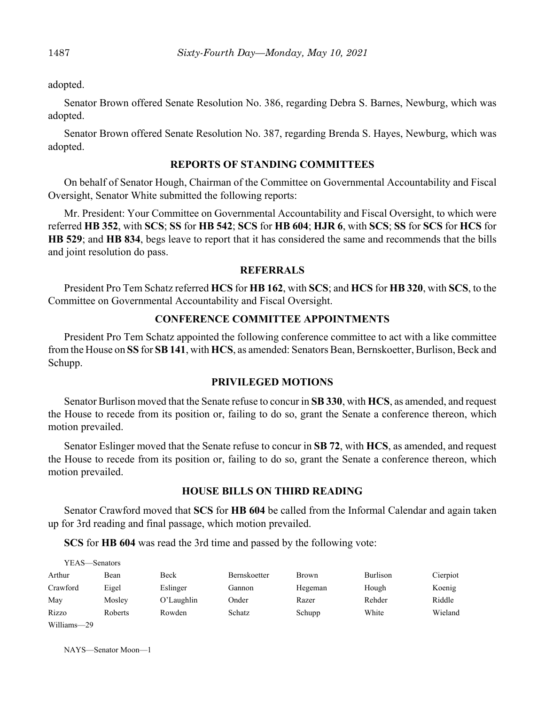adopted.

Senator Brown offered Senate Resolution No. 386, regarding Debra S. Barnes, Newburg, which was adopted.

Senator Brown offered Senate Resolution No. 387, regarding Brenda S. Hayes, Newburg, which was adopted.

#### **REPORTS OF STANDING COMMITTEES**

On behalf of Senator Hough, Chairman of the Committee on Governmental Accountability and Fiscal Oversight, Senator White submitted the following reports:

Mr. President: Your Committee on Governmental Accountability and Fiscal Oversight, to which were referred **HB 352**, with **SCS**; **SS** for **HB 542**; **SCS** for **HB 604**; **HJR 6**, with **SCS**; **SS** for **SCS** for **HCS** for **HB 529**; and **HB 834**, begs leave to report that it has considered the same and recommends that the bills and joint resolution do pass.

#### **REFERRALS**

President Pro Tem Schatz referred **HCS** for **HB 162**, with **SCS**; and **HCS** for **HB 320**, with **SCS**, to the Committee on Governmental Accountability and Fiscal Oversight.

#### **CONFERENCE COMMITTEE APPOINTMENTS**

President Pro Tem Schatz appointed the following conference committee to act with a like committee from the House on **SS** for **SB 141**, with **HCS**, as amended: Senators Bean, Bernskoetter, Burlison, Beck and Schupp.

#### **PRIVILEGED MOTIONS**

Senator Burlison moved that the Senate refuse to concur in **SB 330**, with **HCS**, as amended, and request the House to recede from its position or, failing to do so, grant the Senate a conference thereon, which motion prevailed.

Senator Eslinger moved that the Senate refuse to concur in **SB 72**, with **HCS**, as amended, and request the House to recede from its position or, failing to do so, grant the Senate a conference thereon, which motion prevailed.

#### **HOUSE BILLS ON THIRD READING**

Senator Crawford moved that **SCS** for **HB 604** be called from the Informal Calendar and again taken up for 3rd reading and final passage, which motion prevailed.

**SCS** for **HB 604** was read the 3rd time and passed by the following vote:

| YEAS—Senators |         |               |                     |              |          |          |
|---------------|---------|---------------|---------------------|--------------|----------|----------|
| Arthur        | Bean    | Beck          | <b>Bernskoetter</b> | <b>Brown</b> | Burlison | Cierpiot |
| Crawford      | Eigel   | Eslinger      | Gannon              | Hegeman      | Hough    | Koenig   |
| May           | Mosley  | $O'$ Laughlin | Onder               | Razer        | Rehder   | Riddle   |
| Rizzo         | Roberts | Rowden        | <b>Schatz</b>       | Schupp       | White    | Wieland  |
| Williams-29   |         |               |                     |              |          |          |

NAYS—Senator Moon—1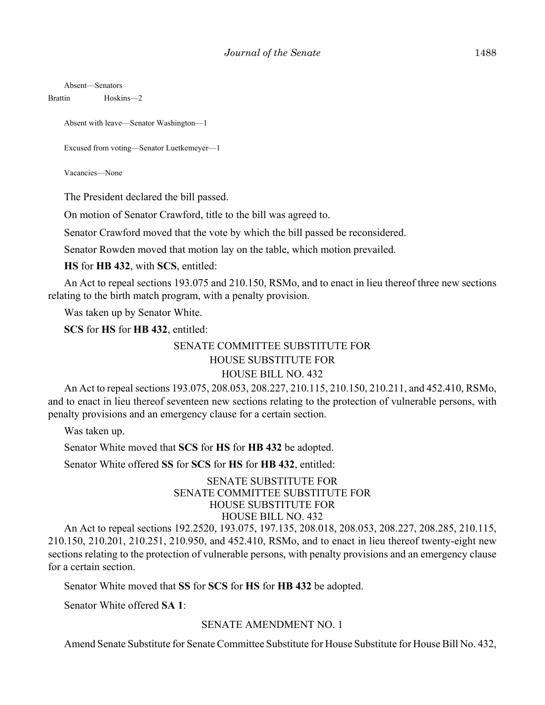Absent—Senators

Brattin Hoskins—2

Absent with leave—Senator Washington—1

Excused from voting—Senator Luetkemeyer—1

Vacancies—None

The President declared the bill passed.

On motion of Senator Crawford, title to the bill was agreed to.

Senator Crawford moved that the vote by which the bill passed be reconsidered.

Senator Rowden moved that motion lay on the table, which motion prevailed.

**HS** for **HB 432**, with **SCS**, entitled:

An Act to repeal sections 193.075 and 210.150, RSMo, and to enact in lieu thereof three new sections relating to the birth match program, with a penalty provision.

Was taken up by Senator White.

**SCS** for **HS** for **HB 432**, entitled:

### SENATE COMMITTEE SUBSTITUTE FOR HOUSE SUBSTITUTE FOR

## HOUSE BILL NO. 432

An Act to repeal sections 193.075, 208.053, 208.227, 210.115, 210.150, 210.211, and 452.410, RSMo, and to enact in lieu thereof seventeen new sections relating to the protection of vulnerable persons, with penalty provisions and an emergency clause for a certain section.

Was taken up.

Senator White moved that **SCS** for **HS** for **HB 432** be adopted.

Senator White offered **SS** for **SCS** for **HS** for **HB 432**, entitled:

#### SENATE SUBSTITUTE FOR SENATE COMMITTEE SUBSTITUTE FOR HOUSE SUBSTITUTE FOR HOUSE BILL NO. 432

An Act to repeal sections 192.2520, 193.075, 197.135, 208.018, 208.053, 208.227, 208.285, 210.115, 210.150, 210.201, 210.251, 210.950, and 452.410, RSMo, and to enact in lieu thereof twenty-eight new sections relating to the protection of vulnerable persons, with penalty provisions and an emergency clause for a certain section.

Senator White moved that **SS** for **SCS** for **HS** for **HB 432** be adopted.

Senator White offered **SA 1**:

#### SENATE AMENDMENT NO. 1

Amend Senate Substitute for Senate Committee Substitute for House Substitute for House Bill No. 432,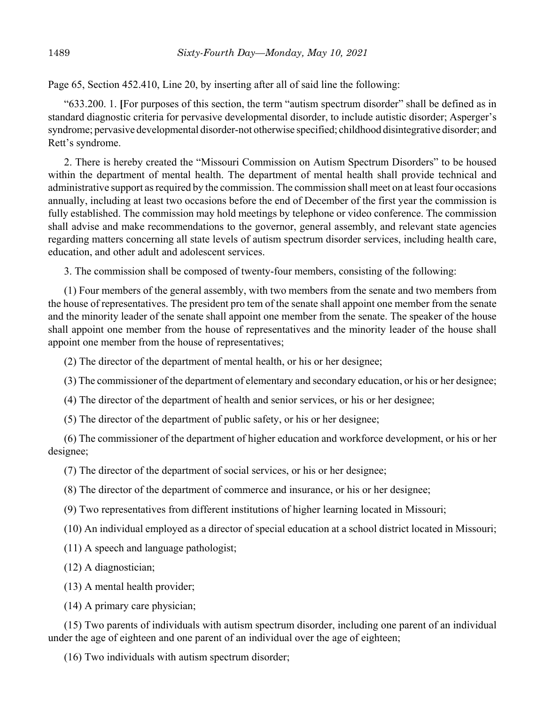Page 65, Section 452.410, Line 20, by inserting after all of said line the following:

"633.200. 1. **[**For purposes of this section, the term "autism spectrum disorder" shall be defined as in standard diagnostic criteria for pervasive developmental disorder, to include autistic disorder; Asperger's syndrome; pervasive developmental disorder-not otherwise specified; childhood disintegrative disorder; and Rett's syndrome.

2. There is hereby created the "Missouri Commission on Autism Spectrum Disorders" to be housed within the department of mental health. The department of mental health shall provide technical and administrative support as required by the commission. The commission shall meet on at least four occasions annually, including at least two occasions before the end of December of the first year the commission is fully established. The commission may hold meetings by telephone or video conference. The commission shall advise and make recommendations to the governor, general assembly, and relevant state agencies regarding matters concerning all state levels of autism spectrum disorder services, including health care, education, and other adult and adolescent services.

3. The commission shall be composed of twenty-four members, consisting of the following:

(1) Four members of the general assembly, with two members from the senate and two members from the house of representatives. The president pro tem of the senate shall appoint one member from the senate and the minority leader of the senate shall appoint one member from the senate. The speaker of the house shall appoint one member from the house of representatives and the minority leader of the house shall appoint one member from the house of representatives;

(2) The director of the department of mental health, or his or her designee;

(3) The commissioner of the department of elementary and secondary education, or his or her designee;

(4) The director of the department of health and senior services, or his or her designee;

(5) The director of the department of public safety, or his or her designee;

(6) The commissioner of the department of higher education and workforce development, or his or her designee;

(7) The director of the department of social services, or his or her designee;

(8) The director of the department of commerce and insurance, or his or her designee;

(9) Two representatives from different institutions of higher learning located in Missouri;

(10) An individual employed as a director of special education at a school district located in Missouri;

(11) A speech and language pathologist;

(12) A diagnostician;

(13) A mental health provider;

(14) A primary care physician;

(15) Two parents of individuals with autism spectrum disorder, including one parent of an individual under the age of eighteen and one parent of an individual over the age of eighteen;

(16) Two individuals with autism spectrum disorder;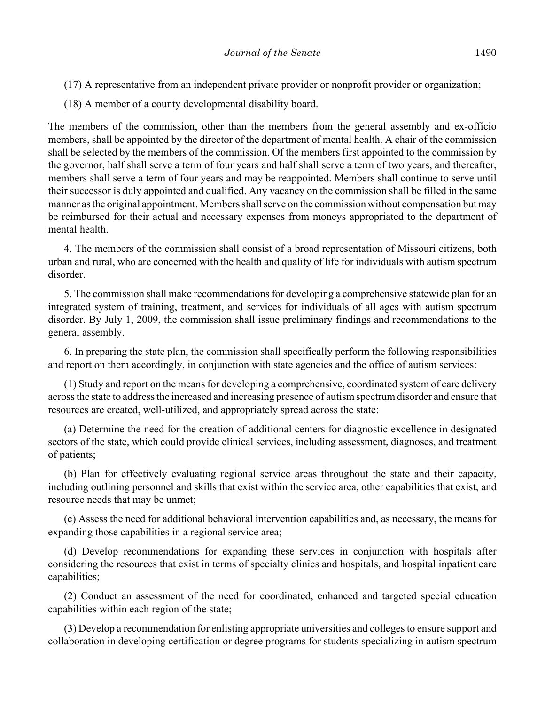- (17) A representative from an independent private provider or nonprofit provider or organization;
- (18) A member of a county developmental disability board.

The members of the commission, other than the members from the general assembly and ex-officio members, shall be appointed by the director of the department of mental health. A chair of the commission shall be selected by the members of the commission. Of the members first appointed to the commission by the governor, half shall serve a term of four years and half shall serve a term of two years, and thereafter, members shall serve a term of four years and may be reappointed. Members shall continue to serve until their successor is duly appointed and qualified. Any vacancy on the commission shall be filled in the same manner as the original appointment. Members shall serve on the commission without compensation but may be reimbursed for their actual and necessary expenses from moneys appropriated to the department of mental health.

4. The members of the commission shall consist of a broad representation of Missouri citizens, both urban and rural, who are concerned with the health and quality of life for individuals with autism spectrum disorder.

5. The commission shall make recommendations for developing a comprehensive statewide plan for an integrated system of training, treatment, and services for individuals of all ages with autism spectrum disorder. By July 1, 2009, the commission shall issue preliminary findings and recommendations to the general assembly.

6. In preparing the state plan, the commission shall specifically perform the following responsibilities and report on them accordingly, in conjunction with state agencies and the office of autism services:

(1) Study and report on the means for developing a comprehensive, coordinated system of care delivery across the state to address the increased and increasing presence of autism spectrum disorder and ensure that resources are created, well-utilized, and appropriately spread across the state:

(a) Determine the need for the creation of additional centers for diagnostic excellence in designated sectors of the state, which could provide clinical services, including assessment, diagnoses, and treatment of patients;

(b) Plan for effectively evaluating regional service areas throughout the state and their capacity, including outlining personnel and skills that exist within the service area, other capabilities that exist, and resource needs that may be unmet;

(c) Assess the need for additional behavioral intervention capabilities and, as necessary, the means for expanding those capabilities in a regional service area;

(d) Develop recommendations for expanding these services in conjunction with hospitals after considering the resources that exist in terms of specialty clinics and hospitals, and hospital inpatient care capabilities;

(2) Conduct an assessment of the need for coordinated, enhanced and targeted special education capabilities within each region of the state;

(3) Develop a recommendation for enlisting appropriate universities and colleges to ensure support and collaboration in developing certification or degree programs for students specializing in autism spectrum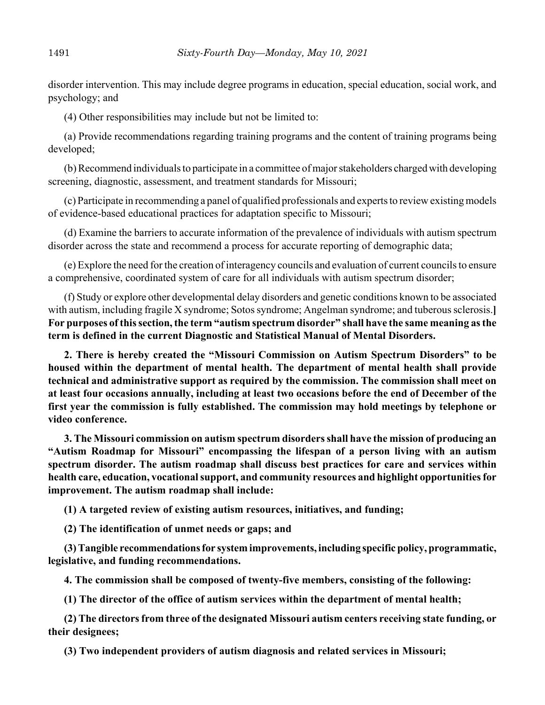disorder intervention. This may include degree programs in education, special education, social work, and psychology; and

(4) Other responsibilities may include but not be limited to:

(a) Provide recommendations regarding training programs and the content of training programs being developed;

(b) Recommend individuals to participate in a committee of major stakeholders charged with developing screening, diagnostic, assessment, and treatment standards for Missouri;

(c) Participate in recommending a panel of qualified professionals and experts to review existing models of evidence-based educational practices for adaptation specific to Missouri;

(d) Examine the barriers to accurate information of the prevalence of individuals with autism spectrum disorder across the state and recommend a process for accurate reporting of demographic data;

(e) Explore the need for the creation of interagency councils and evaluation of current councils to ensure a comprehensive, coordinated system of care for all individuals with autism spectrum disorder;

(f) Study or explore other developmental delay disorders and genetic conditions known to be associated with autism, including fragile X syndrome; Sotos syndrome; Angelman syndrome; and tuberous sclerosis.**] For purposes of this section, the term "autism spectrum disorder" shall have the same meaning as the term is defined in the current Diagnostic and Statistical Manual of Mental Disorders.**

**2. There is hereby created the "Missouri Commission on Autism Spectrum Disorders" to be housed within the department of mental health. The department of mental health shall provide technical and administrative support as required by the commission. The commission shall meet on at least four occasions annually, including at least two occasions before the end of December of the first year the commission is fully established. The commission may hold meetings by telephone or video conference.**

**3. The Missouri commission on autism spectrum disorders shall have the mission of producing an "Autism Roadmap for Missouri" encompassing the lifespan of a person living with an autism spectrum disorder. The autism roadmap shall discuss best practices for care and services within health care, education, vocational support, and community resources and highlight opportunities for improvement. The autism roadmap shall include:**

**(1) A targeted review of existing autism resources, initiatives, and funding;**

**(2) The identification of unmet needs or gaps; and**

**(3) Tangible recommendations for system improvements, including specific policy, programmatic, legislative, and funding recommendations.**

**4. The commission shall be composed of twenty-five members, consisting of the following:**

**(1) The director of the office of autism services within the department of mental health;**

**(2) The directors from three of the designated Missouri autism centers receiving state funding, or their designees;**

**(3) Two independent providers of autism diagnosis and related services in Missouri;**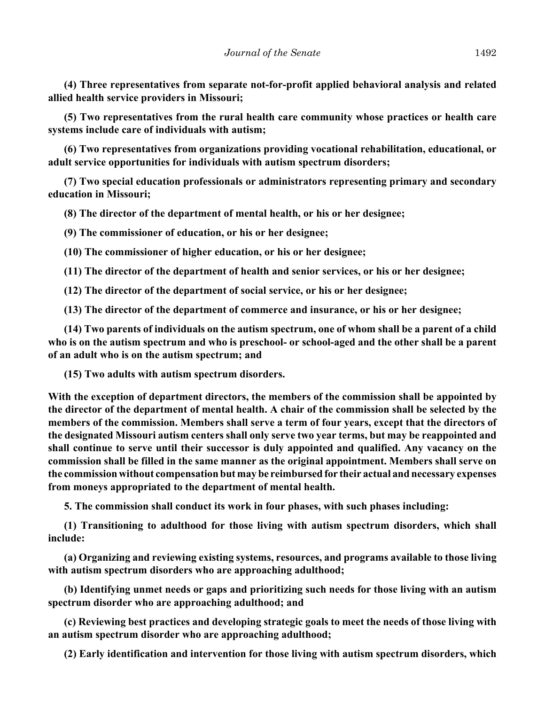**(4) Three representatives from separate not-for-profit applied behavioral analysis and related allied health service providers in Missouri;**

**(5) Two representatives from the rural health care community whose practices or health care systems include care of individuals with autism;**

**(6) Two representatives from organizations providing vocational rehabilitation, educational, or adult service opportunities for individuals with autism spectrum disorders;**

**(7) Two special education professionals or administrators representing primary and secondary education in Missouri;**

**(8) The director of the department of mental health, or his or her designee;**

**(9) The commissioner of education, or his or her designee;**

**(10) The commissioner of higher education, or his or her designee;**

**(11) The director of the department of health and senior services, or his or her designee;**

**(12) The director of the department of social service, or his or her designee;**

**(13) The director of the department of commerce and insurance, or his or her designee;**

**(14) Two parents of individuals on the autism spectrum, one of whom shall be a parent of a child who is on the autism spectrum and who is preschool- or school-aged and the other shall be a parent of an adult who is on the autism spectrum; and**

**(15) Two adults with autism spectrum disorders.**

**With the exception of department directors, the members of the commission shall be appointed by the director of the department of mental health. A chair of the commission shall be selected by the members of the commission. Members shall serve a term of four years, except that the directors of the designated Missouri autism centers shall only serve two year terms, but may be reappointed and shall continue to serve until their successor is duly appointed and qualified. Any vacancy on the commission shall be filled in the same manner as the original appointment. Members shall serve on the commission without compensation but may be reimbursed for their actual and necessary expenses from moneys appropriated to the department of mental health.**

**5. The commission shall conduct its work in four phases, with such phases including:**

**(1) Transitioning to adulthood for those living with autism spectrum disorders, which shall include:**

**(a) Organizing and reviewing existing systems, resources, and programs available to those living with autism spectrum disorders who are approaching adulthood;**

**(b) Identifying unmet needs or gaps and prioritizing such needs for those living with an autism spectrum disorder who are approaching adulthood; and**

**(c) Reviewing best practices and developing strategic goals to meet the needs of those living with an autism spectrum disorder who are approaching adulthood;**

**(2) Early identification and intervention for those living with autism spectrum disorders, which**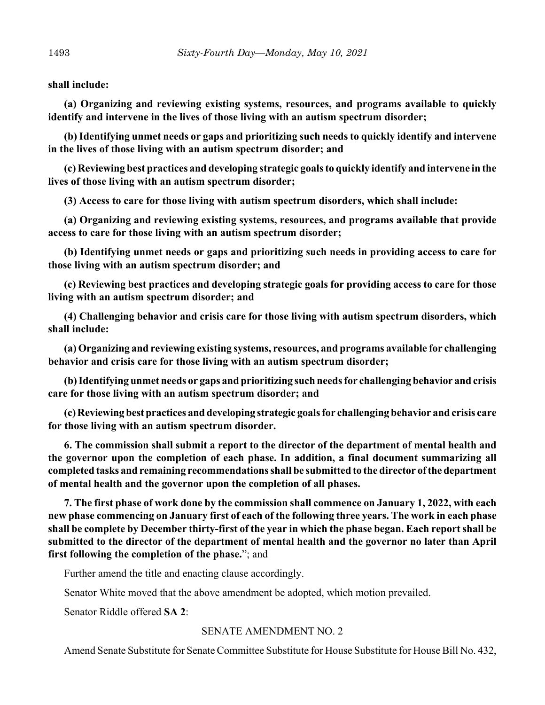**shall include:**

**(a) Organizing and reviewing existing systems, resources, and programs available to quickly identify and intervene in the lives of those living with an autism spectrum disorder;**

**(b) Identifying unmet needs or gaps and prioritizing such needs to quickly identify and intervene in the lives of those living with an autism spectrum disorder; and**

**(c) Reviewing best practices and developing strategic goals to quickly identify and intervene in the lives of those living with an autism spectrum disorder;**

**(3) Access to care for those living with autism spectrum disorders, which shall include:**

**(a) Organizing and reviewing existing systems, resources, and programs available that provide access to care for those living with an autism spectrum disorder;**

**(b) Identifying unmet needs or gaps and prioritizing such needs in providing access to care for those living with an autism spectrum disorder; and**

**(c) Reviewing best practices and developing strategic goals for providing access to care for those living with an autism spectrum disorder; and**

**(4) Challenging behavior and crisis care for those living with autism spectrum disorders, which shall include:**

**(a) Organizing and reviewing existing systems, resources, and programs available for challenging behavior and crisis care for those living with an autism spectrum disorder;**

**(b) Identifying unmet needs or gaps and prioritizing such needs for challenging behavior and crisis care for those living with an autism spectrum disorder; and**

**(c) Reviewing best practices and developing strategic goals for challenging behavior and crisis care for those living with an autism spectrum disorder.**

**6. The commission shall submit a report to the director of the department of mental health and the governor upon the completion of each phase. In addition, a final document summarizing all completed tasks and remaining recommendations shall be submitted to the director of the department of mental health and the governor upon the completion of all phases.**

**7. The first phase of work done by the commission shall commence on January 1, 2022, with each new phase commencing on January first of each of the following three years. The work in each phase shall be complete by December thirty-first of the year in which the phase began. Each report shall be submitted to the director of the department of mental health and the governor no later than April first following the completion of the phase.**"; and

Further amend the title and enacting clause accordingly.

Senator White moved that the above amendment be adopted, which motion prevailed.

Senator Riddle offered **SA 2**:

#### SENATE AMENDMENT NO. 2

Amend Senate Substitute for Senate Committee Substitute for House Substitute for House Bill No. 432,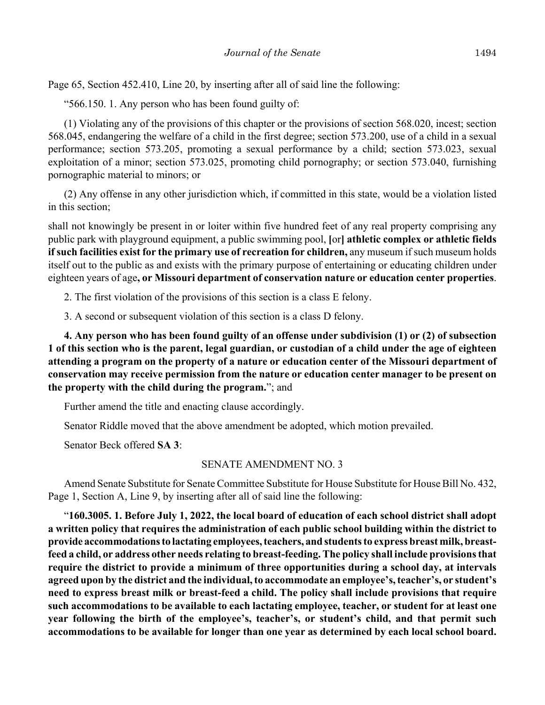Page 65, Section 452.410, Line 20, by inserting after all of said line the following:

"566.150. 1. Any person who has been found guilty of:

(1) Violating any of the provisions of this chapter or the provisions of section 568.020, incest; section 568.045, endangering the welfare of a child in the first degree; section 573.200, use of a child in a sexual performance; section 573.205, promoting a sexual performance by a child; section 573.023, sexual exploitation of a minor; section 573.025, promoting child pornography; or section 573.040, furnishing pornographic material to minors; or

(2) Any offense in any other jurisdiction which, if committed in this state, would be a violation listed in this section;

shall not knowingly be present in or loiter within five hundred feet of any real property comprising any public park with playground equipment, a public swimming pool, **[**or**] athletic complex or athletic fields if such facilities exist for the primary use of recreation for children,** any museum if such museum holds itself out to the public as and exists with the primary purpose of entertaining or educating children under eighteen years of age**, or Missouri department of conservation nature or education center properties**.

2. The first violation of the provisions of this section is a class E felony.

3. A second or subsequent violation of this section is a class D felony.

**4. Any person who has been found guilty of an offense under subdivision (1) or (2) of subsection 1 of this section who is the parent, legal guardian, or custodian of a child under the age of eighteen attending a program on the property of a nature or education center of the Missouri department of conservation may receive permission from the nature or education center manager to be present on the property with the child during the program.**"; and

Further amend the title and enacting clause accordingly.

Senator Riddle moved that the above amendment be adopted, which motion prevailed.

Senator Beck offered **SA 3**:

#### SENATE AMENDMENT NO. 3

Amend Senate Substitute for Senate Committee Substitute for House Substitute for House Bill No. 432, Page 1, Section A, Line 9, by inserting after all of said line the following:

"**160.3005. 1. Before July 1, 2022, the local board of education of each school district shall adopt a written policy that requires the administration of each public school building within the district to provide accommodations to lactating employees, teachers, and students to express breast milk, breastfeed a child, or address other needs relating to breast-feeding. The policy shall include provisions that require the district to provide a minimum of three opportunities during a school day, at intervals agreed upon by the district and the individual, to accommodate an employee's, teacher's, or student's need to express breast milk or breast-feed a child. The policy shall include provisions that require such accommodations to be available to each lactating employee, teacher, or student for at least one year following the birth of the employee's, teacher's, or student's child, and that permit such accommodations to be available for longer than one year as determined by each local school board.**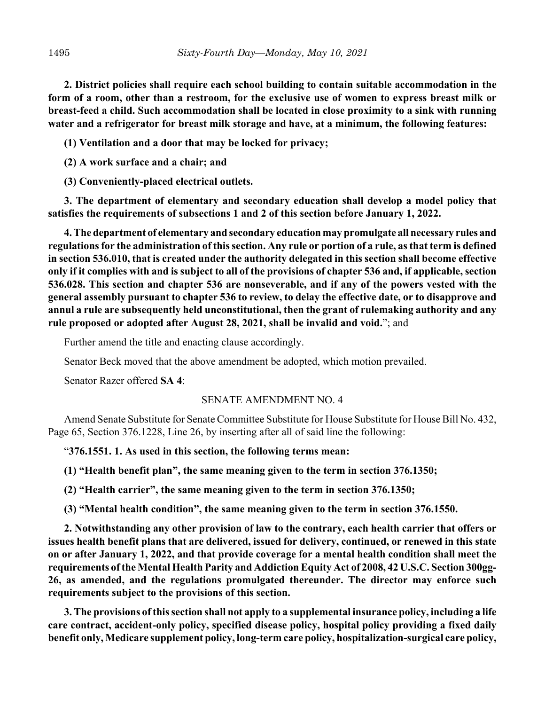**2. District policies shall require each school building to contain suitable accommodation in the form of a room, other than a restroom, for the exclusive use of women to express breast milk or breast-feed a child. Such accommodation shall be located in close proximity to a sink with running water and a refrigerator for breast milk storage and have, at a minimum, the following features:**

**(1) Ventilation and a door that may be locked for privacy;**

**(2) A work surface and a chair; and**

**(3) Conveniently-placed electrical outlets.**

**3. The department of elementary and secondary education shall develop a model policy that satisfies the requirements of subsections 1 and 2 of this section before January 1, 2022.**

**4. The department of elementary and secondary education may promulgate all necessary rules and regulations for the administration of this section. Any rule or portion of a rule, as that term is defined in section 536.010, that is created under the authority delegated in this section shall become effective only if it complies with and is subject to all of the provisions of chapter 536 and, if applicable, section 536.028. This section and chapter 536 are nonseverable, and if any of the powers vested with the general assembly pursuant to chapter 536 to review, to delay the effective date, or to disapprove and annul a rule are subsequently held unconstitutional, then the grant of rulemaking authority and any rule proposed or adopted after August 28, 2021, shall be invalid and void.**"; and

Further amend the title and enacting clause accordingly.

Senator Beck moved that the above amendment be adopted, which motion prevailed.

Senator Razer offered **SA 4**:

#### SENATE AMENDMENT NO. 4

Amend Senate Substitute for Senate Committee Substitute for House Substitute for House Bill No. 432, Page 65, Section 376.1228, Line 26, by inserting after all of said line the following:

"**376.1551. 1. As used in this section, the following terms mean:**

**(1) "Health benefit plan", the same meaning given to the term in section 376.1350;**

**(2) "Health carrier", the same meaning given to the term in section 376.1350;**

**(3) "Mental health condition", the same meaning given to the term in section 376.1550.**

**2. Notwithstanding any other provision of law to the contrary, each health carrier that offers or issues health benefit plans that are delivered, issued for delivery, continued, or renewed in this state on or after January 1, 2022, and that provide coverage for a mental health condition shall meet the requirements of the Mental Health Parity and Addiction Equity Act of 2008, 42 U.S.C. Section 300gg-26, as amended, and the regulations promulgated thereunder. The director may enforce such requirements subject to the provisions of this section.**

**3. The provisions of this section shall not apply to a supplemental insurance policy, including a life care contract, accident-only policy, specified disease policy, hospital policy providing a fixed daily benefit only, Medicare supplement policy, long-term care policy, hospitalization-surgical care policy,**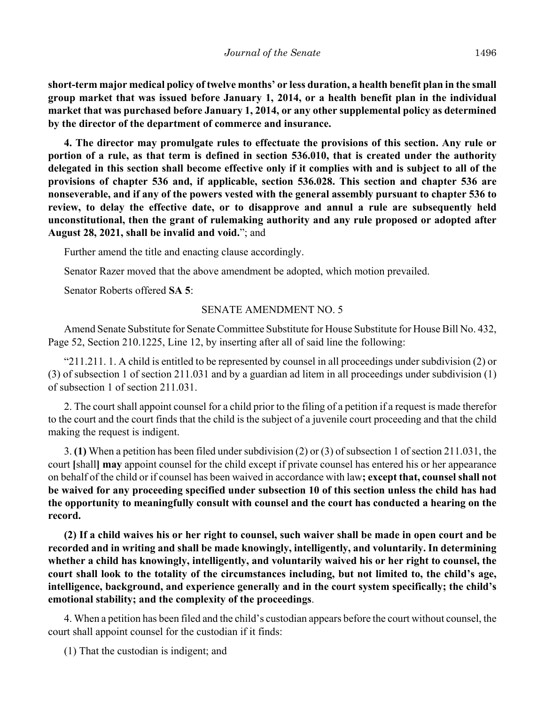**short-term major medical policy of twelve months' or less duration, a health benefit plan in the small group market that was issued before January 1, 2014, or a health benefit plan in the individual market that was purchased before January 1, 2014, or any other supplemental policy as determined by the director of the department of commerce and insurance.**

**4. The director may promulgate rules to effectuate the provisions of this section. Any rule or portion of a rule, as that term is defined in section 536.010, that is created under the authority delegated in this section shall become effective only if it complies with and is subject to all of the provisions of chapter 536 and, if applicable, section 536.028. This section and chapter 536 are nonseverable, and if any of the powers vested with the general assembly pursuant to chapter 536 to review, to delay the effective date, or to disapprove and annul a rule are subsequently held unconstitutional, then the grant of rulemaking authority and any rule proposed or adopted after August 28, 2021, shall be invalid and void.**"; and

Further amend the title and enacting clause accordingly.

Senator Razer moved that the above amendment be adopted, which motion prevailed.

Senator Roberts offered **SA 5**:

#### SENATE AMENDMENT NO. 5

Amend Senate Substitute for Senate Committee Substitute for House Substitute for House Bill No. 432, Page 52, Section 210.1225, Line 12, by inserting after all of said line the following:

"211.211. 1. A child is entitled to be represented by counsel in all proceedings under subdivision (2) or (3) of subsection 1 of section 211.031 and by a guardian ad litem in all proceedings under subdivision (1) of subsection 1 of section 211.031.

2. The court shall appoint counsel for a child prior to the filing of a petition if a request is made therefor to the court and the court finds that the child is the subject of a juvenile court proceeding and that the child making the request is indigent.

3. **(1)** When a petition has been filed under subdivision (2) or (3) of subsection 1 of section 211.031, the court **[**shall**] may** appoint counsel for the child except if private counsel has entered his or her appearance on behalf of the child or if counsel has been waived in accordance with law**; except that, counsel shall not be waived for any proceeding specified under subsection 10 of this section unless the child has had the opportunity to meaningfully consult with counsel and the court has conducted a hearing on the record.**

**(2) If a child waives his or her right to counsel, such waiver shall be made in open court and be recorded and in writing and shall be made knowingly, intelligently, and voluntarily. In determining whether a child has knowingly, intelligently, and voluntarily waived his or her right to counsel, the court shall look to the totality of the circumstances including, but not limited to, the child's age, intelligence, background, and experience generally and in the court system specifically; the child's emotional stability; and the complexity of the proceedings**.

4. When a petition has been filed and the child's custodian appears before the court without counsel, the court shall appoint counsel for the custodian if it finds:

(1) That the custodian is indigent; and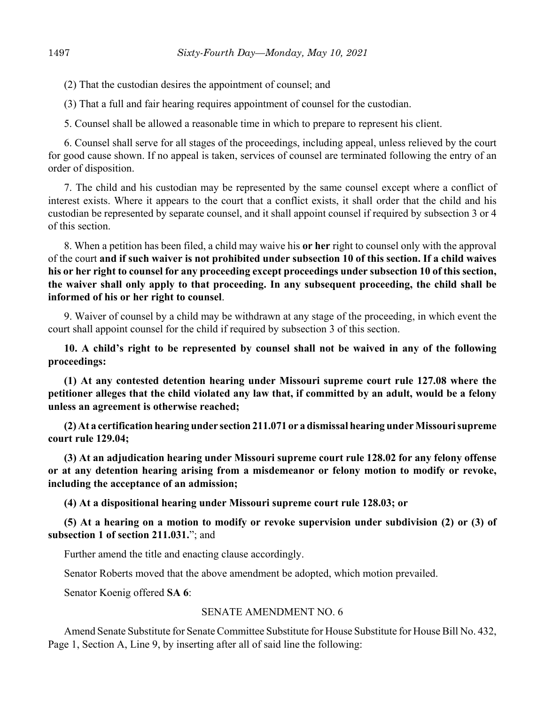(2) That the custodian desires the appointment of counsel; and

(3) That a full and fair hearing requires appointment of counsel for the custodian.

5. Counsel shall be allowed a reasonable time in which to prepare to represent his client.

6. Counsel shall serve for all stages of the proceedings, including appeal, unless relieved by the court for good cause shown. If no appeal is taken, services of counsel are terminated following the entry of an order of disposition.

7. The child and his custodian may be represented by the same counsel except where a conflict of interest exists. Where it appears to the court that a conflict exists, it shall order that the child and his custodian be represented by separate counsel, and it shall appoint counsel if required by subsection 3 or 4 of this section.

8. When a petition has been filed, a child may waive his **or her** right to counsel only with the approval of the court **and if such waiver is not prohibited under subsection 10 of this section. If a child waives his or her right to counsel for any proceeding except proceedings under subsection 10 of this section, the waiver shall only apply to that proceeding. In any subsequent proceeding, the child shall be informed of his or her right to counsel**.

9. Waiver of counsel by a child may be withdrawn at any stage of the proceeding, in which event the court shall appoint counsel for the child if required by subsection 3 of this section.

**10. A child's right to be represented by counsel shall not be waived in any of the following proceedings:**

**(1) At any contested detention hearing under Missouri supreme court rule 127.08 where the petitioner alleges that the child violated any law that, if committed by an adult, would be a felony unless an agreement is otherwise reached;**

**(2) At a certification hearing under section 211.071 or a dismissal hearing under Missouri supreme court rule 129.04;**

**(3) At an adjudication hearing under Missouri supreme court rule 128.02 for any felony offense or at any detention hearing arising from a misdemeanor or felony motion to modify or revoke, including the acceptance of an admission;**

**(4) At a dispositional hearing under Missouri supreme court rule 128.03; or**

**(5) At a hearing on a motion to modify or revoke supervision under subdivision (2) or (3) of subsection 1 of section 211.031.**"; and

Further amend the title and enacting clause accordingly.

Senator Roberts moved that the above amendment be adopted, which motion prevailed.

Senator Koenig offered **SA 6**:

#### SENATE AMENDMENT NO. 6

Amend Senate Substitute for Senate Committee Substitute for House Substitute for House Bill No. 432, Page 1, Section A, Line 9, by inserting after all of said line the following: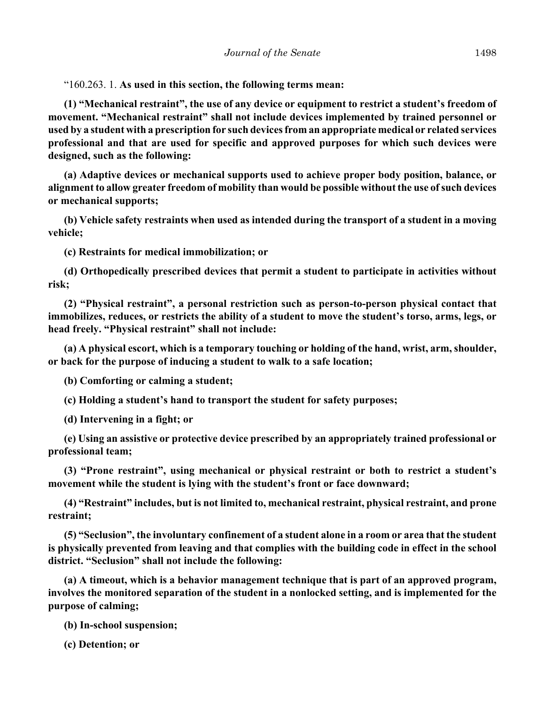"160.263. 1. **As used in this section, the following terms mean:**

**(1) "Mechanical restraint", the use of any device or equipment to restrict a student's freedom of movement. "Mechanical restraint" shall not include devices implemented by trained personnel or used by a student with a prescription for such devices from an appropriate medical or related services professional and that are used for specific and approved purposes for which such devices were designed, such as the following:**

**(a) Adaptive devices or mechanical supports used to achieve proper body position, balance, or alignment to allow greater freedom of mobility than would be possible without the use of such devices or mechanical supports;**

**(b) Vehicle safety restraints when used as intended during the transport of a student in a moving vehicle;**

**(c) Restraints for medical immobilization; or**

**(d) Orthopedically prescribed devices that permit a student to participate in activities without risk;**

**(2) "Physical restraint", a personal restriction such as person-to-person physical contact that immobilizes, reduces, or restricts the ability of a student to move the student's torso, arms, legs, or head freely. "Physical restraint" shall not include:**

**(a) A physical escort, which is a temporary touching or holding of the hand, wrist, arm, shoulder, or back for the purpose of inducing a student to walk to a safe location;**

**(b) Comforting or calming a student;**

**(c) Holding a student's hand to transport the student for safety purposes;**

**(d) Intervening in a fight; or**

**(e) Using an assistive or protective device prescribed by an appropriately trained professional or professional team;**

**(3) "Prone restraint", using mechanical or physical restraint or both to restrict a student's movement while the student is lying with the student's front or face downward;**

**(4) "Restraint" includes, but is not limited to, mechanical restraint, physical restraint, and prone restraint;**

**(5) "Seclusion", the involuntary confinement of a student alone in a room or area that the student is physically prevented from leaving and that complies with the building code in effect in the school district. "Seclusion" shall not include the following:**

**(a) A timeout, which is a behavior management technique that is part of an approved program, involves the monitored separation of the student in a nonlocked setting, and is implemented for the purpose of calming;**

**(b) In-school suspension;**

**(c) Detention; or**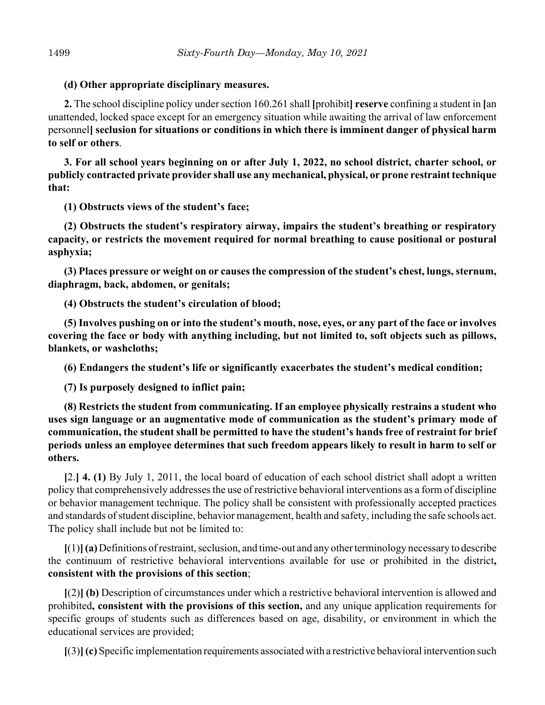#### **(d) Other appropriate disciplinary measures.**

**2.** The school discipline policy under section 160.261 shall **[**prohibit**] reserve** confining a student in **[**an unattended, locked space except for an emergency situation while awaiting the arrival of law enforcement personnel**] seclusion for situations or conditions in which there is imminent danger of physical harm to self or others**.

**3. For all school years beginning on or after July 1, 2022, no school district, charter school, or publicly contracted private provider shall use any mechanical, physical, or prone restraint technique that:**

**(1) Obstructs views of the student's face;**

**(2) Obstructs the student's respiratory airway, impairs the student's breathing or respiratory capacity, or restricts the movement required for normal breathing to cause positional or postural asphyxia;**

**(3) Places pressure or weight on or causes the compression of the student's chest, lungs, sternum, diaphragm, back, abdomen, or genitals;**

**(4) Obstructs the student's circulation of blood;**

**(5) Involves pushing on or into the student's mouth, nose, eyes, or any part of the face or involves covering the face or body with anything including, but not limited to, soft objects such as pillows, blankets, or washcloths;**

**(6) Endangers the student's life or significantly exacerbates the student's medical condition;**

**(7) Is purposely designed to inflict pain;**

**(8) Restricts the student from communicating. If an employee physically restrains a student who uses sign language or an augmentative mode of communication as the student's primary mode of communication, the student shall be permitted to have the student's hands free of restraint for brief periods unless an employee determines that such freedom appears likely to result in harm to self or others.**

**[**2.**] 4. (1)** By July 1, 2011, the local board of education of each school district shall adopt a written policy that comprehensively addresses the use of restrictive behavioral interventions as a form of discipline or behavior management technique. The policy shall be consistent with professionally accepted practices and standards of student discipline, behavior management, health and safety, including the safe schools act. The policy shall include but not be limited to:

**[**(1)**](a)** Definitions of restraint, seclusion, and time-out and any other terminology necessary to describe the continuum of restrictive behavioral interventions available for use or prohibited in the district**, consistent with the provisions of this section**;

**[**(2)**] (b)** Description of circumstances under which a restrictive behavioral intervention is allowed and prohibited**, consistent with the provisions of this section,** and any unique application requirements for specific groups of students such as differences based on age, disability, or environment in which the educational services are provided;

**[**(3)**](c)** Specific implementation requirements associated with a restrictive behavioral intervention such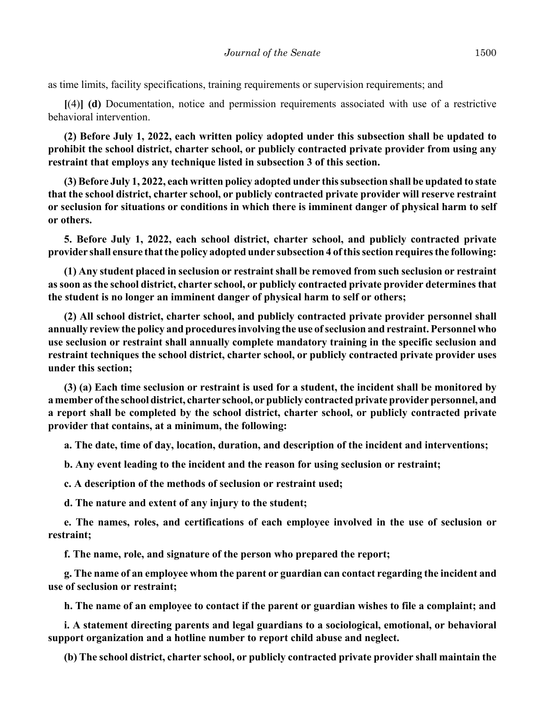as time limits, facility specifications, training requirements or supervision requirements; and

**[**(4)**] (d)** Documentation, notice and permission requirements associated with use of a restrictive behavioral intervention.

**(2) Before July 1, 2022, each written policy adopted under this subsection shall be updated to prohibit the school district, charter school, or publicly contracted private provider from using any restraint that employs any technique listed in subsection 3 of this section.**

**(3) Before July 1, 2022, each written policy adopted under this subsection shall be updated to state that the school district, charter school, or publicly contracted private provider will reserve restraint or seclusion for situations or conditions in which there is imminent danger of physical harm to self or others.**

**5. Before July 1, 2022, each school district, charter school, and publicly contracted private provider shall ensure that the policy adopted under subsection 4 of this section requires the following:**

**(1) Any student placed in seclusion or restraint shall be removed from such seclusion or restraint as soon as the school district, charter school, or publicly contracted private provider determines that the student is no longer an imminent danger of physical harm to self or others;**

**(2) All school district, charter school, and publicly contracted private provider personnel shall annually review the policy and procedures involving the use of seclusion and restraint. Personnel who use seclusion or restraint shall annually complete mandatory training in the specific seclusion and restraint techniques the school district, charter school, or publicly contracted private provider uses under this section;**

**(3) (a) Each time seclusion or restraint is used for a student, the incident shall be monitored by a member of the school district, charter school, or publicly contracted private provider personnel, and a report shall be completed by the school district, charter school, or publicly contracted private provider that contains, at a minimum, the following:**

**a. The date, time of day, location, duration, and description of the incident and interventions;**

**b. Any event leading to the incident and the reason for using seclusion or restraint;**

**c. A description of the methods of seclusion or restraint used;**

**d. The nature and extent of any injury to the student;**

**e. The names, roles, and certifications of each employee involved in the use of seclusion or restraint;**

**f. The name, role, and signature of the person who prepared the report;**

**g. The name of an employee whom the parent or guardian can contact regarding the incident and use of seclusion or restraint;**

**h. The name of an employee to contact if the parent or guardian wishes to file a complaint; and**

**i. A statement directing parents and legal guardians to a sociological, emotional, or behavioral support organization and a hotline number to report child abuse and neglect.**

**(b) The school district, charter school, or publicly contracted private provider shall maintain the**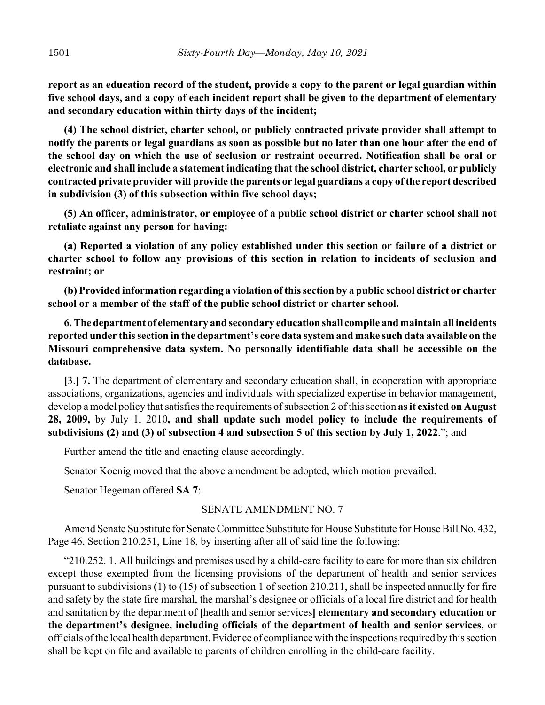**report as an education record of the student, provide a copy to the parent or legal guardian within five school days, and a copy of each incident report shall be given to the department of elementary and secondary education within thirty days of the incident;**

**(4) The school district, charter school, or publicly contracted private provider shall attempt to notify the parents or legal guardians as soon as possible but no later than one hour after the end of the school day on which the use of seclusion or restraint occurred. Notification shall be oral or electronic and shall include a statement indicating that the school district, charter school, or publicly contracted private provider will provide the parents or legal guardians a copy of the report described in subdivision (3) of this subsection within five school days;**

**(5) An officer, administrator, or employee of a public school district or charter school shall not retaliate against any person for having:**

**(a) Reported a violation of any policy established under this section or failure of a district or charter school to follow any provisions of this section in relation to incidents of seclusion and restraint; or**

**(b) Provided information regarding a violation of this section by a public school district or charter school or a member of the staff of the public school district or charter school.**

**6. The department of elementary and secondary education shall compile and maintain all incidents reported under this section in the department's core data system and make such data available on the Missouri comprehensive data system. No personally identifiable data shall be accessible on the database.**

**[**3.**] 7.** The department of elementary and secondary education shall, in cooperation with appropriate associations, organizations, agencies and individuals with specialized expertise in behavior management, develop a model policy that satisfies the requirements of subsection 2 of this section **as it existed on August 28, 2009,** by July 1, 2010**, and shall update such model policy to include the requirements of subdivisions (2) and (3) of subsection 4 and subsection 5 of this section by July 1, 2022**."; and

Further amend the title and enacting clause accordingly.

Senator Koenig moved that the above amendment be adopted, which motion prevailed.

Senator Hegeman offered **SA 7**:

#### SENATE AMENDMENT NO. 7

Amend Senate Substitute for Senate Committee Substitute for House Substitute for House Bill No. 432, Page 46, Section 210.251, Line 18, by inserting after all of said line the following:

"210.252. 1. All buildings and premises used by a child-care facility to care for more than six children except those exempted from the licensing provisions of the department of health and senior services pursuant to subdivisions (1) to (15) of subsection 1 of section 210.211, shall be inspected annually for fire and safety by the state fire marshal, the marshal's designee or officials of a local fire district and for health and sanitation by the department of **[**health and senior services**] elementary and secondary education or the department's designee, including officials of the department of health and senior services,** or officials of the local health department. Evidence of compliance with the inspections required by this section shall be kept on file and available to parents of children enrolling in the child-care facility.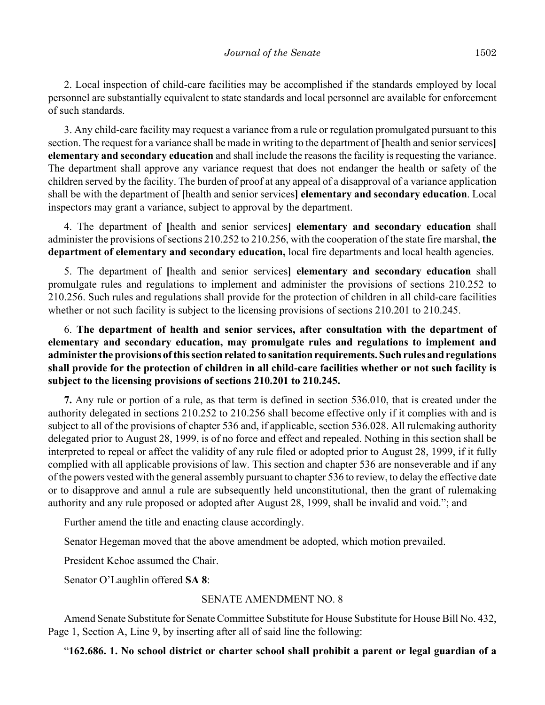2. Local inspection of child-care facilities may be accomplished if the standards employed by local personnel are substantially equivalent to state standards and local personnel are available for enforcement of such standards.

3. Any child-care facility may request a variance from a rule or regulation promulgated pursuant to this section. The request for a variance shall be made in writing to the department of **[**health and senior services**] elementary and secondary education** and shall include the reasons the facility is requesting the variance. The department shall approve any variance request that does not endanger the health or safety of the children served by the facility. The burden of proof at any appeal of a disapproval of a variance application shall be with the department of **[**health and senior services**] elementary and secondary education**. Local inspectors may grant a variance, subject to approval by the department.

4. The department of **[**health and senior services**] elementary and secondary education** shall administer the provisions of sections 210.252 to 210.256, with the cooperation of the state fire marshal, **the department of elementary and secondary education,** local fire departments and local health agencies.

5. The department of **[**health and senior services**] elementary and secondary education** shall promulgate rules and regulations to implement and administer the provisions of sections 210.252 to 210.256. Such rules and regulations shall provide for the protection of children in all child-care facilities whether or not such facility is subject to the licensing provisions of sections 210.201 to 210.245.

6. **The department of health and senior services, after consultation with the department of elementary and secondary education, may promulgate rules and regulations to implement and administer the provisions of this section related to sanitation requirements. Such rules and regulations shall provide for the protection of children in all child-care facilities whether or not such facility is subject to the licensing provisions of sections 210.201 to 210.245.**

**7.** Any rule or portion of a rule, as that term is defined in section 536.010, that is created under the authority delegated in sections 210.252 to 210.256 shall become effective only if it complies with and is subject to all of the provisions of chapter 536 and, if applicable, section 536.028. All rulemaking authority delegated prior to August 28, 1999, is of no force and effect and repealed. Nothing in this section shall be interpreted to repeal or affect the validity of any rule filed or adopted prior to August 28, 1999, if it fully complied with all applicable provisions of law. This section and chapter 536 are nonseverable and if any of the powers vested with the general assembly pursuant to chapter 536 to review, to delay the effective date or to disapprove and annul a rule are subsequently held unconstitutional, then the grant of rulemaking authority and any rule proposed or adopted after August 28, 1999, shall be invalid and void."; and

Further amend the title and enacting clause accordingly.

Senator Hegeman moved that the above amendment be adopted, which motion prevailed.

President Kehoe assumed the Chair.

Senator O'Laughlin offered **SA 8**:

#### SENATE AMENDMENT NO. 8

Amend Senate Substitute for Senate Committee Substitute for House Substitute for House Bill No. 432, Page 1, Section A, Line 9, by inserting after all of said line the following:

"**162.686. 1. No school district or charter school shall prohibit a parent or legal guardian of a**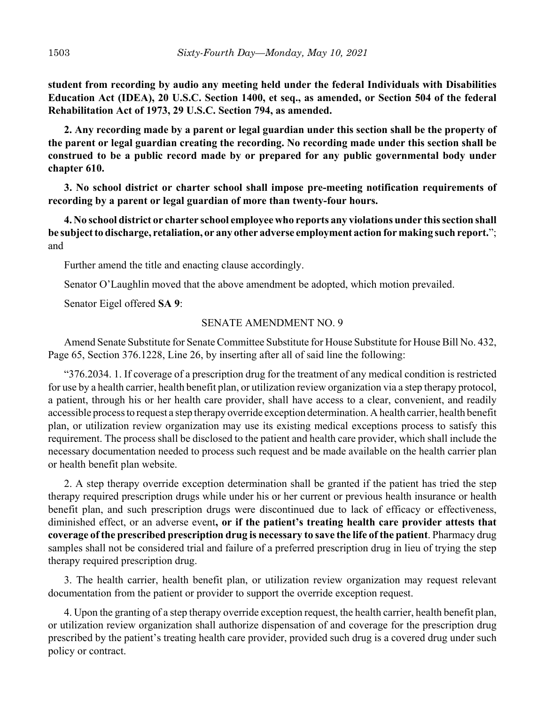**student from recording by audio any meeting held under the federal Individuals with Disabilities Education Act (IDEA), 20 U.S.C. Section 1400, et seq., as amended, or Section 504 of the federal Rehabilitation Act of 1973, 29 U.S.C. Section 794, as amended.**

**2. Any recording made by a parent or legal guardian under this section shall be the property of the parent or legal guardian creating the recording. No recording made under this section shall be construed to be a public record made by or prepared for any public governmental body under chapter 610.**

**3. No school district or charter school shall impose pre-meeting notification requirements of recording by a parent or legal guardian of more than twenty-four hours.**

**4. No school district or charter school employee who reports any violations under this section shall be subject to discharge, retaliation, or any other adverse employment action for making such report.**"; and

Further amend the title and enacting clause accordingly.

Senator O'Laughlin moved that the above amendment be adopted, which motion prevailed.

Senator Eigel offered **SA 9**:

#### SENATE AMENDMENT NO. 9

Amend Senate Substitute for Senate Committee Substitute for House Substitute for House Bill No. 432, Page 65, Section 376.1228, Line 26, by inserting after all of said line the following:

"376.2034. 1. If coverage of a prescription drug for the treatment of any medical condition is restricted for use by a health carrier, health benefit plan, or utilization review organization via a step therapy protocol, a patient, through his or her health care provider, shall have access to a clear, convenient, and readily accessible process to request a step therapy override exception determination. A health carrier, health benefit plan, or utilization review organization may use its existing medical exceptions process to satisfy this requirement. The process shall be disclosed to the patient and health care provider, which shall include the necessary documentation needed to process such request and be made available on the health carrier plan or health benefit plan website.

2. A step therapy override exception determination shall be granted if the patient has tried the step therapy required prescription drugs while under his or her current or previous health insurance or health benefit plan, and such prescription drugs were discontinued due to lack of efficacy or effectiveness, diminished effect, or an adverse event**, or if the patient's treating health care provider attests that coverage of the prescribed prescription drug is necessary to save the life of the patient**. Pharmacy drug samples shall not be considered trial and failure of a preferred prescription drug in lieu of trying the step therapy required prescription drug.

3. The health carrier, health benefit plan, or utilization review organization may request relevant documentation from the patient or provider to support the override exception request.

4. Upon the granting of a step therapy override exception request, the health carrier, health benefit plan, or utilization review organization shall authorize dispensation of and coverage for the prescription drug prescribed by the patient's treating health care provider, provided such drug is a covered drug under such policy or contract.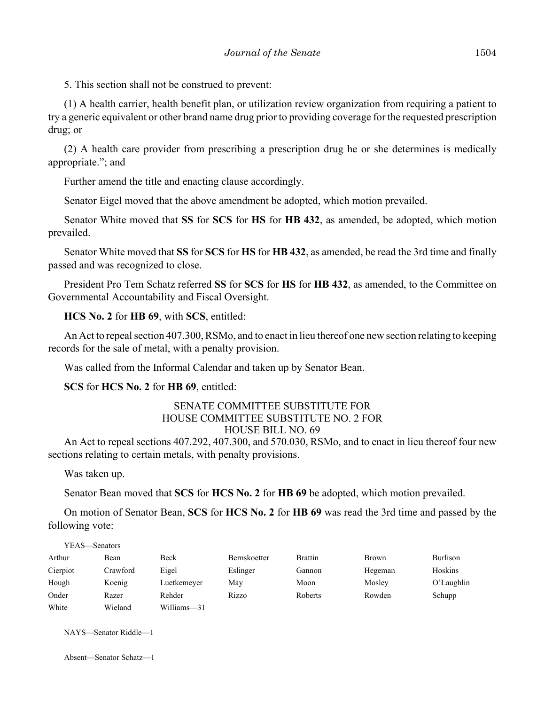5. This section shall not be construed to prevent:

(1) A health carrier, health benefit plan, or utilization review organization from requiring a patient to try a generic equivalent or other brand name drug prior to providing coverage for the requested prescription drug; or

(2) A health care provider from prescribing a prescription drug he or she determines is medically appropriate."; and

Further amend the title and enacting clause accordingly.

Senator Eigel moved that the above amendment be adopted, which motion prevailed.

Senator White moved that **SS** for **SCS** for **HS** for **HB 432**, as amended, be adopted, which motion prevailed.

Senator White moved that **SS** for **SCS** for **HS** for **HB 432**, as amended, be read the 3rd time and finally passed and was recognized to close.

President Pro Tem Schatz referred **SS** for **SCS** for **HS** for **HB 432**, as amended, to the Committee on Governmental Accountability and Fiscal Oversight.

**HCS No. 2** for **HB 69**, with **SCS**, entitled:

An Act to repeal section 407.300, RSMo, and to enact in lieu thereof one new section relating to keeping records for the sale of metal, with a penalty provision.

Was called from the Informal Calendar and taken up by Senator Bean.

**SCS** for **HCS No. 2** for **HB 69**, entitled:

#### SENATE COMMITTEE SUBSTITUTE FOR HOUSE COMMITTEE SUBSTITUTE NO. 2 FOR HOUSE BILL NO. 69

An Act to repeal sections 407.292, 407.300, and 570.030, RSMo, and to enact in lieu thereof four new sections relating to certain metals, with penalty provisions.

Was taken up.

Senator Bean moved that **SCS** for **HCS No. 2** for **HB 69** be adopted, which motion prevailed.

On motion of Senator Bean, **SCS** for **HCS No. 2** for **HB 69** was read the 3rd time and passed by the following vote:

| YEAS—Senators |          |             |                     |                |         |               |
|---------------|----------|-------------|---------------------|----------------|---------|---------------|
| Arthur        | Bean     | Beck        | <b>Bernskoetter</b> | <b>Brattin</b> | Brown   | Burlison      |
| Cierpiot      | Crawford | Eigel       | Eslinger            | Gannon         | Hegeman | Hoskins       |
| Hough         | Koenig   | Luetkemeyer | May                 | Moon           | Mosley  | $O'$ Laughlin |
| Onder         | Razer    | Rehder      | Rizzo               | Roberts        | Rowden  | Schupp        |
| White         | Wieland  | Williams-31 |                     |                |         |               |

NAYS—Senator Riddle—1

Absent—Senator Schatz—1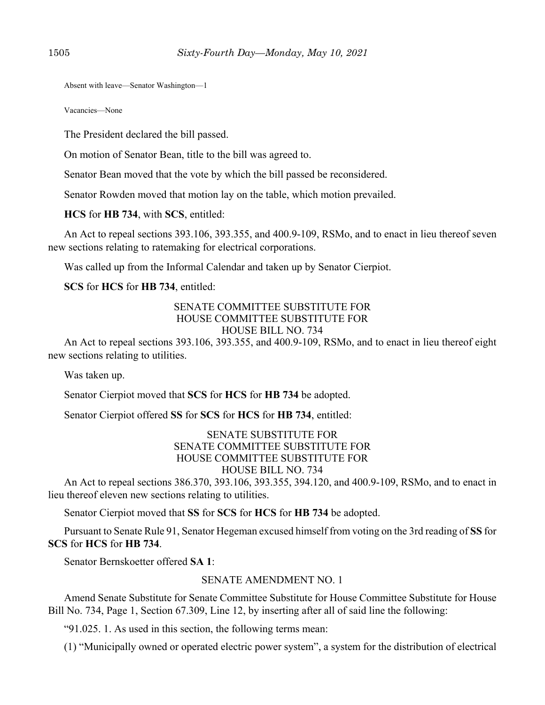Absent with leave—Senator Washington—1

Vacancies—None

The President declared the bill passed.

On motion of Senator Bean, title to the bill was agreed to.

Senator Bean moved that the vote by which the bill passed be reconsidered.

Senator Rowden moved that motion lay on the table, which motion prevailed.

**HCS** for **HB 734**, with **SCS**, entitled:

An Act to repeal sections 393.106, 393.355, and 400.9-109, RSMo, and to enact in lieu thereof seven new sections relating to ratemaking for electrical corporations.

Was called up from the Informal Calendar and taken up by Senator Cierpiot.

**SCS** for **HCS** for **HB 734**, entitled:

#### SENATE COMMITTEE SUBSTITUTE FOR HOUSE COMMITTEE SUBSTITUTE FOR HOUSE BILL NO. 734

An Act to repeal sections 393.106, 393.355, and 400.9-109, RSMo, and to enact in lieu thereof eight new sections relating to utilities.

Was taken up.

Senator Cierpiot moved that **SCS** for **HCS** for **HB 734** be adopted.

Senator Cierpiot offered **SS** for **SCS** for **HCS** for **HB 734**, entitled:

#### SENATE SUBSTITUTE FOR SENATE COMMITTEE SUBSTITUTE FOR HOUSE COMMITTEE SUBSTITUTE FOR HOUSE BILL NO. 734

An Act to repeal sections 386.370, 393.106, 393.355, 394.120, and 400.9-109, RSMo, and to enact in lieu thereof eleven new sections relating to utilities.

Senator Cierpiot moved that **SS** for **SCS** for **HCS** for **HB 734** be adopted.

Pursuant to Senate Rule 91, Senator Hegeman excused himself from voting on the 3rd reading of **SS** for **SCS** for **HCS** for **HB 734**.

Senator Bernskoetter offered **SA 1**:

#### SENATE AMENDMENT NO. 1

Amend Senate Substitute for Senate Committee Substitute for House Committee Substitute for House Bill No. 734, Page 1, Section 67.309, Line 12, by inserting after all of said line the following:

"91.025. 1. As used in this section, the following terms mean:

(1) "Municipally owned or operated electric power system", a system for the distribution of electrical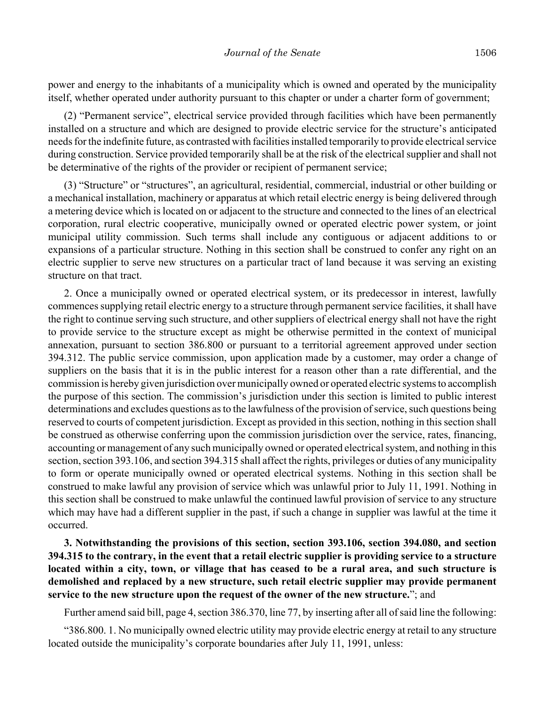power and energy to the inhabitants of a municipality which is owned and operated by the municipality itself, whether operated under authority pursuant to this chapter or under a charter form of government;

(2) "Permanent service", electrical service provided through facilities which have been permanently installed on a structure and which are designed to provide electric service for the structure's anticipated needs for the indefinite future, as contrasted with facilities installed temporarily to provide electrical service during construction. Service provided temporarily shall be at the risk of the electrical supplier and shall not be determinative of the rights of the provider or recipient of permanent service;

(3) "Structure" or "structures", an agricultural, residential, commercial, industrial or other building or a mechanical installation, machinery or apparatus at which retail electric energy is being delivered through a metering device which is located on or adjacent to the structure and connected to the lines of an electrical corporation, rural electric cooperative, municipally owned or operated electric power system, or joint municipal utility commission. Such terms shall include any contiguous or adjacent additions to or expansions of a particular structure. Nothing in this section shall be construed to confer any right on an electric supplier to serve new structures on a particular tract of land because it was serving an existing structure on that tract.

2. Once a municipally owned or operated electrical system, or its predecessor in interest, lawfully commences supplying retail electric energy to a structure through permanent service facilities, it shall have the right to continue serving such structure, and other suppliers of electrical energy shall not have the right to provide service to the structure except as might be otherwise permitted in the context of municipal annexation, pursuant to section 386.800 or pursuant to a territorial agreement approved under section 394.312. The public service commission, upon application made by a customer, may order a change of suppliers on the basis that it is in the public interest for a reason other than a rate differential, and the commission is hereby given jurisdiction over municipally owned or operated electric systems to accomplish the purpose of this section. The commission's jurisdiction under this section is limited to public interest determinations and excludes questions as to the lawfulness of the provision of service, such questions being reserved to courts of competent jurisdiction. Except as provided in this section, nothing in this section shall be construed as otherwise conferring upon the commission jurisdiction over the service, rates, financing, accounting or management of any such municipally owned or operated electrical system, and nothing in this section, section 393.106, and section 394.315 shall affect the rights, privileges or duties of any municipality to form or operate municipally owned or operated electrical systems. Nothing in this section shall be construed to make lawful any provision of service which was unlawful prior to July 11, 1991. Nothing in this section shall be construed to make unlawful the continued lawful provision of service to any structure which may have had a different supplier in the past, if such a change in supplier was lawful at the time it occurred.

**3. Notwithstanding the provisions of this section, section 393.106, section 394.080, and section 394.315 to the contrary, in the event that a retail electric supplier is providing service to a structure located within a city, town, or village that has ceased to be a rural area, and such structure is demolished and replaced by a new structure, such retail electric supplier may provide permanent service to the new structure upon the request of the owner of the new structure.**"; and

Further amend said bill, page 4, section 386.370, line 77, by inserting after all of said line the following:

"386.800. 1. No municipally owned electric utility may provide electric energy at retail to any structure located outside the municipality's corporate boundaries after July 11, 1991, unless: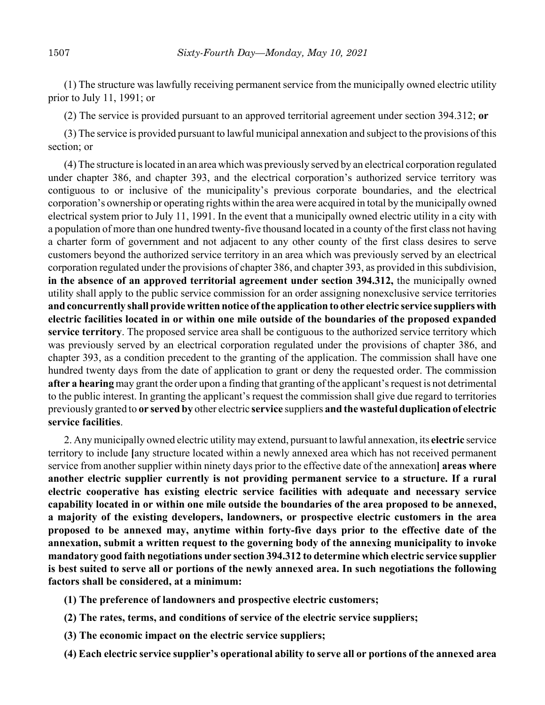(1) The structure was lawfully receiving permanent service from the municipally owned electric utility prior to July 11, 1991; or

(2) The service is provided pursuant to an approved territorial agreement under section 394.312; **or**

(3) The service is provided pursuant to lawful municipal annexation and subject to the provisions of this section; or

(4) The structure is located in an area which was previously served by an electrical corporation regulated under chapter 386, and chapter 393, and the electrical corporation's authorized service territory was contiguous to or inclusive of the municipality's previous corporate boundaries, and the electrical corporation's ownership or operating rights within the area were acquired in total by the municipally owned electrical system prior to July 11, 1991. In the event that a municipally owned electric utility in a city with a population of more than one hundred twenty-five thousand located in a county of the first class not having a charter form of government and not adjacent to any other county of the first class desires to serve customers beyond the authorized service territory in an area which was previously served by an electrical corporation regulated under the provisions of chapter 386, and chapter 393, as provided in this subdivision, **in the absence of an approved territorial agreement under section 394.312,** the municipally owned utility shall apply to the public service commission for an order assigning nonexclusive service territories **and concurrently shall provide written notice of the application to other electric service suppliers with electric facilities located in or within one mile outside of the boundaries of the proposed expanded service territory**. The proposed service area shall be contiguous to the authorized service territory which was previously served by an electrical corporation regulated under the provisions of chapter 386, and chapter 393, as a condition precedent to the granting of the application. The commission shall have one hundred twenty days from the date of application to grant or deny the requested order. The commission **after a hearing** may grant the order upon a finding that granting of the applicant's request is not detrimental to the public interest. In granting the applicant's request the commission shall give due regard to territories previously granted to **or served by** other electric **service** suppliers **and the wasteful duplication of electric service facilities**.

2. Any municipally owned electric utility may extend, pursuant to lawful annexation, its **electric** service territory to include **[**any structure located within a newly annexed area which has not received permanent service from another supplier within ninety days prior to the effective date of the annexation**] areas where another electric supplier currently is not providing permanent service to a structure. If a rural electric cooperative has existing electric service facilities with adequate and necessary service capability located in or within one mile outside the boundaries of the area proposed to be annexed, a majority of the existing developers, landowners, or prospective electric customers in the area proposed to be annexed may, anytime within forty-five days prior to the effective date of the annexation, submit a written request to the governing body of the annexing municipality to invoke mandatory good faith negotiations under section 394.312 to determine which electric service supplier is best suited to serve all or portions of the newly annexed area. In such negotiations the following factors shall be considered, at a minimum:**

- **(1) The preference of landowners and prospective electric customers;**
- **(2) The rates, terms, and conditions of service of the electric service suppliers;**
- **(3) The economic impact on the electric service suppliers;**
- **(4) Each electric service supplier's operational ability to serve all or portions of the annexed area**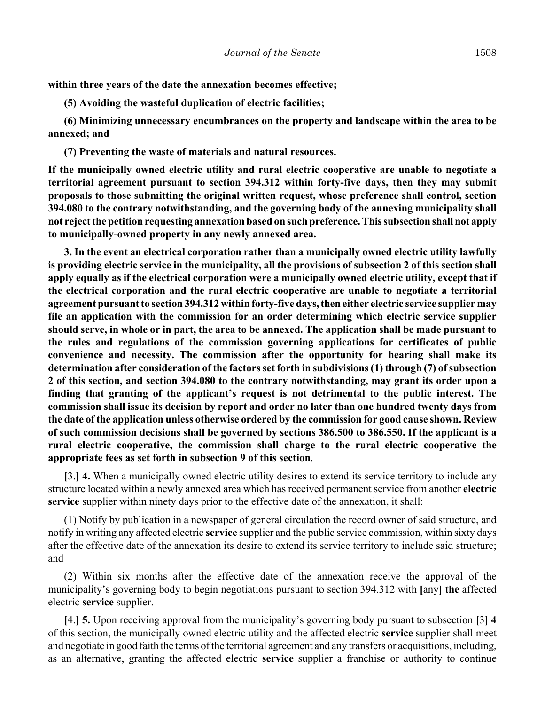**within three years of the date the annexation becomes effective;**

**(5) Avoiding the wasteful duplication of electric facilities;**

**(6) Minimizing unnecessary encumbrances on the property and landscape within the area to be annexed; and**

**(7) Preventing the waste of materials and natural resources.**

**If the municipally owned electric utility and rural electric cooperative are unable to negotiate a territorial agreement pursuant to section 394.312 within forty-five days, then they may submit proposals to those submitting the original written request, whose preference shall control, section 394.080 to the contrary notwithstanding, and the governing body of the annexing municipality shall not reject the petition requesting annexation based on such preference. This subsection shall not apply to municipally-owned property in any newly annexed area.**

**3. In the event an electrical corporation rather than a municipally owned electric utility lawfully is providing electric service in the municipality, all the provisions of subsection 2 of this section shall apply equally as if the electrical corporation were a municipally owned electric utility, except that if the electrical corporation and the rural electric cooperative are unable to negotiate a territorial agreement pursuant to section 394.312 within forty-five days, then either electric service supplier may file an application with the commission for an order determining which electric service supplier should serve, in whole or in part, the area to be annexed. The application shall be made pursuant to the rules and regulations of the commission governing applications for certificates of public convenience and necessity. The commission after the opportunity for hearing shall make its determination after consideration of the factors set forth in subdivisions (1) through (7) of subsection 2 of this section, and section 394.080 to the contrary notwithstanding, may grant its order upon a finding that granting of the applicant's request is not detrimental to the public interest. The commission shall issue its decision by report and order no later than one hundred twenty days from the date of the application unless otherwise ordered by the commission for good cause shown. Review of such commission decisions shall be governed by sections 386.500 to 386.550. If the applicant is a rural electric cooperative, the commission shall charge to the rural electric cooperative the appropriate fees as set forth in subsection 9 of this section**.

**[**3.**] 4.** When a municipally owned electric utility desires to extend its service territory to include any structure located within a newly annexed area which has received permanent service from another **electric service** supplier within ninety days prior to the effective date of the annexation, it shall:

(1) Notify by publication in a newspaper of general circulation the record owner of said structure, and notify in writing any affected electric **service** supplier and the public service commission, within sixty days after the effective date of the annexation its desire to extend its service territory to include said structure; and

(2) Within six months after the effective date of the annexation receive the approval of the municipality's governing body to begin negotiations pursuant to section 394.312 with **[**any**] the** affected electric **service** supplier.

**[**4.**] 5.** Upon receiving approval from the municipality's governing body pursuant to subsection **[**3**] 4** of this section, the municipally owned electric utility and the affected electric **service** supplier shall meet and negotiate in good faith the terms of the territorial agreement and any transfers or acquisitions, including, as an alternative, granting the affected electric **service** supplier a franchise or authority to continue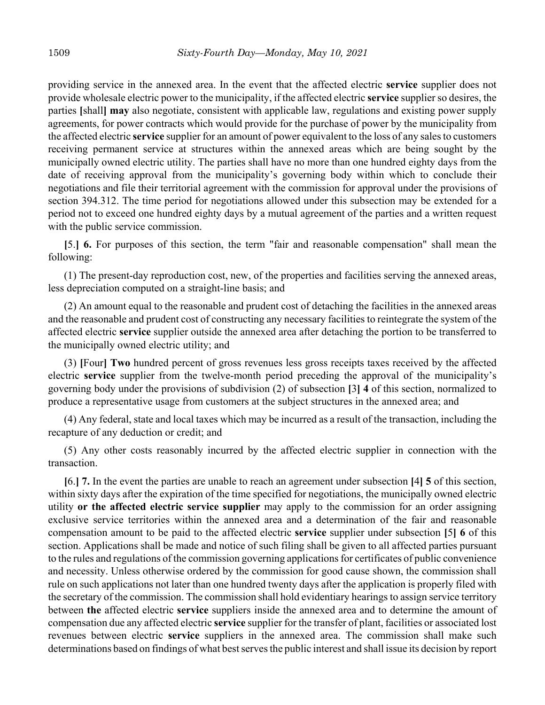providing service in the annexed area. In the event that the affected electric **service** supplier does not provide wholesale electric power to the municipality, if the affected electric **service** supplier so desires, the parties **[**shall**] may** also negotiate, consistent with applicable law, regulations and existing power supply agreements, for power contracts which would provide for the purchase of power by the municipality from the affected electric **service** supplier for an amount of power equivalent to the loss of any sales to customers receiving permanent service at structures within the annexed areas which are being sought by the municipally owned electric utility. The parties shall have no more than one hundred eighty days from the date of receiving approval from the municipality's governing body within which to conclude their negotiations and file their territorial agreement with the commission for approval under the provisions of section 394.312. The time period for negotiations allowed under this subsection may be extended for a period not to exceed one hundred eighty days by a mutual agreement of the parties and a written request with the public service commission.

**[**5.**] 6.** For purposes of this section, the term "fair and reasonable compensation" shall mean the following:

(1) The present-day reproduction cost, new, of the properties and facilities serving the annexed areas, less depreciation computed on a straight-line basis; and

(2) An amount equal to the reasonable and prudent cost of detaching the facilities in the annexed areas and the reasonable and prudent cost of constructing any necessary facilities to reintegrate the system of the affected electric **service** supplier outside the annexed area after detaching the portion to be transferred to the municipally owned electric utility; and

(3) **[**Four**] Two** hundred percent of gross revenues less gross receipts taxes received by the affected electric **service** supplier from the twelve-month period preceding the approval of the municipality's governing body under the provisions of subdivision (2) of subsection **[**3**] 4** of this section, normalized to produce a representative usage from customers at the subject structures in the annexed area; and

(4) Any federal, state and local taxes which may be incurred as a result of the transaction, including the recapture of any deduction or credit; and

(5) Any other costs reasonably incurred by the affected electric supplier in connection with the transaction.

**[**6.**] 7.** In the event the parties are unable to reach an agreement under subsection **[**4**] 5** of this section, within sixty days after the expiration of the time specified for negotiations, the municipally owned electric utility **or the affected electric service supplier** may apply to the commission for an order assigning exclusive service territories within the annexed area and a determination of the fair and reasonable compensation amount to be paid to the affected electric **service** supplier under subsection **[**5**] 6** of this section. Applications shall be made and notice of such filing shall be given to all affected parties pursuant to the rules and regulations of the commission governing applications for certificates of public convenience and necessity. Unless otherwise ordered by the commission for good cause shown, the commission shall rule on such applications not later than one hundred twenty days after the application is properly filed with the secretary of the commission. The commission shall hold evidentiary hearings to assign service territory between **the** affected electric **service** suppliers inside the annexed area and to determine the amount of compensation due any affected electric **service** supplier for the transfer of plant, facilities or associated lost revenues between electric **service** suppliers in the annexed area. The commission shall make such determinations based on findings of what best serves the public interest and shall issue its decision by report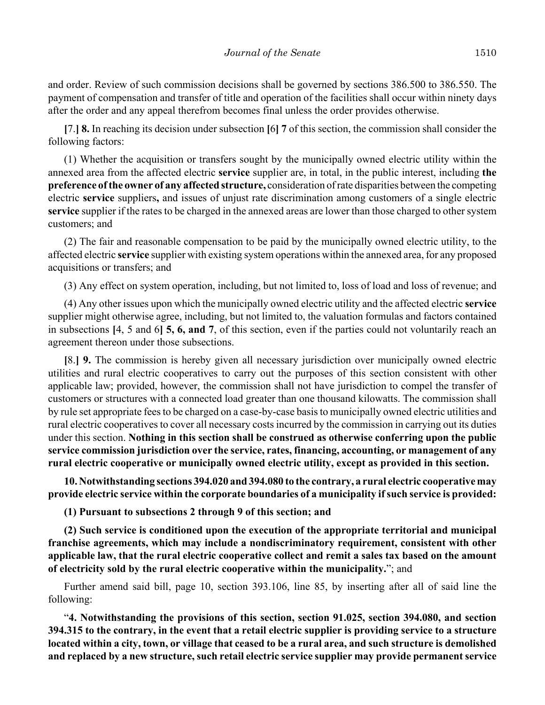and order. Review of such commission decisions shall be governed by sections 386.500 to 386.550. The payment of compensation and transfer of title and operation of the facilities shall occur within ninety days after the order and any appeal therefrom becomes final unless the order provides otherwise.

**[**7.**] 8.** In reaching its decision under subsection **[**6**] 7** of this section, the commission shall consider the following factors:

(1) Whether the acquisition or transfers sought by the municipally owned electric utility within the annexed area from the affected electric **service** supplier are, in total, in the public interest, including **the preference of the owner of any affected structure,** consideration of rate disparities between the competing electric **service** suppliers**,** and issues of unjust rate discrimination among customers of a single electric **service** supplier if the rates to be charged in the annexed areas are lower than those charged to other system customers; and

(2) The fair and reasonable compensation to be paid by the municipally owned electric utility, to the affected electric **service** supplier with existing system operations within the annexed area, for any proposed acquisitions or transfers; and

(3) Any effect on system operation, including, but not limited to, loss of load and loss of revenue; and

(4) Any other issues upon which the municipally owned electric utility and the affected electric **service** supplier might otherwise agree, including, but not limited to, the valuation formulas and factors contained in subsections **[**4, 5 and 6**] 5, 6, and 7**, of this section, even if the parties could not voluntarily reach an agreement thereon under those subsections.

**[**8.**] 9.** The commission is hereby given all necessary jurisdiction over municipally owned electric utilities and rural electric cooperatives to carry out the purposes of this section consistent with other applicable law; provided, however, the commission shall not have jurisdiction to compel the transfer of customers or structures with a connected load greater than one thousand kilowatts. The commission shall by rule set appropriate fees to be charged on a case-by-case basis to municipally owned electric utilities and rural electric cooperatives to cover all necessary costs incurred by the commission in carrying out its duties under this section. **Nothing in this section shall be construed as otherwise conferring upon the public service commission jurisdiction over the service, rates, financing, accounting, or management of any rural electric cooperative or municipally owned electric utility, except as provided in this section.**

**10. Notwithstanding sections 394.020 and 394.080 to the contrary, a rural electric cooperative may provide electric service within the corporate boundaries of a municipality if such service is provided:**

**(1) Pursuant to subsections 2 through 9 of this section; and**

**(2) Such service is conditioned upon the execution of the appropriate territorial and municipal franchise agreements, which may include a nondiscriminatory requirement, consistent with other applicable law, that the rural electric cooperative collect and remit a sales tax based on the amount of electricity sold by the rural electric cooperative within the municipality.**"; and

Further amend said bill, page 10, section 393.106, line 85, by inserting after all of said line the following:

"**4. Notwithstanding the provisions of this section, section 91.025, section 394.080, and section 394.315 to the contrary, in the event that a retail electric supplier is providing service to a structure located within a city, town, or village that ceased to be a rural area, and such structure is demolished and replaced by a new structure, such retail electric service supplier may provide permanent service**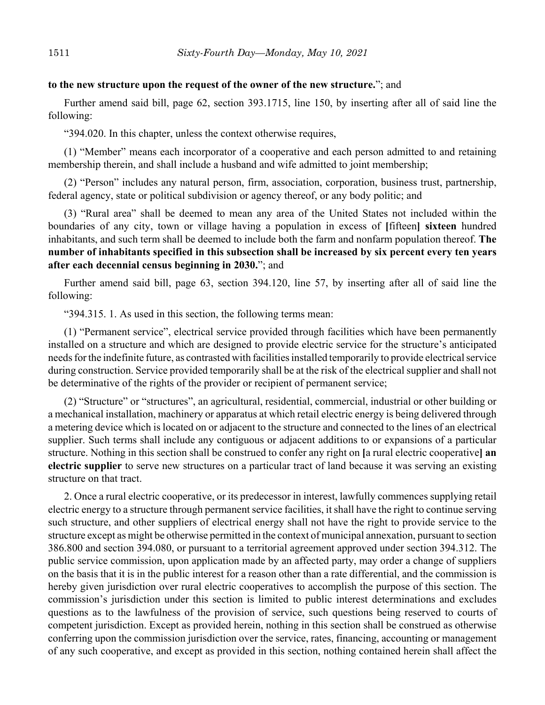#### **to the new structure upon the request of the owner of the new structure.**"; and

Further amend said bill, page 62, section 393.1715, line 150, by inserting after all of said line the following:

"394.020. In this chapter, unless the context otherwise requires,

(1) "Member" means each incorporator of a cooperative and each person admitted to and retaining membership therein, and shall include a husband and wife admitted to joint membership;

(2) "Person" includes any natural person, firm, association, corporation, business trust, partnership, federal agency, state or political subdivision or agency thereof, or any body politic; and

(3) "Rural area" shall be deemed to mean any area of the United States not included within the boundaries of any city, town or village having a population in excess of **[**fifteen**] sixteen** hundred inhabitants, and such term shall be deemed to include both the farm and nonfarm population thereof. **The number of inhabitants specified in this subsection shall be increased by six percent every ten years after each decennial census beginning in 2030.**"; and

Further amend said bill, page 63, section 394.120, line 57, by inserting after all of said line the following:

"394.315. 1. As used in this section, the following terms mean:

(1) "Permanent service", electrical service provided through facilities which have been permanently installed on a structure and which are designed to provide electric service for the structure's anticipated needs for the indefinite future, as contrasted with facilities installed temporarily to provide electrical service during construction. Service provided temporarily shall be at the risk of the electrical supplier and shall not be determinative of the rights of the provider or recipient of permanent service;

(2) "Structure" or "structures", an agricultural, residential, commercial, industrial or other building or a mechanical installation, machinery or apparatus at which retail electric energy is being delivered through a metering device which is located on or adjacent to the structure and connected to the lines of an electrical supplier. Such terms shall include any contiguous or adjacent additions to or expansions of a particular structure. Nothing in this section shall be construed to confer any right on **[**a rural electric cooperative**] an electric supplier** to serve new structures on a particular tract of land because it was serving an existing structure on that tract.

2. Once a rural electric cooperative, or its predecessor in interest, lawfully commences supplying retail electric energy to a structure through permanent service facilities, it shall have the right to continue serving such structure, and other suppliers of electrical energy shall not have the right to provide service to the structure except as might be otherwise permitted in the context of municipal annexation, pursuant to section 386.800 and section 394.080, or pursuant to a territorial agreement approved under section 394.312. The public service commission, upon application made by an affected party, may order a change of suppliers on the basis that it is in the public interest for a reason other than a rate differential, and the commission is hereby given jurisdiction over rural electric cooperatives to accomplish the purpose of this section. The commission's jurisdiction under this section is limited to public interest determinations and excludes questions as to the lawfulness of the provision of service, such questions being reserved to courts of competent jurisdiction. Except as provided herein, nothing in this section shall be construed as otherwise conferring upon the commission jurisdiction over the service, rates, financing, accounting or management of any such cooperative, and except as provided in this section, nothing contained herein shall affect the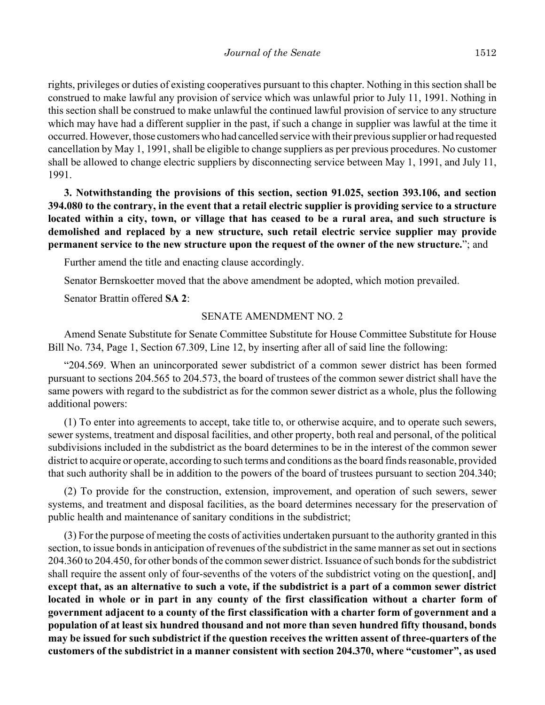rights, privileges or duties of existing cooperatives pursuant to this chapter. Nothing in this section shall be construed to make lawful any provision of service which was unlawful prior to July 11, 1991. Nothing in this section shall be construed to make unlawful the continued lawful provision of service to any structure which may have had a different supplier in the past, if such a change in supplier was lawful at the time it occurred. However, those customers who had cancelled service with their previous supplier or had requested cancellation by May 1, 1991, shall be eligible to change suppliers as per previous procedures. No customer shall be allowed to change electric suppliers by disconnecting service between May 1, 1991, and July 11, 1991.

**3. Notwithstanding the provisions of this section, section 91.025, section 393.106, and section 394.080 to the contrary, in the event that a retail electric supplier is providing service to a structure located within a city, town, or village that has ceased to be a rural area, and such structure is demolished and replaced by a new structure, such retail electric service supplier may provide permanent service to the new structure upon the request of the owner of the new structure.**"; and

Further amend the title and enacting clause accordingly.

Senator Bernskoetter moved that the above amendment be adopted, which motion prevailed.

Senator Brattin offered **SA 2**:

#### SENATE AMENDMENT NO. 2

Amend Senate Substitute for Senate Committee Substitute for House Committee Substitute for House Bill No. 734, Page 1, Section 67.309, Line 12, by inserting after all of said line the following:

"204.569. When an unincorporated sewer subdistrict of a common sewer district has been formed pursuant to sections 204.565 to 204.573, the board of trustees of the common sewer district shall have the same powers with regard to the subdistrict as for the common sewer district as a whole, plus the following additional powers:

(1) To enter into agreements to accept, take title to, or otherwise acquire, and to operate such sewers, sewer systems, treatment and disposal facilities, and other property, both real and personal, of the political subdivisions included in the subdistrict as the board determines to be in the interest of the common sewer district to acquire or operate, according to such terms and conditions as the board finds reasonable, provided that such authority shall be in addition to the powers of the board of trustees pursuant to section 204.340;

(2) To provide for the construction, extension, improvement, and operation of such sewers, sewer systems, and treatment and disposal facilities, as the board determines necessary for the preservation of public health and maintenance of sanitary conditions in the subdistrict;

(3) For the purpose of meeting the costs of activities undertaken pursuant to the authority granted in this section, to issue bonds in anticipation of revenues of the subdistrict in the same manner as set out in sections 204.360 to 204.450, for other bonds of the common sewer district. Issuance of such bonds for the subdistrict shall require the assent only of four-sevenths of the voters of the subdistrict voting on the question**[**, and**] except that, as an alternative to such a vote, if the subdistrict is a part of a common sewer district located in whole or in part in any county of the first classification without a charter form of government adjacent to a county of the first classification with a charter form of government and a population of at least six hundred thousand and not more than seven hundred fifty thousand, bonds may be issued for such subdistrict if the question receives the written assent of three-quarters of the customers of the subdistrict in a manner consistent with section 204.370, where "customer", as used**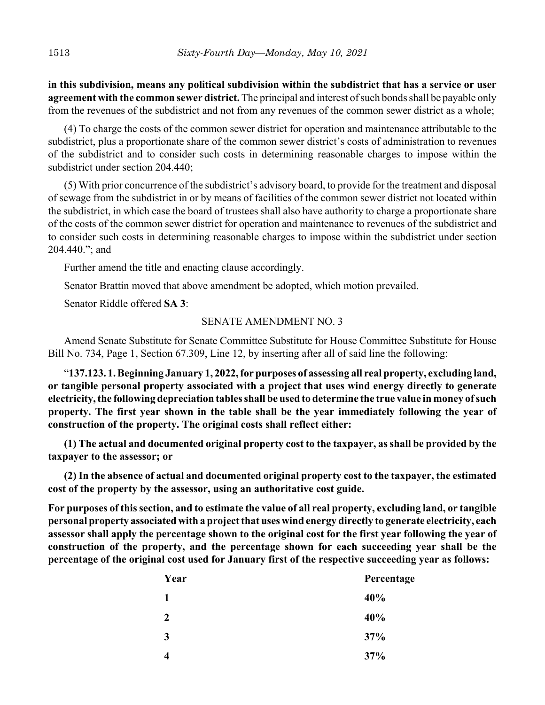**in this subdivision, means any political subdivision within the subdistrict that has a service or user agreement with the common sewer district.** The principal and interest of such bonds shall be payable only from the revenues of the subdistrict and not from any revenues of the common sewer district as a whole;

(4) To charge the costs of the common sewer district for operation and maintenance attributable to the subdistrict, plus a proportionate share of the common sewer district's costs of administration to revenues of the subdistrict and to consider such costs in determining reasonable charges to impose within the subdistrict under section 204.440;

(5) With prior concurrence of the subdistrict's advisory board, to provide for the treatment and disposal of sewage from the subdistrict in or by means of facilities of the common sewer district not located within the subdistrict, in which case the board of trustees shall also have authority to charge a proportionate share of the costs of the common sewer district for operation and maintenance to revenues of the subdistrict and to consider such costs in determining reasonable charges to impose within the subdistrict under section 204.440."; and

Further amend the title and enacting clause accordingly.

Senator Brattin moved that above amendment be adopted, which motion prevailed.

Senator Riddle offered **SA 3**:

#### SENATE AMENDMENT NO. 3

Amend Senate Substitute for Senate Committee Substitute for House Committee Substitute for House Bill No. 734, Page 1, Section 67.309, Line 12, by inserting after all of said line the following:

"**137.123. 1. Beginning January 1, 2022, for purposes of assessing all real property, excluding land, or tangible personal property associated with a project that uses wind energy directly to generate electricity, the following depreciation tables shall be used to determine the true value in money of such property. The first year shown in the table shall be the year immediately following the year of construction of the property. The original costs shall reflect either:**

**(1) The actual and documented original property cost to the taxpayer, as shall be provided by the taxpayer to the assessor; or**

**(2) In the absence of actual and documented original property cost to the taxpayer, the estimated cost of the property by the assessor, using an authoritative cost guide.**

**For purposes of this section, and to estimate the value of all real property, excluding land, or tangible personal property associated with a project that uses wind energy directly to generate electricity, each assessor shall apply the percentage shown to the original cost for the first year following the year of construction of the property, and the percentage shown for each succeeding year shall be the percentage of the original cost used for January first of the respective succeeding year as follows:**

| Year | Percentage |
|------|------------|
| 1    | 40%        |
| 2    | 40%        |
| 3    | 37%        |
|      | 37%        |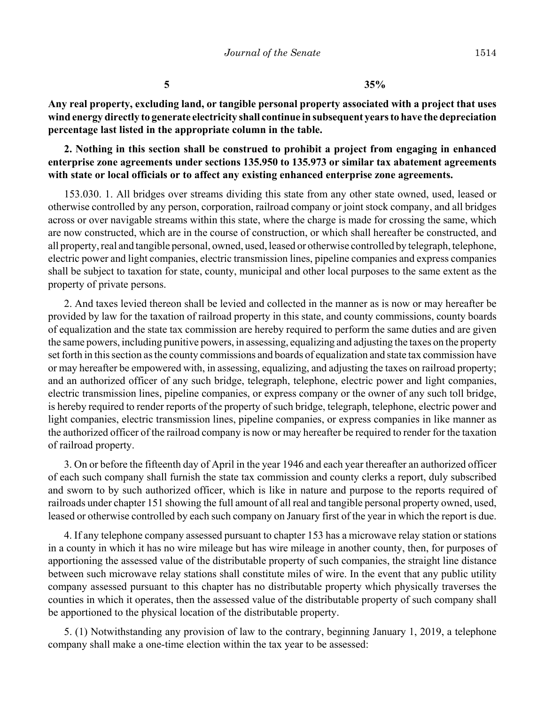**5 35%**

**Any real property, excluding land, or tangible personal property associated with a project that uses wind energy directly to generate electricity shall continue in subsequent years to have the depreciation percentage last listed in the appropriate column in the table.**

**2. Nothing in this section shall be construed to prohibit a project from engaging in enhanced enterprise zone agreements under sections 135.950 to 135.973 or similar tax abatement agreements with state or local officials or to affect any existing enhanced enterprise zone agreements.**

153.030. 1. All bridges over streams dividing this state from any other state owned, used, leased or otherwise controlled by any person, corporation, railroad company or joint stock company, and all bridges across or over navigable streams within this state, where the charge is made for crossing the same, which are now constructed, which are in the course of construction, or which shall hereafter be constructed, and all property, real and tangible personal, owned, used, leased or otherwise controlled by telegraph, telephone, electric power and light companies, electric transmission lines, pipeline companies and express companies shall be subject to taxation for state, county, municipal and other local purposes to the same extent as the property of private persons.

2. And taxes levied thereon shall be levied and collected in the manner as is now or may hereafter be provided by law for the taxation of railroad property in this state, and county commissions, county boards of equalization and the state tax commission are hereby required to perform the same duties and are given the same powers, including punitive powers, in assessing, equalizing and adjusting the taxes on the property set forth in this section as the county commissions and boards of equalization and state tax commission have or may hereafter be empowered with, in assessing, equalizing, and adjusting the taxes on railroad property; and an authorized officer of any such bridge, telegraph, telephone, electric power and light companies, electric transmission lines, pipeline companies, or express company or the owner of any such toll bridge, is hereby required to render reports of the property of such bridge, telegraph, telephone, electric power and light companies, electric transmission lines, pipeline companies, or express companies in like manner as the authorized officer of the railroad company is now or may hereafter be required to render for the taxation of railroad property.

3. On or before the fifteenth day of April in the year 1946 and each year thereafter an authorized officer of each such company shall furnish the state tax commission and county clerks a report, duly subscribed and sworn to by such authorized officer, which is like in nature and purpose to the reports required of railroads under chapter 151 showing the full amount of all real and tangible personal property owned, used, leased or otherwise controlled by each such company on January first of the year in which the report is due.

4. If any telephone company assessed pursuant to chapter 153 has a microwave relay station or stations in a county in which it has no wire mileage but has wire mileage in another county, then, for purposes of apportioning the assessed value of the distributable property of such companies, the straight line distance between such microwave relay stations shall constitute miles of wire. In the event that any public utility company assessed pursuant to this chapter has no distributable property which physically traverses the counties in which it operates, then the assessed value of the distributable property of such company shall be apportioned to the physical location of the distributable property.

5. (1) Notwithstanding any provision of law to the contrary, beginning January 1, 2019, a telephone company shall make a one-time election within the tax year to be assessed: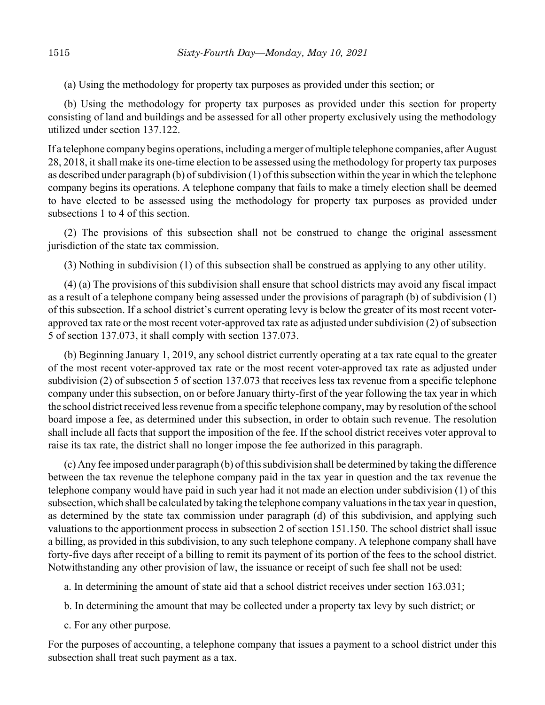(a) Using the methodology for property tax purposes as provided under this section; or

(b) Using the methodology for property tax purposes as provided under this section for property consisting of land and buildings and be assessed for all other property exclusively using the methodology utilized under section 137.122.

If a telephone company begins operations, including a merger of multiple telephone companies, after August 28, 2018, it shall make its one-time election to be assessed using the methodology for property tax purposes as described under paragraph (b) of subdivision (1) of this subsection within the year in which the telephone company begins its operations. A telephone company that fails to make a timely election shall be deemed to have elected to be assessed using the methodology for property tax purposes as provided under subsections 1 to 4 of this section.

(2) The provisions of this subsection shall not be construed to change the original assessment jurisdiction of the state tax commission.

(3) Nothing in subdivision (1) of this subsection shall be construed as applying to any other utility.

(4) (a) The provisions of this subdivision shall ensure that school districts may avoid any fiscal impact as a result of a telephone company being assessed under the provisions of paragraph (b) of subdivision (1) of this subsection. If a school district's current operating levy is below the greater of its most recent voterapproved tax rate or the most recent voter-approved tax rate as adjusted under subdivision (2) of subsection 5 of section 137.073, it shall comply with section 137.073.

(b) Beginning January 1, 2019, any school district currently operating at a tax rate equal to the greater of the most recent voter-approved tax rate or the most recent voter-approved tax rate as adjusted under subdivision (2) of subsection 5 of section 137.073 that receives less tax revenue from a specific telephone company under this subsection, on or before January thirty-first of the year following the tax year in which the school district received less revenue from a specific telephone company, may by resolution of the school board impose a fee, as determined under this subsection, in order to obtain such revenue. The resolution shall include all facts that support the imposition of the fee. If the school district receives voter approval to raise its tax rate, the district shall no longer impose the fee authorized in this paragraph.

(c) Any fee imposed under paragraph (b) of this subdivision shall be determined by taking the difference between the tax revenue the telephone company paid in the tax year in question and the tax revenue the telephone company would have paid in such year had it not made an election under subdivision (1) of this subsection, which shall be calculated by taking the telephone company valuations in the tax year in question, as determined by the state tax commission under paragraph (d) of this subdivision, and applying such valuations to the apportionment process in subsection 2 of section 151.150. The school district shall issue a billing, as provided in this subdivision, to any such telephone company. A telephone company shall have forty-five days after receipt of a billing to remit its payment of its portion of the fees to the school district. Notwithstanding any other provision of law, the issuance or receipt of such fee shall not be used:

a. In determining the amount of state aid that a school district receives under section 163.031;

- b. In determining the amount that may be collected under a property tax levy by such district; or
- c. For any other purpose.

For the purposes of accounting, a telephone company that issues a payment to a school district under this subsection shall treat such payment as a tax.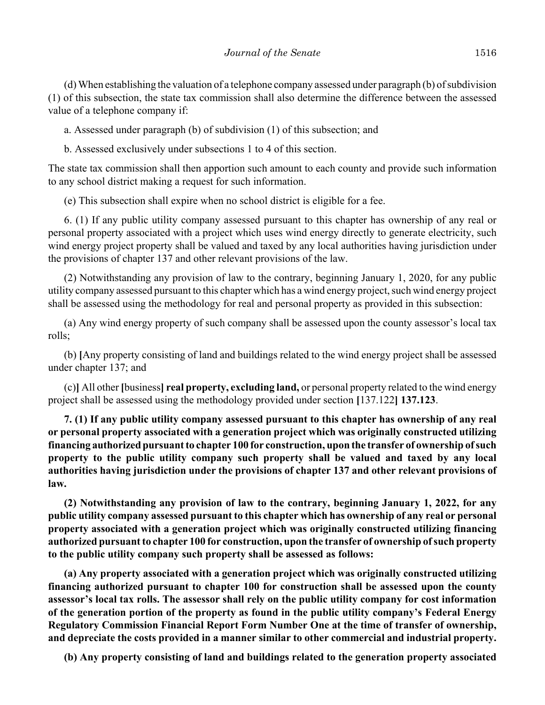(d) When establishing the valuation of a telephone company assessed under paragraph (b) of subdivision (1) of this subsection, the state tax commission shall also determine the difference between the assessed value of a telephone company if:

a. Assessed under paragraph (b) of subdivision (1) of this subsection; and

b. Assessed exclusively under subsections 1 to 4 of this section.

The state tax commission shall then apportion such amount to each county and provide such information to any school district making a request for such information.

(e) This subsection shall expire when no school district is eligible for a fee.

6. (1) If any public utility company assessed pursuant to this chapter has ownership of any real or personal property associated with a project which uses wind energy directly to generate electricity, such wind energy project property shall be valued and taxed by any local authorities having jurisdiction under the provisions of chapter 137 and other relevant provisions of the law.

(2) Notwithstanding any provision of law to the contrary, beginning January 1, 2020, for any public utility company assessed pursuant to this chapter which has a wind energy project, such wind energy project shall be assessed using the methodology for real and personal property as provided in this subsection:

(a) Any wind energy property of such company shall be assessed upon the county assessor's local tax rolls;

(b) **[**Any property consisting of land and buildings related to the wind energy project shall be assessed under chapter 137; and

(c)**]** All other **[**business**] real property, excluding land,** or personal property related to the wind energy project shall be assessed using the methodology provided under section **[**137.122**] 137.123**.

**7. (1) If any public utility company assessed pursuant to this chapter has ownership of any real or personal property associated with a generation project which was originally constructed utilizing financing authorized pursuant to chapter 100 for construction, upon the transfer of ownership of such property to the public utility company such property shall be valued and taxed by any local authorities having jurisdiction under the provisions of chapter 137 and other relevant provisions of law.**

**(2) Notwithstanding any provision of law to the contrary, beginning January 1, 2022, for any public utility company assessed pursuant to this chapter which has ownership of any real or personal property associated with a generation project which was originally constructed utilizing financing authorized pursuant to chapter 100 for construction, upon the transfer of ownership of such property to the public utility company such property shall be assessed as follows:**

**(a) Any property associated with a generation project which was originally constructed utilizing financing authorized pursuant to chapter 100 for construction shall be assessed upon the county assessor's local tax rolls. The assessor shall rely on the public utility company for cost information of the generation portion of the property as found in the public utility company's Federal Energy Regulatory Commission Financial Report Form Number One at the time of transfer of ownership, and depreciate the costs provided in a manner similar to other commercial and industrial property.**

**(b) Any property consisting of land and buildings related to the generation property associated**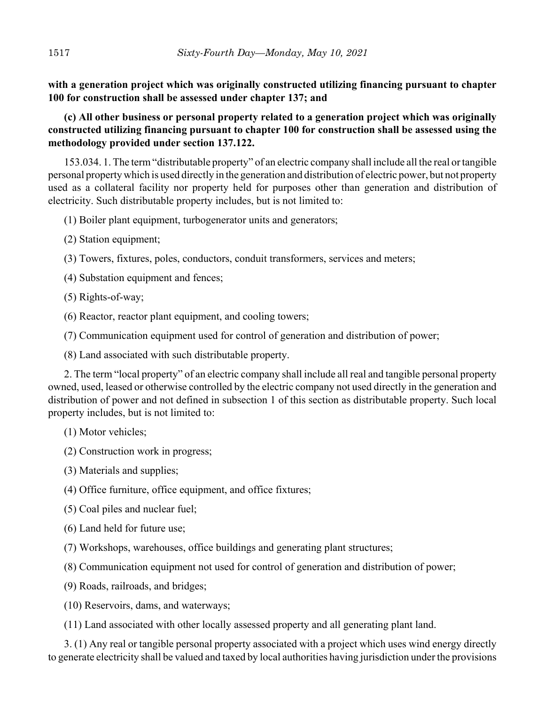**with a generation project which was originally constructed utilizing financing pursuant to chapter 100 for construction shall be assessed under chapter 137; and**

**(c) All other business or personal property related to a generation project which was originally constructed utilizing financing pursuant to chapter 100 for construction shall be assessed using the methodology provided under section 137.122.**

153.034. 1. The term "distributable property" of an electric company shall include all the real or tangible personal property which is used directly in the generation and distribution of electric power, but not property used as a collateral facility nor property held for purposes other than generation and distribution of electricity. Such distributable property includes, but is not limited to:

(1) Boiler plant equipment, turbogenerator units and generators;

- (2) Station equipment;
- (3) Towers, fixtures, poles, conductors, conduit transformers, services and meters;
- (4) Substation equipment and fences;
- (5) Rights-of-way;
- (6) Reactor, reactor plant equipment, and cooling towers;
- (7) Communication equipment used for control of generation and distribution of power;
- (8) Land associated with such distributable property.

2. The term "local property" of an electric company shall include all real and tangible personal property owned, used, leased or otherwise controlled by the electric company not used directly in the generation and distribution of power and not defined in subsection 1 of this section as distributable property. Such local property includes, but is not limited to:

(1) Motor vehicles;

- (2) Construction work in progress;
- (3) Materials and supplies;
- (4) Office furniture, office equipment, and office fixtures;
- (5) Coal piles and nuclear fuel;
- (6) Land held for future use;
- (7) Workshops, warehouses, office buildings and generating plant structures;
- (8) Communication equipment not used for control of generation and distribution of power;
- (9) Roads, railroads, and bridges;
- (10) Reservoirs, dams, and waterways;
- (11) Land associated with other locally assessed property and all generating plant land.

3. (1) Any real or tangible personal property associated with a project which uses wind energy directly to generate electricity shall be valued and taxed by local authorities having jurisdiction under the provisions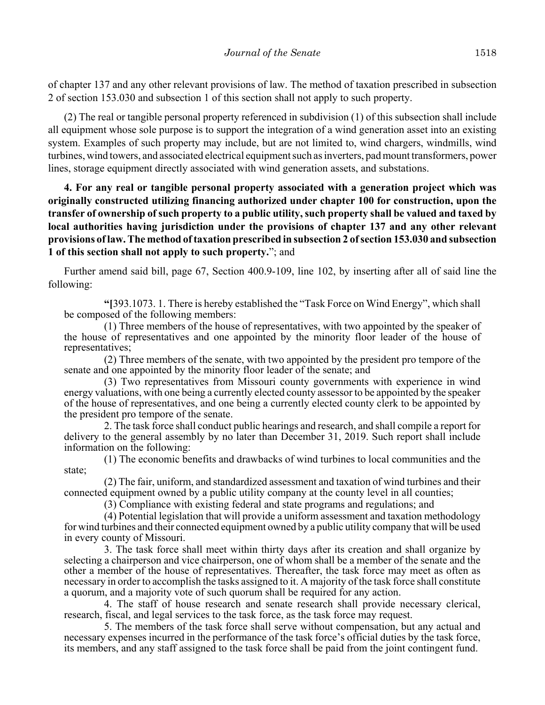of chapter 137 and any other relevant provisions of law. The method of taxation prescribed in subsection 2 of section 153.030 and subsection 1 of this section shall not apply to such property.

(2) The real or tangible personal property referenced in subdivision (1) of this subsection shall include all equipment whose sole purpose is to support the integration of a wind generation asset into an existing system. Examples of such property may include, but are not limited to, wind chargers, windmills, wind turbines, wind towers, and associated electrical equipment such as inverters, pad mount transformers, power lines, storage equipment directly associated with wind generation assets, and substations.

**4. For any real or tangible personal property associated with a generation project which was originally constructed utilizing financing authorized under chapter 100 for construction, upon the transfer of ownership of such property to a public utility, such property shall be valued and taxed by local authorities having jurisdiction under the provisions of chapter 137 and any other relevant provisions of law. The method of taxation prescribed in subsection 2 of section 153.030 and subsection 1 of this section shall not apply to such property.**"; and

Further amend said bill, page 67, Section 400.9-109, line 102, by inserting after all of said line the following:

**"[**393.1073. 1. There is hereby established the "Task Force on Wind Energy", which shall be composed of the following members:

(1) Three members of the house of representatives, with two appointed by the speaker of the house of representatives and one appointed by the minority floor leader of the house of representatives;

(2) Three members of the senate, with two appointed by the president pro tempore of the senate and one appointed by the minority floor leader of the senate; and

(3) Two representatives from Missouri county governments with experience in wind energy valuations, with one being a currently elected county assessor to be appointed by the speaker of the house of representatives, and one being a currently elected county clerk to be appointed by the president pro tempore of the senate.

2. The task force shall conduct public hearings and research, and shall compile a report for delivery to the general assembly by no later than December 31, 2019. Such report shall include information on the following:

(1) The economic benefits and drawbacks of wind turbines to local communities and the state;

(2) The fair, uniform, and standardized assessment and taxation of wind turbines and their connected equipment owned by a public utility company at the county level in all counties;

(3) Compliance with existing federal and state programs and regulations; and

(4) Potential legislation that will provide a uniform assessment and taxation methodology for wind turbines and their connected equipment owned by a public utility company that will be used in every county of Missouri.

3. The task force shall meet within thirty days after its creation and shall organize by selecting a chairperson and vice chairperson, one of whom shall be a member of the senate and the other a member of the house of representatives. Thereafter, the task force may meet as often as necessary in order to accomplish the tasks assigned to it. A majority of the task force shall constitute a quorum, and a majority vote of such quorum shall be required for any action.

4. The staff of house research and senate research shall provide necessary clerical, research, fiscal, and legal services to the task force, as the task force may request.

5. The members of the task force shall serve without compensation, but any actual and necessary expenses incurred in the performance of the task force's official duties by the task force, its members, and any staff assigned to the task force shall be paid from the joint contingent fund.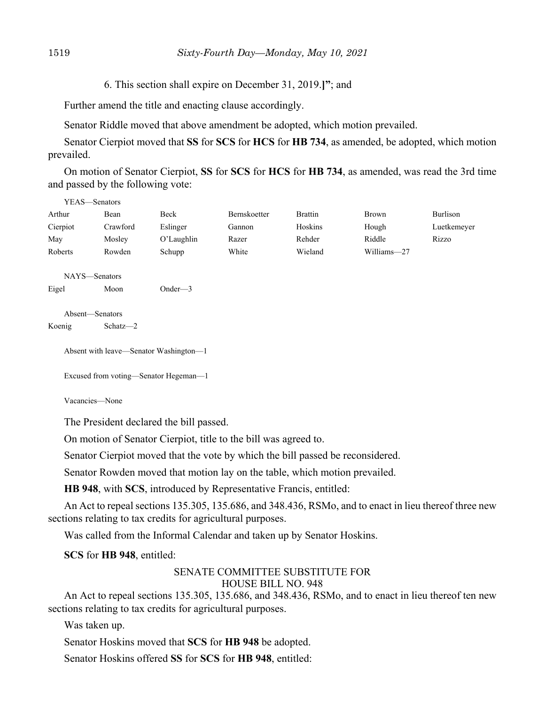6. This section shall expire on December 31, 2019.**]"**; and

Further amend the title and enacting clause accordingly.

Senator Riddle moved that above amendment be adopted, which motion prevailed.

Senator Cierpiot moved that **SS** for **SCS** for **HCS** for **HB 734**, as amended, be adopted, which motion prevailed.

On motion of Senator Cierpiot, **SS** for **SCS** for **HCS** for **HB 734**, as amended, was read the 3rd time and passed by the following vote:

| YEAS—Senators   |          |               |              |                |             |             |
|-----------------|----------|---------------|--------------|----------------|-------------|-------------|
| Arthur          | Bean     | Beck          | Bernskoetter | <b>Brattin</b> | Brown       | Burlison    |
| Cierpiot        | Crawford | Eslinger      | Gannon       | Hoskins        | Hough       | Luetkemeyer |
| May             | Mosley   | $O'$ Laughlin | Razer        | Rehder         | Riddle      | Rizzo       |
| Roberts         | Rowden   | Schupp        | White        | Wieland        | Williams-27 |             |
| NAYS-Senators   |          |               |              |                |             |             |
| Eigel           | Moon     | Onder— $3$    |              |                |             |             |
| Absent-Senators |          |               |              |                |             |             |

Koenig Schatz—2

Absent with leave—Senator Washington—1

Excused from voting—Senator Hegeman—1

Vacancies—None

The President declared the bill passed.

On motion of Senator Cierpiot, title to the bill was agreed to.

Senator Cierpiot moved that the vote by which the bill passed be reconsidered.

Senator Rowden moved that motion lay on the table, which motion prevailed.

**HB 948**, with **SCS**, introduced by Representative Francis, entitled:

An Act to repeal sections 135.305, 135.686, and 348.436, RSMo, and to enact in lieu thereof three new sections relating to tax credits for agricultural purposes.

Was called from the Informal Calendar and taken up by Senator Hoskins.

**SCS** for **HB 948**, entitled:

#### SENATE COMMITTEE SUBSTITUTE FOR HOUSE BILL NO. 948

An Act to repeal sections 135.305, 135.686, and 348.436, RSMo, and to enact in lieu thereof ten new sections relating to tax credits for agricultural purposes.

Was taken up.

Senator Hoskins moved that **SCS** for **HB 948** be adopted.

Senator Hoskins offered **SS** for **SCS** for **HB 948**, entitled: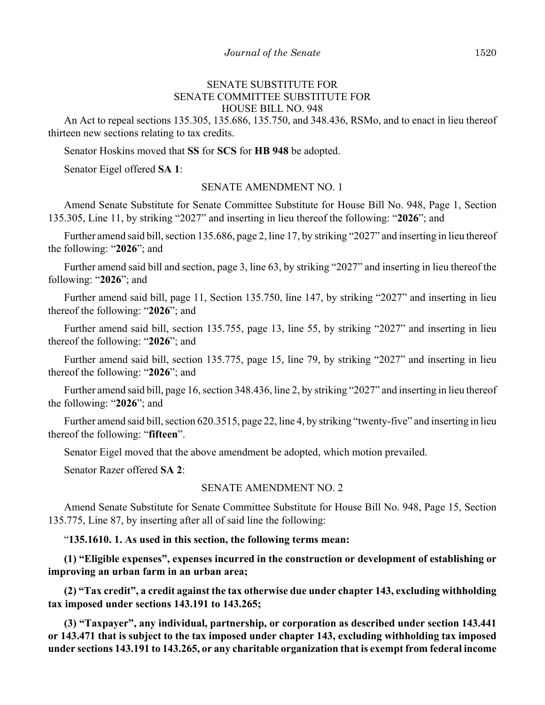#### SENATE SUBSTITUTE FOR SENATE COMMITTEE SUBSTITUTE FOR HOUSE BILL NO. 948

An Act to repeal sections 135.305, 135.686, 135.750, and 348.436, RSMo, and to enact in lieu thereof thirteen new sections relating to tax credits.

Senator Hoskins moved that **SS** for **SCS** for **HB 948** be adopted.

Senator Eigel offered **SA 1**:

#### SENATE AMENDMENT NO. 1

Amend Senate Substitute for Senate Committee Substitute for House Bill No. 948, Page 1, Section 135.305, Line 11, by striking "2027" and inserting in lieu thereof the following: "**2026**"; and

Further amend said bill, section 135.686, page 2, line 17, by striking "2027" and inserting in lieu thereof the following: "**2026**"; and

Further amend said bill and section, page 3, line 63, by striking "2027" and inserting in lieu thereof the following: "**2026**"; and

Further amend said bill, page 11, Section 135.750, line 147, by striking "2027" and inserting in lieu thereof the following: "**2026**"; and

Further amend said bill, section 135.755, page 13, line 55, by striking "2027" and inserting in lieu thereof the following: "**2026**"; and

Further amend said bill, section 135.775, page 15, line 79, by striking "2027" and inserting in lieu thereof the following: "**2026**"; and

Further amend said bill, page 16, section 348.436, line 2, by striking "2027" and inserting in lieu thereof the following: "**2026**"; and

Further amend said bill, section 620.3515, page 22, line 4, by striking "twenty-five" and inserting in lieu thereof the following: "**fifteen**".

Senator Eigel moved that the above amendment be adopted, which motion prevailed.

Senator Razer offered **SA 2**:

#### SENATE AMENDMENT NO. 2

Amend Senate Substitute for Senate Committee Substitute for House Bill No. 948, Page 15, Section 135.775, Line 87, by inserting after all of said line the following:

"**135.1610. 1. As used in this section, the following terms mean:**

**(1) "Eligible expenses", expenses incurred in the construction or development of establishing or improving an urban farm in an urban area;**

**(2) "Tax credit", a credit against the tax otherwise due under chapter 143, excluding withholding tax imposed under sections 143.191 to 143.265;**

**(3) "Taxpayer", any individual, partnership, or corporation as described under section 143.441 or 143.471 that is subject to the tax imposed under chapter 143, excluding withholding tax imposed under sections 143.191 to 143.265, or any charitable organization that is exempt from federal income**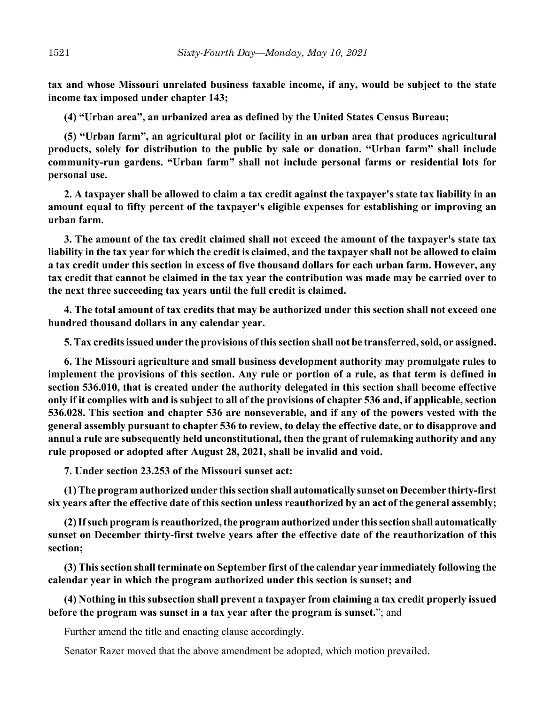**tax and whose Missouri unrelated business taxable income, if any, would be subject to the state income tax imposed under chapter 143;**

**(4) "Urban area", an urbanized area as defined by the United States Census Bureau;**

**(5) "Urban farm", an agricultural plot or facility in an urban area that produces agricultural products, solely for distribution to the public by sale or donation. "Urban farm" shall include community-run gardens. "Urban farm" shall not include personal farms or residential lots for personal use.**

**2. A taxpayer shall be allowed to claim a tax credit against the taxpayer's state tax liability in an amount equal to fifty percent of the taxpayer's eligible expenses for establishing or improving an urban farm.**

**3. The amount of the tax credit claimed shall not exceed the amount of the taxpayer's state tax liability in the tax year for which the credit is claimed, and the taxpayer shall not be allowed to claim a tax credit under this section in excess of five thousand dollars for each urban farm. However, any tax credit that cannot be claimed in the tax year the contribution was made may be carried over to the next three succeeding tax years until the full credit is claimed.**

**4. The total amount of tax credits that may be authorized under this section shall not exceed one hundred thousand dollars in any calendar year.**

**5. Tax credits issued under the provisions of this section shall not be transferred, sold, or assigned.**

**6. The Missouri agriculture and small business development authority may promulgate rules to implement the provisions of this section. Any rule or portion of a rule, as that term is defined in section 536.010, that is created under the authority delegated in this section shall become effective only if it complies with and is subject to all of the provisions of chapter 536 and, if applicable, section 536.028. This section and chapter 536 are nonseverable, and if any of the powers vested with the general assembly pursuant to chapter 536 to review, to delay the effective date, or to disapprove and annul a rule are subsequently held unconstitutional, then the grant of rulemaking authority and any rule proposed or adopted after August 28, 2021, shall be invalid and void.**

**7. Under section 23.253 of the Missouri sunset act:**

**(1) The program authorized under this section shall automatically sunset on December thirty-first six years after the effective date of this section unless reauthorized by an act of the general assembly;**

**(2) If such program is reauthorized, the program authorized under this section shall automatically sunset on December thirty-first twelve years after the effective date of the reauthorization of this section;**

**(3) This section shall terminate on September first of the calendar year immediately following the calendar year in which the program authorized under this section is sunset; and**

**(4) Nothing in this subsection shall prevent a taxpayer from claiming a tax credit properly issued before the program was sunset in a tax year after the program is sunset.**"; and

Further amend the title and enacting clause accordingly.

Senator Razer moved that the above amendment be adopted, which motion prevailed.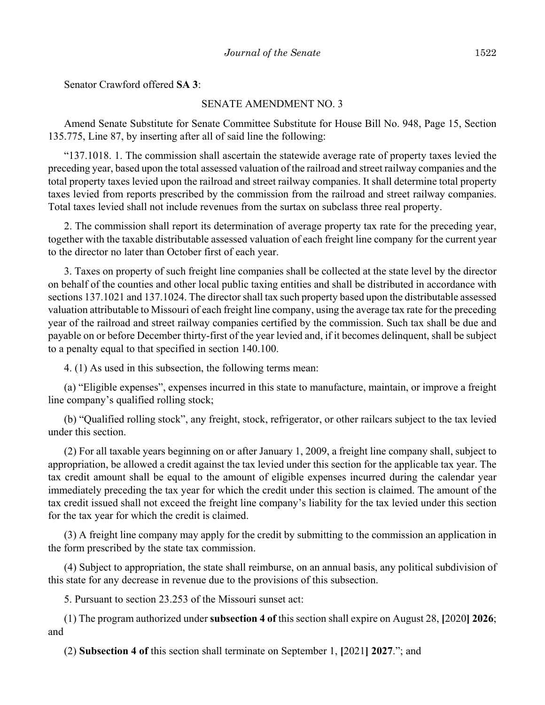Senator Crawford offered **SA 3**:

#### SENATE AMENDMENT NO. 3

Amend Senate Substitute for Senate Committee Substitute for House Bill No. 948, Page 15, Section 135.775, Line 87, by inserting after all of said line the following:

"137.1018. 1. The commission shall ascertain the statewide average rate of property taxes levied the preceding year, based upon the total assessed valuation of the railroad and street railway companies and the total property taxes levied upon the railroad and street railway companies. It shall determine total property taxes levied from reports prescribed by the commission from the railroad and street railway companies. Total taxes levied shall not include revenues from the surtax on subclass three real property.

2. The commission shall report its determination of average property tax rate for the preceding year, together with the taxable distributable assessed valuation of each freight line company for the current year to the director no later than October first of each year.

3. Taxes on property of such freight line companies shall be collected at the state level by the director on behalf of the counties and other local public taxing entities and shall be distributed in accordance with sections 137.1021 and 137.1024. The director shall tax such property based upon the distributable assessed valuation attributable to Missouri of each freight line company, using the average tax rate for the preceding year of the railroad and street railway companies certified by the commission. Such tax shall be due and payable on or before December thirty-first of the year levied and, if it becomes delinquent, shall be subject to a penalty equal to that specified in section 140.100.

4. (1) As used in this subsection, the following terms mean:

(a) "Eligible expenses", expenses incurred in this state to manufacture, maintain, or improve a freight line company's qualified rolling stock;

(b) "Qualified rolling stock", any freight, stock, refrigerator, or other railcars subject to the tax levied under this section.

(2) For all taxable years beginning on or after January 1, 2009, a freight line company shall, subject to appropriation, be allowed a credit against the tax levied under this section for the applicable tax year. The tax credit amount shall be equal to the amount of eligible expenses incurred during the calendar year immediately preceding the tax year for which the credit under this section is claimed. The amount of the tax credit issued shall not exceed the freight line company's liability for the tax levied under this section for the tax year for which the credit is claimed.

(3) A freight line company may apply for the credit by submitting to the commission an application in the form prescribed by the state tax commission.

(4) Subject to appropriation, the state shall reimburse, on an annual basis, any political subdivision of this state for any decrease in revenue due to the provisions of this subsection.

5. Pursuant to section 23.253 of the Missouri sunset act:

(1) The program authorized under **subsection 4 of** this section shall expire on August 28, **[**2020**] 2026**; and

(2) **Subsection 4 of** this section shall terminate on September 1, **[**2021**] 2027**."; and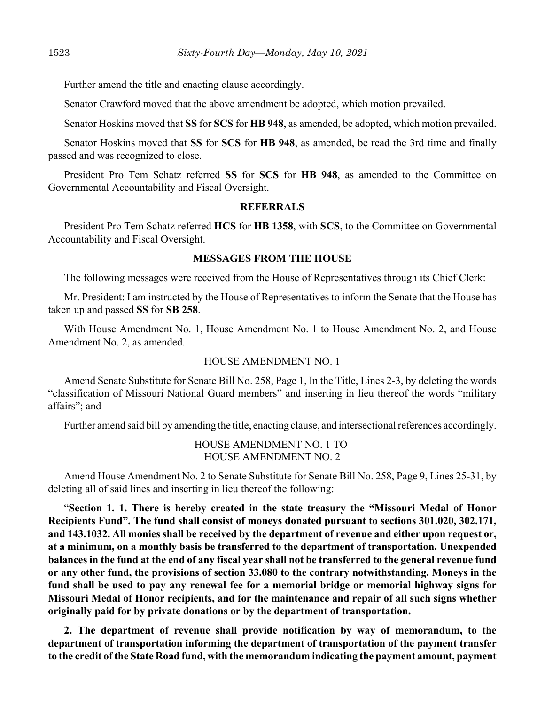Further amend the title and enacting clause accordingly.

Senator Crawford moved that the above amendment be adopted, which motion prevailed.

Senator Hoskins moved that **SS** for **SCS** for **HB 948**, as amended, be adopted, which motion prevailed.

Senator Hoskins moved that **SS** for **SCS** for **HB 948**, as amended, be read the 3rd time and finally passed and was recognized to close.

President Pro Tem Schatz referred **SS** for **SCS** for **HB 948**, as amended to the Committee on Governmental Accountability and Fiscal Oversight.

### **REFERRALS**

President Pro Tem Schatz referred **HCS** for **HB 1358**, with **SCS**, to the Committee on Governmental Accountability and Fiscal Oversight.

#### **MESSAGES FROM THE HOUSE**

The following messages were received from the House of Representatives through its Chief Clerk:

Mr. President: I am instructed by the House of Representatives to inform the Senate that the House has taken up and passed **SS** for **SB 258**.

With House Amendment No. 1, House Amendment No. 1 to House Amendment No. 2, and House Amendment No. 2, as amended.

### HOUSE AMENDMENT NO. 1

Amend Senate Substitute for Senate Bill No. 258, Page 1, In the Title, Lines 2-3, by deleting the words "classification of Missouri National Guard members" and inserting in lieu thereof the words "military affairs"; and

Further amend said bill by amending the title, enacting clause, and intersectional references accordingly.

### HOUSE AMENDMENT NO. 1 TO HOUSE AMENDMENT NO. 2

Amend House Amendment No. 2 to Senate Substitute for Senate Bill No. 258, Page 9, Lines 25-31, by deleting all of said lines and inserting in lieu thereof the following:

"**Section 1. 1. There is hereby created in the state treasury the "Missouri Medal of Honor Recipients Fund". The fund shall consist of moneys donated pursuant to sections 301.020, 302.171, and 143.1032. All monies shall be received by the department of revenue and either upon request or, at a minimum, on a monthly basis be transferred to the department of transportation. Unexpended balances in the fund at the end of any fiscal year shall not be transferred to the general revenue fund or any other fund, the provisions of section 33.080 to the contrary notwithstanding. Moneys in the fund shall be used to pay any renewal fee for a memorial bridge or memorial highway signs for Missouri Medal of Honor recipients, and for the maintenance and repair of all such signs whether originally paid for by private donations or by the department of transportation.**

**2. The department of revenue shall provide notification by way of memorandum, to the department of transportation informing the department of transportation of the payment transfer to the credit of the State Road fund, with the memorandum indicating the payment amount, payment**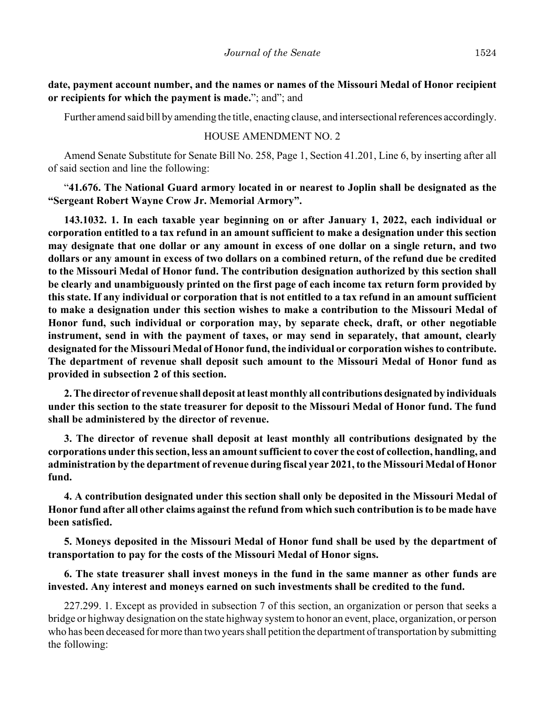**date, payment account number, and the names or names of the Missouri Medal of Honor recipient or recipients for which the payment is made.**"; and"; and

Further amend said bill by amending the title, enacting clause, and intersectional references accordingly.

### HOUSE AMENDMENT NO. 2

Amend Senate Substitute for Senate Bill No. 258, Page 1, Section 41.201, Line 6, by inserting after all of said section and line the following:

"**41.676. The National Guard armory located in or nearest to Joplin shall be designated as the "Sergeant Robert Wayne Crow Jr. Memorial Armory".**

**143.1032. 1. In each taxable year beginning on or after January 1, 2022, each individual or corporation entitled to a tax refund in an amount sufficient to make a designation under this section may designate that one dollar or any amount in excess of one dollar on a single return, and two dollars or any amount in excess of two dollars on a combined return, of the refund due be credited to the Missouri Medal of Honor fund. The contribution designation authorized by this section shall be clearly and unambiguously printed on the first page of each income tax return form provided by this state. If any individual or corporation that is not entitled to a tax refund in an amount sufficient to make a designation under this section wishes to make a contribution to the Missouri Medal of Honor fund, such individual or corporation may, by separate check, draft, or other negotiable instrument, send in with the payment of taxes, or may send in separately, that amount, clearly designated for the Missouri Medal of Honor fund, the individual or corporation wishes to contribute. The department of revenue shall deposit such amount to the Missouri Medal of Honor fund as provided in subsection 2 of this section.**

**2. The director of revenue shall deposit at least monthly all contributions designated by individuals under this section to the state treasurer for deposit to the Missouri Medal of Honor fund. The fund shall be administered by the director of revenue.**

**3. The director of revenue shall deposit at least monthly all contributions designated by the corporations under this section, less an amount sufficient to cover the cost of collection, handling, and administration by the department of revenue during fiscal year 2021, to the Missouri Medal of Honor fund.**

**4. A contribution designated under this section shall only be deposited in the Missouri Medal of Honor fund after all other claims against the refund from which such contribution is to be made have been satisfied.**

**5. Moneys deposited in the Missouri Medal of Honor fund shall be used by the department of transportation to pay for the costs of the Missouri Medal of Honor signs.**

**6. The state treasurer shall invest moneys in the fund in the same manner as other funds are invested. Any interest and moneys earned on such investments shall be credited to the fund.**

227.299. 1. Except as provided in subsection 7 of this section, an organization or person that seeks a bridge or highway designation on the state highway system to honor an event, place, organization, or person who has been deceased for more than two years shall petition the department of transportation by submitting the following: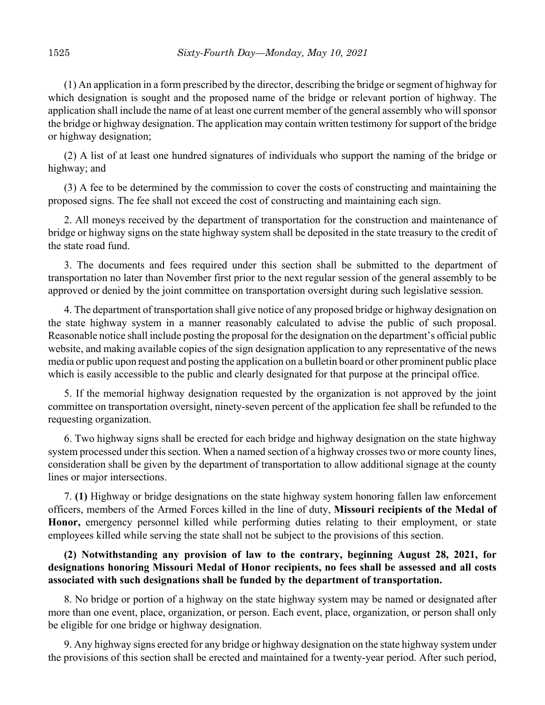(1) An application in a form prescribed by the director, describing the bridge or segment of highway for which designation is sought and the proposed name of the bridge or relevant portion of highway. The application shall include the name of at least one current member of the general assembly who will sponsor the bridge or highway designation. The application may contain written testimony for support of the bridge or highway designation;

(2) A list of at least one hundred signatures of individuals who support the naming of the bridge or highway; and

(3) A fee to be determined by the commission to cover the costs of constructing and maintaining the proposed signs. The fee shall not exceed the cost of constructing and maintaining each sign.

2. All moneys received by the department of transportation for the construction and maintenance of bridge or highway signs on the state highway system shall be deposited in the state treasury to the credit of the state road fund.

3. The documents and fees required under this section shall be submitted to the department of transportation no later than November first prior to the next regular session of the general assembly to be approved or denied by the joint committee on transportation oversight during such legislative session.

4. The department of transportation shall give notice of any proposed bridge or highway designation on the state highway system in a manner reasonably calculated to advise the public of such proposal. Reasonable notice shall include posting the proposal for the designation on the department's official public website, and making available copies of the sign designation application to any representative of the news media or public upon request and posting the application on a bulletin board or other prominent public place which is easily accessible to the public and clearly designated for that purpose at the principal office.

5. If the memorial highway designation requested by the organization is not approved by the joint committee on transportation oversight, ninety-seven percent of the application fee shall be refunded to the requesting organization.

6. Two highway signs shall be erected for each bridge and highway designation on the state highway system processed under this section. When a named section of a highway crosses two or more county lines, consideration shall be given by the department of transportation to allow additional signage at the county lines or major intersections.

7. **(1)** Highway or bridge designations on the state highway system honoring fallen law enforcement officers, members of the Armed Forces killed in the line of duty, **Missouri recipients of the Medal of Honor,** emergency personnel killed while performing duties relating to their employment, or state employees killed while serving the state shall not be subject to the provisions of this section.

# **(2) Notwithstanding any provision of law to the contrary, beginning August 28, 2021, for designations honoring Missouri Medal of Honor recipients, no fees shall be assessed and all costs associated with such designations shall be funded by the department of transportation.**

8. No bridge or portion of a highway on the state highway system may be named or designated after more than one event, place, organization, or person. Each event, place, organization, or person shall only be eligible for one bridge or highway designation.

9. Any highway signs erected for any bridge or highway designation on the state highway system under the provisions of this section shall be erected and maintained for a twenty-year period. After such period,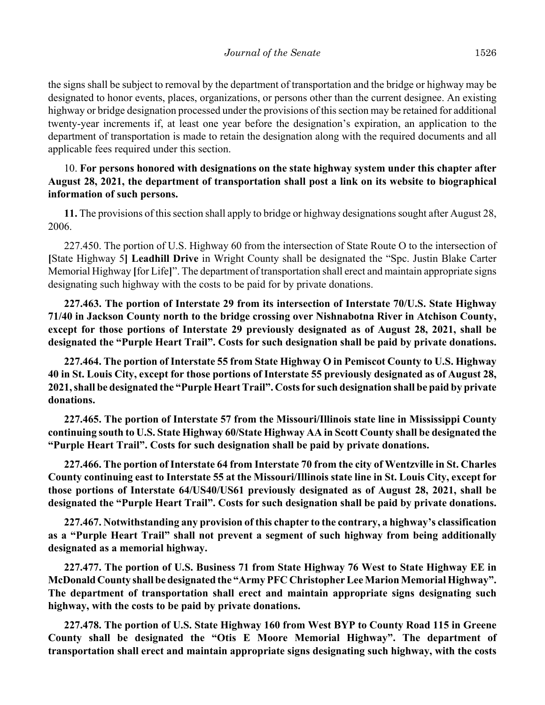the signs shall be subject to removal by the department of transportation and the bridge or highway may be designated to honor events, places, organizations, or persons other than the current designee. An existing highway or bridge designation processed under the provisions of this section may be retained for additional twenty-year increments if, at least one year before the designation's expiration, an application to the department of transportation is made to retain the designation along with the required documents and all applicable fees required under this section.

# 10. **For persons honored with designations on the state highway system under this chapter after August 28, 2021, the department of transportation shall post a link on its website to biographical information of such persons.**

**11.** The provisions of this section shall apply to bridge or highway designations sought after August 28, 2006.

227.450. The portion of U.S. Highway 60 from the intersection of State Route O to the intersection of **[**State Highway 5**] Leadhill Drive** in Wright County shall be designated the "Spc. Justin Blake Carter Memorial Highway **[**for Life**]**". The department of transportation shall erect and maintain appropriate signs designating such highway with the costs to be paid for by private donations.

**227.463. The portion of Interstate 29 from its intersection of Interstate 70/U.S. State Highway 71/40 in Jackson County north to the bridge crossing over Nishnabotna River in Atchison County, except for those portions of Interstate 29 previously designated as of August 28, 2021, shall be designated the "Purple Heart Trail". Costs for such designation shall be paid by private donations.**

**227.464. The portion of Interstate 55 from State Highway O in Pemiscot County to U.S. Highway 40 in St. Louis City, except for those portions of Interstate 55 previously designated as of August 28, 2021, shall be designated the "Purple Heart Trail". Costs for such designation shall be paid by private donations.**

**227.465. The portion of Interstate 57 from the Missouri/Illinois state line in Mississippi County continuing south to U.S. State Highway 60/State Highway AA in Scott County shall be designated the "Purple Heart Trail". Costs for such designation shall be paid by private donations.**

**227.466. The portion of Interstate 64 from Interstate 70 from the city of Wentzville in St. Charles County continuing east to Interstate 55 at the Missouri/Illinois state line in St. Louis City, except for those portions of Interstate 64/US40/US61 previously designated as of August 28, 2021, shall be designated the "Purple Heart Trail". Costs for such designation shall be paid by private donations.**

**227.467. Notwithstanding any provision of this chapter to the contrary, a highway's classification as a "Purple Heart Trail" shall not prevent a segment of such highway from being additionally designated as a memorial highway.**

**227.477. The portion of U.S. Business 71 from State Highway 76 West to State Highway EE in McDonald County shall be designated the "Army PFC Christopher Lee Marion Memorial Highway". The department of transportation shall erect and maintain appropriate signs designating such highway, with the costs to be paid by private donations.**

**227.478. The portion of U.S. State Highway 160 from West BYP to County Road 115 in Greene County shall be designated the "Otis E Moore Memorial Highway". The department of transportation shall erect and maintain appropriate signs designating such highway, with the costs**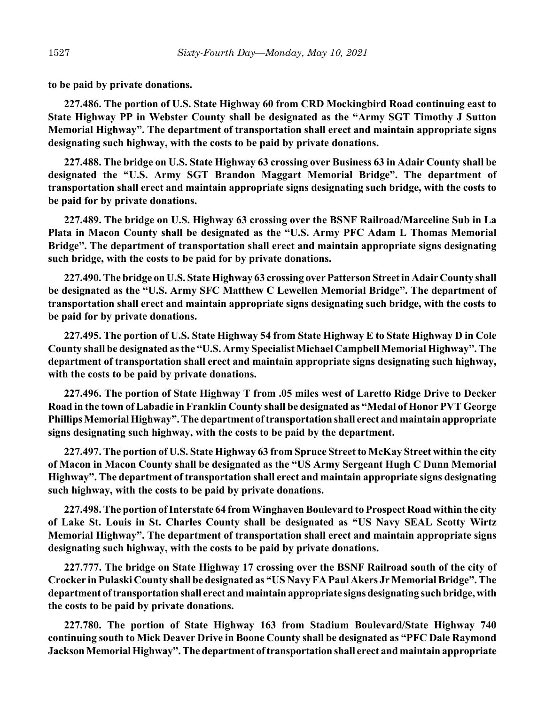**to be paid by private donations.**

**227.486. The portion of U.S. State Highway 60 from CRD Mockingbird Road continuing east to State Highway PP in Webster County shall be designated as the "Army SGT Timothy J Sutton Memorial Highway". The department of transportation shall erect and maintain appropriate signs designating such highway, with the costs to be paid by private donations.**

**227.488. The bridge on U.S. State Highway 63 crossing over Business 63 in Adair County shall be designated the "U.S. Army SGT Brandon Maggart Memorial Bridge". The department of transportation shall erect and maintain appropriate signs designating such bridge, with the costs to be paid for by private donations.**

**227.489. The bridge on U.S. Highway 63 crossing over the BSNF Railroad/Marceline Sub in La Plata in Macon County shall be designated as the "U.S. Army PFC Adam L Thomas Memorial Bridge". The department of transportation shall erect and maintain appropriate signs designating such bridge, with the costs to be paid for by private donations.**

**227.490. The bridge on U.S. State Highway 63 crossing over Patterson Street in Adair County shall be designated as the "U.S. Army SFC Matthew C Lewellen Memorial Bridge". The department of transportation shall erect and maintain appropriate signs designating such bridge, with the costs to be paid for by private donations.**

**227.495. The portion of U.S. State Highway 54 from State Highway E to State Highway D in Cole County shall be designated as the "U.S. Army Specialist Michael Campbell Memorial Highway". The department of transportation shall erect and maintain appropriate signs designating such highway, with the costs to be paid by private donations.**

**227.496. The portion of State Highway T from .05 miles west of Laretto Ridge Drive to Decker Road in the town of Labadie in Franklin County shall be designated as "Medal of Honor PVT George Phillips Memorial Highway". The department of transportation shall erect and maintain appropriate signs designating such highway, with the costs to be paid by the department.**

**227.497. The portion of U.S. State Highway 63 from Spruce Street to McKay Street within the city of Macon in Macon County shall be designated as the "US Army Sergeant Hugh C Dunn Memorial Highway". The department of transportation shall erect and maintain appropriate signs designating such highway, with the costs to be paid by private donations.**

**227.498. The portion of Interstate 64 from Winghaven Boulevard to Prospect Road within the city of Lake St. Louis in St. Charles County shall be designated as "US Navy SEAL Scotty Wirtz Memorial Highway". The department of transportation shall erect and maintain appropriate signs designating such highway, with the costs to be paid by private donations.**

**227.777. The bridge on State Highway 17 crossing over the BSNF Railroad south of the city of Crocker in Pulaski County shall be designated as "US Navy FA Paul Akers Jr Memorial Bridge". The department of transportation shall erect and maintain appropriate signs designating such bridge, with the costs to be paid by private donations.**

**227.780. The portion of State Highway 163 from Stadium Boulevard/State Highway 740 continuing south to Mick Deaver Drive in Boone County shall be designated as "PFC Dale Raymond Jackson Memorial Highway". The department of transportation shall erect and maintain appropriate**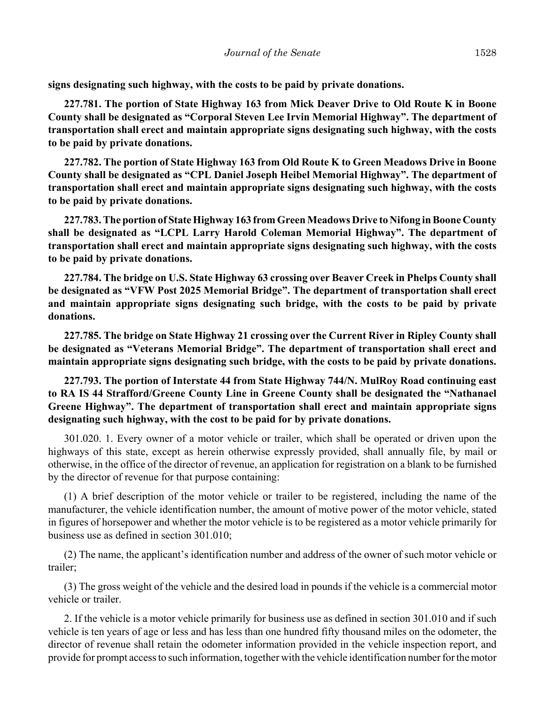**signs designating such highway, with the costs to be paid by private donations.**

**227.781. The portion of State Highway 163 from Mick Deaver Drive to Old Route K in Boone County shall be designated as "Corporal Steven Lee Irvin Memorial Highway". The department of transportation shall erect and maintain appropriate signs designating such highway, with the costs to be paid by private donations.**

**227.782. The portion of State Highway 163 from Old Route K to Green Meadows Drive in Boone County shall be designated as "CPL Daniel Joseph Heibel Memorial Highway". The department of transportation shall erect and maintain appropriate signs designating such highway, with the costs to be paid by private donations.**

**227.783. The portion of State Highway 163 from Green Meadows Drive to Nifong in Boone County shall be designated as "LCPL Larry Harold Coleman Memorial Highway". The department of transportation shall erect and maintain appropriate signs designating such highway, with the costs to be paid by private donations.**

**227.784. The bridge on U.S. State Highway 63 crossing over Beaver Creek in Phelps County shall be designated as "VFW Post 2025 Memorial Bridge". The department of transportation shall erect and maintain appropriate signs designating such bridge, with the costs to be paid by private donations.**

**227.785. The bridge on State Highway 21 crossing over the Current River in Ripley County shall be designated as "Veterans Memorial Bridge". The department of transportation shall erect and maintain appropriate signs designating such bridge, with the costs to be paid by private donations.**

**227.793. The portion of Interstate 44 from State Highway 744/N. MulRoy Road continuing east to RA IS 44 Strafford/Greene County Line in Greene County shall be designated the "Nathanael Greene Highway". The department of transportation shall erect and maintain appropriate signs designating such highway, with the cost to be paid for by private donations.**

301.020. 1. Every owner of a motor vehicle or trailer, which shall be operated or driven upon the highways of this state, except as herein otherwise expressly provided, shall annually file, by mail or otherwise, in the office of the director of revenue, an application for registration on a blank to be furnished by the director of revenue for that purpose containing:

(1) A brief description of the motor vehicle or trailer to be registered, including the name of the manufacturer, the vehicle identification number, the amount of motive power of the motor vehicle, stated in figures of horsepower and whether the motor vehicle is to be registered as a motor vehicle primarily for business use as defined in section 301.010;

(2) The name, the applicant's identification number and address of the owner of such motor vehicle or trailer;

(3) The gross weight of the vehicle and the desired load in pounds if the vehicle is a commercial motor vehicle or trailer.

2. If the vehicle is a motor vehicle primarily for business use as defined in section 301.010 and if such vehicle is ten years of age or less and has less than one hundred fifty thousand miles on the odometer, the director of revenue shall retain the odometer information provided in the vehicle inspection report, and provide for prompt access to such information, together with the vehicle identification number for the motor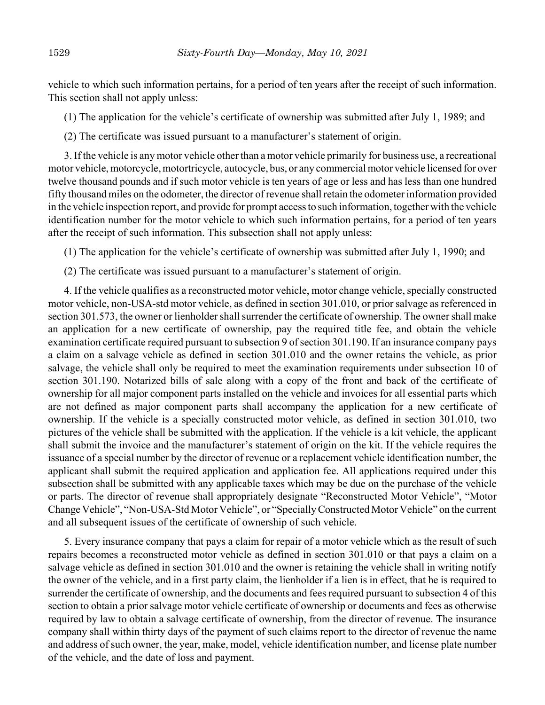vehicle to which such information pertains, for a period of ten years after the receipt of such information. This section shall not apply unless:

(1) The application for the vehicle's certificate of ownership was submitted after July 1, 1989; and

(2) The certificate was issued pursuant to a manufacturer's statement of origin.

3. If the vehicle is any motor vehicle other than a motor vehicle primarily for business use, a recreational motor vehicle, motorcycle, motortricycle, autocycle, bus, or any commercial motor vehicle licensed for over twelve thousand pounds and if such motor vehicle is ten years of age or less and has less than one hundred fifty thousand miles on the odometer, the director of revenue shall retain the odometer information provided in the vehicle inspection report, and provide for prompt access to such information, together with the vehicle identification number for the motor vehicle to which such information pertains, for a period of ten years after the receipt of such information. This subsection shall not apply unless:

(1) The application for the vehicle's certificate of ownership was submitted after July 1, 1990; and

(2) The certificate was issued pursuant to a manufacturer's statement of origin.

4. If the vehicle qualifies as a reconstructed motor vehicle, motor change vehicle, specially constructed motor vehicle, non-USA-std motor vehicle, as defined in section 301.010, or prior salvage as referenced in section 301.573, the owner or lienholder shall surrender the certificate of ownership. The owner shall make an application for a new certificate of ownership, pay the required title fee, and obtain the vehicle examination certificate required pursuant to subsection 9 of section 301.190. If an insurance company pays a claim on a salvage vehicle as defined in section 301.010 and the owner retains the vehicle, as prior salvage, the vehicle shall only be required to meet the examination requirements under subsection 10 of section 301.190. Notarized bills of sale along with a copy of the front and back of the certificate of ownership for all major component parts installed on the vehicle and invoices for all essential parts which are not defined as major component parts shall accompany the application for a new certificate of ownership. If the vehicle is a specially constructed motor vehicle, as defined in section 301.010, two pictures of the vehicle shall be submitted with the application. If the vehicle is a kit vehicle, the applicant shall submit the invoice and the manufacturer's statement of origin on the kit. If the vehicle requires the issuance of a special number by the director of revenue or a replacement vehicle identification number, the applicant shall submit the required application and application fee. All applications required under this subsection shall be submitted with any applicable taxes which may be due on the purchase of the vehicle or parts. The director of revenue shall appropriately designate "Reconstructed Motor Vehicle", "Motor Change Vehicle", "Non-USA-Std Motor Vehicle", or "Specially Constructed Motor Vehicle" on the current and all subsequent issues of the certificate of ownership of such vehicle.

5. Every insurance company that pays a claim for repair of a motor vehicle which as the result of such repairs becomes a reconstructed motor vehicle as defined in section 301.010 or that pays a claim on a salvage vehicle as defined in section 301.010 and the owner is retaining the vehicle shall in writing notify the owner of the vehicle, and in a first party claim, the lienholder if a lien is in effect, that he is required to surrender the certificate of ownership, and the documents and fees required pursuant to subsection 4 of this section to obtain a prior salvage motor vehicle certificate of ownership or documents and fees as otherwise required by law to obtain a salvage certificate of ownership, from the director of revenue. The insurance company shall within thirty days of the payment of such claims report to the director of revenue the name and address of such owner, the year, make, model, vehicle identification number, and license plate number of the vehicle, and the date of loss and payment.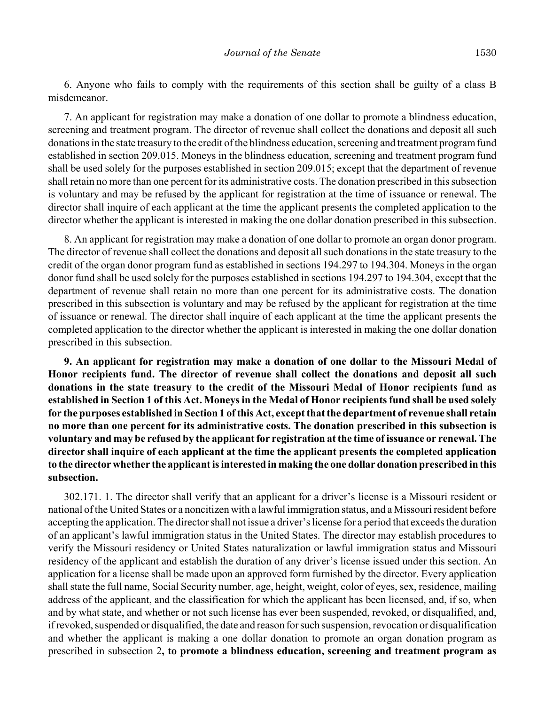6. Anyone who fails to comply with the requirements of this section shall be guilty of a class B misdemeanor.

7. An applicant for registration may make a donation of one dollar to promote a blindness education, screening and treatment program. The director of revenue shall collect the donations and deposit all such donations in the state treasury to the credit of the blindness education, screening and treatment program fund established in section 209.015. Moneys in the blindness education, screening and treatment program fund shall be used solely for the purposes established in section 209.015; except that the department of revenue shall retain no more than one percent for its administrative costs. The donation prescribed in this subsection is voluntary and may be refused by the applicant for registration at the time of issuance or renewal. The director shall inquire of each applicant at the time the applicant presents the completed application to the director whether the applicant is interested in making the one dollar donation prescribed in this subsection.

8. An applicant for registration may make a donation of one dollar to promote an organ donor program. The director of revenue shall collect the donations and deposit all such donations in the state treasury to the credit of the organ donor program fund as established in sections 194.297 to 194.304. Moneys in the organ donor fund shall be used solely for the purposes established in sections 194.297 to 194.304, except that the department of revenue shall retain no more than one percent for its administrative costs. The donation prescribed in this subsection is voluntary and may be refused by the applicant for registration at the time of issuance or renewal. The director shall inquire of each applicant at the time the applicant presents the completed application to the director whether the applicant is interested in making the one dollar donation prescribed in this subsection.

**9. An applicant for registration may make a donation of one dollar to the Missouri Medal of Honor recipients fund. The director of revenue shall collect the donations and deposit all such donations in the state treasury to the credit of the Missouri Medal of Honor recipients fund as established in Section 1 of this Act. Moneys in the Medal of Honor recipients fund shall be used solely for the purposes established in Section 1 of this Act, except that the department of revenue shall retain no more than one percent for its administrative costs. The donation prescribed in this subsection is voluntary and may be refused by the applicant for registration at the time of issuance or renewal. The director shall inquire of each applicant at the time the applicant presents the completed application to the director whether the applicant is interested in making the one dollar donation prescribed in this subsection.**

302.171. 1. The director shall verify that an applicant for a driver's license is a Missouri resident or national of the United States or a noncitizen with a lawful immigration status, and a Missouri resident before accepting the application. The director shall not issue a driver's license for a period that exceeds the duration of an applicant's lawful immigration status in the United States. The director may establish procedures to verify the Missouri residency or United States naturalization or lawful immigration status and Missouri residency of the applicant and establish the duration of any driver's license issued under this section. An application for a license shall be made upon an approved form furnished by the director. Every application shall state the full name, Social Security number, age, height, weight, color of eyes, sex, residence, mailing address of the applicant, and the classification for which the applicant has been licensed, and, if so, when and by what state, and whether or not such license has ever been suspended, revoked, or disqualified, and, if revoked, suspended or disqualified, the date and reason for such suspension, revocation or disqualification and whether the applicant is making a one dollar donation to promote an organ donation program as prescribed in subsection 2**, to promote a blindness education, screening and treatment program as**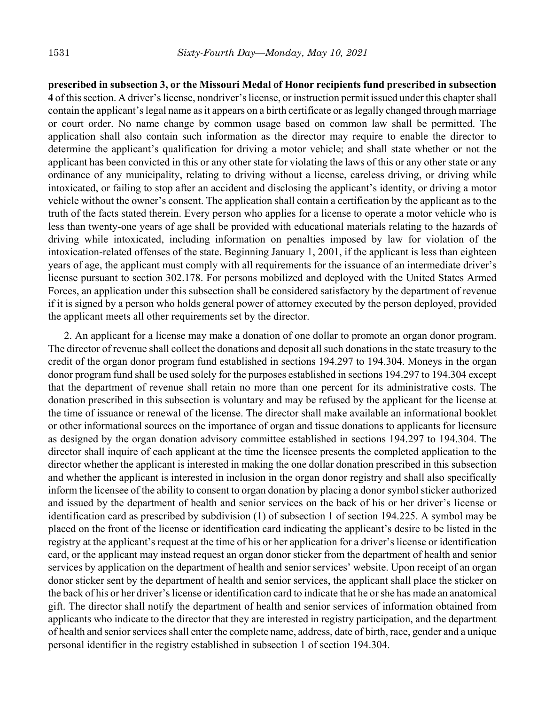**prescribed in subsection 3, or the Missouri Medal of Honor recipients fund prescribed in subsection 4** of this section. A driver's license, nondriver's license, or instruction permit issued under this chapter shall contain the applicant's legal name as it appears on a birth certificate or as legally changed through marriage or court order. No name change by common usage based on common law shall be permitted. The application shall also contain such information as the director may require to enable the director to determine the applicant's qualification for driving a motor vehicle; and shall state whether or not the applicant has been convicted in this or any other state for violating the laws of this or any other state or any ordinance of any municipality, relating to driving without a license, careless driving, or driving while intoxicated, or failing to stop after an accident and disclosing the applicant's identity, or driving a motor vehicle without the owner's consent. The application shall contain a certification by the applicant as to the truth of the facts stated therein. Every person who applies for a license to operate a motor vehicle who is less than twenty-one years of age shall be provided with educational materials relating to the hazards of driving while intoxicated, including information on penalties imposed by law for violation of the intoxication-related offenses of the state. Beginning January 1, 2001, if the applicant is less than eighteen years of age, the applicant must comply with all requirements for the issuance of an intermediate driver's license pursuant to section 302.178. For persons mobilized and deployed with the United States Armed Forces, an application under this subsection shall be considered satisfactory by the department of revenue if it is signed by a person who holds general power of attorney executed by the person deployed, provided the applicant meets all other requirements set by the director.

2. An applicant for a license may make a donation of one dollar to promote an organ donor program. The director of revenue shall collect the donations and deposit all such donations in the state treasury to the credit of the organ donor program fund established in sections 194.297 to 194.304. Moneys in the organ donor program fund shall be used solely for the purposes established in sections 194.297 to 194.304 except that the department of revenue shall retain no more than one percent for its administrative costs. The donation prescribed in this subsection is voluntary and may be refused by the applicant for the license at the time of issuance or renewal of the license. The director shall make available an informational booklet or other informational sources on the importance of organ and tissue donations to applicants for licensure as designed by the organ donation advisory committee established in sections 194.297 to 194.304. The director shall inquire of each applicant at the time the licensee presents the completed application to the director whether the applicant is interested in making the one dollar donation prescribed in this subsection and whether the applicant is interested in inclusion in the organ donor registry and shall also specifically inform the licensee of the ability to consent to organ donation by placing a donor symbol sticker authorized and issued by the department of health and senior services on the back of his or her driver's license or identification card as prescribed by subdivision (1) of subsection 1 of section 194.225. A symbol may be placed on the front of the license or identification card indicating the applicant's desire to be listed in the registry at the applicant's request at the time of his or her application for a driver's license or identification card, or the applicant may instead request an organ donor sticker from the department of health and senior services by application on the department of health and senior services' website. Upon receipt of an organ donor sticker sent by the department of health and senior services, the applicant shall place the sticker on the back of his or her driver's license or identification card to indicate that he or she has made an anatomical gift. The director shall notify the department of health and senior services of information obtained from applicants who indicate to the director that they are interested in registry participation, and the department of health and senior services shall enter the complete name, address, date of birth, race, gender and a unique personal identifier in the registry established in subsection 1 of section 194.304.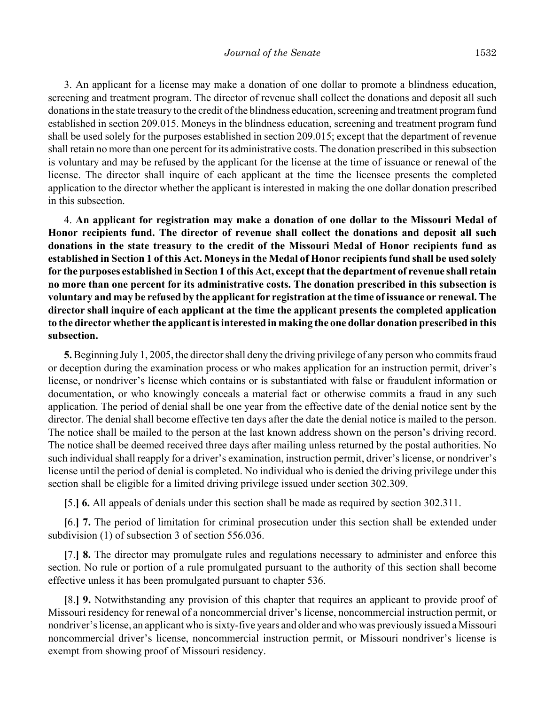3. An applicant for a license may make a donation of one dollar to promote a blindness education, screening and treatment program. The director of revenue shall collect the donations and deposit all such donations in the state treasury to the credit of the blindness education, screening and treatment program fund established in section 209.015. Moneys in the blindness education, screening and treatment program fund shall be used solely for the purposes established in section 209.015; except that the department of revenue shall retain no more than one percent for its administrative costs. The donation prescribed in this subsection is voluntary and may be refused by the applicant for the license at the time of issuance or renewal of the license. The director shall inquire of each applicant at the time the licensee presents the completed application to the director whether the applicant is interested in making the one dollar donation prescribed in this subsection.

4. **An applicant for registration may make a donation of one dollar to the Missouri Medal of Honor recipients fund. The director of revenue shall collect the donations and deposit all such donations in the state treasury to the credit of the Missouri Medal of Honor recipients fund as established in Section 1 of this Act. Moneys in the Medal of Honor recipients fund shall be used solely for the purposes established in Section 1 of this Act, except that the department of revenue shall retain no more than one percent for its administrative costs. The donation prescribed in this subsection is voluntary and may be refused by the applicant for registration at the time of issuance or renewal. The director shall inquire of each applicant at the time the applicant presents the completed application to the director whether the applicant is interested in making the one dollar donation prescribed in this subsection.**

**5.** Beginning July 1, 2005, the director shall deny the driving privilege of any person who commits fraud or deception during the examination process or who makes application for an instruction permit, driver's license, or nondriver's license which contains or is substantiated with false or fraudulent information or documentation, or who knowingly conceals a material fact or otherwise commits a fraud in any such application. The period of denial shall be one year from the effective date of the denial notice sent by the director. The denial shall become effective ten days after the date the denial notice is mailed to the person. The notice shall be mailed to the person at the last known address shown on the person's driving record. The notice shall be deemed received three days after mailing unless returned by the postal authorities. No such individual shall reapply for a driver's examination, instruction permit, driver's license, or nondriver's license until the period of denial is completed. No individual who is denied the driving privilege under this section shall be eligible for a limited driving privilege issued under section 302.309.

**[**5.**] 6.** All appeals of denials under this section shall be made as required by section 302.311.

**[**6.**] 7.** The period of limitation for criminal prosecution under this section shall be extended under subdivision (1) of subsection 3 of section 556.036.

**[**7.**] 8.** The director may promulgate rules and regulations necessary to administer and enforce this section. No rule or portion of a rule promulgated pursuant to the authority of this section shall become effective unless it has been promulgated pursuant to chapter 536.

**[**8.**] 9.** Notwithstanding any provision of this chapter that requires an applicant to provide proof of Missouri residency for renewal of a noncommercial driver's license, noncommercial instruction permit, or nondriver's license, an applicant who is sixty-five years and older and who was previously issued a Missouri noncommercial driver's license, noncommercial instruction permit, or Missouri nondriver's license is exempt from showing proof of Missouri residency.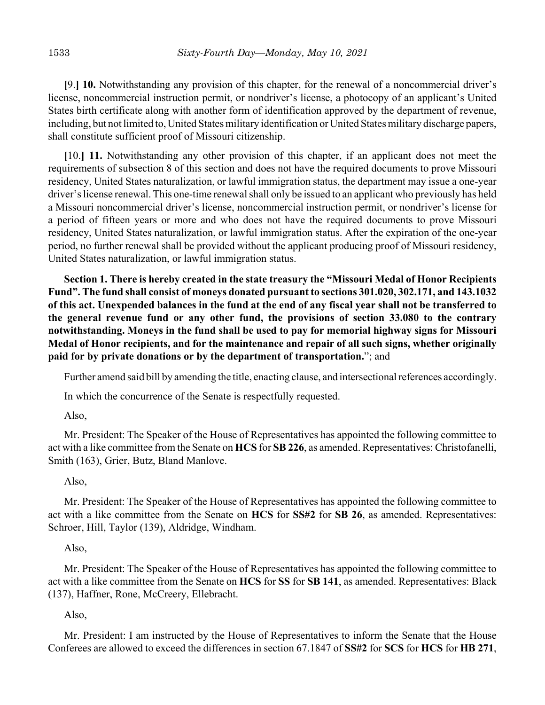**[**9.**] 10.** Notwithstanding any provision of this chapter, for the renewal of a noncommercial driver's license, noncommercial instruction permit, or nondriver's license, a photocopy of an applicant's United States birth certificate along with another form of identification approved by the department of revenue, including, but not limited to, United States military identification or United States military discharge papers, shall constitute sufficient proof of Missouri citizenship.

**[**10.**] 11.** Notwithstanding any other provision of this chapter, if an applicant does not meet the requirements of subsection 8 of this section and does not have the required documents to prove Missouri residency, United States naturalization, or lawful immigration status, the department may issue a one-year driver's license renewal. This one-time renewal shall only be issued to an applicant who previously has held a Missouri noncommercial driver's license, noncommercial instruction permit, or nondriver's license for a period of fifteen years or more and who does not have the required documents to prove Missouri residency, United States naturalization, or lawful immigration status. After the expiration of the one-year period, no further renewal shall be provided without the applicant producing proof of Missouri residency, United States naturalization, or lawful immigration status.

**Section 1. There is hereby created in the state treasury the "Missouri Medal of Honor Recipients Fund". The fund shall consist of moneys donated pursuant to sections 301.020, 302.171, and 143.1032 of this act. Unexpended balances in the fund at the end of any fiscal year shall not be transferred to the general revenue fund or any other fund, the provisions of section 33.080 to the contrary notwithstanding. Moneys in the fund shall be used to pay for memorial highway signs for Missouri Medal of Honor recipients, and for the maintenance and repair of all such signs, whether originally paid for by private donations or by the department of transportation.**"; and

Further amend said bill by amending the title, enacting clause, and intersectional references accordingly.

In which the concurrence of the Senate is respectfully requested.

## Also,

Mr. President: The Speaker of the House of Representatives has appointed the following committee to act with a like committee from the Senate on **HCS** for **SB 226**, as amended. Representatives: Christofanelli, Smith (163), Grier, Butz, Bland Manlove.

# Also,

Mr. President: The Speaker of the House of Representatives has appointed the following committee to act with a like committee from the Senate on **HCS** for **SS#2** for **SB 26**, as amended. Representatives: Schroer, Hill, Taylor (139), Aldridge, Windham.

# Also,

Mr. President: The Speaker of the House of Representatives has appointed the following committee to act with a like committee from the Senate on **HCS** for **SS** for **SB 141**, as amended. Representatives: Black (137), Haffner, Rone, McCreery, Ellebracht.

# Also,

Mr. President: I am instructed by the House of Representatives to inform the Senate that the House Conferees are allowed to exceed the differences in section 67.1847 of **SS#2** for **SCS** for **HCS** for **HB 271**,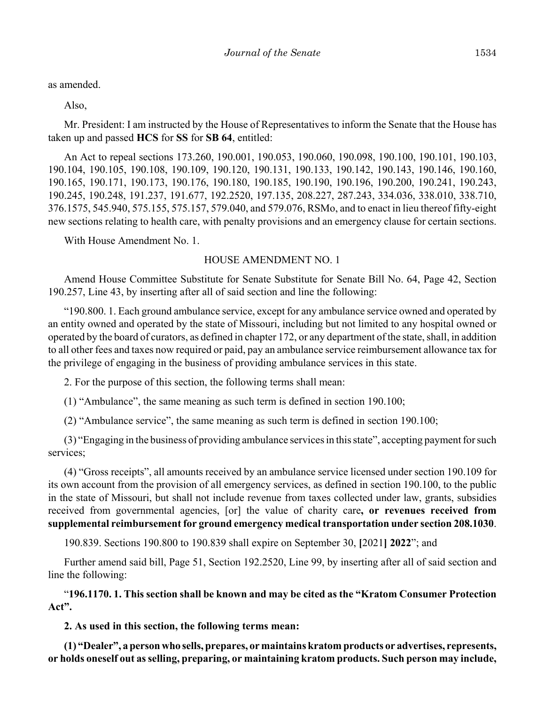as amended.

Also,

Mr. President: I am instructed by the House of Representatives to inform the Senate that the House has taken up and passed **HCS** for **SS** for **SB 64**, entitled:

An Act to repeal sections 173.260, 190.001, 190.053, 190.060, 190.098, 190.100, 190.101, 190.103, 190.104, 190.105, 190.108, 190.109, 190.120, 190.131, 190.133, 190.142, 190.143, 190.146, 190.160, 190.165, 190.171, 190.173, 190.176, 190.180, 190.185, 190.190, 190.196, 190.200, 190.241, 190.243, 190.245, 190.248, 191.237, 191.677, 192.2520, 197.135, 208.227, 287.243, 334.036, 338.010, 338.710, 376.1575, 545.940, 575.155, 575.157, 579.040, and 579.076, RSMo, and to enact in lieu thereof fifty-eight new sections relating to health care, with penalty provisions and an emergency clause for certain sections.

With House Amendment No. 1.

### HOUSE AMENDMENT NO. 1

Amend House Committee Substitute for Senate Substitute for Senate Bill No. 64, Page 42, Section 190.257, Line 43, by inserting after all of said section and line the following:

"190.800. 1. Each ground ambulance service, except for any ambulance service owned and operated by an entity owned and operated by the state of Missouri, including but not limited to any hospital owned or operated by the board of curators, as defined in chapter 172, or any department of the state, shall, in addition to all other fees and taxes now required or paid, pay an ambulance service reimbursement allowance tax for the privilege of engaging in the business of providing ambulance services in this state.

2. For the purpose of this section, the following terms shall mean:

(1) "Ambulance", the same meaning as such term is defined in section 190.100;

(2) "Ambulance service", the same meaning as such term is defined in section 190.100;

(3) "Engaging in the business of providing ambulance services in this state", accepting payment for such services;

(4) "Gross receipts", all amounts received by an ambulance service licensed under section 190.109 for its own account from the provision of all emergency services, as defined in section 190.100, to the public in the state of Missouri, but shall not include revenue from taxes collected under law, grants, subsidies received from governmental agencies, [or] the value of charity care**, or revenues received from supplemental reimbursement for ground emergency medical transportation under section 208.1030**.

190.839. Sections 190.800 to 190.839 shall expire on September 30, **[**2021**] 2022**"; and

Further amend said bill, Page 51, Section 192.2520, Line 99, by inserting after all of said section and line the following:

"**196.1170. 1. This section shall be known and may be cited as the "Kratom Consumer Protection Act".**

**2. As used in this section, the following terms mean:**

**(1) "Dealer", a person who sells, prepares, or maintains kratom products or advertises, represents, or holds oneself out as selling, preparing, or maintaining kratom products. Such person may include,**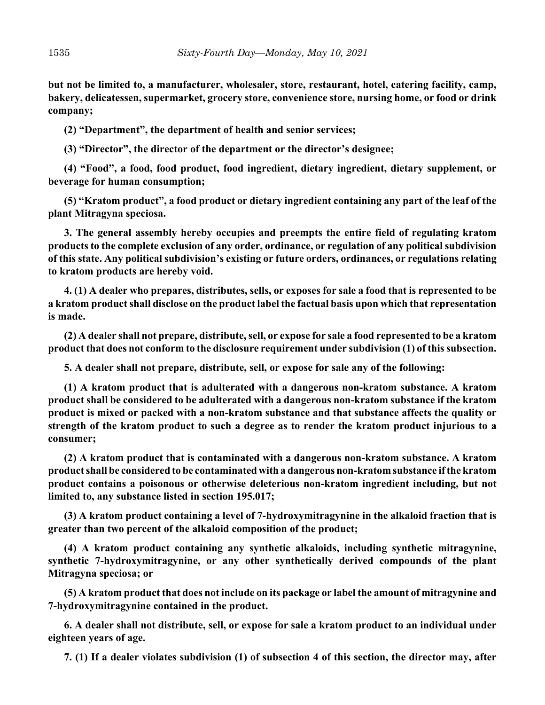**but not be limited to, a manufacturer, wholesaler, store, restaurant, hotel, catering facility, camp, bakery, delicatessen, supermarket, grocery store, convenience store, nursing home, or food or drink company;**

**(2) "Department", the department of health and senior services;**

**(3) "Director", the director of the department or the director's designee;**

**(4) "Food", a food, food product, food ingredient, dietary ingredient, dietary supplement, or beverage for human consumption;**

**(5) "Kratom product", a food product or dietary ingredient containing any part of the leaf of the plant Mitragyna speciosa.**

**3. The general assembly hereby occupies and preempts the entire field of regulating kratom products to the complete exclusion of any order, ordinance, or regulation of any political subdivision of this state. Any political subdivision's existing or future orders, ordinances, or regulations relating to kratom products are hereby void.**

**4. (1) A dealer who prepares, distributes, sells, or exposes for sale a food that is represented to be a kratom product shall disclose on the product label the factual basis upon which that representation is made.**

**(2) A dealer shall not prepare, distribute, sell, or expose for sale a food represented to be a kratom product that does not conform to the disclosure requirement under subdivision (1) of this subsection.**

**5. A dealer shall not prepare, distribute, sell, or expose for sale any of the following:**

**(1) A kratom product that is adulterated with a dangerous non-kratom substance. A kratom product shall be considered to be adulterated with a dangerous non-kratom substance if the kratom product is mixed or packed with a non-kratom substance and that substance affects the quality or strength of the kratom product to such a degree as to render the kratom product injurious to a consumer;**

**(2) A kratom product that is contaminated with a dangerous non-kratom substance. A kratom product shall be considered to be contaminated with a dangerous non-kratom substance if the kratom product contains a poisonous or otherwise deleterious non-kratom ingredient including, but not limited to, any substance listed in section 195.017;**

**(3) A kratom product containing a level of 7-hydroxymitragynine in the alkaloid fraction that is greater than two percent of the alkaloid composition of the product;**

**(4) A kratom product containing any synthetic alkaloids, including synthetic mitragynine, synthetic 7-hydroxymitragynine, or any other synthetically derived compounds of the plant Mitragyna speciosa; or**

**(5) A kratom product that does not include on its package or label the amount of mitragynine and 7-hydroxymitragynine contained in the product.**

**6. A dealer shall not distribute, sell, or expose for sale a kratom product to an individual under eighteen years of age.**

**7. (1) If a dealer violates subdivision (1) of subsection 4 of this section, the director may, after**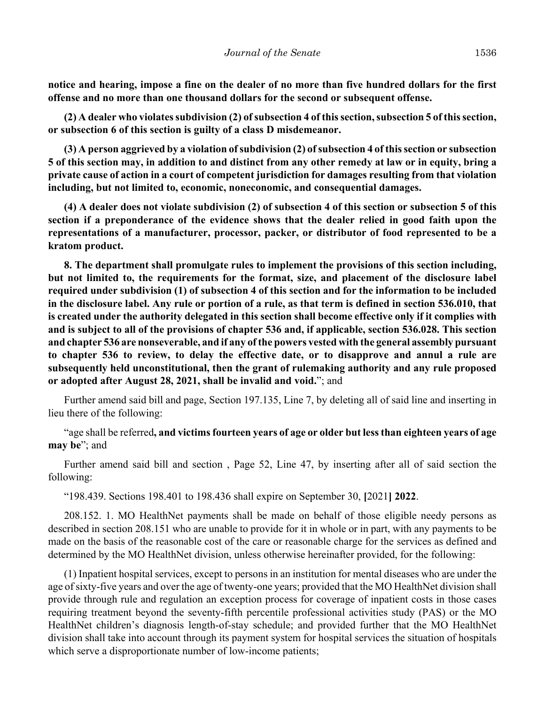**notice and hearing, impose a fine on the dealer of no more than five hundred dollars for the first offense and no more than one thousand dollars for the second or subsequent offense.**

**(2) A dealer who violates subdivision (2) of subsection 4 of this section, subsection 5 of this section, or subsection 6 of this section is guilty of a class D misdemeanor.**

**(3) A person aggrieved by a violation of subdivision (2) of subsection 4 of this section or subsection 5 of this section may, in addition to and distinct from any other remedy at law or in equity, bring a private cause of action in a court of competent jurisdiction for damages resulting from that violation including, but not limited to, economic, noneconomic, and consequential damages.**

**(4) A dealer does not violate subdivision (2) of subsection 4 of this section or subsection 5 of this section if a preponderance of the evidence shows that the dealer relied in good faith upon the representations of a manufacturer, processor, packer, or distributor of food represented to be a kratom product.**

**8. The department shall promulgate rules to implement the provisions of this section including, but not limited to, the requirements for the format, size, and placement of the disclosure label required under subdivision (1) of subsection 4 of this section and for the information to be included in the disclosure label. Any rule or portion of a rule, as that term is defined in section 536.010, that is created under the authority delegated in this section shall become effective only if it complies with and is subject to all of the provisions of chapter 536 and, if applicable, section 536.028. This section and chapter 536 are nonseverable, and if any of the powers vested with the general assembly pursuant to chapter 536 to review, to delay the effective date, or to disapprove and annul a rule are subsequently held unconstitutional, then the grant of rulemaking authority and any rule proposed or adopted after August 28, 2021, shall be invalid and void.**"; and

Further amend said bill and page, Section 197.135, Line 7, by deleting all of said line and inserting in lieu there of the following:

"age shall be referred**, and victims fourteen years of age or older but less than eighteen years of age may be**"; and

Further amend said bill and section , Page 52, Line 47, by inserting after all of said section the following:

"198.439. Sections 198.401 to 198.436 shall expire on September 30, **[**2021**] 2022**.

208.152. 1. MO HealthNet payments shall be made on behalf of those eligible needy persons as described in section 208.151 who are unable to provide for it in whole or in part, with any payments to be made on the basis of the reasonable cost of the care or reasonable charge for the services as defined and determined by the MO HealthNet division, unless otherwise hereinafter provided, for the following:

(1) Inpatient hospital services, except to persons in an institution for mental diseases who are under the age of sixty-five years and over the age of twenty-one years; provided that the MO HealthNet division shall provide through rule and regulation an exception process for coverage of inpatient costs in those cases requiring treatment beyond the seventy-fifth percentile professional activities study (PAS) or the MO HealthNet children's diagnosis length-of-stay schedule; and provided further that the MO HealthNet division shall take into account through its payment system for hospital services the situation of hospitals which serve a disproportionate number of low-income patients;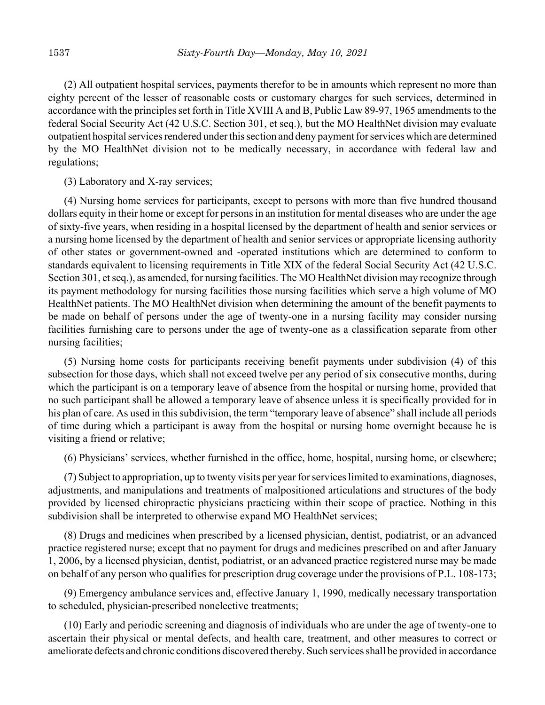(2) All outpatient hospital services, payments therefor to be in amounts which represent no more than eighty percent of the lesser of reasonable costs or customary charges for such services, determined in accordance with the principles set forth in Title XVIII A and B, Public Law 89-97, 1965 amendments to the federal Social Security Act (42 U.S.C. Section 301, et seq.), but the MO HealthNet division may evaluate outpatient hospital services rendered under this section and deny payment for services which are determined by the MO HealthNet division not to be medically necessary, in accordance with federal law and regulations;

(3) Laboratory and X-ray services;

(4) Nursing home services for participants, except to persons with more than five hundred thousand dollars equity in their home or except for persons in an institution for mental diseases who are under the age of sixty-five years, when residing in a hospital licensed by the department of health and senior services or a nursing home licensed by the department of health and senior services or appropriate licensing authority of other states or government-owned and -operated institutions which are determined to conform to standards equivalent to licensing requirements in Title XIX of the federal Social Security Act (42 U.S.C. Section 301, et seq.), as amended, for nursing facilities. The MO HealthNet division may recognize through its payment methodology for nursing facilities those nursing facilities which serve a high volume of MO HealthNet patients. The MO HealthNet division when determining the amount of the benefit payments to be made on behalf of persons under the age of twenty-one in a nursing facility may consider nursing facilities furnishing care to persons under the age of twenty-one as a classification separate from other nursing facilities;

(5) Nursing home costs for participants receiving benefit payments under subdivision (4) of this subsection for those days, which shall not exceed twelve per any period of six consecutive months, during which the participant is on a temporary leave of absence from the hospital or nursing home, provided that no such participant shall be allowed a temporary leave of absence unless it is specifically provided for in his plan of care. As used in this subdivision, the term "temporary leave of absence" shall include all periods of time during which a participant is away from the hospital or nursing home overnight because he is visiting a friend or relative;

(6) Physicians' services, whether furnished in the office, home, hospital, nursing home, or elsewhere;

(7) Subject to appropriation, up to twenty visits per year for services limited to examinations, diagnoses, adjustments, and manipulations and treatments of malpositioned articulations and structures of the body provided by licensed chiropractic physicians practicing within their scope of practice. Nothing in this subdivision shall be interpreted to otherwise expand MO HealthNet services;

(8) Drugs and medicines when prescribed by a licensed physician, dentist, podiatrist, or an advanced practice registered nurse; except that no payment for drugs and medicines prescribed on and after January 1, 2006, by a licensed physician, dentist, podiatrist, or an advanced practice registered nurse may be made on behalf of any person who qualifies for prescription drug coverage under the provisions of P.L. 108-173;

(9) Emergency ambulance services and, effective January 1, 1990, medically necessary transportation to scheduled, physician-prescribed nonelective treatments;

(10) Early and periodic screening and diagnosis of individuals who are under the age of twenty-one to ascertain their physical or mental defects, and health care, treatment, and other measures to correct or ameliorate defects and chronic conditions discovered thereby. Such services shall be provided in accordance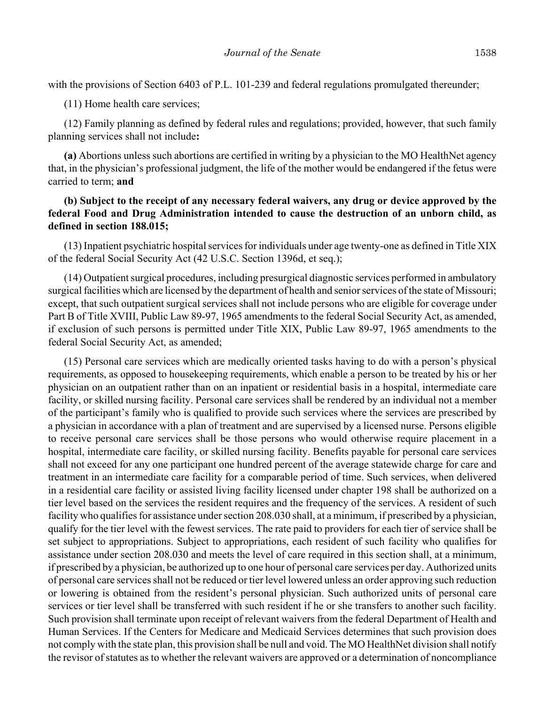with the provisions of Section 6403 of P.L. 101-239 and federal regulations promulgated thereunder;

(11) Home health care services;

(12) Family planning as defined by federal rules and regulations; provided, however, that such family planning services shall not include**:**

**(a)** Abortions unless such abortions are certified in writing by a physician to the MO HealthNet agency that, in the physician's professional judgment, the life of the mother would be endangered if the fetus were carried to term; **and**

# **(b) Subject to the receipt of any necessary federal waivers, any drug or device approved by the federal Food and Drug Administration intended to cause the destruction of an unborn child, as defined in section 188.015;**

(13) Inpatient psychiatric hospital services for individuals under age twenty-one as defined in Title XIX of the federal Social Security Act (42 U.S.C. Section 1396d, et seq.);

(14) Outpatient surgical procedures, including presurgical diagnostic services performed in ambulatory surgical facilities which are licensed by the department of health and senior services of the state of Missouri; except, that such outpatient surgical services shall not include persons who are eligible for coverage under Part B of Title XVIII, Public Law 89-97, 1965 amendments to the federal Social Security Act, as amended, if exclusion of such persons is permitted under Title XIX, Public Law 89-97, 1965 amendments to the federal Social Security Act, as amended;

(15) Personal care services which are medically oriented tasks having to do with a person's physical requirements, as opposed to housekeeping requirements, which enable a person to be treated by his or her physician on an outpatient rather than on an inpatient or residential basis in a hospital, intermediate care facility, or skilled nursing facility. Personal care services shall be rendered by an individual not a member of the participant's family who is qualified to provide such services where the services are prescribed by a physician in accordance with a plan of treatment and are supervised by a licensed nurse. Persons eligible to receive personal care services shall be those persons who would otherwise require placement in a hospital, intermediate care facility, or skilled nursing facility. Benefits payable for personal care services shall not exceed for any one participant one hundred percent of the average statewide charge for care and treatment in an intermediate care facility for a comparable period of time. Such services, when delivered in a residential care facility or assisted living facility licensed under chapter 198 shall be authorized on a tier level based on the services the resident requires and the frequency of the services. A resident of such facility who qualifies for assistance under section 208.030 shall, at a minimum, if prescribed by a physician, qualify for the tier level with the fewest services. The rate paid to providers for each tier of service shall be set subject to appropriations. Subject to appropriations, each resident of such facility who qualifies for assistance under section 208.030 and meets the level of care required in this section shall, at a minimum, if prescribed by a physician, be authorized up to one hour of personal care services per day. Authorized units of personal care services shall not be reduced or tier level lowered unless an order approving such reduction or lowering is obtained from the resident's personal physician. Such authorized units of personal care services or tier level shall be transferred with such resident if he or she transfers to another such facility. Such provision shall terminate upon receipt of relevant waivers from the federal Department of Health and Human Services. If the Centers for Medicare and Medicaid Services determines that such provision does not comply with the state plan, this provision shall be null and void. The MO HealthNet division shall notify the revisor of statutes as to whether the relevant waivers are approved or a determination of noncompliance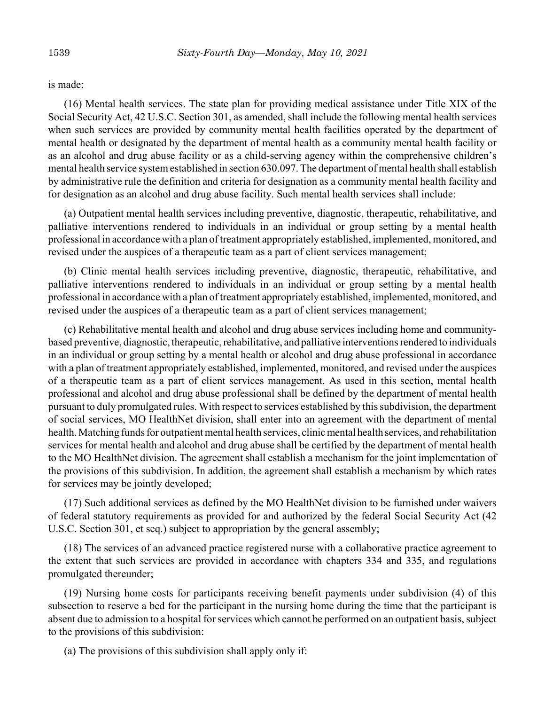is made;

(16) Mental health services. The state plan for providing medical assistance under Title XIX of the Social Security Act, 42 U.S.C. Section 301, as amended, shall include the following mental health services when such services are provided by community mental health facilities operated by the department of mental health or designated by the department of mental health as a community mental health facility or as an alcohol and drug abuse facility or as a child-serving agency within the comprehensive children's mental health service system established in section 630.097. The department of mental health shall establish by administrative rule the definition and criteria for designation as a community mental health facility and for designation as an alcohol and drug abuse facility. Such mental health services shall include:

(a) Outpatient mental health services including preventive, diagnostic, therapeutic, rehabilitative, and palliative interventions rendered to individuals in an individual or group setting by a mental health professional in accordance with a plan of treatment appropriately established, implemented, monitored, and revised under the auspices of a therapeutic team as a part of client services management;

(b) Clinic mental health services including preventive, diagnostic, therapeutic, rehabilitative, and palliative interventions rendered to individuals in an individual or group setting by a mental health professional in accordance with a plan of treatment appropriately established, implemented, monitored, and revised under the auspices of a therapeutic team as a part of client services management;

(c) Rehabilitative mental health and alcohol and drug abuse services including home and communitybased preventive, diagnostic, therapeutic, rehabilitative, and palliative interventions rendered to individuals in an individual or group setting by a mental health or alcohol and drug abuse professional in accordance with a plan of treatment appropriately established, implemented, monitored, and revised under the auspices of a therapeutic team as a part of client services management. As used in this section, mental health professional and alcohol and drug abuse professional shall be defined by the department of mental health pursuant to duly promulgated rules. With respect to services established by this subdivision, the department of social services, MO HealthNet division, shall enter into an agreement with the department of mental health. Matching funds for outpatient mental health services, clinic mental health services, and rehabilitation services for mental health and alcohol and drug abuse shall be certified by the department of mental health to the MO HealthNet division. The agreement shall establish a mechanism for the joint implementation of the provisions of this subdivision. In addition, the agreement shall establish a mechanism by which rates for services may be jointly developed;

(17) Such additional services as defined by the MO HealthNet division to be furnished under waivers of federal statutory requirements as provided for and authorized by the federal Social Security Act (42 U.S.C. Section 301, et seq.) subject to appropriation by the general assembly;

(18) The services of an advanced practice registered nurse with a collaborative practice agreement to the extent that such services are provided in accordance with chapters 334 and 335, and regulations promulgated thereunder;

(19) Nursing home costs for participants receiving benefit payments under subdivision (4) of this subsection to reserve a bed for the participant in the nursing home during the time that the participant is absent due to admission to a hospital for services which cannot be performed on an outpatient basis, subject to the provisions of this subdivision:

(a) The provisions of this subdivision shall apply only if: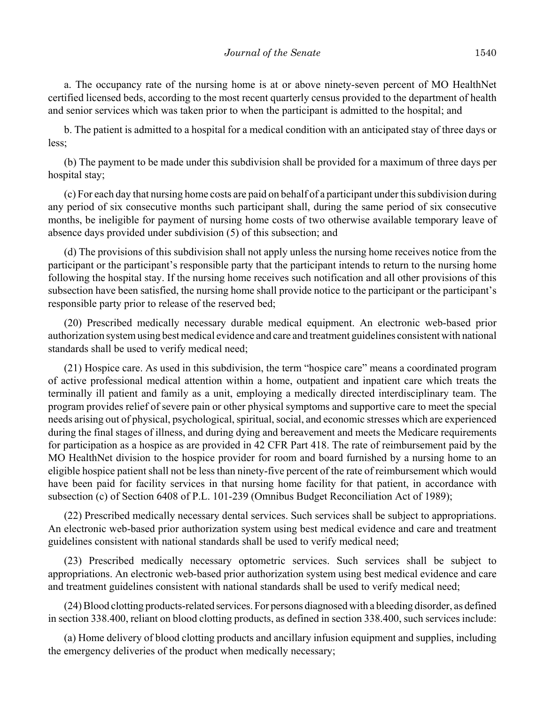a. The occupancy rate of the nursing home is at or above ninety-seven percent of MO HealthNet certified licensed beds, according to the most recent quarterly census provided to the department of health and senior services which was taken prior to when the participant is admitted to the hospital; and

b. The patient is admitted to a hospital for a medical condition with an anticipated stay of three days or less;

(b) The payment to be made under this subdivision shall be provided for a maximum of three days per hospital stay;

(c) For each day that nursing home costs are paid on behalf of a participant under this subdivision during any period of six consecutive months such participant shall, during the same period of six consecutive months, be ineligible for payment of nursing home costs of two otherwise available temporary leave of absence days provided under subdivision (5) of this subsection; and

(d) The provisions of this subdivision shall not apply unless the nursing home receives notice from the participant or the participant's responsible party that the participant intends to return to the nursing home following the hospital stay. If the nursing home receives such notification and all other provisions of this subsection have been satisfied, the nursing home shall provide notice to the participant or the participant's responsible party prior to release of the reserved bed;

(20) Prescribed medically necessary durable medical equipment. An electronic web-based prior authorization system using best medical evidence and care and treatment guidelines consistent with national standards shall be used to verify medical need;

(21) Hospice care. As used in this subdivision, the term "hospice care" means a coordinated program of active professional medical attention within a home, outpatient and inpatient care which treats the terminally ill patient and family as a unit, employing a medically directed interdisciplinary team. The program provides relief of severe pain or other physical symptoms and supportive care to meet the special needs arising out of physical, psychological, spiritual, social, and economic stresses which are experienced during the final stages of illness, and during dying and bereavement and meets the Medicare requirements for participation as a hospice as are provided in 42 CFR Part 418. The rate of reimbursement paid by the MO HealthNet division to the hospice provider for room and board furnished by a nursing home to an eligible hospice patient shall not be less than ninety-five percent of the rate of reimbursement which would have been paid for facility services in that nursing home facility for that patient, in accordance with subsection (c) of Section 6408 of P.L. 101-239 (Omnibus Budget Reconciliation Act of 1989);

(22) Prescribed medically necessary dental services. Such services shall be subject to appropriations. An electronic web-based prior authorization system using best medical evidence and care and treatment guidelines consistent with national standards shall be used to verify medical need;

(23) Prescribed medically necessary optometric services. Such services shall be subject to appropriations. An electronic web-based prior authorization system using best medical evidence and care and treatment guidelines consistent with national standards shall be used to verify medical need;

(24) Blood clotting products-related services. For persons diagnosed with a bleeding disorder, as defined in section 338.400, reliant on blood clotting products, as defined in section 338.400, such services include:

(a) Home delivery of blood clotting products and ancillary infusion equipment and supplies, including the emergency deliveries of the product when medically necessary;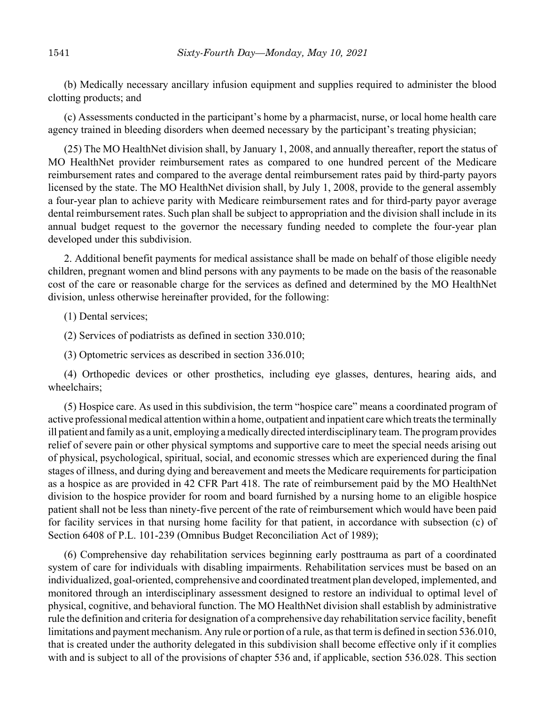(b) Medically necessary ancillary infusion equipment and supplies required to administer the blood clotting products; and

(c) Assessments conducted in the participant's home by a pharmacist, nurse, or local home health care agency trained in bleeding disorders when deemed necessary by the participant's treating physician;

(25) The MO HealthNet division shall, by January 1, 2008, and annually thereafter, report the status of MO HealthNet provider reimbursement rates as compared to one hundred percent of the Medicare reimbursement rates and compared to the average dental reimbursement rates paid by third-party payors licensed by the state. The MO HealthNet division shall, by July 1, 2008, provide to the general assembly a four-year plan to achieve parity with Medicare reimbursement rates and for third-party payor average dental reimbursement rates. Such plan shall be subject to appropriation and the division shall include in its annual budget request to the governor the necessary funding needed to complete the four-year plan developed under this subdivision.

2. Additional benefit payments for medical assistance shall be made on behalf of those eligible needy children, pregnant women and blind persons with any payments to be made on the basis of the reasonable cost of the care or reasonable charge for the services as defined and determined by the MO HealthNet division, unless otherwise hereinafter provided, for the following:

(1) Dental services;

(2) Services of podiatrists as defined in section 330.010;

(3) Optometric services as described in section 336.010;

(4) Orthopedic devices or other prosthetics, including eye glasses, dentures, hearing aids, and wheelchairs;

(5) Hospice care. As used in this subdivision, the term "hospice care" means a coordinated program of active professional medical attention within a home, outpatient and inpatient care which treats the terminally ill patient and family as a unit, employing a medically directed interdisciplinary team. The program provides relief of severe pain or other physical symptoms and supportive care to meet the special needs arising out of physical, psychological, spiritual, social, and economic stresses which are experienced during the final stages of illness, and during dying and bereavement and meets the Medicare requirements for participation as a hospice as are provided in 42 CFR Part 418. The rate of reimbursement paid by the MO HealthNet division to the hospice provider for room and board furnished by a nursing home to an eligible hospice patient shall not be less than ninety-five percent of the rate of reimbursement which would have been paid for facility services in that nursing home facility for that patient, in accordance with subsection (c) of Section 6408 of P.L. 101-239 (Omnibus Budget Reconciliation Act of 1989);

(6) Comprehensive day rehabilitation services beginning early posttrauma as part of a coordinated system of care for individuals with disabling impairments. Rehabilitation services must be based on an individualized, goal-oriented, comprehensive and coordinated treatment plan developed, implemented, and monitored through an interdisciplinary assessment designed to restore an individual to optimal level of physical, cognitive, and behavioral function. The MO HealthNet division shall establish by administrative rule the definition and criteria for designation of a comprehensive day rehabilitation service facility, benefit limitations and payment mechanism. Any rule or portion of a rule, as that term is defined in section 536.010, that is created under the authority delegated in this subdivision shall become effective only if it complies with and is subject to all of the provisions of chapter 536 and, if applicable, section 536.028. This section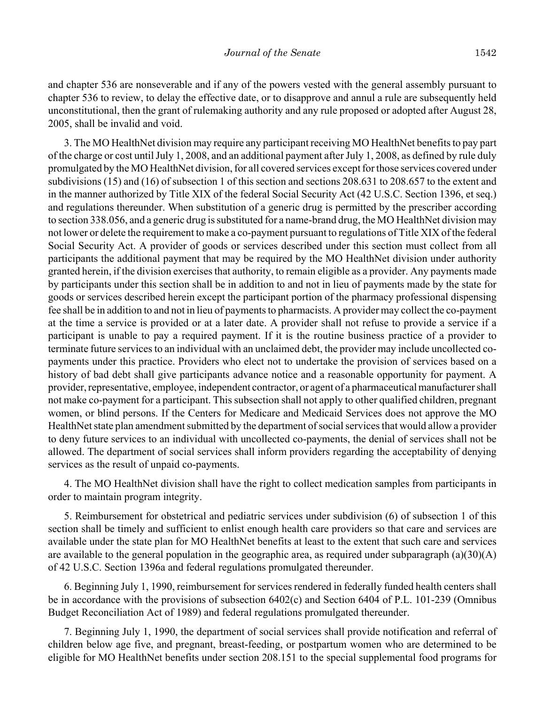and chapter 536 are nonseverable and if any of the powers vested with the general assembly pursuant to chapter 536 to review, to delay the effective date, or to disapprove and annul a rule are subsequently held unconstitutional, then the grant of rulemaking authority and any rule proposed or adopted after August 28, 2005, shall be invalid and void.

3. The MO HealthNet division may require any participant receiving MO HealthNet benefits to pay part of the charge or cost until July 1, 2008, and an additional payment after July 1, 2008, as defined by rule duly promulgated by the MO HealthNet division, for all covered services except for those services covered under subdivisions (15) and (16) of subsection 1 of this section and sections 208.631 to 208.657 to the extent and in the manner authorized by Title XIX of the federal Social Security Act (42 U.S.C. Section 1396, et seq.) and regulations thereunder. When substitution of a generic drug is permitted by the prescriber according to section 338.056, and a generic drug is substituted for a name-brand drug, the MO HealthNet division may not lower or delete the requirement to make a co-payment pursuant to regulations of Title XIX of the federal Social Security Act. A provider of goods or services described under this section must collect from all participants the additional payment that may be required by the MO HealthNet division under authority granted herein, if the division exercises that authority, to remain eligible as a provider. Any payments made by participants under this section shall be in addition to and not in lieu of payments made by the state for goods or services described herein except the participant portion of the pharmacy professional dispensing fee shall be in addition to and not in lieu of payments to pharmacists. A provider may collect the co-payment at the time a service is provided or at a later date. A provider shall not refuse to provide a service if a participant is unable to pay a required payment. If it is the routine business practice of a provider to terminate future services to an individual with an unclaimed debt, the provider may include uncollected copayments under this practice. Providers who elect not to undertake the provision of services based on a history of bad debt shall give participants advance notice and a reasonable opportunity for payment. A provider, representative, employee, independent contractor, or agent of a pharmaceutical manufacturer shall not make co-payment for a participant. This subsection shall not apply to other qualified children, pregnant women, or blind persons. If the Centers for Medicare and Medicaid Services does not approve the MO HealthNet state plan amendment submitted by the department of social services that would allow a provider to deny future services to an individual with uncollected co-payments, the denial of services shall not be allowed. The department of social services shall inform providers regarding the acceptability of denying services as the result of unpaid co-payments.

4. The MO HealthNet division shall have the right to collect medication samples from participants in order to maintain program integrity.

5. Reimbursement for obstetrical and pediatric services under subdivision (6) of subsection 1 of this section shall be timely and sufficient to enlist enough health care providers so that care and services are available under the state plan for MO HealthNet benefits at least to the extent that such care and services are available to the general population in the geographic area, as required under subparagraph (a)(30)(A) of 42 U.S.C. Section 1396a and federal regulations promulgated thereunder.

6. Beginning July 1, 1990, reimbursement for services rendered in federally funded health centers shall be in accordance with the provisions of subsection 6402(c) and Section 6404 of P.L. 101-239 (Omnibus Budget Reconciliation Act of 1989) and federal regulations promulgated thereunder.

7. Beginning July 1, 1990, the department of social services shall provide notification and referral of children below age five, and pregnant, breast-feeding, or postpartum women who are determined to be eligible for MO HealthNet benefits under section 208.151 to the special supplemental food programs for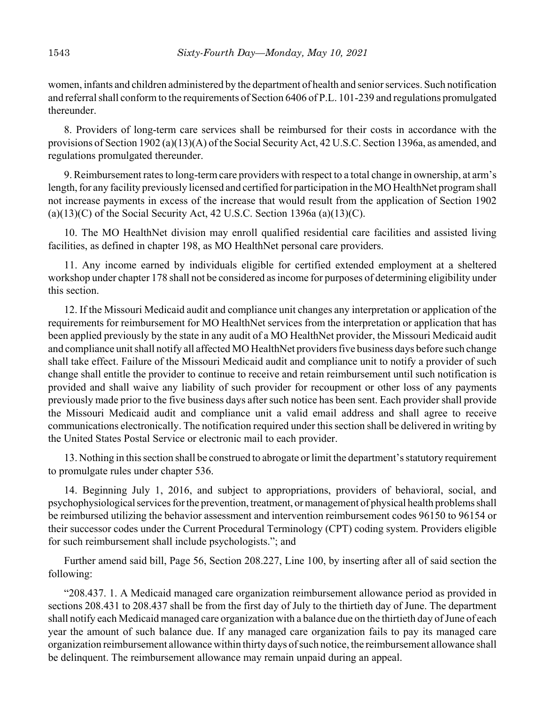women, infants and children administered by the department of health and senior services. Such notification and referral shall conform to the requirements of Section 6406 of P.L. 101-239 and regulations promulgated thereunder.

8. Providers of long-term care services shall be reimbursed for their costs in accordance with the provisions of Section 1902 (a)(13)(A) of the Social Security Act, 42 U.S.C. Section 1396a, as amended, and regulations promulgated thereunder.

9. Reimbursement rates to long-term care providers with respect to a total change in ownership, at arm's length, for any facility previously licensed and certified for participation in the MO HealthNet program shall not increase payments in excess of the increase that would result from the application of Section 1902  $(a)(13)(C)$  of the Social Security Act, 42 U.S.C. Section 1396a  $(a)(13)(C)$ .

10. The MO HealthNet division may enroll qualified residential care facilities and assisted living facilities, as defined in chapter 198, as MO HealthNet personal care providers.

11. Any income earned by individuals eligible for certified extended employment at a sheltered workshop under chapter 178 shall not be considered as income for purposes of determining eligibility under this section.

12. If the Missouri Medicaid audit and compliance unit changes any interpretation or application of the requirements for reimbursement for MO HealthNet services from the interpretation or application that has been applied previously by the state in any audit of a MO HealthNet provider, the Missouri Medicaid audit and compliance unit shall notify all affected MO HealthNet providers five business days before such change shall take effect. Failure of the Missouri Medicaid audit and compliance unit to notify a provider of such change shall entitle the provider to continue to receive and retain reimbursement until such notification is provided and shall waive any liability of such provider for recoupment or other loss of any payments previously made prior to the five business days after such notice has been sent. Each provider shall provide the Missouri Medicaid audit and compliance unit a valid email address and shall agree to receive communications electronically. The notification required under this section shall be delivered in writing by the United States Postal Service or electronic mail to each provider.

13. Nothing in this section shall be construed to abrogate or limit the department's statutory requirement to promulgate rules under chapter 536.

14. Beginning July 1, 2016, and subject to appropriations, providers of behavioral, social, and psychophysiological services for the prevention, treatment, or management of physical health problems shall be reimbursed utilizing the behavior assessment and intervention reimbursement codes 96150 to 96154 or their successor codes under the Current Procedural Terminology (CPT) coding system. Providers eligible for such reimbursement shall include psychologists."; and

Further amend said bill, Page 56, Section 208.227, Line 100, by inserting after all of said section the following:

"208.437. 1. A Medicaid managed care organization reimbursement allowance period as provided in sections 208.431 to 208.437 shall be from the first day of July to the thirtieth day of June. The department shall notify each Medicaid managed care organization with a balance due on the thirtieth day of June of each year the amount of such balance due. If any managed care organization fails to pay its managed care organization reimbursement allowance within thirty days of such notice, the reimbursement allowance shall be delinquent. The reimbursement allowance may remain unpaid during an appeal.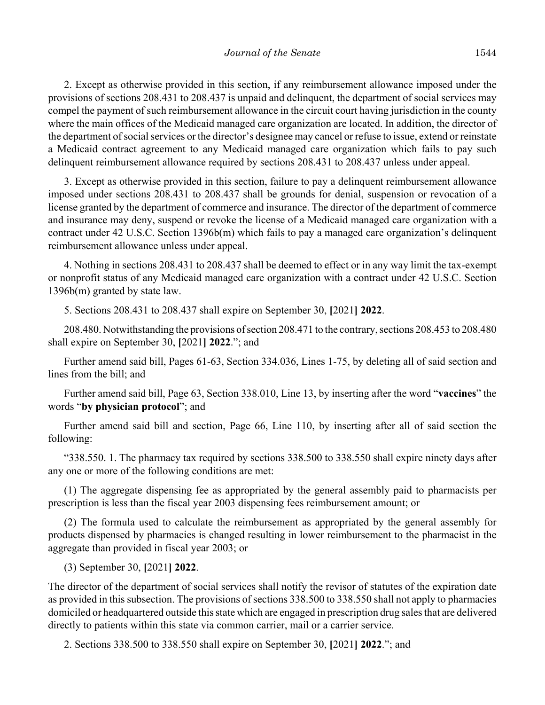2. Except as otherwise provided in this section, if any reimbursement allowance imposed under the provisions of sections 208.431 to 208.437 is unpaid and delinquent, the department of social services may compel the payment of such reimbursement allowance in the circuit court having jurisdiction in the county where the main offices of the Medicaid managed care organization are located. In addition, the director of the department of social services or the director's designee may cancel or refuse to issue, extend or reinstate a Medicaid contract agreement to any Medicaid managed care organization which fails to pay such delinquent reimbursement allowance required by sections 208.431 to 208.437 unless under appeal.

3. Except as otherwise provided in this section, failure to pay a delinquent reimbursement allowance imposed under sections 208.431 to 208.437 shall be grounds for denial, suspension or revocation of a license granted by the department of commerce and insurance. The director of the department of commerce and insurance may deny, suspend or revoke the license of a Medicaid managed care organization with a contract under 42 U.S.C. Section 1396b(m) which fails to pay a managed care organization's delinquent reimbursement allowance unless under appeal.

4. Nothing in sections 208.431 to 208.437 shall be deemed to effect or in any way limit the tax-exempt or nonprofit status of any Medicaid managed care organization with a contract under 42 U.S.C. Section 1396b(m) granted by state law.

5. Sections 208.431 to 208.437 shall expire on September 30, **[**2021**] 2022**.

208.480. Notwithstanding the provisions of section 208.471 to the contrary, sections 208.453 to 208.480 shall expire on September 30, **[**2021**] 2022**."; and

Further amend said bill, Pages 61-63, Section 334.036, Lines 1-75, by deleting all of said section and lines from the bill; and

Further amend said bill, Page 63, Section 338.010, Line 13, by inserting after the word "**vaccines**" the words "**by physician protocol**"; and

Further amend said bill and section, Page 66, Line 110, by inserting after all of said section the following:

"338.550. 1. The pharmacy tax required by sections 338.500 to 338.550 shall expire ninety days after any one or more of the following conditions are met:

(1) The aggregate dispensing fee as appropriated by the general assembly paid to pharmacists per prescription is less than the fiscal year 2003 dispensing fees reimbursement amount; or

(2) The formula used to calculate the reimbursement as appropriated by the general assembly for products dispensed by pharmacies is changed resulting in lower reimbursement to the pharmacist in the aggregate than provided in fiscal year 2003; or

(3) September 30, **[**2021**] 2022**.

The director of the department of social services shall notify the revisor of statutes of the expiration date as provided in this subsection. The provisions of sections 338.500 to 338.550 shall not apply to pharmacies domiciled or headquartered outside this state which are engaged in prescription drug sales that are delivered directly to patients within this state via common carrier, mail or a carrier service.

2. Sections 338.500 to 338.550 shall expire on September 30, **[**2021**] 2022**."; and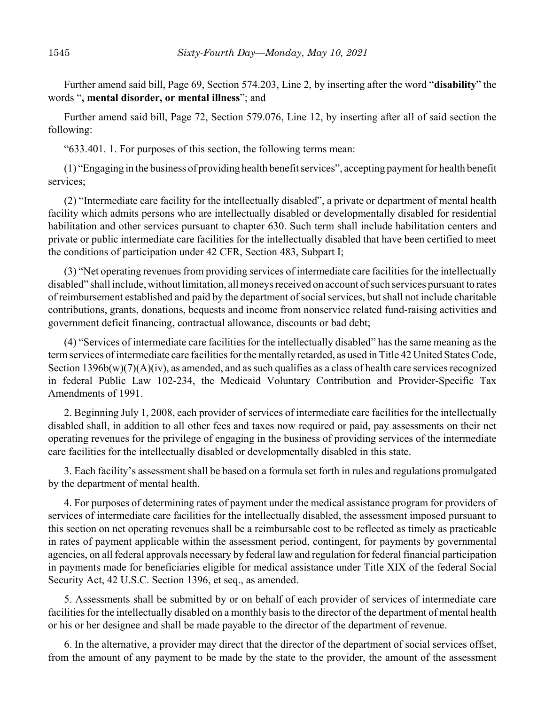Further amend said bill, Page 69, Section 574.203, Line 2, by inserting after the word "**disability**" the words "**, mental disorder, or mental illness**"; and

Further amend said bill, Page 72, Section 579.076, Line 12, by inserting after all of said section the following:

"633.401. 1. For purposes of this section, the following terms mean:

(1) "Engaging in the business of providing health benefit services", accepting payment for health benefit services;

(2) "Intermediate care facility for the intellectually disabled", a private or department of mental health facility which admits persons who are intellectually disabled or developmentally disabled for residential habilitation and other services pursuant to chapter 630. Such term shall include habilitation centers and private or public intermediate care facilities for the intellectually disabled that have been certified to meet the conditions of participation under 42 CFR, Section 483, Subpart I;

(3) "Net operating revenues from providing services of intermediate care facilities for the intellectually disabled" shall include, without limitation, all moneys received on account of such services pursuant to rates of reimbursement established and paid by the department of social services, but shall not include charitable contributions, grants, donations, bequests and income from nonservice related fund-raising activities and government deficit financing, contractual allowance, discounts or bad debt;

(4) "Services of intermediate care facilities for the intellectually disabled" has the same meaning as the term services of intermediate care facilities for the mentally retarded, as used in Title 42 United States Code, Section  $1396b(w)(7)(A)(iv)$ , as amended, and as such qualifies as a class of health care services recognized in federal Public Law 102-234, the Medicaid Voluntary Contribution and Provider-Specific Tax Amendments of 1991.

2. Beginning July 1, 2008, each provider of services of intermediate care facilities for the intellectually disabled shall, in addition to all other fees and taxes now required or paid, pay assessments on their net operating revenues for the privilege of engaging in the business of providing services of the intermediate care facilities for the intellectually disabled or developmentally disabled in this state.

3. Each facility's assessment shall be based on a formula set forth in rules and regulations promulgated by the department of mental health.

4. For purposes of determining rates of payment under the medical assistance program for providers of services of intermediate care facilities for the intellectually disabled, the assessment imposed pursuant to this section on net operating revenues shall be a reimbursable cost to be reflected as timely as practicable in rates of payment applicable within the assessment period, contingent, for payments by governmental agencies, on all federal approvals necessary by federal law and regulation for federal financial participation in payments made for beneficiaries eligible for medical assistance under Title XIX of the federal Social Security Act, 42 U.S.C. Section 1396, et seq., as amended.

5. Assessments shall be submitted by or on behalf of each provider of services of intermediate care facilities for the intellectually disabled on a monthly basis to the director of the department of mental health or his or her designee and shall be made payable to the director of the department of revenue.

6. In the alternative, a provider may direct that the director of the department of social services offset, from the amount of any payment to be made by the state to the provider, the amount of the assessment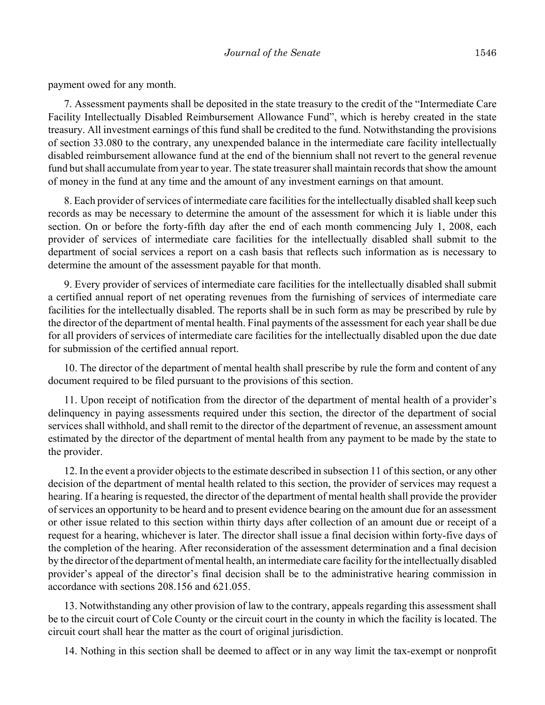payment owed for any month.

7. Assessment payments shall be deposited in the state treasury to the credit of the "Intermediate Care Facility Intellectually Disabled Reimbursement Allowance Fund", which is hereby created in the state treasury. All investment earnings of this fund shall be credited to the fund. Notwithstanding the provisions of section 33.080 to the contrary, any unexpended balance in the intermediate care facility intellectually disabled reimbursement allowance fund at the end of the biennium shall not revert to the general revenue fund but shall accumulate from year to year. The state treasurer shall maintain records that show the amount of money in the fund at any time and the amount of any investment earnings on that amount.

8. Each provider of services of intermediate care facilities for the intellectually disabled shall keep such records as may be necessary to determine the amount of the assessment for which it is liable under this section. On or before the forty-fifth day after the end of each month commencing July 1, 2008, each provider of services of intermediate care facilities for the intellectually disabled shall submit to the department of social services a report on a cash basis that reflects such information as is necessary to determine the amount of the assessment payable for that month.

9. Every provider of services of intermediate care facilities for the intellectually disabled shall submit a certified annual report of net operating revenues from the furnishing of services of intermediate care facilities for the intellectually disabled. The reports shall be in such form as may be prescribed by rule by the director of the department of mental health. Final payments of the assessment for each year shall be due for all providers of services of intermediate care facilities for the intellectually disabled upon the due date for submission of the certified annual report.

10. The director of the department of mental health shall prescribe by rule the form and content of any document required to be filed pursuant to the provisions of this section.

11. Upon receipt of notification from the director of the department of mental health of a provider's delinquency in paying assessments required under this section, the director of the department of social services shall withhold, and shall remit to the director of the department of revenue, an assessment amount estimated by the director of the department of mental health from any payment to be made by the state to the provider.

12. In the event a provider objects to the estimate described in subsection 11 of this section, or any other decision of the department of mental health related to this section, the provider of services may request a hearing. If a hearing is requested, the director of the department of mental health shall provide the provider of services an opportunity to be heard and to present evidence bearing on the amount due for an assessment or other issue related to this section within thirty days after collection of an amount due or receipt of a request for a hearing, whichever is later. The director shall issue a final decision within forty-five days of the completion of the hearing. After reconsideration of the assessment determination and a final decision by the director of the department of mental health, an intermediate care facility for the intellectually disabled provider's appeal of the director's final decision shall be to the administrative hearing commission in accordance with sections 208.156 and 621.055.

13. Notwithstanding any other provision of law to the contrary, appeals regarding this assessment shall be to the circuit court of Cole County or the circuit court in the county in which the facility is located. The circuit court shall hear the matter as the court of original jurisdiction.

14. Nothing in this section shall be deemed to affect or in any way limit the tax-exempt or nonprofit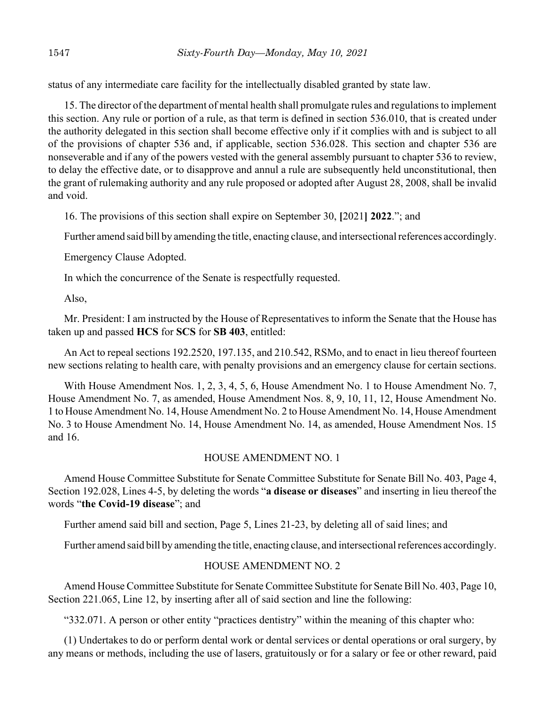status of any intermediate care facility for the intellectually disabled granted by state law.

15. The director of the department of mental health shall promulgate rules and regulations to implement this section. Any rule or portion of a rule, as that term is defined in section 536.010, that is created under the authority delegated in this section shall become effective only if it complies with and is subject to all of the provisions of chapter 536 and, if applicable, section 536.028. This section and chapter 536 are nonseverable and if any of the powers vested with the general assembly pursuant to chapter 536 to review, to delay the effective date, or to disapprove and annul a rule are subsequently held unconstitutional, then the grant of rulemaking authority and any rule proposed or adopted after August 28, 2008, shall be invalid and void.

16. The provisions of this section shall expire on September 30, **[**2021**] 2022**."; and

Further amend said bill by amending the title, enacting clause, and intersectional references accordingly.

Emergency Clause Adopted.

In which the concurrence of the Senate is respectfully requested.

Also,

Mr. President: I am instructed by the House of Representatives to inform the Senate that the House has taken up and passed **HCS** for **SCS** for **SB 403**, entitled:

An Act to repeal sections 192.2520, 197.135, and 210.542, RSMo, and to enact in lieu thereof fourteen new sections relating to health care, with penalty provisions and an emergency clause for certain sections.

With House Amendment Nos. 1, 2, 3, 4, 5, 6, House Amendment No. 1 to House Amendment No. 7, House Amendment No. 7, as amended, House Amendment Nos. 8, 9, 10, 11, 12, House Amendment No. 1 to House Amendment No. 14, House Amendment No. 2 to House Amendment No. 14, House Amendment No. 3 to House Amendment No. 14, House Amendment No. 14, as amended, House Amendment Nos. 15 and 16.

## HOUSE AMENDMENT NO. 1

Amend House Committee Substitute for Senate Committee Substitute for Senate Bill No. 403, Page 4, Section 192.028, Lines 4-5, by deleting the words "**a disease or diseases**" and inserting in lieu thereof the words "**the Covid-19 disease**"; and

Further amend said bill and section, Page 5, Lines 21-23, by deleting all of said lines; and

Further amend said bill by amending the title, enacting clause, and intersectional references accordingly.

# HOUSE AMENDMENT NO. 2

Amend House Committee Substitute for Senate Committee Substitute for Senate Bill No. 403, Page 10, Section 221.065, Line 12, by inserting after all of said section and line the following:

"332.071. A person or other entity "practices dentistry" within the meaning of this chapter who:

(1) Undertakes to do or perform dental work or dental services or dental operations or oral surgery, by any means or methods, including the use of lasers, gratuitously or for a salary or fee or other reward, paid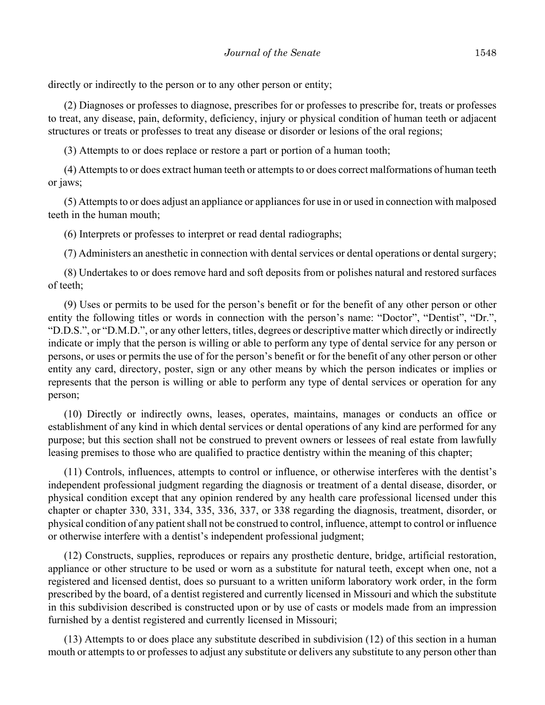directly or indirectly to the person or to any other person or entity;

(2) Diagnoses or professes to diagnose, prescribes for or professes to prescribe for, treats or professes to treat, any disease, pain, deformity, deficiency, injury or physical condition of human teeth or adjacent structures or treats or professes to treat any disease or disorder or lesions of the oral regions;

(3) Attempts to or does replace or restore a part or portion of a human tooth;

(4) Attempts to or does extract human teeth or attempts to or does correct malformations of human teeth or jaws;

(5) Attempts to or does adjust an appliance or appliances for use in or used in connection with malposed teeth in the human mouth;

(6) Interprets or professes to interpret or read dental radiographs;

(7) Administers an anesthetic in connection with dental services or dental operations or dental surgery;

(8) Undertakes to or does remove hard and soft deposits from or polishes natural and restored surfaces of teeth;

(9) Uses or permits to be used for the person's benefit or for the benefit of any other person or other entity the following titles or words in connection with the person's name: "Doctor", "Dentist", "Dr.", "D.D.S.", or "D.M.D.", or any other letters, titles, degrees or descriptive matter which directly or indirectly indicate or imply that the person is willing or able to perform any type of dental service for any person or persons, or uses or permits the use of for the person's benefit or for the benefit of any other person or other entity any card, directory, poster, sign or any other means by which the person indicates or implies or represents that the person is willing or able to perform any type of dental services or operation for any person;

(10) Directly or indirectly owns, leases, operates, maintains, manages or conducts an office or establishment of any kind in which dental services or dental operations of any kind are performed for any purpose; but this section shall not be construed to prevent owners or lessees of real estate from lawfully leasing premises to those who are qualified to practice dentistry within the meaning of this chapter;

(11) Controls, influences, attempts to control or influence, or otherwise interferes with the dentist's independent professional judgment regarding the diagnosis or treatment of a dental disease, disorder, or physical condition except that any opinion rendered by any health care professional licensed under this chapter or chapter 330, 331, 334, 335, 336, 337, or 338 regarding the diagnosis, treatment, disorder, or physical condition of any patient shall not be construed to control, influence, attempt to control or influence or otherwise interfere with a dentist's independent professional judgment;

(12) Constructs, supplies, reproduces or repairs any prosthetic denture, bridge, artificial restoration, appliance or other structure to be used or worn as a substitute for natural teeth, except when one, not a registered and licensed dentist, does so pursuant to a written uniform laboratory work order, in the form prescribed by the board, of a dentist registered and currently licensed in Missouri and which the substitute in this subdivision described is constructed upon or by use of casts or models made from an impression furnished by a dentist registered and currently licensed in Missouri;

(13) Attempts to or does place any substitute described in subdivision (12) of this section in a human mouth or attempts to or professes to adjust any substitute or delivers any substitute to any person other than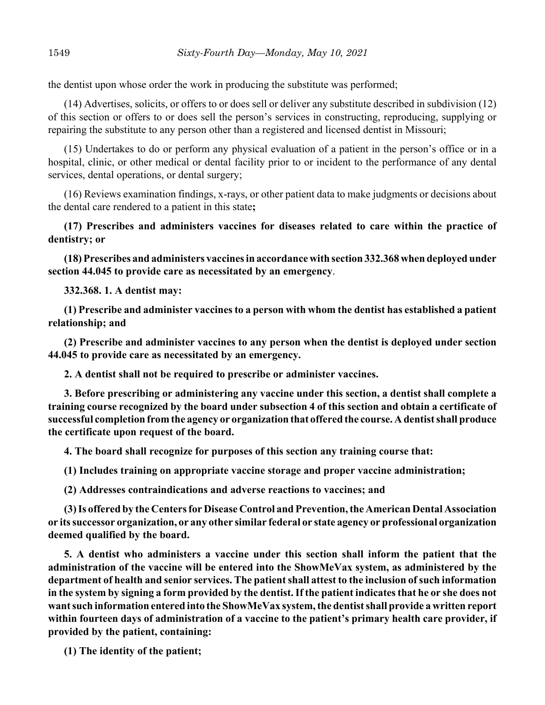the dentist upon whose order the work in producing the substitute was performed;

(14) Advertises, solicits, or offers to or does sell or deliver any substitute described in subdivision (12) of this section or offers to or does sell the person's services in constructing, reproducing, supplying or repairing the substitute to any person other than a registered and licensed dentist in Missouri;

(15) Undertakes to do or perform any physical evaluation of a patient in the person's office or in a hospital, clinic, or other medical or dental facility prior to or incident to the performance of any dental services, dental operations, or dental surgery;

(16) Reviews examination findings, x-rays, or other patient data to make judgments or decisions about the dental care rendered to a patient in this state**;**

**(17) Prescribes and administers vaccines for diseases related to care within the practice of dentistry; or**

**(18) Prescribes and administers vaccines in accordance with section 332.368 when deployed under section 44.045 to provide care as necessitated by an emergency**.

**332.368. 1. A dentist may:**

**(1) Prescribe and administer vaccines to a person with whom the dentist has established a patient relationship; and**

**(2) Prescribe and administer vaccines to any person when the dentist is deployed under section 44.045 to provide care as necessitated by an emergency.**

**2. A dentist shall not be required to prescribe or administer vaccines.**

**3. Before prescribing or administering any vaccine under this section, a dentist shall complete a training course recognized by the board under subsection 4 of this section and obtain a certificate of successful completion from the agency or organization that offered the course. A dentist shall produce the certificate upon request of the board.**

**4. The board shall recognize for purposes of this section any training course that:**

**(1) Includes training on appropriate vaccine storage and proper vaccine administration;**

**(2) Addresses contraindications and adverse reactions to vaccines; and**

**(3) Is offered by the Centers for Disease Control and Prevention, the American Dental Association or its successor organization, or any other similar federal or state agency or professional organization deemed qualified by the board.**

**5. A dentist who administers a vaccine under this section shall inform the patient that the administration of the vaccine will be entered into the ShowMeVax system, as administered by the department of health and senior services. The patient shall attest to the inclusion of such information in the system by signing a form provided by the dentist. If the patient indicates that he or she does not want such information entered into the ShowMeVax system, the dentist shall provide a written report within fourteen days of administration of a vaccine to the patient's primary health care provider, if provided by the patient, containing:**

**(1) The identity of the patient;**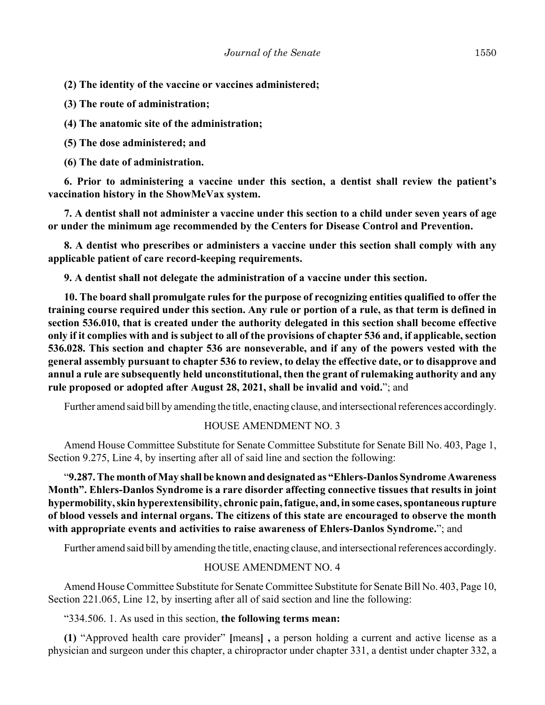**(2) The identity of the vaccine or vaccines administered;**

**(3) The route of administration;**

**(4) The anatomic site of the administration;**

**(5) The dose administered; and**

**(6) The date of administration.**

**6. Prior to administering a vaccine under this section, a dentist shall review the patient's vaccination history in the ShowMeVax system.**

**7. A dentist shall not administer a vaccine under this section to a child under seven years of age or under the minimum age recommended by the Centers for Disease Control and Prevention.**

**8. A dentist who prescribes or administers a vaccine under this section shall comply with any applicable patient of care record-keeping requirements.**

**9. A dentist shall not delegate the administration of a vaccine under this section.**

**10. The board shall promulgate rules for the purpose of recognizing entities qualified to offer the training course required under this section. Any rule or portion of a rule, as that term is defined in section 536.010, that is created under the authority delegated in this section shall become effective only if it complies with and is subject to all of the provisions of chapter 536 and, if applicable, section 536.028. This section and chapter 536 are nonseverable, and if any of the powers vested with the general assembly pursuant to chapter 536 to review, to delay the effective date, or to disapprove and annul a rule are subsequently held unconstitutional, then the grant of rulemaking authority and any rule proposed or adopted after August 28, 2021, shall be invalid and void.**"; and

Further amend said bill by amending the title, enacting clause, and intersectional references accordingly.

### HOUSE AMENDMENT NO. 3

Amend House Committee Substitute for Senate Committee Substitute for Senate Bill No. 403, Page 1, Section 9.275, Line 4, by inserting after all of said line and section the following:

"**9.287. The month of May shall be known and designated as "Ehlers-Danlos Syndrome Awareness Month". Ehlers-Danlos Syndrome is a rare disorder affecting connective tissues that results in joint hypermobility, skin hyperextensibility, chronic pain, fatigue, and, in some cases, spontaneous rupture of blood vessels and internal organs. The citizens of this state are encouraged to observe the month with appropriate events and activities to raise awareness of Ehlers-Danlos Syndrome.**"; and

Further amend said bill by amending the title, enacting clause, and intersectional references accordingly.

#### HOUSE AMENDMENT NO. 4

Amend House Committee Substitute for Senate Committee Substitute for Senate Bill No. 403, Page 10, Section 221.065, Line 12, by inserting after all of said section and line the following:

"334.506. 1. As used in this section, **the following terms mean:**

**(1)** "Approved health care provider" **[**means**] ,** a person holding a current and active license as a physician and surgeon under this chapter, a chiropractor under chapter 331, a dentist under chapter 332, a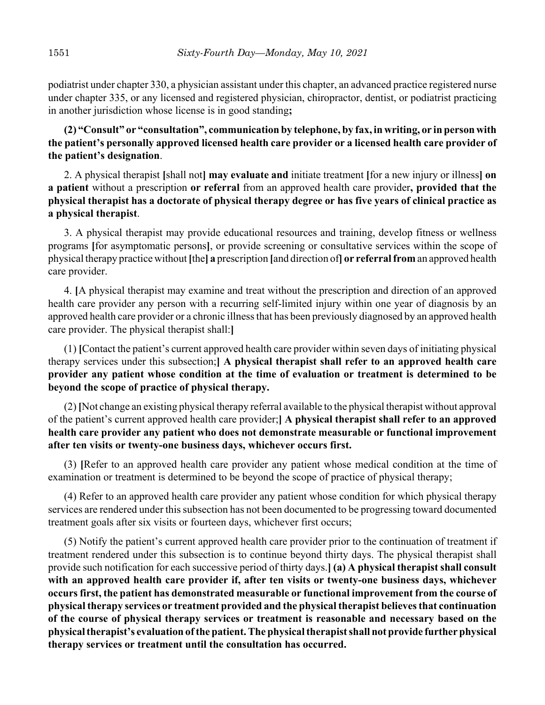podiatrist under chapter 330, a physician assistant under this chapter, an advanced practice registered nurse under chapter 335, or any licensed and registered physician, chiropractor, dentist, or podiatrist practicing in another jurisdiction whose license is in good standing**;**

**(2) "Consult" or "consultation", communication by telephone, by fax, in writing, or in person with the patient's personally approved licensed health care provider or a licensed health care provider of the patient's designation**.

2. A physical therapist **[**shall not**] may evaluate and** initiate treatment **[**for a new injury or illness**] on a patient** without a prescription **or referral** from an approved health care provider**, provided that the physical therapist has a doctorate of physical therapy degree or has five years of clinical practice as a physical therapist**.

3. A physical therapist may provide educational resources and training, develop fitness or wellness programs **[**for asymptomatic persons**]**, or provide screening or consultative services within the scope of physical therapy practice without **[**the**] a** prescription **[**and direction of**] or referral from** an approved health care provider.

4. **[**A physical therapist may examine and treat without the prescription and direction of an approved health care provider any person with a recurring self-limited injury within one year of diagnosis by an approved health care provider or a chronic illness that has been previously diagnosed by an approved health care provider. The physical therapist shall:**]**

(1) **[**Contact the patient's current approved health care provider within seven days of initiating physical therapy services under this subsection;**] A physical therapist shall refer to an approved health care provider any patient whose condition at the time of evaluation or treatment is determined to be beyond the scope of practice of physical therapy.**

(2) **[**Not change an existing physical therapy referral available to the physical therapist without approval of the patient's current approved health care provider;**] A physical therapist shall refer to an approved health care provider any patient who does not demonstrate measurable or functional improvement after ten visits or twenty-one business days, whichever occurs first.**

(3) **[**Refer to an approved health care provider any patient whose medical condition at the time of examination or treatment is determined to be beyond the scope of practice of physical therapy;

(4) Refer to an approved health care provider any patient whose condition for which physical therapy services are rendered under this subsection has not been documented to be progressing toward documented treatment goals after six visits or fourteen days, whichever first occurs;

(5) Notify the patient's current approved health care provider prior to the continuation of treatment if treatment rendered under this subsection is to continue beyond thirty days. The physical therapist shall provide such notification for each successive period of thirty days.**] (a) A physical therapist shall consult with an approved health care provider if, after ten visits or twenty-one business days, whichever occurs first, the patient has demonstrated measurable or functional improvement from the course of physical therapy services or treatment provided and the physical therapist believes that continuation of the course of physical therapy services or treatment is reasonable and necessary based on the physical therapist's evaluation of the patient. The physical therapist shall not provide further physical therapy services or treatment until the consultation has occurred.**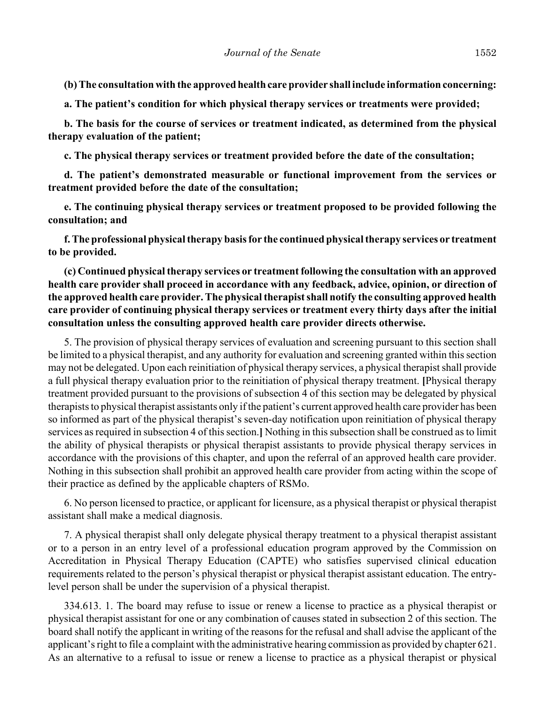**(b) The consultation with the approved health care provider shall include information concerning:**

**a. The patient's condition for which physical therapy services or treatments were provided;**

**b. The basis for the course of services or treatment indicated, as determined from the physical therapy evaluation of the patient;**

**c. The physical therapy services or treatment provided before the date of the consultation;**

**d. The patient's demonstrated measurable or functional improvement from the services or treatment provided before the date of the consultation;**

**e. The continuing physical therapy services or treatment proposed to be provided following the consultation; and**

**f. The professional physical therapy basis for the continued physical therapy services or treatment to be provided.**

**(c) Continued physical therapy services or treatment following the consultation with an approved health care provider shall proceed in accordance with any feedback, advice, opinion, or direction of the approved health care provider. The physical therapist shall notify the consulting approved health care provider of continuing physical therapy services or treatment every thirty days after the initial consultation unless the consulting approved health care provider directs otherwise.**

5. The provision of physical therapy services of evaluation and screening pursuant to this section shall be limited to a physical therapist, and any authority for evaluation and screening granted within this section may not be delegated. Upon each reinitiation of physical therapy services, a physical therapist shall provide a full physical therapy evaluation prior to the reinitiation of physical therapy treatment. **[**Physical therapy treatment provided pursuant to the provisions of subsection 4 of this section may be delegated by physical therapists to physical therapist assistants only if the patient's current approved health care provider has been so informed as part of the physical therapist's seven-day notification upon reinitiation of physical therapy services as required in subsection 4 of this section.**]** Nothing in this subsection shall be construed as to limit the ability of physical therapists or physical therapist assistants to provide physical therapy services in accordance with the provisions of this chapter, and upon the referral of an approved health care provider. Nothing in this subsection shall prohibit an approved health care provider from acting within the scope of their practice as defined by the applicable chapters of RSMo.

6. No person licensed to practice, or applicant for licensure, as a physical therapist or physical therapist assistant shall make a medical diagnosis.

7. A physical therapist shall only delegate physical therapy treatment to a physical therapist assistant or to a person in an entry level of a professional education program approved by the Commission on Accreditation in Physical Therapy Education (CAPTE) who satisfies supervised clinical education requirements related to the person's physical therapist or physical therapist assistant education. The entrylevel person shall be under the supervision of a physical therapist.

334.613. 1. The board may refuse to issue or renew a license to practice as a physical therapist or physical therapist assistant for one or any combination of causes stated in subsection 2 of this section. The board shall notify the applicant in writing of the reasons for the refusal and shall advise the applicant of the applicant's right to file a complaint with the administrative hearing commission as provided by chapter 621. As an alternative to a refusal to issue or renew a license to practice as a physical therapist or physical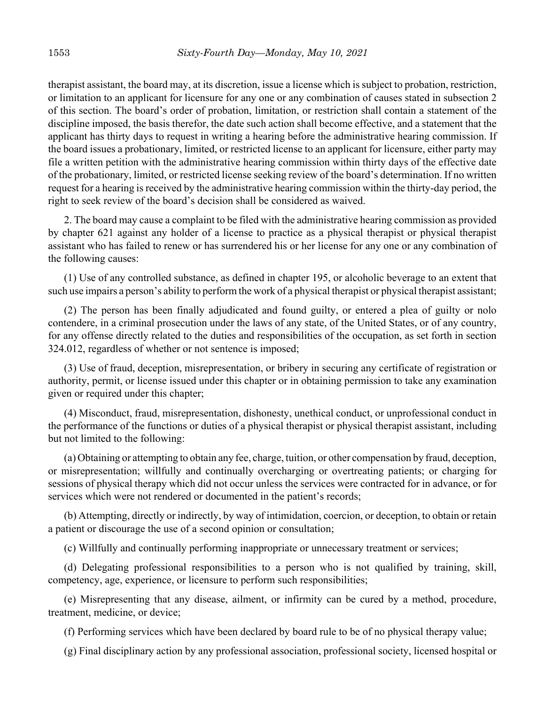therapist assistant, the board may, at its discretion, issue a license which is subject to probation, restriction, or limitation to an applicant for licensure for any one or any combination of causes stated in subsection 2 of this section. The board's order of probation, limitation, or restriction shall contain a statement of the discipline imposed, the basis therefor, the date such action shall become effective, and a statement that the applicant has thirty days to request in writing a hearing before the administrative hearing commission. If the board issues a probationary, limited, or restricted license to an applicant for licensure, either party may file a written petition with the administrative hearing commission within thirty days of the effective date of the probationary, limited, or restricted license seeking review of the board's determination. If no written request for a hearing is received by the administrative hearing commission within the thirty-day period, the right to seek review of the board's decision shall be considered as waived.

2. The board may cause a complaint to be filed with the administrative hearing commission as provided by chapter 621 against any holder of a license to practice as a physical therapist or physical therapist assistant who has failed to renew or has surrendered his or her license for any one or any combination of the following causes:

(1) Use of any controlled substance, as defined in chapter 195, or alcoholic beverage to an extent that such use impairs a person's ability to perform the work of a physical therapist or physical therapist assistant;

(2) The person has been finally adjudicated and found guilty, or entered a plea of guilty or nolo contendere, in a criminal prosecution under the laws of any state, of the United States, or of any country, for any offense directly related to the duties and responsibilities of the occupation, as set forth in section 324.012, regardless of whether or not sentence is imposed;

(3) Use of fraud, deception, misrepresentation, or bribery in securing any certificate of registration or authority, permit, or license issued under this chapter or in obtaining permission to take any examination given or required under this chapter;

(4) Misconduct, fraud, misrepresentation, dishonesty, unethical conduct, or unprofessional conduct in the performance of the functions or duties of a physical therapist or physical therapist assistant, including but not limited to the following:

(a) Obtaining or attempting to obtain any fee, charge, tuition, or other compensation by fraud, deception, or misrepresentation; willfully and continually overcharging or overtreating patients; or charging for sessions of physical therapy which did not occur unless the services were contracted for in advance, or for services which were not rendered or documented in the patient's records;

(b) Attempting, directly or indirectly, by way of intimidation, coercion, or deception, to obtain or retain a patient or discourage the use of a second opinion or consultation;

(c) Willfully and continually performing inappropriate or unnecessary treatment or services;

(d) Delegating professional responsibilities to a person who is not qualified by training, skill, competency, age, experience, or licensure to perform such responsibilities;

(e) Misrepresenting that any disease, ailment, or infirmity can be cured by a method, procedure, treatment, medicine, or device;

(f) Performing services which have been declared by board rule to be of no physical therapy value;

(g) Final disciplinary action by any professional association, professional society, licensed hospital or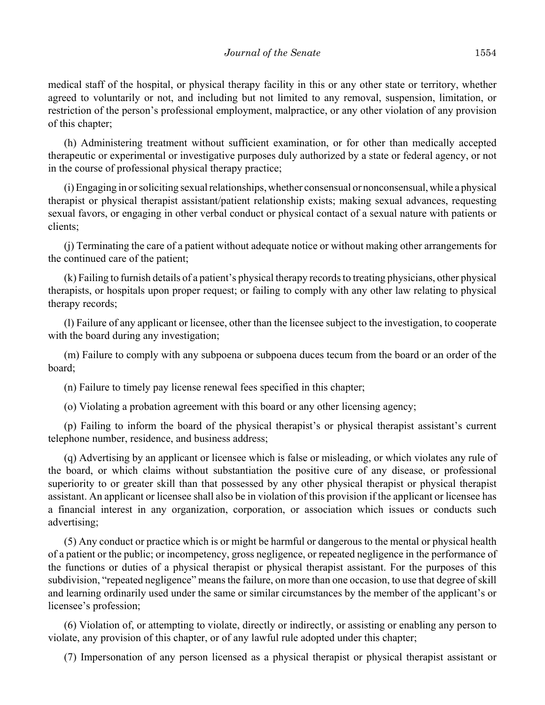medical staff of the hospital, or physical therapy facility in this or any other state or territory, whether agreed to voluntarily or not, and including but not limited to any removal, suspension, limitation, or restriction of the person's professional employment, malpractice, or any other violation of any provision of this chapter;

(h) Administering treatment without sufficient examination, or for other than medically accepted therapeutic or experimental or investigative purposes duly authorized by a state or federal agency, or not in the course of professional physical therapy practice;

(i) Engaging in or soliciting sexual relationships, whether consensual or nonconsensual, while a physical therapist or physical therapist assistant/patient relationship exists; making sexual advances, requesting sexual favors, or engaging in other verbal conduct or physical contact of a sexual nature with patients or clients;

(j) Terminating the care of a patient without adequate notice or without making other arrangements for the continued care of the patient;

(k) Failing to furnish details of a patient's physical therapy records to treating physicians, other physical therapists, or hospitals upon proper request; or failing to comply with any other law relating to physical therapy records;

(l) Failure of any applicant or licensee, other than the licensee subject to the investigation, to cooperate with the board during any investigation;

(m) Failure to comply with any subpoena or subpoena duces tecum from the board or an order of the board;

(n) Failure to timely pay license renewal fees specified in this chapter;

(o) Violating a probation agreement with this board or any other licensing agency;

(p) Failing to inform the board of the physical therapist's or physical therapist assistant's current telephone number, residence, and business address;

(q) Advertising by an applicant or licensee which is false or misleading, or which violates any rule of the board, or which claims without substantiation the positive cure of any disease, or professional superiority to or greater skill than that possessed by any other physical therapist or physical therapist assistant. An applicant or licensee shall also be in violation of this provision if the applicant or licensee has a financial interest in any organization, corporation, or association which issues or conducts such advertising;

(5) Any conduct or practice which is or might be harmful or dangerous to the mental or physical health of a patient or the public; or incompetency, gross negligence, or repeated negligence in the performance of the functions or duties of a physical therapist or physical therapist assistant. For the purposes of this subdivision, "repeated negligence" means the failure, on more than one occasion, to use that degree of skill and learning ordinarily used under the same or similar circumstances by the member of the applicant's or licensee's profession;

(6) Violation of, or attempting to violate, directly or indirectly, or assisting or enabling any person to violate, any provision of this chapter, or of any lawful rule adopted under this chapter;

(7) Impersonation of any person licensed as a physical therapist or physical therapist assistant or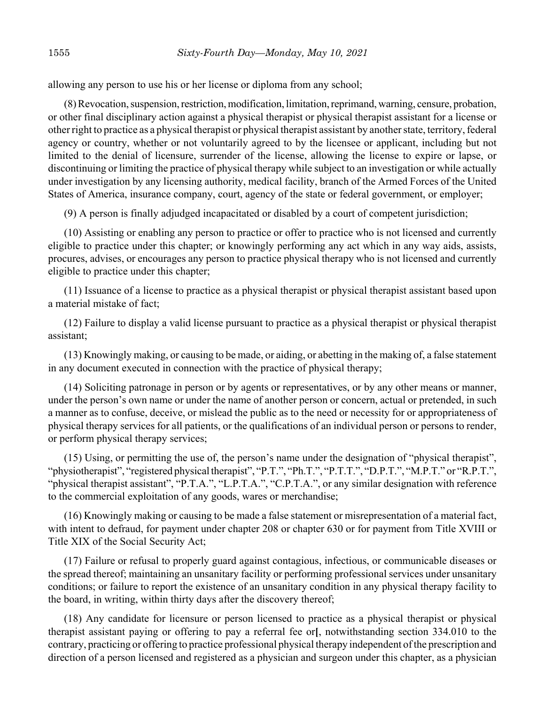allowing any person to use his or her license or diploma from any school;

(8) Revocation, suspension, restriction, modification, limitation, reprimand, warning, censure, probation, or other final disciplinary action against a physical therapist or physical therapist assistant for a license or other right to practice as a physical therapist or physical therapist assistant by another state, territory, federal agency or country, whether or not voluntarily agreed to by the licensee or applicant, including but not limited to the denial of licensure, surrender of the license, allowing the license to expire or lapse, or discontinuing or limiting the practice of physical therapy while subject to an investigation or while actually under investigation by any licensing authority, medical facility, branch of the Armed Forces of the United States of America, insurance company, court, agency of the state or federal government, or employer;

(9) A person is finally adjudged incapacitated or disabled by a court of competent jurisdiction;

(10) Assisting or enabling any person to practice or offer to practice who is not licensed and currently eligible to practice under this chapter; or knowingly performing any act which in any way aids, assists, procures, advises, or encourages any person to practice physical therapy who is not licensed and currently eligible to practice under this chapter;

(11) Issuance of a license to practice as a physical therapist or physical therapist assistant based upon a material mistake of fact;

(12) Failure to display a valid license pursuant to practice as a physical therapist or physical therapist assistant;

(13) Knowingly making, or causing to be made, or aiding, or abetting in the making of, a false statement in any document executed in connection with the practice of physical therapy;

(14) Soliciting patronage in person or by agents or representatives, or by any other means or manner, under the person's own name or under the name of another person or concern, actual or pretended, in such a manner as to confuse, deceive, or mislead the public as to the need or necessity for or appropriateness of physical therapy services for all patients, or the qualifications of an individual person or persons to render, or perform physical therapy services;

(15) Using, or permitting the use of, the person's name under the designation of "physical therapist", "physiotherapist", "registered physical therapist", "P.T.", "Ph.T.", "P.T.T.", "D.P.T.", "M.P.T." or "R.P.T.", "physical therapist assistant", "P.T.A.", "L.P.T.A.", "C.P.T.A.", or any similar designation with reference to the commercial exploitation of any goods, wares or merchandise;

(16) Knowingly making or causing to be made a false statement or misrepresentation of a material fact, with intent to defraud, for payment under chapter 208 or chapter 630 or for payment from Title XVIII or Title XIX of the Social Security Act;

(17) Failure or refusal to properly guard against contagious, infectious, or communicable diseases or the spread thereof; maintaining an unsanitary facility or performing professional services under unsanitary conditions; or failure to report the existence of an unsanitary condition in any physical therapy facility to the board, in writing, within thirty days after the discovery thereof;

(18) Any candidate for licensure or person licensed to practice as a physical therapist or physical therapist assistant paying or offering to pay a referral fee or**[**, notwithstanding section 334.010 to the contrary, practicing or offering to practice professional physical therapy independent of the prescription and direction of a person licensed and registered as a physician and surgeon under this chapter, as a physician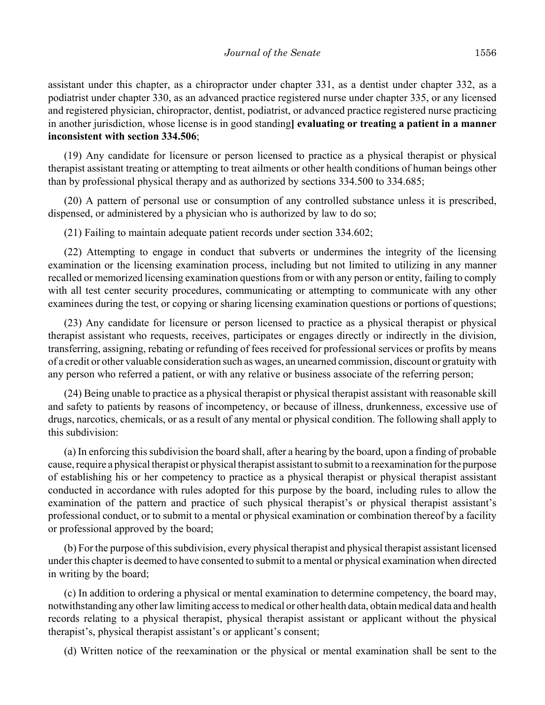assistant under this chapter, as a chiropractor under chapter 331, as a dentist under chapter 332, as a podiatrist under chapter 330, as an advanced practice registered nurse under chapter 335, or any licensed and registered physician, chiropractor, dentist, podiatrist, or advanced practice registered nurse practicing in another jurisdiction, whose license is in good standing**] evaluating or treating a patient in a manner inconsistent with section 334.506**;

(19) Any candidate for licensure or person licensed to practice as a physical therapist or physical therapist assistant treating or attempting to treat ailments or other health conditions of human beings other than by professional physical therapy and as authorized by sections 334.500 to 334.685;

(20) A pattern of personal use or consumption of any controlled substance unless it is prescribed, dispensed, or administered by a physician who is authorized by law to do so;

(21) Failing to maintain adequate patient records under section 334.602;

(22) Attempting to engage in conduct that subverts or undermines the integrity of the licensing examination or the licensing examination process, including but not limited to utilizing in any manner recalled or memorized licensing examination questions from or with any person or entity, failing to comply with all test center security procedures, communicating or attempting to communicate with any other examinees during the test, or copying or sharing licensing examination questions or portions of questions;

(23) Any candidate for licensure or person licensed to practice as a physical therapist or physical therapist assistant who requests, receives, participates or engages directly or indirectly in the division, transferring, assigning, rebating or refunding of fees received for professional services or profits by means of a credit or other valuable consideration such as wages, an unearned commission, discount or gratuity with any person who referred a patient, or with any relative or business associate of the referring person;

(24) Being unable to practice as a physical therapist or physical therapist assistant with reasonable skill and safety to patients by reasons of incompetency, or because of illness, drunkenness, excessive use of drugs, narcotics, chemicals, or as a result of any mental or physical condition. The following shall apply to this subdivision:

(a) In enforcing this subdivision the board shall, after a hearing by the board, upon a finding of probable cause, require a physical therapist or physical therapist assistant to submit to a reexamination for the purpose of establishing his or her competency to practice as a physical therapist or physical therapist assistant conducted in accordance with rules adopted for this purpose by the board, including rules to allow the examination of the pattern and practice of such physical therapist's or physical therapist assistant's professional conduct, or to submit to a mental or physical examination or combination thereof by a facility or professional approved by the board;

(b) For the purpose of this subdivision, every physical therapist and physical therapist assistant licensed under this chapter is deemed to have consented to submit to a mental or physical examination when directed in writing by the board;

(c) In addition to ordering a physical or mental examination to determine competency, the board may, notwithstanding any other law limiting access to medical or other health data, obtain medical data and health records relating to a physical therapist, physical therapist assistant or applicant without the physical therapist's, physical therapist assistant's or applicant's consent;

(d) Written notice of the reexamination or the physical or mental examination shall be sent to the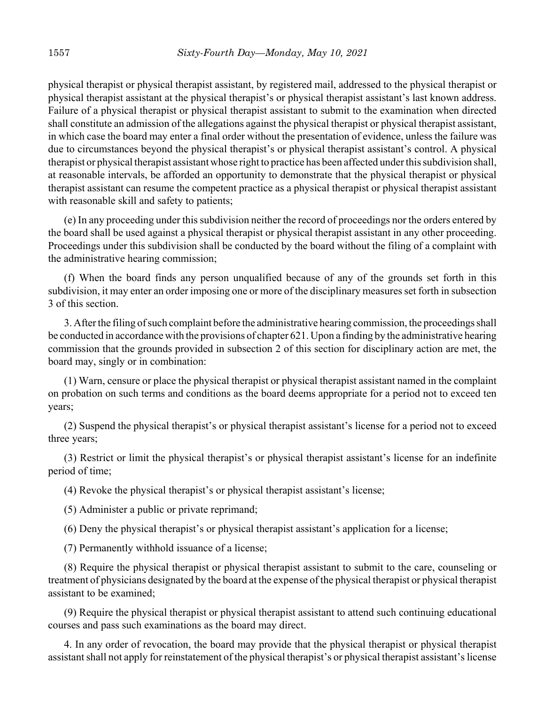physical therapist or physical therapist assistant, by registered mail, addressed to the physical therapist or physical therapist assistant at the physical therapist's or physical therapist assistant's last known address. Failure of a physical therapist or physical therapist assistant to submit to the examination when directed shall constitute an admission of the allegations against the physical therapist or physical therapist assistant, in which case the board may enter a final order without the presentation of evidence, unless the failure was due to circumstances beyond the physical therapist's or physical therapist assistant's control. A physical therapist or physical therapist assistant whose right to practice has been affected under this subdivision shall, at reasonable intervals, be afforded an opportunity to demonstrate that the physical therapist or physical therapist assistant can resume the competent practice as a physical therapist or physical therapist assistant with reasonable skill and safety to patients;

(e) In any proceeding under this subdivision neither the record of proceedings nor the orders entered by the board shall be used against a physical therapist or physical therapist assistant in any other proceeding. Proceedings under this subdivision shall be conducted by the board without the filing of a complaint with the administrative hearing commission;

(f) When the board finds any person unqualified because of any of the grounds set forth in this subdivision, it may enter an order imposing one or more of the disciplinary measures set forth in subsection 3 of this section.

3. After the filing of such complaint before the administrative hearing commission, the proceedings shall be conducted in accordance with the provisions of chapter 621. Upon a finding by the administrative hearing commission that the grounds provided in subsection 2 of this section for disciplinary action are met, the board may, singly or in combination:

(1) Warn, censure or place the physical therapist or physical therapist assistant named in the complaint on probation on such terms and conditions as the board deems appropriate for a period not to exceed ten years;

(2) Suspend the physical therapist's or physical therapist assistant's license for a period not to exceed three years;

(3) Restrict or limit the physical therapist's or physical therapist assistant's license for an indefinite period of time;

(4) Revoke the physical therapist's or physical therapist assistant's license;

(5) Administer a public or private reprimand;

(6) Deny the physical therapist's or physical therapist assistant's application for a license;

(7) Permanently withhold issuance of a license;

(8) Require the physical therapist or physical therapist assistant to submit to the care, counseling or treatment of physicians designated by the board at the expense of the physical therapist or physical therapist assistant to be examined;

(9) Require the physical therapist or physical therapist assistant to attend such continuing educational courses and pass such examinations as the board may direct.

4. In any order of revocation, the board may provide that the physical therapist or physical therapist assistant shall not apply for reinstatement of the physical therapist's or physical therapist assistant's license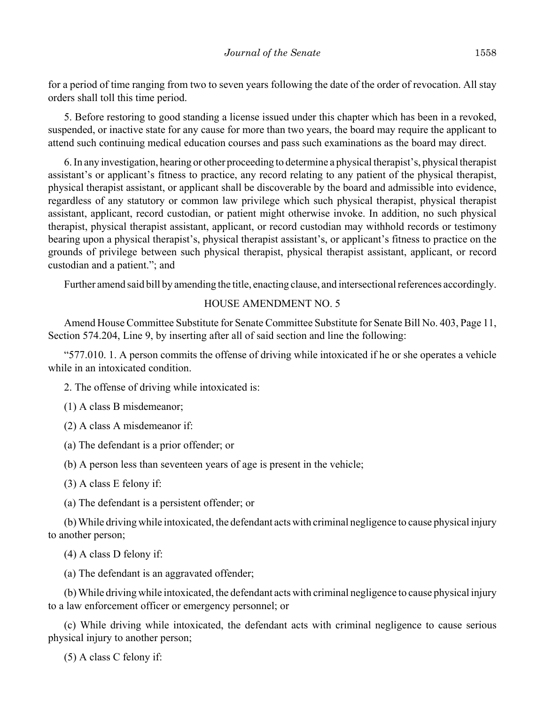for a period of time ranging from two to seven years following the date of the order of revocation. All stay orders shall toll this time period.

5. Before restoring to good standing a license issued under this chapter which has been in a revoked, suspended, or inactive state for any cause for more than two years, the board may require the applicant to attend such continuing medical education courses and pass such examinations as the board may direct.

6. In any investigation, hearing or other proceeding to determine a physical therapist's, physical therapist assistant's or applicant's fitness to practice, any record relating to any patient of the physical therapist, physical therapist assistant, or applicant shall be discoverable by the board and admissible into evidence, regardless of any statutory or common law privilege which such physical therapist, physical therapist assistant, applicant, record custodian, or patient might otherwise invoke. In addition, no such physical therapist, physical therapist assistant, applicant, or record custodian may withhold records or testimony bearing upon a physical therapist's, physical therapist assistant's, or applicant's fitness to practice on the grounds of privilege between such physical therapist, physical therapist assistant, applicant, or record custodian and a patient."; and

Further amend said bill by amending the title, enacting clause, and intersectional references accordingly.

## HOUSE AMENDMENT NO. 5

Amend House Committee Substitute for Senate Committee Substitute for Senate Bill No. 403, Page 11, Section 574.204, Line 9, by inserting after all of said section and line the following:

"577.010. 1. A person commits the offense of driving while intoxicated if he or she operates a vehicle while in an intoxicated condition.

2. The offense of driving while intoxicated is:

(1) A class B misdemeanor;

(2) A class A misdemeanor if:

(a) The defendant is a prior offender; or

(b) A person less than seventeen years of age is present in the vehicle;

(3) A class E felony if:

(a) The defendant is a persistent offender; or

(b) While driving while intoxicated, the defendant acts with criminal negligence to cause physical injury to another person;

(4) A class D felony if:

(a) The defendant is an aggravated offender;

(b) While driving while intoxicated, the defendant acts with criminal negligence to cause physical injury to a law enforcement officer or emergency personnel; or

(c) While driving while intoxicated, the defendant acts with criminal negligence to cause serious physical injury to another person;

(5) A class C felony if: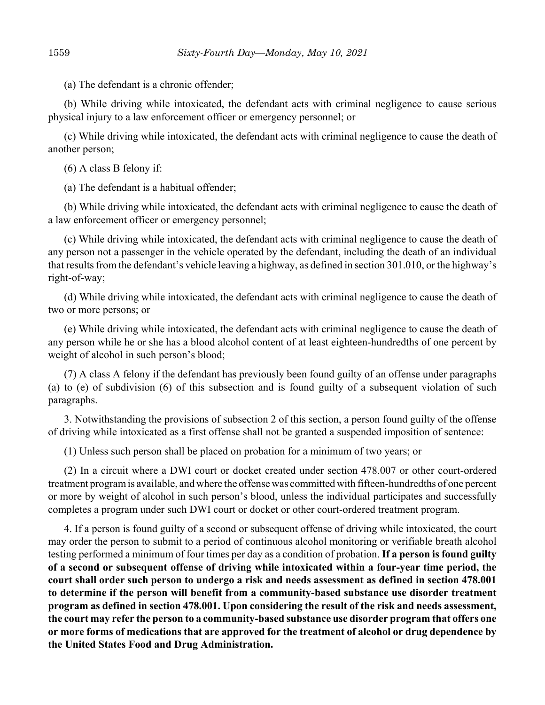(a) The defendant is a chronic offender;

(b) While driving while intoxicated, the defendant acts with criminal negligence to cause serious physical injury to a law enforcement officer or emergency personnel; or

(c) While driving while intoxicated, the defendant acts with criminal negligence to cause the death of another person;

(6) A class B felony if:

(a) The defendant is a habitual offender;

(b) While driving while intoxicated, the defendant acts with criminal negligence to cause the death of a law enforcement officer or emergency personnel;

(c) While driving while intoxicated, the defendant acts with criminal negligence to cause the death of any person not a passenger in the vehicle operated by the defendant, including the death of an individual that results from the defendant's vehicle leaving a highway, as defined in section 301.010, or the highway's right-of-way;

(d) While driving while intoxicated, the defendant acts with criminal negligence to cause the death of two or more persons; or

(e) While driving while intoxicated, the defendant acts with criminal negligence to cause the death of any person while he or she has a blood alcohol content of at least eighteen-hundredths of one percent by weight of alcohol in such person's blood;

(7) A class A felony if the defendant has previously been found guilty of an offense under paragraphs (a) to (e) of subdivision (6) of this subsection and is found guilty of a subsequent violation of such paragraphs.

3. Notwithstanding the provisions of subsection 2 of this section, a person found guilty of the offense of driving while intoxicated as a first offense shall not be granted a suspended imposition of sentence:

(1) Unless such person shall be placed on probation for a minimum of two years; or

(2) In a circuit where a DWI court or docket created under section 478.007 or other court-ordered treatment program is available, and where the offense was committed with fifteen-hundredths of one percent or more by weight of alcohol in such person's blood, unless the individual participates and successfully completes a program under such DWI court or docket or other court-ordered treatment program.

4. If a person is found guilty of a second or subsequent offense of driving while intoxicated, the court may order the person to submit to a period of continuous alcohol monitoring or verifiable breath alcohol testing performed a minimum of four times per day as a condition of probation. **If a person is found guilty of a second or subsequent offense of driving while intoxicated within a four-year time period, the court shall order such person to undergo a risk and needs assessment as defined in section 478.001 to determine if the person will benefit from a community-based substance use disorder treatment program as defined in section 478.001. Upon considering the result of the risk and needs assessment, the court may refer the person to a community-based substance use disorder program that offers one or more forms of medications that are approved for the treatment of alcohol or drug dependence by the United States Food and Drug Administration.**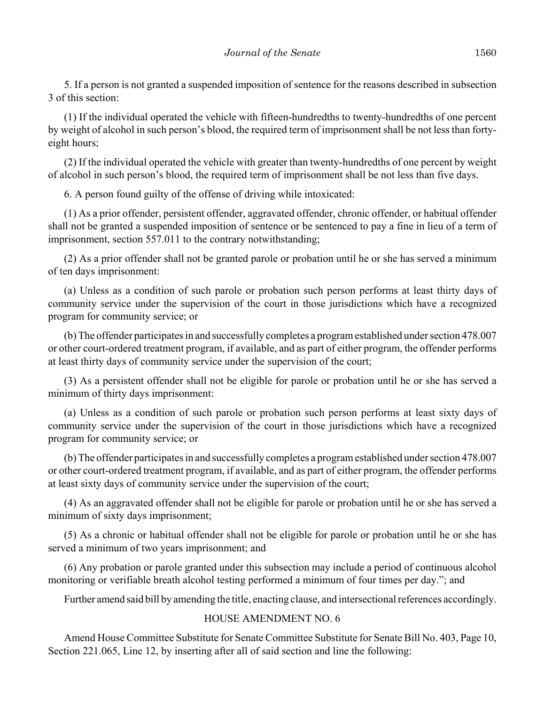5. If a person is not granted a suspended imposition of sentence for the reasons described in subsection 3 of this section:

(1) If the individual operated the vehicle with fifteen-hundredths to twenty-hundredths of one percent by weight of alcohol in such person's blood, the required term of imprisonment shall be not less than fortyeight hours;

(2) If the individual operated the vehicle with greater than twenty-hundredths of one percent by weight of alcohol in such person's blood, the required term of imprisonment shall be not less than five days.

6. A person found guilty of the offense of driving while intoxicated:

(1) As a prior offender, persistent offender, aggravated offender, chronic offender, or habitual offender shall not be granted a suspended imposition of sentence or be sentenced to pay a fine in lieu of a term of imprisonment, section 557.011 to the contrary notwithstanding;

(2) As a prior offender shall not be granted parole or probation until he or she has served a minimum of ten days imprisonment:

(a) Unless as a condition of such parole or probation such person performs at least thirty days of community service under the supervision of the court in those jurisdictions which have a recognized program for community service; or

(b) The offender participates in and successfully completes a program established under section 478.007 or other court-ordered treatment program, if available, and as part of either program, the offender performs at least thirty days of community service under the supervision of the court;

(3) As a persistent offender shall not be eligible for parole or probation until he or she has served a minimum of thirty days imprisonment:

(a) Unless as a condition of such parole or probation such person performs at least sixty days of community service under the supervision of the court in those jurisdictions which have a recognized program for community service; or

(b) The offender participates in and successfully completes a program established under section 478.007 or other court-ordered treatment program, if available, and as part of either program, the offender performs at least sixty days of community service under the supervision of the court;

(4) As an aggravated offender shall not be eligible for parole or probation until he or she has served a minimum of sixty days imprisonment;

(5) As a chronic or habitual offender shall not be eligible for parole or probation until he or she has served a minimum of two years imprisonment; and

(6) Any probation or parole granted under this subsection may include a period of continuous alcohol monitoring or verifiable breath alcohol testing performed a minimum of four times per day."; and

Further amend said bill by amending the title, enacting clause, and intersectional references accordingly.

## HOUSE AMENDMENT NO. 6

Amend House Committee Substitute for Senate Committee Substitute for Senate Bill No. 403, Page 10, Section 221.065, Line 12, by inserting after all of said section and line the following: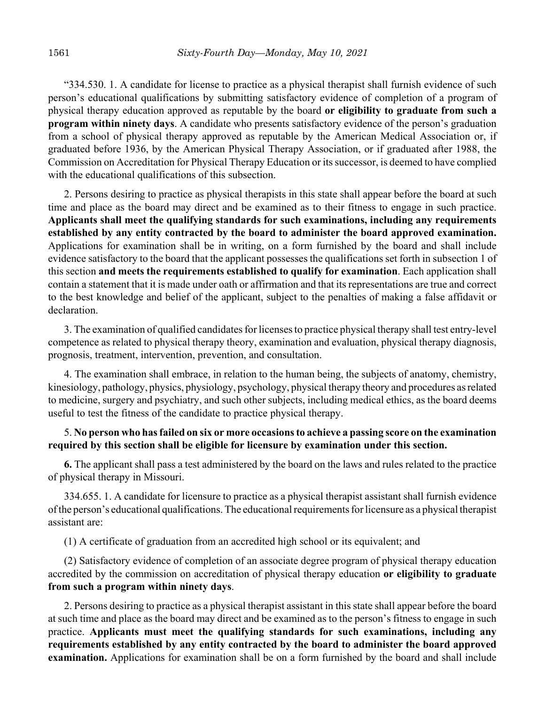"334.530. 1. A candidate for license to practice as a physical therapist shall furnish evidence of such person's educational qualifications by submitting satisfactory evidence of completion of a program of physical therapy education approved as reputable by the board **or eligibility to graduate from such a program within ninety days**. A candidate who presents satisfactory evidence of the person's graduation from a school of physical therapy approved as reputable by the American Medical Association or, if graduated before 1936, by the American Physical Therapy Association, or if graduated after 1988, the Commission on Accreditation for Physical Therapy Education or its successor, is deemed to have complied with the educational qualifications of this subsection.

2. Persons desiring to practice as physical therapists in this state shall appear before the board at such time and place as the board may direct and be examined as to their fitness to engage in such practice. **Applicants shall meet the qualifying standards for such examinations, including any requirements established by any entity contracted by the board to administer the board approved examination.** Applications for examination shall be in writing, on a form furnished by the board and shall include evidence satisfactory to the board that the applicant possesses the qualifications set forth in subsection 1 of this section **and meets the requirements established to qualify for examination**. Each application shall contain a statement that it is made under oath or affirmation and that its representations are true and correct to the best knowledge and belief of the applicant, subject to the penalties of making a false affidavit or declaration.

3. The examination of qualified candidates for licenses to practice physical therapy shall test entry-level competence as related to physical therapy theory, examination and evaluation, physical therapy diagnosis, prognosis, treatment, intervention, prevention, and consultation.

4. The examination shall embrace, in relation to the human being, the subjects of anatomy, chemistry, kinesiology, pathology, physics, physiology, psychology, physical therapy theory and procedures as related to medicine, surgery and psychiatry, and such other subjects, including medical ethics, as the board deems useful to test the fitness of the candidate to practice physical therapy.

## 5. **No person who has failed on six or more occasions to achieve a passing score on the examination required by this section shall be eligible for licensure by examination under this section.**

**6.** The applicant shall pass a test administered by the board on the laws and rules related to the practice of physical therapy in Missouri.

334.655. 1. A candidate for licensure to practice as a physical therapist assistant shall furnish evidence of the person's educational qualifications. The educational requirements for licensure as a physical therapist assistant are:

(1) A certificate of graduation from an accredited high school or its equivalent; and

(2) Satisfactory evidence of completion of an associate degree program of physical therapy education accredited by the commission on accreditation of physical therapy education **or eligibility to graduate from such a program within ninety days**.

2. Persons desiring to practice as a physical therapist assistant in this state shall appear before the board at such time and place as the board may direct and be examined as to the person's fitness to engage in such practice. **Applicants must meet the qualifying standards for such examinations, including any requirements established by any entity contracted by the board to administer the board approved examination.** Applications for examination shall be on a form furnished by the board and shall include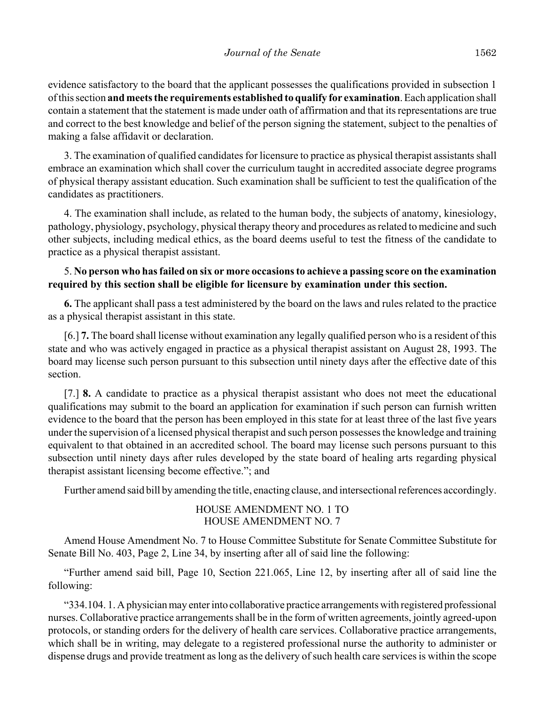evidence satisfactory to the board that the applicant possesses the qualifications provided in subsection 1 of this section **and meets the requirements established to qualify for examination**. Each application shall contain a statement that the statement is made under oath of affirmation and that its representations are true and correct to the best knowledge and belief of the person signing the statement, subject to the penalties of making a false affidavit or declaration.

3. The examination of qualified candidates for licensure to practice as physical therapist assistants shall embrace an examination which shall cover the curriculum taught in accredited associate degree programs of physical therapy assistant education. Such examination shall be sufficient to test the qualification of the candidates as practitioners.

4. The examination shall include, as related to the human body, the subjects of anatomy, kinesiology, pathology, physiology, psychology, physical therapy theory and procedures as related to medicine and such other subjects, including medical ethics, as the board deems useful to test the fitness of the candidate to practice as a physical therapist assistant.

## 5. **No person who has failed on six or more occasions to achieve a passing score on the examination required by this section shall be eligible for licensure by examination under this section.**

**6.** The applicant shall pass a test administered by the board on the laws and rules related to the practice as a physical therapist assistant in this state.

[6.] **7.** The board shall license without examination any legally qualified person who is a resident of this state and who was actively engaged in practice as a physical therapist assistant on August 28, 1993. The board may license such person pursuant to this subsection until ninety days after the effective date of this section.

[7.] **8.** A candidate to practice as a physical therapist assistant who does not meet the educational qualifications may submit to the board an application for examination if such person can furnish written evidence to the board that the person has been employed in this state for at least three of the last five years under the supervision of a licensed physical therapist and such person possesses the knowledge and training equivalent to that obtained in an accredited school. The board may license such persons pursuant to this subsection until ninety days after rules developed by the state board of healing arts regarding physical therapist assistant licensing become effective."; and

Further amend said bill by amending the title, enacting clause, and intersectional references accordingly.

# HOUSE AMENDMENT NO. 1 TO HOUSE AMENDMENT NO. 7

Amend House Amendment No. 7 to House Committee Substitute for Senate Committee Substitute for Senate Bill No. 403, Page 2, Line 34, by inserting after all of said line the following:

"Further amend said bill, Page 10, Section 221.065, Line 12, by inserting after all of said line the following:

"334.104. 1. A physician may enter into collaborative practice arrangements with registered professional nurses. Collaborative practice arrangements shall be in the form of written agreements, jointly agreed-upon protocols, or standing orders for the delivery of health care services. Collaborative practice arrangements, which shall be in writing, may delegate to a registered professional nurse the authority to administer or dispense drugs and provide treatment as long as the delivery of such health care services is within the scope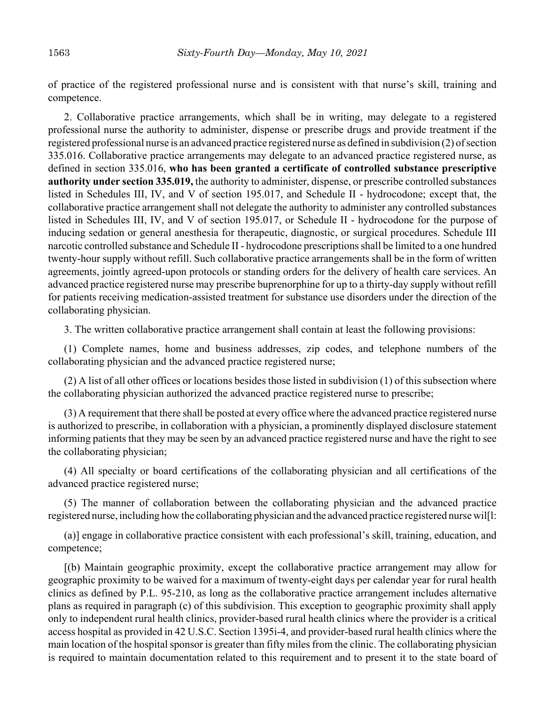of practice of the registered professional nurse and is consistent with that nurse's skill, training and competence.

2. Collaborative practice arrangements, which shall be in writing, may delegate to a registered professional nurse the authority to administer, dispense or prescribe drugs and provide treatment if the registered professional nurse is an advanced practice registered nurse as defined in subdivision (2) of section 335.016. Collaborative practice arrangements may delegate to an advanced practice registered nurse, as defined in section 335.016, **who has been granted a certificate of controlled substance prescriptive authority under section 335.019,** the authority to administer, dispense, or prescribe controlled substances listed in Schedules III, IV, and V of section 195.017, and Schedule II - hydrocodone; except that, the collaborative practice arrangement shall not delegate the authority to administer any controlled substances listed in Schedules III, IV, and V of section 195.017, or Schedule II - hydrocodone for the purpose of inducing sedation or general anesthesia for therapeutic, diagnostic, or surgical procedures. Schedule III narcotic controlled substance and Schedule II - hydrocodone prescriptions shall be limited to a one hundred twenty-hour supply without refill. Such collaborative practice arrangements shall be in the form of written agreements, jointly agreed-upon protocols or standing orders for the delivery of health care services. An advanced practice registered nurse may prescribe buprenorphine for up to a thirty-day supply without refill for patients receiving medication-assisted treatment for substance use disorders under the direction of the collaborating physician.

3. The written collaborative practice arrangement shall contain at least the following provisions:

(1) Complete names, home and business addresses, zip codes, and telephone numbers of the collaborating physician and the advanced practice registered nurse;

(2) A list of all other offices or locations besides those listed in subdivision (1) of this subsection where the collaborating physician authorized the advanced practice registered nurse to prescribe;

(3) A requirement that there shall be posted at every office where the advanced practice registered nurse is authorized to prescribe, in collaboration with a physician, a prominently displayed disclosure statement informing patients that they may be seen by an advanced practice registered nurse and have the right to see the collaborating physician;

(4) All specialty or board certifications of the collaborating physician and all certifications of the advanced practice registered nurse;

(5) The manner of collaboration between the collaborating physician and the advanced practice registered nurse, including how the collaborating physician and the advanced practice registered nurse wil[l:

(a)] engage in collaborative practice consistent with each professional's skill, training, education, and competence;

[(b) Maintain geographic proximity, except the collaborative practice arrangement may allow for geographic proximity to be waived for a maximum of twenty-eight days per calendar year for rural health clinics as defined by P.L. 95-210, as long as the collaborative practice arrangement includes alternative plans as required in paragraph (c) of this subdivision. This exception to geographic proximity shall apply only to independent rural health clinics, provider-based rural health clinics where the provider is a critical access hospital as provided in 42 U.S.C. Section 1395i-4, and provider-based rural health clinics where the main location of the hospital sponsor is greater than fifty miles from the clinic. The collaborating physician is required to maintain documentation related to this requirement and to present it to the state board of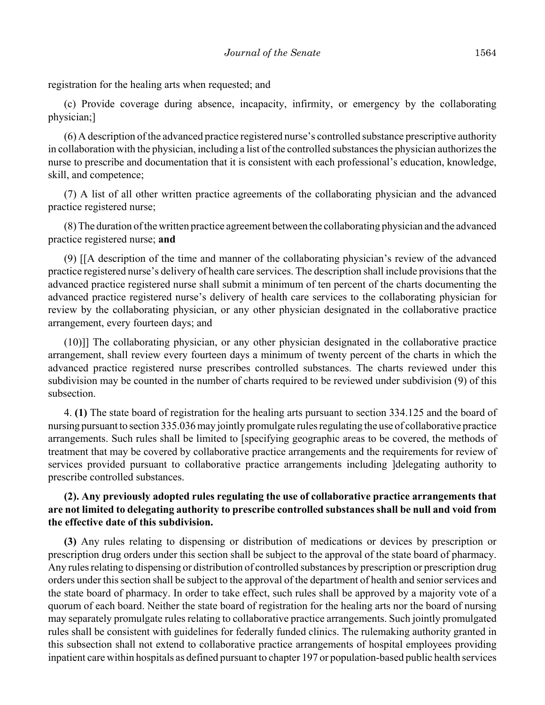registration for the healing arts when requested; and

(c) Provide coverage during absence, incapacity, infirmity, or emergency by the collaborating physician;]

(6) A description of the advanced practice registered nurse's controlled substance prescriptive authority in collaboration with the physician, including a list of the controlled substances the physician authorizes the nurse to prescribe and documentation that it is consistent with each professional's education, knowledge, skill, and competence;

(7) A list of all other written practice agreements of the collaborating physician and the advanced practice registered nurse;

(8) The duration of the written practice agreement between the collaborating physician and the advanced practice registered nurse; **and**

(9) [[A description of the time and manner of the collaborating physician's review of the advanced practice registered nurse's delivery of health care services. The description shall include provisions that the advanced practice registered nurse shall submit a minimum of ten percent of the charts documenting the advanced practice registered nurse's delivery of health care services to the collaborating physician for review by the collaborating physician, or any other physician designated in the collaborative practice arrangement, every fourteen days; and

(10)]] The collaborating physician, or any other physician designated in the collaborative practice arrangement, shall review every fourteen days a minimum of twenty percent of the charts in which the advanced practice registered nurse prescribes controlled substances. The charts reviewed under this subdivision may be counted in the number of charts required to be reviewed under subdivision (9) of this subsection.

4. **(1)** The state board of registration for the healing arts pursuant to section 334.125 and the board of nursing pursuant to section 335.036 may jointly promulgate rules regulating the use of collaborative practice arrangements. Such rules shall be limited to [specifying geographic areas to be covered, the methods of treatment that may be covered by collaborative practice arrangements and the requirements for review of services provided pursuant to collaborative practice arrangements including ]delegating authority to prescribe controlled substances.

# **(2). Any previously adopted rules regulating the use of collaborative practice arrangements that are not limited to delegating authority to prescribe controlled substances shall be null and void from the effective date of this subdivision.**

**(3)** Any rules relating to dispensing or distribution of medications or devices by prescription or prescription drug orders under this section shall be subject to the approval of the state board of pharmacy. Any rules relating to dispensing or distribution of controlled substances by prescription or prescription drug orders under this section shall be subject to the approval of the department of health and senior services and the state board of pharmacy. In order to take effect, such rules shall be approved by a majority vote of a quorum of each board. Neither the state board of registration for the healing arts nor the board of nursing may separately promulgate rules relating to collaborative practice arrangements. Such jointly promulgated rules shall be consistent with guidelines for federally funded clinics. The rulemaking authority granted in this subsection shall not extend to collaborative practice arrangements of hospital employees providing inpatient care within hospitals as defined pursuant to chapter 197 or population-based public health services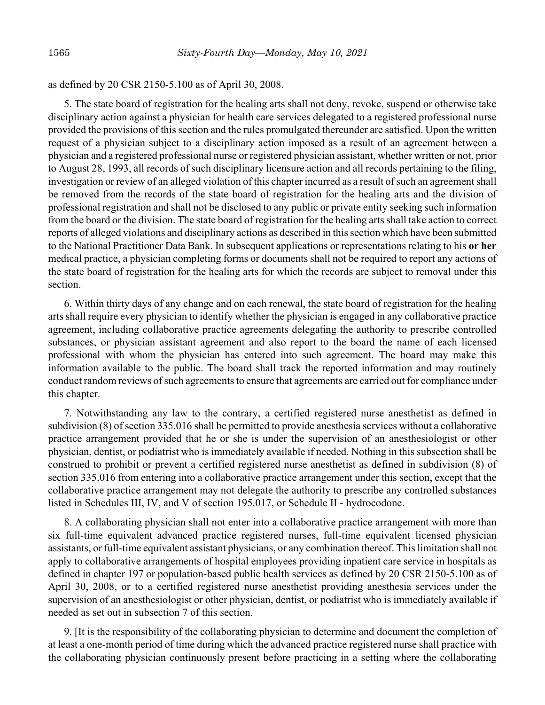as defined by 20 CSR 2150-5.100 as of April 30, 2008.

5. The state board of registration for the healing arts shall not deny, revoke, suspend or otherwise take disciplinary action against a physician for health care services delegated to a registered professional nurse provided the provisions of this section and the rules promulgated thereunder are satisfied. Upon the written request of a physician subject to a disciplinary action imposed as a result of an agreement between a physician and a registered professional nurse or registered physician assistant, whether written or not, prior to August 28, 1993, all records of such disciplinary licensure action and all records pertaining to the filing, investigation or review of an alleged violation of this chapter incurred as a result of such an agreement shall be removed from the records of the state board of registration for the healing arts and the division of professional registration and shall not be disclosed to any public or private entity seeking such information from the board or the division. The state board of registration for the healing arts shall take action to correct reports of alleged violations and disciplinary actions as described in this section which have been submitted to the National Practitioner Data Bank. In subsequent applications or representations relating to his **or her** medical practice, a physician completing forms or documents shall not be required to report any actions of the state board of registration for the healing arts for which the records are subject to removal under this section.

6. Within thirty days of any change and on each renewal, the state board of registration for the healing arts shall require every physician to identify whether the physician is engaged in any collaborative practice agreement, including collaborative practice agreements delegating the authority to prescribe controlled substances, or physician assistant agreement and also report to the board the name of each licensed professional with whom the physician has entered into such agreement. The board may make this information available to the public. The board shall track the reported information and may routinely conduct random reviews of such agreements to ensure that agreements are carried out for compliance under this chapter.

7. Notwithstanding any law to the contrary, a certified registered nurse anesthetist as defined in subdivision (8) of section 335.016 shall be permitted to provide anesthesia services without a collaborative practice arrangement provided that he or she is under the supervision of an anesthesiologist or other physician, dentist, or podiatrist who is immediately available if needed. Nothing in this subsection shall be construed to prohibit or prevent a certified registered nurse anesthetist as defined in subdivision (8) of section 335.016 from entering into a collaborative practice arrangement under this section, except that the collaborative practice arrangement may not delegate the authority to prescribe any controlled substances listed in Schedules III, IV, and V of section 195.017, or Schedule II - hydrocodone.

8. A collaborating physician shall not enter into a collaborative practice arrangement with more than six full-time equivalent advanced practice registered nurses, full-time equivalent licensed physician assistants, or full-time equivalent assistant physicians, or any combination thereof. This limitation shall not apply to collaborative arrangements of hospital employees providing inpatient care service in hospitals as defined in chapter 197 or population-based public health services as defined by 20 CSR 2150-5.100 as of April 30, 2008, or to a certified registered nurse anesthetist providing anesthesia services under the supervision of an anesthesiologist or other physician, dentist, or podiatrist who is immediately available if needed as set out in subsection 7 of this section.

9. [It is the responsibility of the collaborating physician to determine and document the completion of at least a one-month period of time during which the advanced practice registered nurse shall practice with the collaborating physician continuously present before practicing in a setting where the collaborating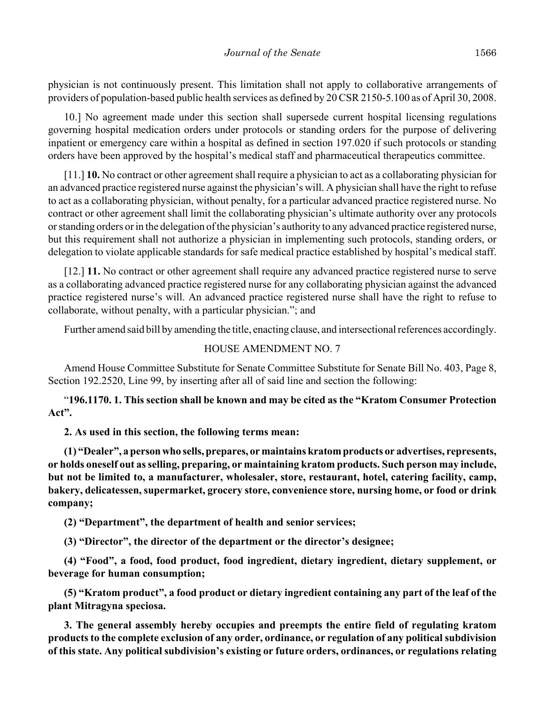physician is not continuously present. This limitation shall not apply to collaborative arrangements of providers of population-based public health services as defined by 20 CSR 2150-5.100 as of April 30, 2008.

10.] No agreement made under this section shall supersede current hospital licensing regulations governing hospital medication orders under protocols or standing orders for the purpose of delivering inpatient or emergency care within a hospital as defined in section 197.020 if such protocols or standing orders have been approved by the hospital's medical staff and pharmaceutical therapeutics committee.

[11.] **10.** No contract or other agreement shall require a physician to act as a collaborating physician for an advanced practice registered nurse against the physician's will. A physician shall have the right to refuse to act as a collaborating physician, without penalty, for a particular advanced practice registered nurse. No contract or other agreement shall limit the collaborating physician's ultimate authority over any protocols or standing orders or in the delegation of the physician's authority to any advanced practice registered nurse, but this requirement shall not authorize a physician in implementing such protocols, standing orders, or delegation to violate applicable standards for safe medical practice established by hospital's medical staff.

[12.] **11.** No contract or other agreement shall require any advanced practice registered nurse to serve as a collaborating advanced practice registered nurse for any collaborating physician against the advanced practice registered nurse's will. An advanced practice registered nurse shall have the right to refuse to collaborate, without penalty, with a particular physician."; and

Further amend said bill by amending the title, enacting clause, and intersectional references accordingly.

## HOUSE AMENDMENT NO. 7

Amend House Committee Substitute for Senate Committee Substitute for Senate Bill No. 403, Page 8, Section 192.2520, Line 99, by inserting after all of said line and section the following:

"**196.1170. 1. This section shall be known and may be cited as the "Kratom Consumer Protection Act".**

#### **2. As used in this section, the following terms mean:**

**(1) "Dealer", a person who sells, prepares, or maintains kratom products or advertises, represents, or holds oneself out as selling, preparing, or maintaining kratom products. Such person may include, but not be limited to, a manufacturer, wholesaler, store, restaurant, hotel, catering facility, camp, bakery, delicatessen, supermarket, grocery store, convenience store, nursing home, or food or drink company;**

**(2) "Department", the department of health and senior services;**

**(3) "Director", the director of the department or the director's designee;**

**(4) "Food", a food, food product, food ingredient, dietary ingredient, dietary supplement, or beverage for human consumption;**

**(5) "Kratom product", a food product or dietary ingredient containing any part of the leaf of the plant Mitragyna speciosa.**

**3. The general assembly hereby occupies and preempts the entire field of regulating kratom products to the complete exclusion of any order, ordinance, or regulation of any political subdivision of this state. Any political subdivision's existing or future orders, ordinances, or regulations relating**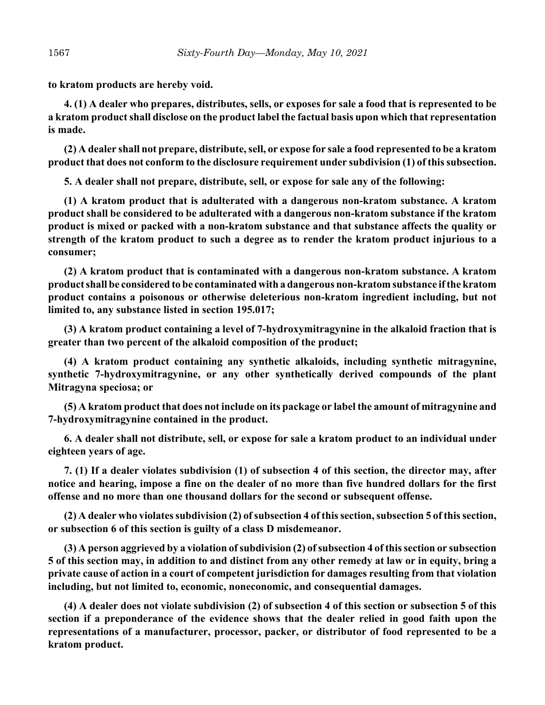**to kratom products are hereby void.**

**4. (1) A dealer who prepares, distributes, sells, or exposes for sale a food that is represented to be a kratom product shall disclose on the product label the factual basis upon which that representation is made.**

**(2) A dealer shall not prepare, distribute, sell, or expose for sale a food represented to be a kratom product that does not conform to the disclosure requirement under subdivision (1) of this subsection.**

**5. A dealer shall not prepare, distribute, sell, or expose for sale any of the following:**

**(1) A kratom product that is adulterated with a dangerous non-kratom substance. A kratom product shall be considered to be adulterated with a dangerous non-kratom substance if the kratom product is mixed or packed with a non-kratom substance and that substance affects the quality or strength of the kratom product to such a degree as to render the kratom product injurious to a consumer;**

**(2) A kratom product that is contaminated with a dangerous non-kratom substance. A kratom product shall be considered to be contaminated with a dangerous non-kratom substance if the kratom product contains a poisonous or otherwise deleterious non-kratom ingredient including, but not limited to, any substance listed in section 195.017;**

**(3) A kratom product containing a level of 7-hydroxymitragynine in the alkaloid fraction that is greater than two percent of the alkaloid composition of the product;**

**(4) A kratom product containing any synthetic alkaloids, including synthetic mitragynine, synthetic 7-hydroxymitragynine, or any other synthetically derived compounds of the plant Mitragyna speciosa; or**

**(5) A kratom product that does not include on its package or label the amount of mitragynine and 7-hydroxymitragynine contained in the product.**

**6. A dealer shall not distribute, sell, or expose for sale a kratom product to an individual under eighteen years of age.**

**7. (1) If a dealer violates subdivision (1) of subsection 4 of this section, the director may, after notice and hearing, impose a fine on the dealer of no more than five hundred dollars for the first offense and no more than one thousand dollars for the second or subsequent offense.**

**(2) A dealer who violates subdivision (2) of subsection 4 of this section, subsection 5 of this section, or subsection 6 of this section is guilty of a class D misdemeanor.**

**(3) A person aggrieved by a violation of subdivision (2) of subsection 4 of this section or subsection 5 of this section may, in addition to and distinct from any other remedy at law or in equity, bring a private cause of action in a court of competent jurisdiction for damages resulting from that violation including, but not limited to, economic, noneconomic, and consequential damages.**

**(4) A dealer does not violate subdivision (2) of subsection 4 of this section or subsection 5 of this section if a preponderance of the evidence shows that the dealer relied in good faith upon the representations of a manufacturer, processor, packer, or distributor of food represented to be a kratom product.**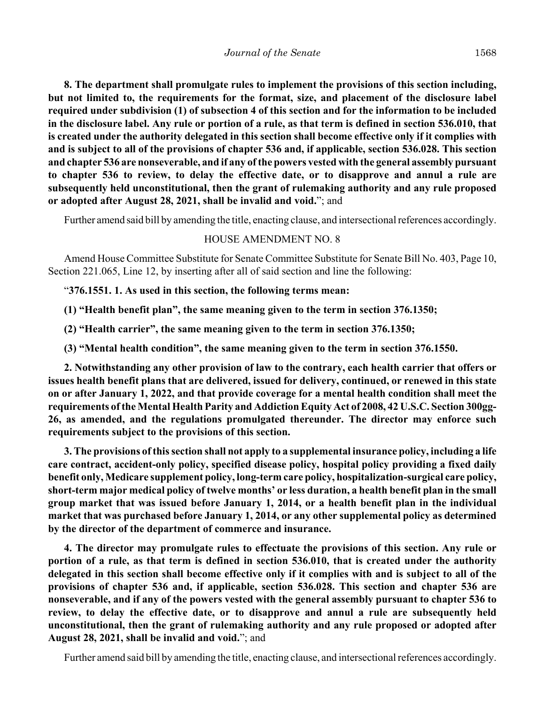**8. The department shall promulgate rules to implement the provisions of this section including, but not limited to, the requirements for the format, size, and placement of the disclosure label required under subdivision (1) of subsection 4 of this section and for the information to be included in the disclosure label. Any rule or portion of a rule, as that term is defined in section 536.010, that is created under the authority delegated in this section shall become effective only if it complies with and is subject to all of the provisions of chapter 536 and, if applicable, section 536.028. This section and chapter 536 are nonseverable, and if any of the powers vested with the general assembly pursuant to chapter 536 to review, to delay the effective date, or to disapprove and annul a rule are subsequently held unconstitutional, then the grant of rulemaking authority and any rule proposed or adopted after August 28, 2021, shall be invalid and void.**"; and

Further amend said bill by amending the title, enacting clause, and intersectional references accordingly.

#### HOUSE AMENDMENT NO. 8

Amend House Committee Substitute for Senate Committee Substitute for Senate Bill No. 403, Page 10, Section 221.065, Line 12, by inserting after all of said section and line the following:

"**376.1551. 1. As used in this section, the following terms mean:**

**(1) "Health benefit plan", the same meaning given to the term in section 376.1350;**

**(2) "Health carrier", the same meaning given to the term in section 376.1350;**

**(3) "Mental health condition", the same meaning given to the term in section 376.1550.**

**2. Notwithstanding any other provision of law to the contrary, each health carrier that offers or issues health benefit plans that are delivered, issued for delivery, continued, or renewed in this state on or after January 1, 2022, and that provide coverage for a mental health condition shall meet the requirements of the Mental Health Parity and Addiction Equity Act of 2008, 42 U.S.C. Section 300gg-26, as amended, and the regulations promulgated thereunder. The director may enforce such requirements subject to the provisions of this section.**

**3. The provisions of this section shall not apply to a supplemental insurance policy, including a life care contract, accident-only policy, specified disease policy, hospital policy providing a fixed daily benefit only, Medicare supplement policy, long-term care policy, hospitalization-surgical care policy, short-term major medical policy of twelve months' or less duration, a health benefit plan in the small group market that was issued before January 1, 2014, or a health benefit plan in the individual market that was purchased before January 1, 2014, or any other supplemental policy as determined by the director of the department of commerce and insurance.**

**4. The director may promulgate rules to effectuate the provisions of this section. Any rule or portion of a rule, as that term is defined in section 536.010, that is created under the authority delegated in this section shall become effective only if it complies with and is subject to all of the provisions of chapter 536 and, if applicable, section 536.028. This section and chapter 536 are nonseverable, and if any of the powers vested with the general assembly pursuant to chapter 536 to review, to delay the effective date, or to disapprove and annul a rule are subsequently held unconstitutional, then the grant of rulemaking authority and any rule proposed or adopted after August 28, 2021, shall be invalid and void.**"; and

Further amend said bill by amending the title, enacting clause, and intersectional references accordingly.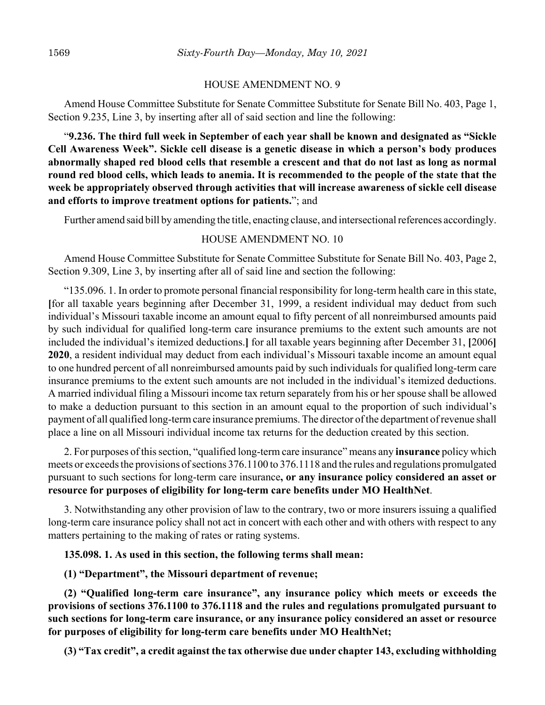#### HOUSE AMENDMENT NO. 9

Amend House Committee Substitute for Senate Committee Substitute for Senate Bill No. 403, Page 1, Section 9.235, Line 3, by inserting after all of said section and line the following:

"**9.236. The third full week in September of each year shall be known and designated as "Sickle Cell Awareness Week". Sickle cell disease is a genetic disease in which a person's body produces abnormally shaped red blood cells that resemble a crescent and that do not last as long as normal round red blood cells, which leads to anemia. It is recommended to the people of the state that the week be appropriately observed through activities that will increase awareness of sickle cell disease and efforts to improve treatment options for patients.**"; and

Further amend said bill by amending the title, enacting clause, and intersectional references accordingly.

## HOUSE AMENDMENT NO. 10

Amend House Committee Substitute for Senate Committee Substitute for Senate Bill No. 403, Page 2, Section 9.309, Line 3, by inserting after all of said line and section the following:

"135.096. 1. In order to promote personal financial responsibility for long-term health care in this state, **[**for all taxable years beginning after December 31, 1999, a resident individual may deduct from such individual's Missouri taxable income an amount equal to fifty percent of all nonreimbursed amounts paid by such individual for qualified long-term care insurance premiums to the extent such amounts are not included the individual's itemized deductions.**]** for all taxable years beginning after December 31, **[**2006**] 2020**, a resident individual may deduct from each individual's Missouri taxable income an amount equal to one hundred percent of all nonreimbursed amounts paid by such individuals for qualified long-term care insurance premiums to the extent such amounts are not included in the individual's itemized deductions. A married individual filing a Missouri income tax return separately from his or her spouse shall be allowed to make a deduction pursuant to this section in an amount equal to the proportion of such individual's payment of all qualified long-term care insurance premiums. The director of the department of revenue shall place a line on all Missouri individual income tax returns for the deduction created by this section.

2. For purposes of this section, "qualified long-term care insurance" means any **insurance** policy which meets or exceeds the provisions of sections 376.1100 to 376.1118 and the rules and regulations promulgated pursuant to such sections for long-term care insurance**, or any insurance policy considered an asset or resource for purposes of eligibility for long-term care benefits under MO HealthNet**.

3. Notwithstanding any other provision of law to the contrary, two or more insurers issuing a qualified long-term care insurance policy shall not act in concert with each other and with others with respect to any matters pertaining to the making of rates or rating systems.

## **135.098. 1. As used in this section, the following terms shall mean:**

# **(1) "Department", the Missouri department of revenue;**

**(2) "Qualified long-term care insurance", any insurance policy which meets or exceeds the provisions of sections 376.1100 to 376.1118 and the rules and regulations promulgated pursuant to such sections for long-term care insurance, or any insurance policy considered an asset or resource for purposes of eligibility for long-term care benefits under MO HealthNet;**

**(3) "Tax credit", a credit against the tax otherwise due under chapter 143, excluding withholding**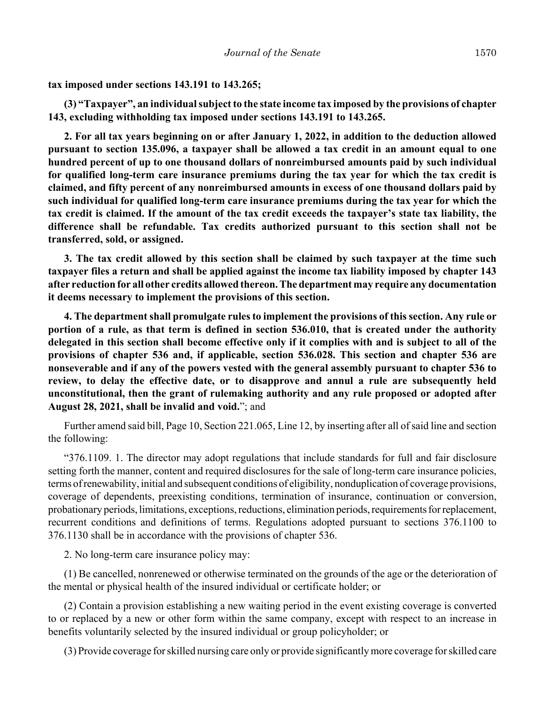**tax imposed under sections 143.191 to 143.265;**

**(3) "Taxpayer", an individual subject to the state income tax imposed by the provisions of chapter 143, excluding withholding tax imposed under sections 143.191 to 143.265.**

**2. For all tax years beginning on or after January 1, 2022, in addition to the deduction allowed pursuant to section 135.096, a taxpayer shall be allowed a tax credit in an amount equal to one hundred percent of up to one thousand dollars of nonreimbursed amounts paid by such individual for qualified long-term care insurance premiums during the tax year for which the tax credit is claimed, and fifty percent of any nonreimbursed amounts in excess of one thousand dollars paid by such individual for qualified long-term care insurance premiums during the tax year for which the tax credit is claimed. If the amount of the tax credit exceeds the taxpayer's state tax liability, the difference shall be refundable. Tax credits authorized pursuant to this section shall not be transferred, sold, or assigned.**

**3. The tax credit allowed by this section shall be claimed by such taxpayer at the time such taxpayer files a return and shall be applied against the income tax liability imposed by chapter 143 after reduction for all other credits allowed thereon. The department may require any documentation it deems necessary to implement the provisions of this section.**

**4. The department shall promulgate rules to implement the provisions of this section. Any rule or portion of a rule, as that term is defined in section 536.010, that is created under the authority delegated in this section shall become effective only if it complies with and is subject to all of the provisions of chapter 536 and, if applicable, section 536.028. This section and chapter 536 are nonseverable and if any of the powers vested with the general assembly pursuant to chapter 536 to review, to delay the effective date, or to disapprove and annul a rule are subsequently held unconstitutional, then the grant of rulemaking authority and any rule proposed or adopted after August 28, 2021, shall be invalid and void.**"; and

Further amend said bill, Page 10, Section 221.065, Line 12, by inserting after all of said line and section the following:

"376.1109. 1. The director may adopt regulations that include standards for full and fair disclosure setting forth the manner, content and required disclosures for the sale of long-term care insurance policies, terms of renewability, initial and subsequent conditions of eligibility, nonduplication of coverage provisions, coverage of dependents, preexisting conditions, termination of insurance, continuation or conversion, probationary periods, limitations, exceptions, reductions, elimination periods, requirements for replacement, recurrent conditions and definitions of terms. Regulations adopted pursuant to sections 376.1100 to 376.1130 shall be in accordance with the provisions of chapter 536.

2. No long-term care insurance policy may:

(1) Be cancelled, nonrenewed or otherwise terminated on the grounds of the age or the deterioration of the mental or physical health of the insured individual or certificate holder; or

(2) Contain a provision establishing a new waiting period in the event existing coverage is converted to or replaced by a new or other form within the same company, except with respect to an increase in benefits voluntarily selected by the insured individual or group policyholder; or

(3) Provide coverage for skilled nursing care only or provide significantly more coverage for skilled care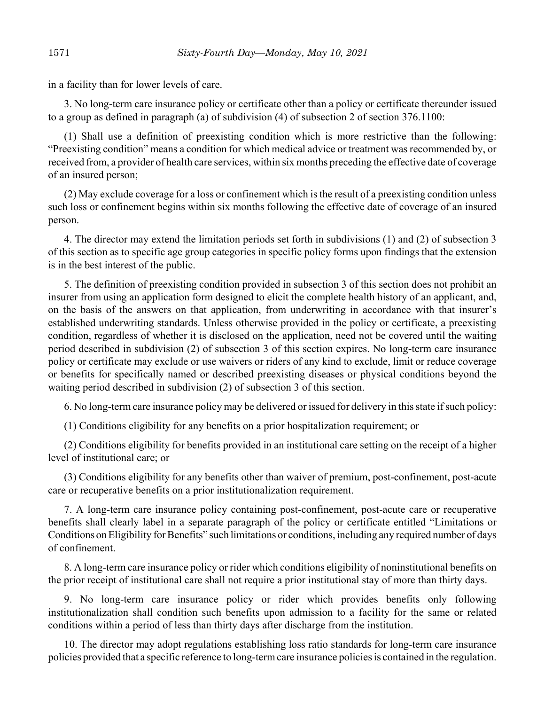in a facility than for lower levels of care.

3. No long-term care insurance policy or certificate other than a policy or certificate thereunder issued to a group as defined in paragraph (a) of subdivision (4) of subsection 2 of section 376.1100:

(1) Shall use a definition of preexisting condition which is more restrictive than the following: "Preexisting condition" means a condition for which medical advice or treatment was recommended by, or received from, a provider of health care services, within six months preceding the effective date of coverage of an insured person;

(2) May exclude coverage for a loss or confinement which is the result of a preexisting condition unless such loss or confinement begins within six months following the effective date of coverage of an insured person.

4. The director may extend the limitation periods set forth in subdivisions (1) and (2) of subsection 3 of this section as to specific age group categories in specific policy forms upon findings that the extension is in the best interest of the public.

5. The definition of preexisting condition provided in subsection 3 of this section does not prohibit an insurer from using an application form designed to elicit the complete health history of an applicant, and, on the basis of the answers on that application, from underwriting in accordance with that insurer's established underwriting standards. Unless otherwise provided in the policy or certificate, a preexisting condition, regardless of whether it is disclosed on the application, need not be covered until the waiting period described in subdivision (2) of subsection 3 of this section expires. No long-term care insurance policy or certificate may exclude or use waivers or riders of any kind to exclude, limit or reduce coverage or benefits for specifically named or described preexisting diseases or physical conditions beyond the waiting period described in subdivision (2) of subsection 3 of this section.

6. No long-term care insurance policy may be delivered or issued for delivery in this state if such policy:

(1) Conditions eligibility for any benefits on a prior hospitalization requirement; or

(2) Conditions eligibility for benefits provided in an institutional care setting on the receipt of a higher level of institutional care; or

(3) Conditions eligibility for any benefits other than waiver of premium, post-confinement, post-acute care or recuperative benefits on a prior institutionalization requirement.

7. A long-term care insurance policy containing post-confinement, post-acute care or recuperative benefits shall clearly label in a separate paragraph of the policy or certificate entitled "Limitations or Conditions on Eligibility for Benefits" such limitations or conditions, including any required number of days of confinement.

8. A long-term care insurance policy or rider which conditions eligibility of noninstitutional benefits on the prior receipt of institutional care shall not require a prior institutional stay of more than thirty days.

9. No long-term care insurance policy or rider which provides benefits only following institutionalization shall condition such benefits upon admission to a facility for the same or related conditions within a period of less than thirty days after discharge from the institution.

10. The director may adopt regulations establishing loss ratio standards for long-term care insurance policies provided that a specific reference to long-term care insurance policies is contained in the regulation.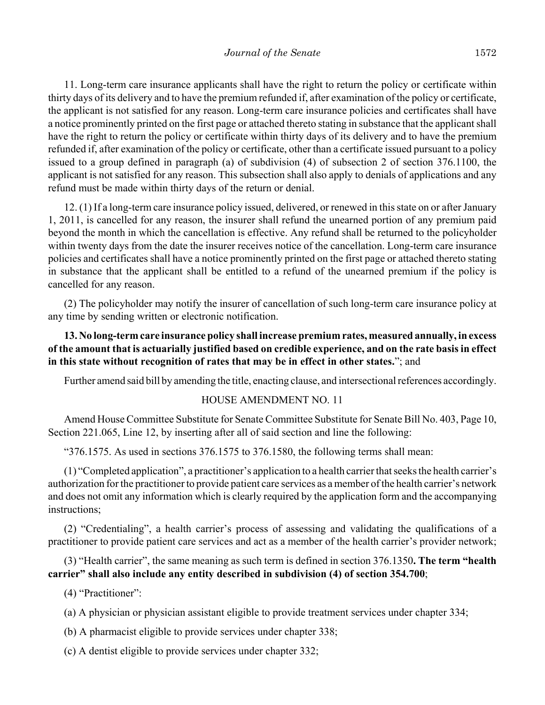11. Long-term care insurance applicants shall have the right to return the policy or certificate within thirty days of its delivery and to have the premium refunded if, after examination of the policy or certificate, the applicant is not satisfied for any reason. Long-term care insurance policies and certificates shall have a notice prominently printed on the first page or attached thereto stating in substance that the applicant shall have the right to return the policy or certificate within thirty days of its delivery and to have the premium refunded if, after examination of the policy or certificate, other than a certificate issued pursuant to a policy issued to a group defined in paragraph (a) of subdivision (4) of subsection 2 of section 376.1100, the applicant is not satisfied for any reason. This subsection shall also apply to denials of applications and any refund must be made within thirty days of the return or denial.

12. (1) If a long-term care insurance policy issued, delivered, or renewed in this state on or after January 1, 2011, is cancelled for any reason, the insurer shall refund the unearned portion of any premium paid beyond the month in which the cancellation is effective. Any refund shall be returned to the policyholder within twenty days from the date the insurer receives notice of the cancellation. Long-term care insurance policies and certificates shall have a notice prominently printed on the first page or attached thereto stating in substance that the applicant shall be entitled to a refund of the unearned premium if the policy is cancelled for any reason.

(2) The policyholder may notify the insurer of cancellation of such long-term care insurance policy at any time by sending written or electronic notification.

# **13. No long-term care insurance policy shall increase premium rates, measured annually, in excess of the amount that is actuarially justified based on credible experience, and on the rate basis in effect in this state without recognition of rates that may be in effect in other states.**"; and

Further amend said bill by amending the title, enacting clause, and intersectional references accordingly.

#### HOUSE AMENDMENT NO. 11

Amend House Committee Substitute for Senate Committee Substitute for Senate Bill No. 403, Page 10, Section 221.065, Line 12, by inserting after all of said section and line the following:

"376.1575. As used in sections 376.1575 to 376.1580, the following terms shall mean:

(1) "Completed application", a practitioner's application to a health carrier that seeks the health carrier's authorization for the practitioner to provide patient care services as a member of the health carrier's network and does not omit any information which is clearly required by the application form and the accompanying instructions;

(2) "Credentialing", a health carrier's process of assessing and validating the qualifications of a practitioner to provide patient care services and act as a member of the health carrier's provider network;

(3) "Health carrier", the same meaning as such term is defined in section 376.1350**. The term "health carrier" shall also include any entity described in subdivision (4) of section 354.700**;

(4) "Practitioner":

(a) A physician or physician assistant eligible to provide treatment services under chapter 334;

(b) A pharmacist eligible to provide services under chapter 338;

(c) A dentist eligible to provide services under chapter 332;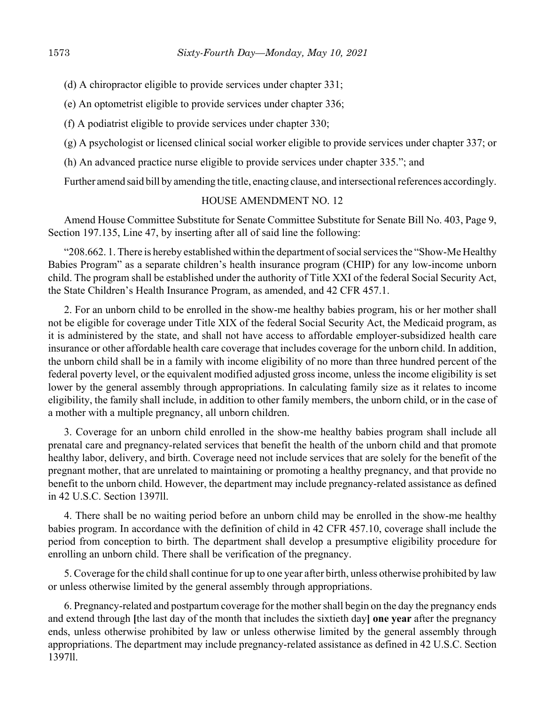- (d) A chiropractor eligible to provide services under chapter 331;
- (e) An optometrist eligible to provide services under chapter 336;
- (f) A podiatrist eligible to provide services under chapter 330;
- (g) A psychologist or licensed clinical social worker eligible to provide services under chapter 337; or
- (h) An advanced practice nurse eligible to provide services under chapter 335."; and

Further amend said bill by amending the title, enacting clause, and intersectional references accordingly.

## HOUSE AMENDMENT NO. 12

Amend House Committee Substitute for Senate Committee Substitute for Senate Bill No. 403, Page 9, Section 197.135, Line 47, by inserting after all of said line the following:

"208.662. 1. There is hereby established within the department of social services the "Show-Me Healthy Babies Program" as a separate children's health insurance program (CHIP) for any low-income unborn child. The program shall be established under the authority of Title XXI of the federal Social Security Act, the State Children's Health Insurance Program, as amended, and 42 CFR 457.1.

2. For an unborn child to be enrolled in the show-me healthy babies program, his or her mother shall not be eligible for coverage under Title XIX of the federal Social Security Act, the Medicaid program, as it is administered by the state, and shall not have access to affordable employer-subsidized health care insurance or other affordable health care coverage that includes coverage for the unborn child. In addition, the unborn child shall be in a family with income eligibility of no more than three hundred percent of the federal poverty level, or the equivalent modified adjusted gross income, unless the income eligibility is set lower by the general assembly through appropriations. In calculating family size as it relates to income eligibility, the family shall include, in addition to other family members, the unborn child, or in the case of a mother with a multiple pregnancy, all unborn children.

3. Coverage for an unborn child enrolled in the show-me healthy babies program shall include all prenatal care and pregnancy-related services that benefit the health of the unborn child and that promote healthy labor, delivery, and birth. Coverage need not include services that are solely for the benefit of the pregnant mother, that are unrelated to maintaining or promoting a healthy pregnancy, and that provide no benefit to the unborn child. However, the department may include pregnancy-related assistance as defined in 42 U.S.C. Section 1397ll.

4. There shall be no waiting period before an unborn child may be enrolled in the show-me healthy babies program. In accordance with the definition of child in 42 CFR 457.10, coverage shall include the period from conception to birth. The department shall develop a presumptive eligibility procedure for enrolling an unborn child. There shall be verification of the pregnancy.

5. Coverage for the child shall continue for up to one year after birth, unless otherwise prohibited by law or unless otherwise limited by the general assembly through appropriations.

6. Pregnancy-related and postpartum coverage for the mother shall begin on the day the pregnancy ends and extend through **[**the last day of the month that includes the sixtieth day**] one year** after the pregnancy ends, unless otherwise prohibited by law or unless otherwise limited by the general assembly through appropriations. The department may include pregnancy-related assistance as defined in 42 U.S.C. Section 1397ll.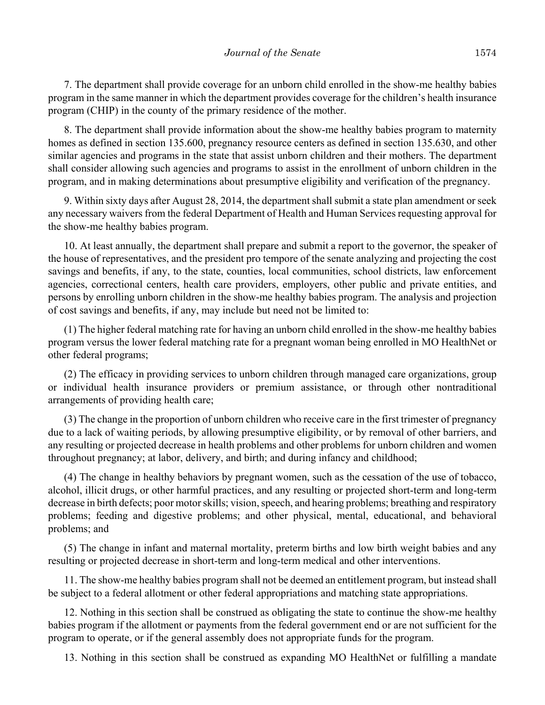7. The department shall provide coverage for an unborn child enrolled in the show-me healthy babies program in the same manner in which the department provides coverage for the children's health insurance program (CHIP) in the county of the primary residence of the mother.

8. The department shall provide information about the show-me healthy babies program to maternity homes as defined in section 135.600, pregnancy resource centers as defined in section 135.630, and other similar agencies and programs in the state that assist unborn children and their mothers. The department shall consider allowing such agencies and programs to assist in the enrollment of unborn children in the program, and in making determinations about presumptive eligibility and verification of the pregnancy.

9. Within sixty days after August 28, 2014, the department shall submit a state plan amendment or seek any necessary waivers from the federal Department of Health and Human Services requesting approval for the show-me healthy babies program.

10. At least annually, the department shall prepare and submit a report to the governor, the speaker of the house of representatives, and the president pro tempore of the senate analyzing and projecting the cost savings and benefits, if any, to the state, counties, local communities, school districts, law enforcement agencies, correctional centers, health care providers, employers, other public and private entities, and persons by enrolling unborn children in the show-me healthy babies program. The analysis and projection of cost savings and benefits, if any, may include but need not be limited to:

(1) The higher federal matching rate for having an unborn child enrolled in the show-me healthy babies program versus the lower federal matching rate for a pregnant woman being enrolled in MO HealthNet or other federal programs;

(2) The efficacy in providing services to unborn children through managed care organizations, group or individual health insurance providers or premium assistance, or through other nontraditional arrangements of providing health care;

(3) The change in the proportion of unborn children who receive care in the first trimester of pregnancy due to a lack of waiting periods, by allowing presumptive eligibility, or by removal of other barriers, and any resulting or projected decrease in health problems and other problems for unborn children and women throughout pregnancy; at labor, delivery, and birth; and during infancy and childhood;

(4) The change in healthy behaviors by pregnant women, such as the cessation of the use of tobacco, alcohol, illicit drugs, or other harmful practices, and any resulting or projected short-term and long-term decrease in birth defects; poor motor skills; vision, speech, and hearing problems; breathing and respiratory problems; feeding and digestive problems; and other physical, mental, educational, and behavioral problems; and

(5) The change in infant and maternal mortality, preterm births and low birth weight babies and any resulting or projected decrease in short-term and long-term medical and other interventions.

11. The show-me healthy babies program shall not be deemed an entitlement program, but instead shall be subject to a federal allotment or other federal appropriations and matching state appropriations.

12. Nothing in this section shall be construed as obligating the state to continue the show-me healthy babies program if the allotment or payments from the federal government end or are not sufficient for the program to operate, or if the general assembly does not appropriate funds for the program.

13. Nothing in this section shall be construed as expanding MO HealthNet or fulfilling a mandate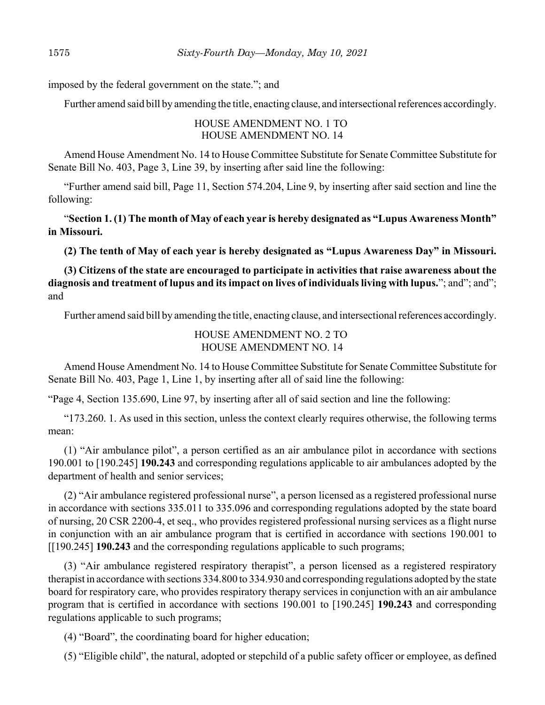imposed by the federal government on the state."; and

Further amend said bill by amending the title, enacting clause, and intersectional references accordingly.

HOUSE AMENDMENT NO. 1 TO HOUSE AMENDMENT NO. 14

Amend House Amendment No. 14 to House Committee Substitute for Senate Committee Substitute for Senate Bill No. 403, Page 3, Line 39, by inserting after said line the following:

"Further amend said bill, Page 11, Section 574.204, Line 9, by inserting after said section and line the following:

"**Section 1. (1) The month of May of each year is hereby designated as "Lupus Awareness Month" in Missouri.** 

**(2) The tenth of May of each year is hereby designated as "Lupus Awareness Day" in Missouri.**

**(3) Citizens of the state are encouraged to participate in activities that raise awareness about the diagnosis and treatment of lupus and its impact on lives of individuals living with lupus.**"; and"; and"; and

Further amend said bill by amending the title, enacting clause, and intersectional references accordingly.

# HOUSE AMENDMENT NO. 2 TO HOUSE AMENDMENT NO. 14

Amend House Amendment No. 14 to House Committee Substitute for Senate Committee Substitute for Senate Bill No. 403, Page 1, Line 1, by inserting after all of said line the following:

"Page 4, Section 135.690, Line 97, by inserting after all of said section and line the following:

"173.260. 1. As used in this section, unless the context clearly requires otherwise, the following terms mean:

(1) "Air ambulance pilot", a person certified as an air ambulance pilot in accordance with sections 190.001 to [190.245] **190.243** and corresponding regulations applicable to air ambulances adopted by the department of health and senior services;

(2) "Air ambulance registered professional nurse", a person licensed as a registered professional nurse in accordance with sections 335.011 to 335.096 and corresponding regulations adopted by the state board of nursing, 20 CSR 2200-4, et seq., who provides registered professional nursing services as a flight nurse in conjunction with an air ambulance program that is certified in accordance with sections 190.001 to [[190.245] **190.243** and the corresponding regulations applicable to such programs;

(3) "Air ambulance registered respiratory therapist", a person licensed as a registered respiratory therapist in accordance with sections 334.800 to 334.930 and corresponding regulations adopted by the state board for respiratory care, who provides respiratory therapy services in conjunction with an air ambulance program that is certified in accordance with sections 190.001 to [190.245] **190.243** and corresponding regulations applicable to such programs;

(4) "Board", the coordinating board for higher education;

(5) "Eligible child", the natural, adopted or stepchild of a public safety officer or employee, as defined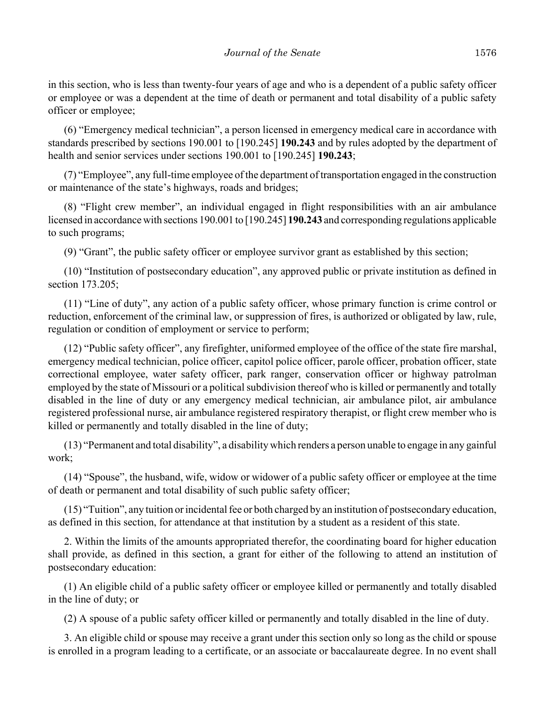in this section, who is less than twenty-four years of age and who is a dependent of a public safety officer or employee or was a dependent at the time of death or permanent and total disability of a public safety officer or employee;

(6) "Emergency medical technician", a person licensed in emergency medical care in accordance with standards prescribed by sections 190.001 to [190.245] **190.243** and by rules adopted by the department of health and senior services under sections 190.001 to [190.245] **190.243**;

(7) "Employee", any full-time employee of the department of transportation engaged in the construction or maintenance of the state's highways, roads and bridges;

(8) "Flight crew member", an individual engaged in flight responsibilities with an air ambulance licensed in accordance with sections 190.001 to [190.245] **190.243** and corresponding regulations applicable to such programs;

(9) "Grant", the public safety officer or employee survivor grant as established by this section;

(10) "Institution of postsecondary education", any approved public or private institution as defined in section 173.205;

(11) "Line of duty", any action of a public safety officer, whose primary function is crime control or reduction, enforcement of the criminal law, or suppression of fires, is authorized or obligated by law, rule, regulation or condition of employment or service to perform;

(12) "Public safety officer", any firefighter, uniformed employee of the office of the state fire marshal, emergency medical technician, police officer, capitol police officer, parole officer, probation officer, state correctional employee, water safety officer, park ranger, conservation officer or highway patrolman employed by the state of Missouri or a political subdivision thereof who is killed or permanently and totally disabled in the line of duty or any emergency medical technician, air ambulance pilot, air ambulance registered professional nurse, air ambulance registered respiratory therapist, or flight crew member who is killed or permanently and totally disabled in the line of duty;

(13) "Permanent and total disability", a disability which renders a person unable to engage in any gainful work;

(14) "Spouse", the husband, wife, widow or widower of a public safety officer or employee at the time of death or permanent and total disability of such public safety officer;

(15) "Tuition", any tuition or incidental fee or both charged by an institution of postsecondary education, as defined in this section, for attendance at that institution by a student as a resident of this state.

2. Within the limits of the amounts appropriated therefor, the coordinating board for higher education shall provide, as defined in this section, a grant for either of the following to attend an institution of postsecondary education:

(1) An eligible child of a public safety officer or employee killed or permanently and totally disabled in the line of duty; or

(2) A spouse of a public safety officer killed or permanently and totally disabled in the line of duty.

3. An eligible child or spouse may receive a grant under this section only so long as the child or spouse is enrolled in a program leading to a certificate, or an associate or baccalaureate degree. In no event shall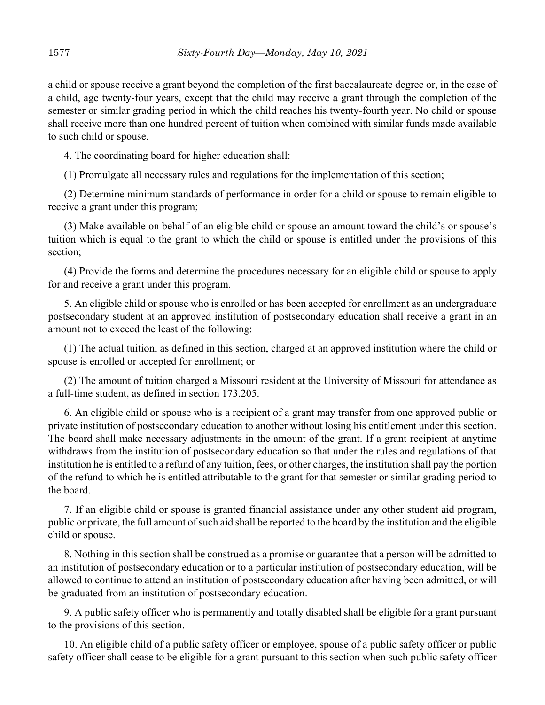a child or spouse receive a grant beyond the completion of the first baccalaureate degree or, in the case of a child, age twenty-four years, except that the child may receive a grant through the completion of the semester or similar grading period in which the child reaches his twenty-fourth year. No child or spouse shall receive more than one hundred percent of tuition when combined with similar funds made available to such child or spouse.

4. The coordinating board for higher education shall:

(1) Promulgate all necessary rules and regulations for the implementation of this section;

(2) Determine minimum standards of performance in order for a child or spouse to remain eligible to receive a grant under this program;

(3) Make available on behalf of an eligible child or spouse an amount toward the child's or spouse's tuition which is equal to the grant to which the child or spouse is entitled under the provisions of this section;

(4) Provide the forms and determine the procedures necessary for an eligible child or spouse to apply for and receive a grant under this program.

5. An eligible child or spouse who is enrolled or has been accepted for enrollment as an undergraduate postsecondary student at an approved institution of postsecondary education shall receive a grant in an amount not to exceed the least of the following:

(1) The actual tuition, as defined in this section, charged at an approved institution where the child or spouse is enrolled or accepted for enrollment; or

(2) The amount of tuition charged a Missouri resident at the University of Missouri for attendance as a full-time student, as defined in section 173.205.

6. An eligible child or spouse who is a recipient of a grant may transfer from one approved public or private institution of postsecondary education to another without losing his entitlement under this section. The board shall make necessary adjustments in the amount of the grant. If a grant recipient at anytime withdraws from the institution of postsecondary education so that under the rules and regulations of that institution he is entitled to a refund of any tuition, fees, or other charges, the institution shall pay the portion of the refund to which he is entitled attributable to the grant for that semester or similar grading period to the board.

7. If an eligible child or spouse is granted financial assistance under any other student aid program, public or private, the full amount of such aid shall be reported to the board by the institution and the eligible child or spouse.

8. Nothing in this section shall be construed as a promise or guarantee that a person will be admitted to an institution of postsecondary education or to a particular institution of postsecondary education, will be allowed to continue to attend an institution of postsecondary education after having been admitted, or will be graduated from an institution of postsecondary education.

9. A public safety officer who is permanently and totally disabled shall be eligible for a grant pursuant to the provisions of this section.

10. An eligible child of a public safety officer or employee, spouse of a public safety officer or public safety officer shall cease to be eligible for a grant pursuant to this section when such public safety officer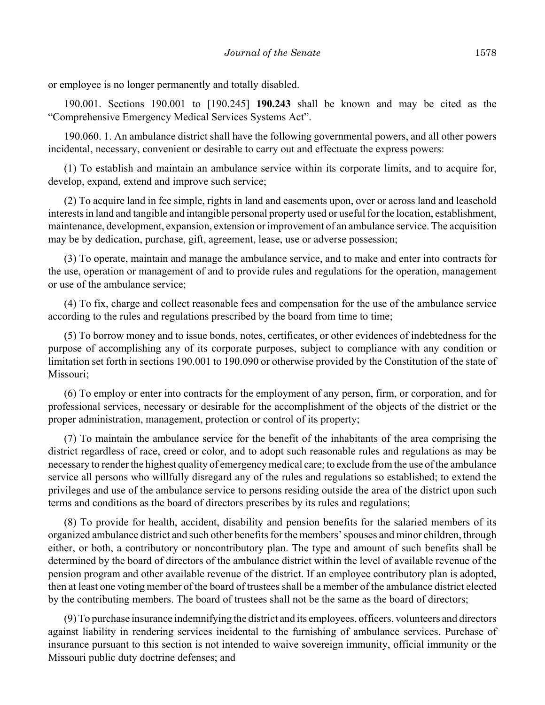or employee is no longer permanently and totally disabled.

190.001. Sections 190.001 to [190.245] **190.243** shall be known and may be cited as the "Comprehensive Emergency Medical Services Systems Act".

190.060. 1. An ambulance district shall have the following governmental powers, and all other powers incidental, necessary, convenient or desirable to carry out and effectuate the express powers:

(1) To establish and maintain an ambulance service within its corporate limits, and to acquire for, develop, expand, extend and improve such service;

(2) To acquire land in fee simple, rights in land and easements upon, over or across land and leasehold interests in land and tangible and intangible personal property used or useful for the location, establishment, maintenance, development, expansion, extension or improvement of an ambulance service. The acquisition may be by dedication, purchase, gift, agreement, lease, use or adverse possession;

(3) To operate, maintain and manage the ambulance service, and to make and enter into contracts for the use, operation or management of and to provide rules and regulations for the operation, management or use of the ambulance service;

(4) To fix, charge and collect reasonable fees and compensation for the use of the ambulance service according to the rules and regulations prescribed by the board from time to time;

(5) To borrow money and to issue bonds, notes, certificates, or other evidences of indebtedness for the purpose of accomplishing any of its corporate purposes, subject to compliance with any condition or limitation set forth in sections 190.001 to 190.090 or otherwise provided by the Constitution of the state of Missouri;

(6) To employ or enter into contracts for the employment of any person, firm, or corporation, and for professional services, necessary or desirable for the accomplishment of the objects of the district or the proper administration, management, protection or control of its property;

(7) To maintain the ambulance service for the benefit of the inhabitants of the area comprising the district regardless of race, creed or color, and to adopt such reasonable rules and regulations as may be necessary to render the highest quality of emergency medical care; to exclude from the use of the ambulance service all persons who willfully disregard any of the rules and regulations so established; to extend the privileges and use of the ambulance service to persons residing outside the area of the district upon such terms and conditions as the board of directors prescribes by its rules and regulations;

(8) To provide for health, accident, disability and pension benefits for the salaried members of its organized ambulance district and such other benefits for the members' spouses and minor children, through either, or both, a contributory or noncontributory plan. The type and amount of such benefits shall be determined by the board of directors of the ambulance district within the level of available revenue of the pension program and other available revenue of the district. If an employee contributory plan is adopted, then at least one voting member of the board of trustees shall be a member of the ambulance district elected by the contributing members. The board of trustees shall not be the same as the board of directors;

(9) To purchase insurance indemnifying the district and its employees, officers, volunteers and directors against liability in rendering services incidental to the furnishing of ambulance services. Purchase of insurance pursuant to this section is not intended to waive sovereign immunity, official immunity or the Missouri public duty doctrine defenses; and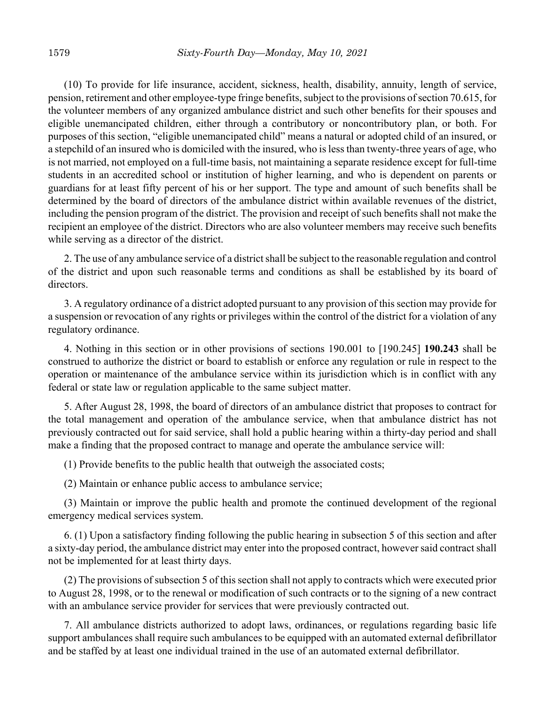(10) To provide for life insurance, accident, sickness, health, disability, annuity, length of service, pension, retirement and other employee-type fringe benefits, subject to the provisions of section 70.615, for the volunteer members of any organized ambulance district and such other benefits for their spouses and eligible unemancipated children, either through a contributory or noncontributory plan, or both. For purposes of this section, "eligible unemancipated child" means a natural or adopted child of an insured, or a stepchild of an insured who is domiciled with the insured, who is less than twenty-three years of age, who is not married, not employed on a full-time basis, not maintaining a separate residence except for full-time students in an accredited school or institution of higher learning, and who is dependent on parents or guardians for at least fifty percent of his or her support. The type and amount of such benefits shall be determined by the board of directors of the ambulance district within available revenues of the district, including the pension program of the district. The provision and receipt of such benefits shall not make the recipient an employee of the district. Directors who are also volunteer members may receive such benefits while serving as a director of the district.

2. The use of any ambulance service of a district shall be subject to the reasonable regulation and control of the district and upon such reasonable terms and conditions as shall be established by its board of directors.

3. A regulatory ordinance of a district adopted pursuant to any provision of this section may provide for a suspension or revocation of any rights or privileges within the control of the district for a violation of any regulatory ordinance.

4. Nothing in this section or in other provisions of sections 190.001 to [190.245] **190.243** shall be construed to authorize the district or board to establish or enforce any regulation or rule in respect to the operation or maintenance of the ambulance service within its jurisdiction which is in conflict with any federal or state law or regulation applicable to the same subject matter.

5. After August 28, 1998, the board of directors of an ambulance district that proposes to contract for the total management and operation of the ambulance service, when that ambulance district has not previously contracted out for said service, shall hold a public hearing within a thirty-day period and shall make a finding that the proposed contract to manage and operate the ambulance service will:

(1) Provide benefits to the public health that outweigh the associated costs;

(2) Maintain or enhance public access to ambulance service;

(3) Maintain or improve the public health and promote the continued development of the regional emergency medical services system.

6. (1) Upon a satisfactory finding following the public hearing in subsection 5 of this section and after a sixty-day period, the ambulance district may enter into the proposed contract, however said contract shall not be implemented for at least thirty days.

(2) The provisions of subsection 5 of this section shall not apply to contracts which were executed prior to August 28, 1998, or to the renewal or modification of such contracts or to the signing of a new contract with an ambulance service provider for services that were previously contracted out.

7. All ambulance districts authorized to adopt laws, ordinances, or regulations regarding basic life support ambulances shall require such ambulances to be equipped with an automated external defibrillator and be staffed by at least one individual trained in the use of an automated external defibrillator.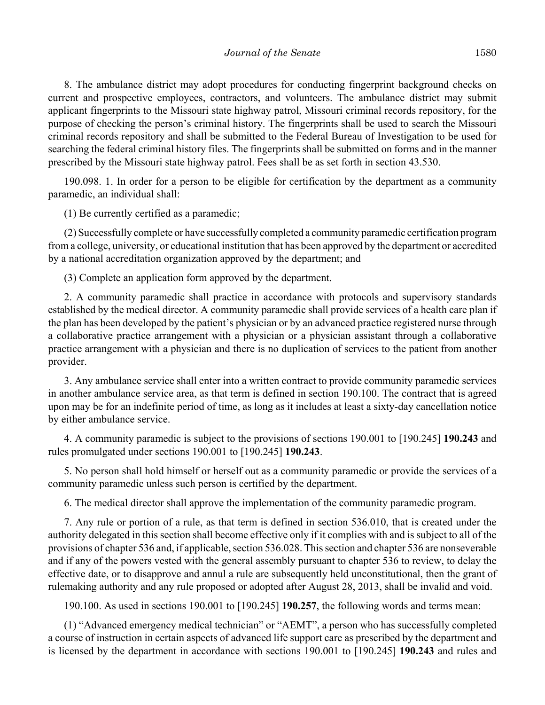8. The ambulance district may adopt procedures for conducting fingerprint background checks on current and prospective employees, contractors, and volunteers. The ambulance district may submit applicant fingerprints to the Missouri state highway patrol, Missouri criminal records repository, for the purpose of checking the person's criminal history. The fingerprints shall be used to search the Missouri criminal records repository and shall be submitted to the Federal Bureau of Investigation to be used for searching the federal criminal history files. The fingerprints shall be submitted on forms and in the manner prescribed by the Missouri state highway patrol. Fees shall be as set forth in section 43.530.

190.098. 1. In order for a person to be eligible for certification by the department as a community paramedic, an individual shall:

(1) Be currently certified as a paramedic;

(2) Successfully complete or have successfully completed a community paramedic certification program from a college, university, or educational institution that has been approved by the department or accredited by a national accreditation organization approved by the department; and

(3) Complete an application form approved by the department.

2. A community paramedic shall practice in accordance with protocols and supervisory standards established by the medical director. A community paramedic shall provide services of a health care plan if the plan has been developed by the patient's physician or by an advanced practice registered nurse through a collaborative practice arrangement with a physician or a physician assistant through a collaborative practice arrangement with a physician and there is no duplication of services to the patient from another provider.

3. Any ambulance service shall enter into a written contract to provide community paramedic services in another ambulance service area, as that term is defined in section 190.100. The contract that is agreed upon may be for an indefinite period of time, as long as it includes at least a sixty-day cancellation notice by either ambulance service.

4. A community paramedic is subject to the provisions of sections 190.001 to [190.245] **190.243** and rules promulgated under sections 190.001 to [190.245] **190.243**.

5. No person shall hold himself or herself out as a community paramedic or provide the services of a community paramedic unless such person is certified by the department.

6. The medical director shall approve the implementation of the community paramedic program.

7. Any rule or portion of a rule, as that term is defined in section 536.010, that is created under the authority delegated in this section shall become effective only if it complies with and is subject to all of the provisions of chapter 536 and, if applicable, section 536.028. This section and chapter 536 are nonseverable and if any of the powers vested with the general assembly pursuant to chapter 536 to review, to delay the effective date, or to disapprove and annul a rule are subsequently held unconstitutional, then the grant of rulemaking authority and any rule proposed or adopted after August 28, 2013, shall be invalid and void.

190.100. As used in sections 190.001 to [190.245] **190.257**, the following words and terms mean:

(1) "Advanced emergency medical technician" or "AEMT", a person who has successfully completed a course of instruction in certain aspects of advanced life support care as prescribed by the department and is licensed by the department in accordance with sections 190.001 to [190.245] **190.243** and rules and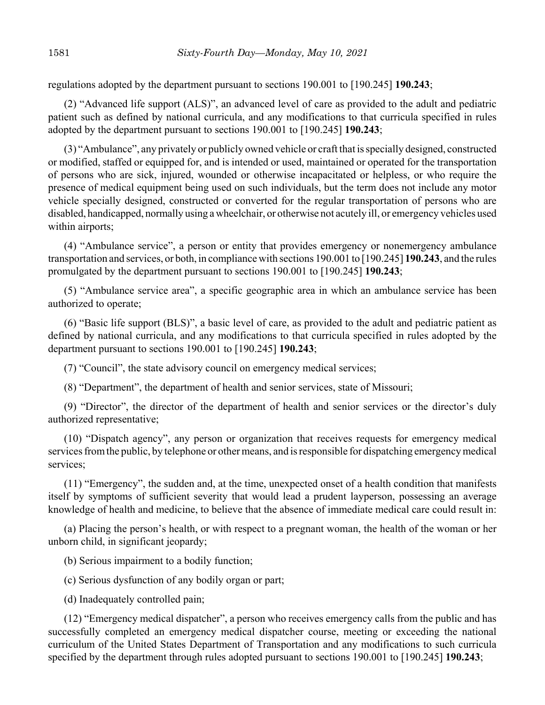regulations adopted by the department pursuant to sections 190.001 to [190.245] **190.243**;

(2) "Advanced life support (ALS)", an advanced level of care as provided to the adult and pediatric patient such as defined by national curricula, and any modifications to that curricula specified in rules adopted by the department pursuant to sections 190.001 to [190.245] **190.243**;

(3) "Ambulance", any privately or publicly owned vehicle or craft that is specially designed, constructed or modified, staffed or equipped for, and is intended or used, maintained or operated for the transportation of persons who are sick, injured, wounded or otherwise incapacitated or helpless, or who require the presence of medical equipment being used on such individuals, but the term does not include any motor vehicle specially designed, constructed or converted for the regular transportation of persons who are disabled, handicapped, normally using a wheelchair, or otherwise not acutely ill, or emergency vehicles used within airports;

(4) "Ambulance service", a person or entity that provides emergency or nonemergency ambulance transportation and services, or both, in compliance with sections 190.001 to [190.245] **190.243**, and the rules promulgated by the department pursuant to sections 190.001 to [190.245] **190.243**;

(5) "Ambulance service area", a specific geographic area in which an ambulance service has been authorized to operate;

(6) "Basic life support (BLS)", a basic level of care, as provided to the adult and pediatric patient as defined by national curricula, and any modifications to that curricula specified in rules adopted by the department pursuant to sections 190.001 to [190.245] **190.243**;

(7) "Council", the state advisory council on emergency medical services;

(8) "Department", the department of health and senior services, state of Missouri;

(9) "Director", the director of the department of health and senior services or the director's duly authorized representative;

(10) "Dispatch agency", any person or organization that receives requests for emergency medical services from the public, by telephone or other means, and is responsible for dispatching emergency medical services;

(11) "Emergency", the sudden and, at the time, unexpected onset of a health condition that manifests itself by symptoms of sufficient severity that would lead a prudent layperson, possessing an average knowledge of health and medicine, to believe that the absence of immediate medical care could result in:

(a) Placing the person's health, or with respect to a pregnant woman, the health of the woman or her unborn child, in significant jeopardy;

(b) Serious impairment to a bodily function;

(c) Serious dysfunction of any bodily organ or part;

(d) Inadequately controlled pain;

(12) "Emergency medical dispatcher", a person who receives emergency calls from the public and has successfully completed an emergency medical dispatcher course, meeting or exceeding the national curriculum of the United States Department of Transportation and any modifications to such curricula specified by the department through rules adopted pursuant to sections 190.001 to [190.245] **190.243**;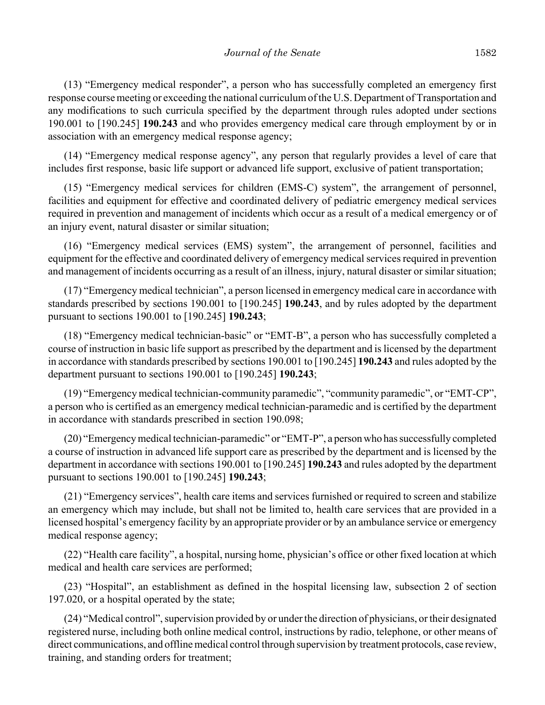(13) "Emergency medical responder", a person who has successfully completed an emergency first response course meeting or exceeding the national curriculum of the U.S. Department of Transportation and any modifications to such curricula specified by the department through rules adopted under sections 190.001 to [190.245] **190.243** and who provides emergency medical care through employment by or in association with an emergency medical response agency;

(14) "Emergency medical response agency", any person that regularly provides a level of care that includes first response, basic life support or advanced life support, exclusive of patient transportation;

(15) "Emergency medical services for children (EMS-C) system", the arrangement of personnel, facilities and equipment for effective and coordinated delivery of pediatric emergency medical services required in prevention and management of incidents which occur as a result of a medical emergency or of an injury event, natural disaster or similar situation;

(16) "Emergency medical services (EMS) system", the arrangement of personnel, facilities and equipment for the effective and coordinated delivery of emergency medical services required in prevention and management of incidents occurring as a result of an illness, injury, natural disaster or similar situation;

(17) "Emergency medical technician", a person licensed in emergency medical care in accordance with standards prescribed by sections 190.001 to [190.245] **190.243**, and by rules adopted by the department pursuant to sections 190.001 to [190.245] **190.243**;

(18) "Emergency medical technician-basic" or "EMT-B", a person who has successfully completed a course of instruction in basic life support as prescribed by the department and is licensed by the department in accordance with standards prescribed by sections 190.001 to [190.245] **190.243** and rules adopted by the department pursuant to sections 190.001 to [190.245] **190.243**;

(19) "Emergency medical technician-community paramedic", "community paramedic", or "EMT-CP", a person who is certified as an emergency medical technician-paramedic and is certified by the department in accordance with standards prescribed in section 190.098;

(20) "Emergency medical technician-paramedic" or "EMT-P", a person who has successfully completed a course of instruction in advanced life support care as prescribed by the department and is licensed by the department in accordance with sections 190.001 to [190.245] **190.243** and rules adopted by the department pursuant to sections 190.001 to [190.245] **190.243**;

(21) "Emergency services", health care items and services furnished or required to screen and stabilize an emergency which may include, but shall not be limited to, health care services that are provided in a licensed hospital's emergency facility by an appropriate provider or by an ambulance service or emergency medical response agency;

(22) "Health care facility", a hospital, nursing home, physician's office or other fixed location at which medical and health care services are performed;

(23) "Hospital", an establishment as defined in the hospital licensing law, subsection 2 of section 197.020, or a hospital operated by the state;

(24) "Medical control", supervision provided by or under the direction of physicians, or their designated registered nurse, including both online medical control, instructions by radio, telephone, or other means of direct communications, and offline medical control through supervision by treatment protocols, case review, training, and standing orders for treatment;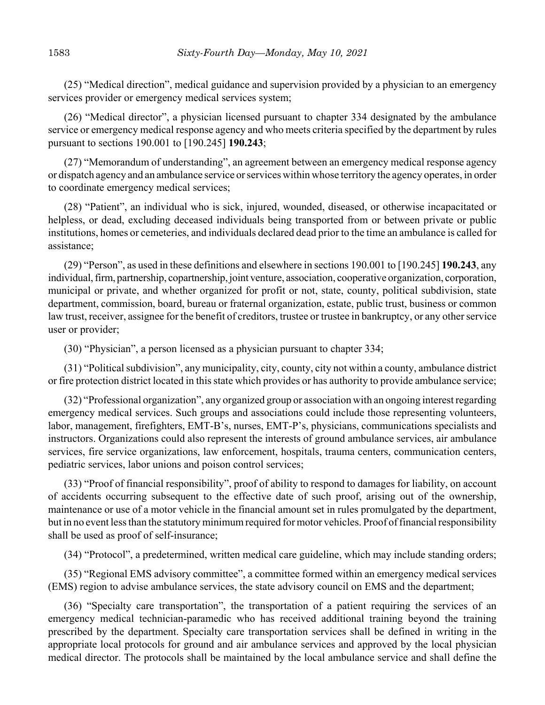(25) "Medical direction", medical guidance and supervision provided by a physician to an emergency services provider or emergency medical services system;

(26) "Medical director", a physician licensed pursuant to chapter 334 designated by the ambulance service or emergency medical response agency and who meets criteria specified by the department by rules pursuant to sections 190.001 to [190.245] **190.243**;

(27) "Memorandum of understanding", an agreement between an emergency medical response agency or dispatch agency and an ambulance service or services within whose territory the agency operates, in order to coordinate emergency medical services;

(28) "Patient", an individual who is sick, injured, wounded, diseased, or otherwise incapacitated or helpless, or dead, excluding deceased individuals being transported from or between private or public institutions, homes or cemeteries, and individuals declared dead prior to the time an ambulance is called for assistance;

(29) "Person", as used in these definitions and elsewhere in sections 190.001 to [190.245] **190.243**, any individual, firm, partnership, copartnership, joint venture, association, cooperative organization, corporation, municipal or private, and whether organized for profit or not, state, county, political subdivision, state department, commission, board, bureau or fraternal organization, estate, public trust, business or common law trust, receiver, assignee for the benefit of creditors, trustee or trustee in bankruptcy, or any other service user or provider;

(30) "Physician", a person licensed as a physician pursuant to chapter 334;

(31) "Political subdivision", any municipality, city, county, city not within a county, ambulance district or fire protection district located in this state which provides or has authority to provide ambulance service;

(32) "Professional organization", any organized group or association with an ongoing interest regarding emergency medical services. Such groups and associations could include those representing volunteers, labor, management, firefighters, EMT-B's, nurses, EMT-P's, physicians, communications specialists and instructors. Organizations could also represent the interests of ground ambulance services, air ambulance services, fire service organizations, law enforcement, hospitals, trauma centers, communication centers, pediatric services, labor unions and poison control services;

(33) "Proof of financial responsibility", proof of ability to respond to damages for liability, on account of accidents occurring subsequent to the effective date of such proof, arising out of the ownership, maintenance or use of a motor vehicle in the financial amount set in rules promulgated by the department, but in no event less than the statutory minimum required for motor vehicles. Proof of financial responsibility shall be used as proof of self-insurance;

(34) "Protocol", a predetermined, written medical care guideline, which may include standing orders;

(35) "Regional EMS advisory committee", a committee formed within an emergency medical services (EMS) region to advise ambulance services, the state advisory council on EMS and the department;

(36) "Specialty care transportation", the transportation of a patient requiring the services of an emergency medical technician-paramedic who has received additional training beyond the training prescribed by the department. Specialty care transportation services shall be defined in writing in the appropriate local protocols for ground and air ambulance services and approved by the local physician medical director. The protocols shall be maintained by the local ambulance service and shall define the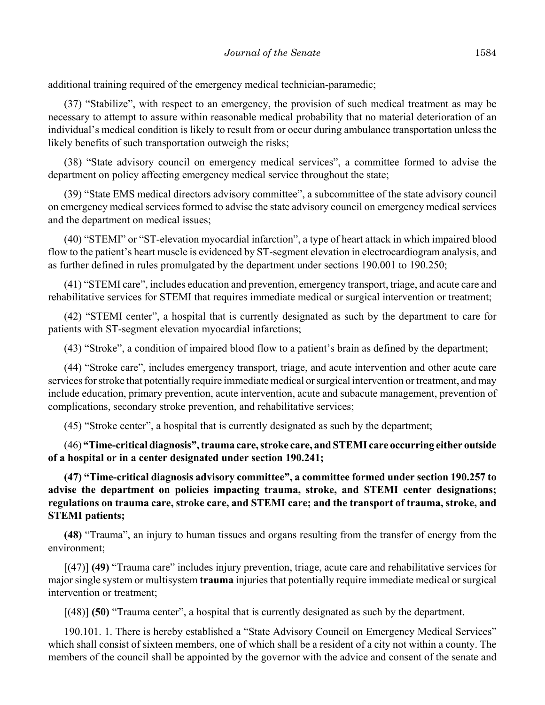additional training required of the emergency medical technician-paramedic;

(37) "Stabilize", with respect to an emergency, the provision of such medical treatment as may be necessary to attempt to assure within reasonable medical probability that no material deterioration of an individual's medical condition is likely to result from or occur during ambulance transportation unless the likely benefits of such transportation outweigh the risks;

(38) "State advisory council on emergency medical services", a committee formed to advise the department on policy affecting emergency medical service throughout the state;

(39) "State EMS medical directors advisory committee", a subcommittee of the state advisory council on emergency medical services formed to advise the state advisory council on emergency medical services and the department on medical issues;

(40) "STEMI" or "ST-elevation myocardial infarction", a type of heart attack in which impaired blood flow to the patient's heart muscle is evidenced by ST-segment elevation in electrocardiogram analysis, and as further defined in rules promulgated by the department under sections 190.001 to 190.250;

(41) "STEMI care", includes education and prevention, emergency transport, triage, and acute care and rehabilitative services for STEMI that requires immediate medical or surgical intervention or treatment;

(42) "STEMI center", a hospital that is currently designated as such by the department to care for patients with ST-segment elevation myocardial infarctions;

(43) "Stroke", a condition of impaired blood flow to a patient's brain as defined by the department;

(44) "Stroke care", includes emergency transport, triage, and acute intervention and other acute care services for stroke that potentially require immediate medical or surgical intervention or treatment, and may include education, primary prevention, acute intervention, acute and subacute management, prevention of complications, secondary stroke prevention, and rehabilitative services;

(45) "Stroke center", a hospital that is currently designated as such by the department;

(46) **"Time-critical diagnosis", trauma care, stroke care, and STEMI care occurring either outside of a hospital or in a center designated under section 190.241;**

**(47) "Time-critical diagnosis advisory committee", a committee formed under section 190.257 to advise the department on policies impacting trauma, stroke, and STEMI center designations; regulations on trauma care, stroke care, and STEMI care; and the transport of trauma, stroke, and STEMI patients;**

**(48)** "Trauma", an injury to human tissues and organs resulting from the transfer of energy from the environment;

[(47)] **(49)** "Trauma care" includes injury prevention, triage, acute care and rehabilitative services for major single system or multisystem **trauma** injuries that potentially require immediate medical or surgical intervention or treatment;

[(48)] **(50)** "Trauma center", a hospital that is currently designated as such by the department.

190.101. 1. There is hereby established a "State Advisory Council on Emergency Medical Services" which shall consist of sixteen members, one of which shall be a resident of a city not within a county. The members of the council shall be appointed by the governor with the advice and consent of the senate and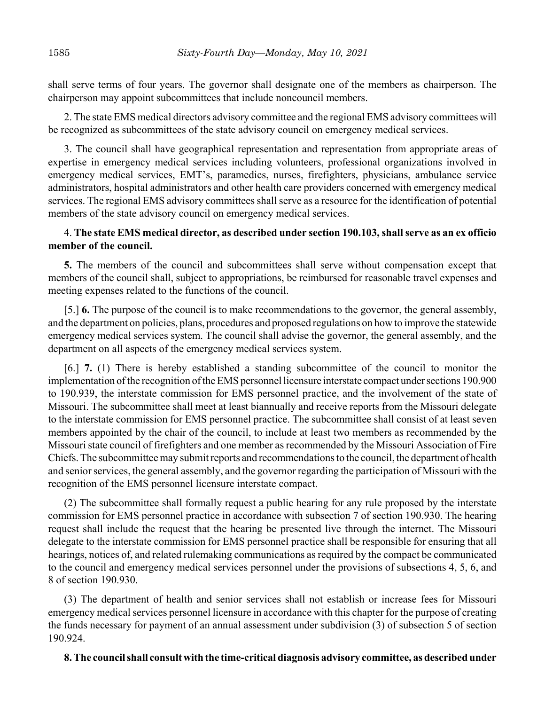shall serve terms of four years. The governor shall designate one of the members as chairperson. The chairperson may appoint subcommittees that include noncouncil members.

2. The state EMS medical directors advisory committee and the regional EMS advisory committees will be recognized as subcommittees of the state advisory council on emergency medical services.

3. The council shall have geographical representation and representation from appropriate areas of expertise in emergency medical services including volunteers, professional organizations involved in emergency medical services, EMT's, paramedics, nurses, firefighters, physicians, ambulance service administrators, hospital administrators and other health care providers concerned with emergency medical services. The regional EMS advisory committees shall serve as a resource for the identification of potential members of the state advisory council on emergency medical services.

# 4. **The state EMS medical director, as described under section 190.103, shall serve as an ex officio member of the council.**

**5.** The members of the council and subcommittees shall serve without compensation except that members of the council shall, subject to appropriations, be reimbursed for reasonable travel expenses and meeting expenses related to the functions of the council.

[5.] **6.** The purpose of the council is to make recommendations to the governor, the general assembly, and the department on policies, plans, procedures and proposed regulations on how to improve the statewide emergency medical services system. The council shall advise the governor, the general assembly, and the department on all aspects of the emergency medical services system.

[6.] **7.** (1) There is hereby established a standing subcommittee of the council to monitor the implementation of the recognition of the EMS personnel licensure interstate compact under sections 190.900 to 190.939, the interstate commission for EMS personnel practice, and the involvement of the state of Missouri. The subcommittee shall meet at least biannually and receive reports from the Missouri delegate to the interstate commission for EMS personnel practice. The subcommittee shall consist of at least seven members appointed by the chair of the council, to include at least two members as recommended by the Missouri state council of firefighters and one member as recommended by the Missouri Association of Fire Chiefs. The subcommittee may submit reports and recommendations to the council, the department of health and senior services, the general assembly, and the governor regarding the participation of Missouri with the recognition of the EMS personnel licensure interstate compact.

(2) The subcommittee shall formally request a public hearing for any rule proposed by the interstate commission for EMS personnel practice in accordance with subsection 7 of section 190.930. The hearing request shall include the request that the hearing be presented live through the internet. The Missouri delegate to the interstate commission for EMS personnel practice shall be responsible for ensuring that all hearings, notices of, and related rulemaking communications as required by the compact be communicated to the council and emergency medical services personnel under the provisions of subsections 4, 5, 6, and 8 of section 190.930.

(3) The department of health and senior services shall not establish or increase fees for Missouri emergency medical services personnel licensure in accordance with this chapter for the purpose of creating the funds necessary for payment of an annual assessment under subdivision (3) of subsection 5 of section 190.924.

# **8. The council shall consult with the time-critical diagnosis advisory committee, as described under**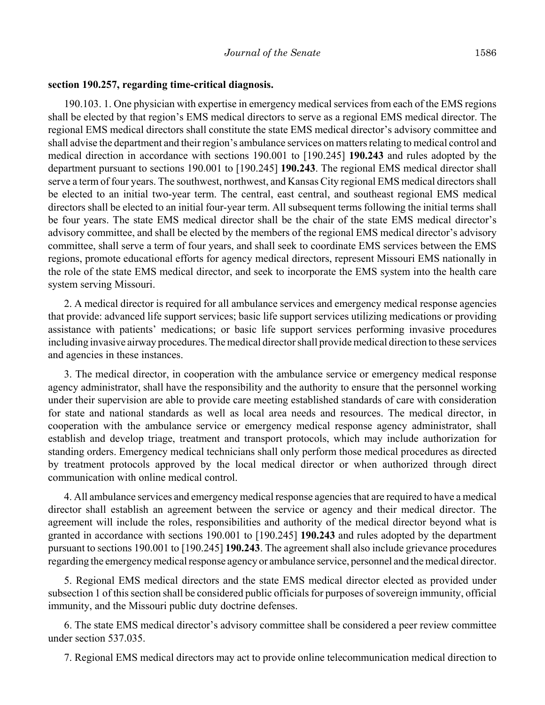#### **section 190.257, regarding time-critical diagnosis.**

190.103. 1. One physician with expertise in emergency medical services from each of the EMS regions shall be elected by that region's EMS medical directors to serve as a regional EMS medical director. The regional EMS medical directors shall constitute the state EMS medical director's advisory committee and shall advise the department and their region's ambulance services on matters relating to medical control and medical direction in accordance with sections 190.001 to [190.245] **190.243** and rules adopted by the department pursuant to sections 190.001 to [190.245] **190.243**. The regional EMS medical director shall serve a term of four years. The southwest, northwest, and Kansas City regional EMS medical directors shall be elected to an initial two-year term. The central, east central, and southeast regional EMS medical directors shall be elected to an initial four-year term. All subsequent terms following the initial terms shall be four years. The state EMS medical director shall be the chair of the state EMS medical director's advisory committee, and shall be elected by the members of the regional EMS medical director's advisory committee, shall serve a term of four years, and shall seek to coordinate EMS services between the EMS regions, promote educational efforts for agency medical directors, represent Missouri EMS nationally in the role of the state EMS medical director, and seek to incorporate the EMS system into the health care system serving Missouri.

2. A medical director is required for all ambulance services and emergency medical response agencies that provide: advanced life support services; basic life support services utilizing medications or providing assistance with patients' medications; or basic life support services performing invasive procedures including invasive airway procedures. The medical director shall provide medical direction to these services and agencies in these instances.

3. The medical director, in cooperation with the ambulance service or emergency medical response agency administrator, shall have the responsibility and the authority to ensure that the personnel working under their supervision are able to provide care meeting established standards of care with consideration for state and national standards as well as local area needs and resources. The medical director, in cooperation with the ambulance service or emergency medical response agency administrator, shall establish and develop triage, treatment and transport protocols, which may include authorization for standing orders. Emergency medical technicians shall only perform those medical procedures as directed by treatment protocols approved by the local medical director or when authorized through direct communication with online medical control.

4. All ambulance services and emergency medical response agencies that are required to have a medical director shall establish an agreement between the service or agency and their medical director. The agreement will include the roles, responsibilities and authority of the medical director beyond what is granted in accordance with sections 190.001 to [190.245] **190.243** and rules adopted by the department pursuant to sections 190.001 to [190.245] **190.243**. The agreement shall also include grievance procedures regarding the emergency medical response agency or ambulance service, personnel and the medical director.

5. Regional EMS medical directors and the state EMS medical director elected as provided under subsection 1 of this section shall be considered public officials for purposes of sovereign immunity, official immunity, and the Missouri public duty doctrine defenses.

6. The state EMS medical director's advisory committee shall be considered a peer review committee under section 537.035.

7. Regional EMS medical directors may act to provide online telecommunication medical direction to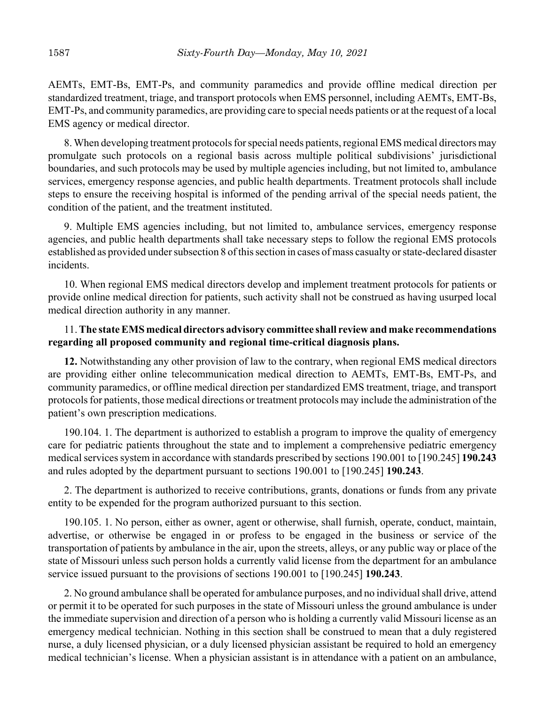AEMTs, EMT-Bs, EMT-Ps, and community paramedics and provide offline medical direction per standardized treatment, triage, and transport protocols when EMS personnel, including AEMTs, EMT-Bs, EMT-Ps, and community paramedics, are providing care to special needs patients or at the request of a local EMS agency or medical director.

8. When developing treatment protocols for special needs patients, regional EMS medical directors may promulgate such protocols on a regional basis across multiple political subdivisions' jurisdictional boundaries, and such protocols may be used by multiple agencies including, but not limited to, ambulance services, emergency response agencies, and public health departments. Treatment protocols shall include steps to ensure the receiving hospital is informed of the pending arrival of the special needs patient, the condition of the patient, and the treatment instituted.

9. Multiple EMS agencies including, but not limited to, ambulance services, emergency response agencies, and public health departments shall take necessary steps to follow the regional EMS protocols established as provided under subsection 8 of this section in cases of mass casualty or state-declared disaster incidents.

10. When regional EMS medical directors develop and implement treatment protocols for patients or provide online medical direction for patients, such activity shall not be construed as having usurped local medical direction authority in any manner.

# 11. **The state EMS medical directors advisory committee shall review and make recommendations regarding all proposed community and regional time-critical diagnosis plans.**

**12.** Notwithstanding any other provision of law to the contrary, when regional EMS medical directors are providing either online telecommunication medical direction to AEMTs, EMT-Bs, EMT-Ps, and community paramedics, or offline medical direction per standardized EMS treatment, triage, and transport protocols for patients, those medical directions or treatment protocols may include the administration of the patient's own prescription medications.

190.104. 1. The department is authorized to establish a program to improve the quality of emergency care for pediatric patients throughout the state and to implement a comprehensive pediatric emergency medical services system in accordance with standards prescribed by sections 190.001 to [190.245] **190.243** and rules adopted by the department pursuant to sections 190.001 to [190.245] **190.243**.

2. The department is authorized to receive contributions, grants, donations or funds from any private entity to be expended for the program authorized pursuant to this section.

190.105. 1. No person, either as owner, agent or otherwise, shall furnish, operate, conduct, maintain, advertise, or otherwise be engaged in or profess to be engaged in the business or service of the transportation of patients by ambulance in the air, upon the streets, alleys, or any public way or place of the state of Missouri unless such person holds a currently valid license from the department for an ambulance service issued pursuant to the provisions of sections 190.001 to [190.245] **190.243**.

2. No ground ambulance shall be operated for ambulance purposes, and no individual shall drive, attend or permit it to be operated for such purposes in the state of Missouri unless the ground ambulance is under the immediate supervision and direction of a person who is holding a currently valid Missouri license as an emergency medical technician. Nothing in this section shall be construed to mean that a duly registered nurse, a duly licensed physician, or a duly licensed physician assistant be required to hold an emergency medical technician's license. When a physician assistant is in attendance with a patient on an ambulance,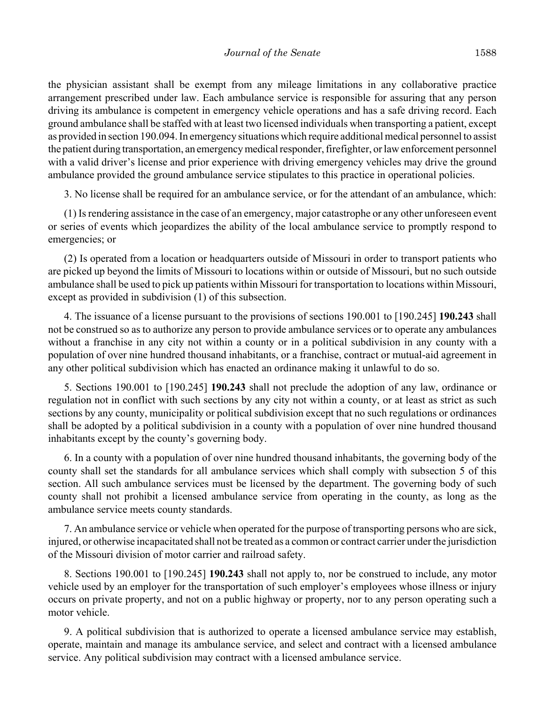the physician assistant shall be exempt from any mileage limitations in any collaborative practice arrangement prescribed under law. Each ambulance service is responsible for assuring that any person driving its ambulance is competent in emergency vehicle operations and has a safe driving record. Each ground ambulance shall be staffed with at least two licensed individuals when transporting a patient, except as provided in section 190.094. In emergency situations which require additional medical personnel to assist the patient during transportation, an emergency medical responder, firefighter, or law enforcement personnel with a valid driver's license and prior experience with driving emergency vehicles may drive the ground ambulance provided the ground ambulance service stipulates to this practice in operational policies.

3. No license shall be required for an ambulance service, or for the attendant of an ambulance, which:

(1) Is rendering assistance in the case of an emergency, major catastrophe or any other unforeseen event or series of events which jeopardizes the ability of the local ambulance service to promptly respond to emergencies; or

(2) Is operated from a location or headquarters outside of Missouri in order to transport patients who are picked up beyond the limits of Missouri to locations within or outside of Missouri, but no such outside ambulance shall be used to pick up patients within Missouri for transportation to locations within Missouri, except as provided in subdivision (1) of this subsection.

4. The issuance of a license pursuant to the provisions of sections 190.001 to [190.245] **190.243** shall not be construed so as to authorize any person to provide ambulance services or to operate any ambulances without a franchise in any city not within a county or in a political subdivision in any county with a population of over nine hundred thousand inhabitants, or a franchise, contract or mutual-aid agreement in any other political subdivision which has enacted an ordinance making it unlawful to do so.

5. Sections 190.001 to [190.245] **190.243** shall not preclude the adoption of any law, ordinance or regulation not in conflict with such sections by any city not within a county, or at least as strict as such sections by any county, municipality or political subdivision except that no such regulations or ordinances shall be adopted by a political subdivision in a county with a population of over nine hundred thousand inhabitants except by the county's governing body.

6. In a county with a population of over nine hundred thousand inhabitants, the governing body of the county shall set the standards for all ambulance services which shall comply with subsection 5 of this section. All such ambulance services must be licensed by the department. The governing body of such county shall not prohibit a licensed ambulance service from operating in the county, as long as the ambulance service meets county standards.

7. An ambulance service or vehicle when operated for the purpose of transporting persons who are sick, injured, or otherwise incapacitated shall not be treated as a common or contract carrier under the jurisdiction of the Missouri division of motor carrier and railroad safety.

8. Sections 190.001 to [190.245] **190.243** shall not apply to, nor be construed to include, any motor vehicle used by an employer for the transportation of such employer's employees whose illness or injury occurs on private property, and not on a public highway or property, nor to any person operating such a motor vehicle.

9. A political subdivision that is authorized to operate a licensed ambulance service may establish, operate, maintain and manage its ambulance service, and select and contract with a licensed ambulance service. Any political subdivision may contract with a licensed ambulance service.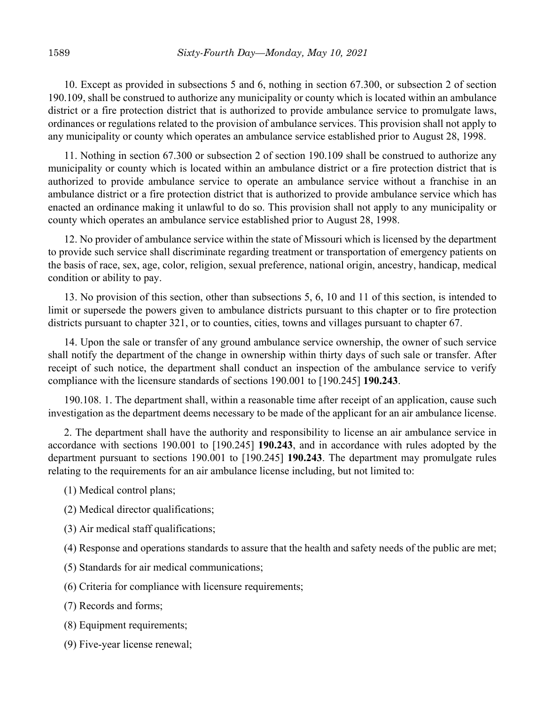10. Except as provided in subsections 5 and 6, nothing in section 67.300, or subsection 2 of section 190.109, shall be construed to authorize any municipality or county which is located within an ambulance district or a fire protection district that is authorized to provide ambulance service to promulgate laws, ordinances or regulations related to the provision of ambulance services. This provision shall not apply to any municipality or county which operates an ambulance service established prior to August 28, 1998.

11. Nothing in section 67.300 or subsection 2 of section 190.109 shall be construed to authorize any municipality or county which is located within an ambulance district or a fire protection district that is authorized to provide ambulance service to operate an ambulance service without a franchise in an ambulance district or a fire protection district that is authorized to provide ambulance service which has enacted an ordinance making it unlawful to do so. This provision shall not apply to any municipality or county which operates an ambulance service established prior to August 28, 1998.

12. No provider of ambulance service within the state of Missouri which is licensed by the department to provide such service shall discriminate regarding treatment or transportation of emergency patients on the basis of race, sex, age, color, religion, sexual preference, national origin, ancestry, handicap, medical condition or ability to pay.

13. No provision of this section, other than subsections 5, 6, 10 and 11 of this section, is intended to limit or supersede the powers given to ambulance districts pursuant to this chapter or to fire protection districts pursuant to chapter 321, or to counties, cities, towns and villages pursuant to chapter 67.

14. Upon the sale or transfer of any ground ambulance service ownership, the owner of such service shall notify the department of the change in ownership within thirty days of such sale or transfer. After receipt of such notice, the department shall conduct an inspection of the ambulance service to verify compliance with the licensure standards of sections 190.001 to [190.245] **190.243**.

190.108. 1. The department shall, within a reasonable time after receipt of an application, cause such investigation as the department deems necessary to be made of the applicant for an air ambulance license.

2. The department shall have the authority and responsibility to license an air ambulance service in accordance with sections 190.001 to [190.245] **190.243**, and in accordance with rules adopted by the department pursuant to sections 190.001 to [190.245] **190.243**. The department may promulgate rules relating to the requirements for an air ambulance license including, but not limited to:

- (1) Medical control plans;
- (2) Medical director qualifications;
- (3) Air medical staff qualifications;
- (4) Response and operations standards to assure that the health and safety needs of the public are met;
- (5) Standards for air medical communications;
- (6) Criteria for compliance with licensure requirements;
- (7) Records and forms;
- (8) Equipment requirements;
- (9) Five-year license renewal;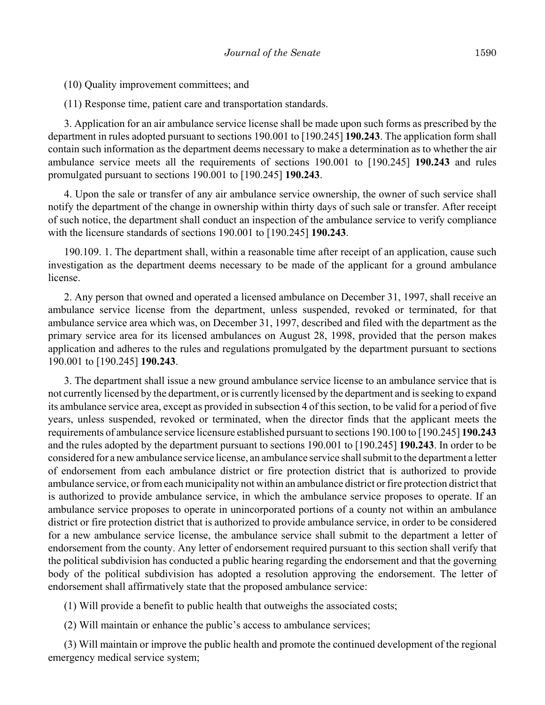(10) Quality improvement committees; and

(11) Response time, patient care and transportation standards.

3. Application for an air ambulance service license shall be made upon such forms as prescribed by the department in rules adopted pursuant to sections 190.001 to [190.245] **190.243**. The application form shall contain such information as the department deems necessary to make a determination as to whether the air ambulance service meets all the requirements of sections 190.001 to [190.245] **190.243** and rules promulgated pursuant to sections 190.001 to [190.245] **190.243**.

4. Upon the sale or transfer of any air ambulance service ownership, the owner of such service shall notify the department of the change in ownership within thirty days of such sale or transfer. After receipt of such notice, the department shall conduct an inspection of the ambulance service to verify compliance with the licensure standards of sections 190.001 to [190.245] **190.243**.

190.109. 1. The department shall, within a reasonable time after receipt of an application, cause such investigation as the department deems necessary to be made of the applicant for a ground ambulance license.

2. Any person that owned and operated a licensed ambulance on December 31, 1997, shall receive an ambulance service license from the department, unless suspended, revoked or terminated, for that ambulance service area which was, on December 31, 1997, described and filed with the department as the primary service area for its licensed ambulances on August 28, 1998, provided that the person makes application and adheres to the rules and regulations promulgated by the department pursuant to sections 190.001 to [190.245] **190.243**.

3. The department shall issue a new ground ambulance service license to an ambulance service that is not currently licensed by the department, or is currently licensed by the department and is seeking to expand its ambulance service area, except as provided in subsection 4 of this section, to be valid for a period of five years, unless suspended, revoked or terminated, when the director finds that the applicant meets the requirements of ambulance service licensure established pursuant to sections 190.100 to [190.245] **190.243** and the rules adopted by the department pursuant to sections 190.001 to [190.245] **190.243**. In order to be considered for a new ambulance service license, an ambulance service shall submit to the department a letter of endorsement from each ambulance district or fire protection district that is authorized to provide ambulance service, or from each municipality not within an ambulance district or fire protection district that is authorized to provide ambulance service, in which the ambulance service proposes to operate. If an ambulance service proposes to operate in unincorporated portions of a county not within an ambulance district or fire protection district that is authorized to provide ambulance service, in order to be considered for a new ambulance service license, the ambulance service shall submit to the department a letter of endorsement from the county. Any letter of endorsement required pursuant to this section shall verify that the political subdivision has conducted a public hearing regarding the endorsement and that the governing body of the political subdivision has adopted a resolution approving the endorsement. The letter of endorsement shall affirmatively state that the proposed ambulance service:

(1) Will provide a benefit to public health that outweighs the associated costs;

(2) Will maintain or enhance the public's access to ambulance services;

(3) Will maintain or improve the public health and promote the continued development of the regional emergency medical service system;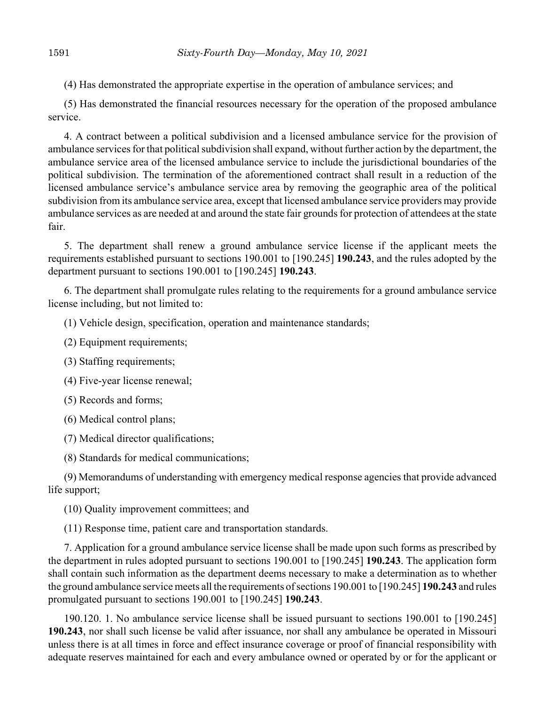(4) Has demonstrated the appropriate expertise in the operation of ambulance services; and

(5) Has demonstrated the financial resources necessary for the operation of the proposed ambulance service.

4. A contract between a political subdivision and a licensed ambulance service for the provision of ambulance services for that political subdivision shall expand, without further action by the department, the ambulance service area of the licensed ambulance service to include the jurisdictional boundaries of the political subdivision. The termination of the aforementioned contract shall result in a reduction of the licensed ambulance service's ambulance service area by removing the geographic area of the political subdivision from its ambulance service area, except that licensed ambulance service providers may provide ambulance services as are needed at and around the state fair grounds for protection of attendees at the state fair.

5. The department shall renew a ground ambulance service license if the applicant meets the requirements established pursuant to sections 190.001 to [190.245] **190.243**, and the rules adopted by the department pursuant to sections 190.001 to [190.245] **190.243**.

6. The department shall promulgate rules relating to the requirements for a ground ambulance service license including, but not limited to:

(1) Vehicle design, specification, operation and maintenance standards;

(2) Equipment requirements;

(3) Staffing requirements;

(4) Five-year license renewal;

(5) Records and forms;

(6) Medical control plans;

(7) Medical director qualifications;

(8) Standards for medical communications;

(9) Memorandums of understanding with emergency medical response agencies that provide advanced life support;

(10) Quality improvement committees; and

(11) Response time, patient care and transportation standards.

7. Application for a ground ambulance service license shall be made upon such forms as prescribed by the department in rules adopted pursuant to sections 190.001 to [190.245] **190.243**. The application form shall contain such information as the department deems necessary to make a determination as to whether the ground ambulance service meets all the requirements of sections 190.001 to [190.245] **190.243** and rules promulgated pursuant to sections 190.001 to [190.245] **190.243**.

190.120. 1. No ambulance service license shall be issued pursuant to sections 190.001 to [190.245] **190.243**, nor shall such license be valid after issuance, nor shall any ambulance be operated in Missouri unless there is at all times in force and effect insurance coverage or proof of financial responsibility with adequate reserves maintained for each and every ambulance owned or operated by or for the applicant or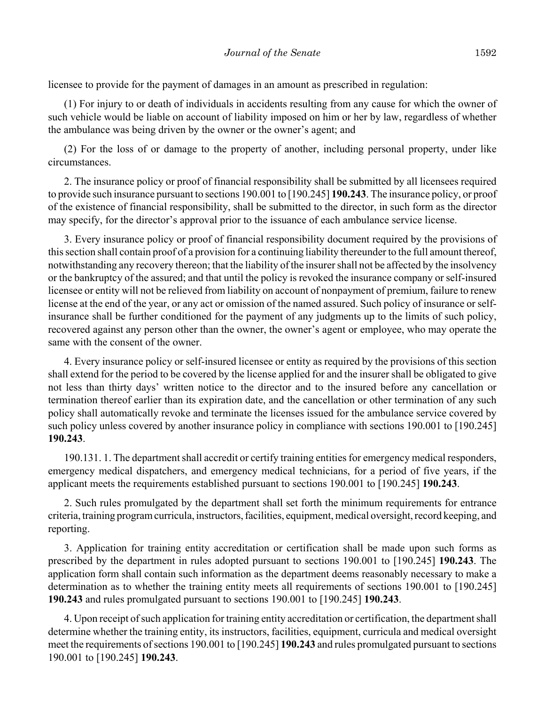licensee to provide for the payment of damages in an amount as prescribed in regulation:

(1) For injury to or death of individuals in accidents resulting from any cause for which the owner of such vehicle would be liable on account of liability imposed on him or her by law, regardless of whether the ambulance was being driven by the owner or the owner's agent; and

(2) For the loss of or damage to the property of another, including personal property, under like circumstances.

2. The insurance policy or proof of financial responsibility shall be submitted by all licensees required to provide such insurance pursuant to sections 190.001 to [190.245] **190.243**. The insurance policy, or proof of the existence of financial responsibility, shall be submitted to the director, in such form as the director may specify, for the director's approval prior to the issuance of each ambulance service license.

3. Every insurance policy or proof of financial responsibility document required by the provisions of this section shall contain proof of a provision for a continuing liability thereunder to the full amount thereof, notwithstanding any recovery thereon; that the liability of the insurer shall not be affected by the insolvency or the bankruptcy of the assured; and that until the policy is revoked the insurance company or self-insured licensee or entity will not be relieved from liability on account of nonpayment of premium, failure to renew license at the end of the year, or any act or omission of the named assured. Such policy of insurance or selfinsurance shall be further conditioned for the payment of any judgments up to the limits of such policy, recovered against any person other than the owner, the owner's agent or employee, who may operate the same with the consent of the owner.

4. Every insurance policy or self-insured licensee or entity as required by the provisions of this section shall extend for the period to be covered by the license applied for and the insurer shall be obligated to give not less than thirty days' written notice to the director and to the insured before any cancellation or termination thereof earlier than its expiration date, and the cancellation or other termination of any such policy shall automatically revoke and terminate the licenses issued for the ambulance service covered by such policy unless covered by another insurance policy in compliance with sections 190.001 to [190.245] **190.243**.

190.131. 1. The department shall accredit or certify training entities for emergency medical responders, emergency medical dispatchers, and emergency medical technicians, for a period of five years, if the applicant meets the requirements established pursuant to sections 190.001 to [190.245] **190.243**.

2. Such rules promulgated by the department shall set forth the minimum requirements for entrance criteria, training program curricula, instructors, facilities, equipment, medical oversight, record keeping, and reporting.

3. Application for training entity accreditation or certification shall be made upon such forms as prescribed by the department in rules adopted pursuant to sections 190.001 to [190.245] **190.243**. The application form shall contain such information as the department deems reasonably necessary to make a determination as to whether the training entity meets all requirements of sections 190.001 to [190.245] **190.243** and rules promulgated pursuant to sections 190.001 to [190.245] **190.243**.

4. Upon receipt of such application for training entity accreditation or certification, the department shall determine whether the training entity, its instructors, facilities, equipment, curricula and medical oversight meet the requirements of sections 190.001 to [190.245] **190.243** and rules promulgated pursuant to sections 190.001 to [190.245] **190.243**.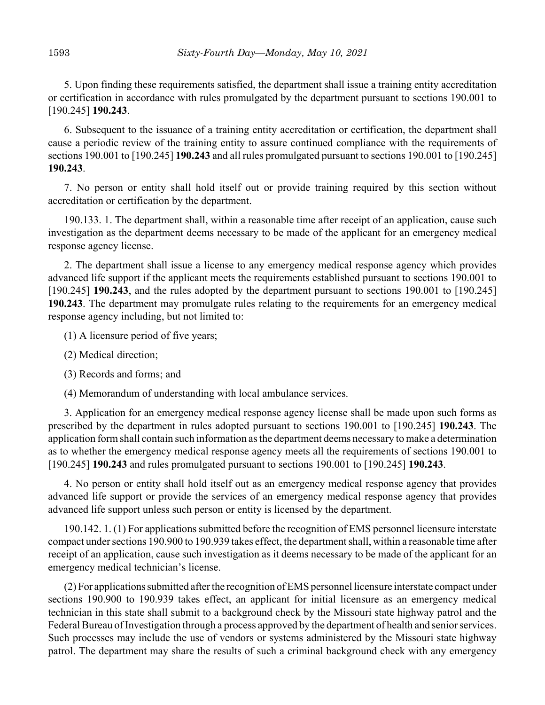5. Upon finding these requirements satisfied, the department shall issue a training entity accreditation or certification in accordance with rules promulgated by the department pursuant to sections 190.001 to [190.245] **190.243**.

6. Subsequent to the issuance of a training entity accreditation or certification, the department shall cause a periodic review of the training entity to assure continued compliance with the requirements of sections 190.001 to [190.245] **190.243** and all rules promulgated pursuant to sections 190.001 to [190.245] **190.243**.

7. No person or entity shall hold itself out or provide training required by this section without accreditation or certification by the department.

190.133. 1. The department shall, within a reasonable time after receipt of an application, cause such investigation as the department deems necessary to be made of the applicant for an emergency medical response agency license.

2. The department shall issue a license to any emergency medical response agency which provides advanced life support if the applicant meets the requirements established pursuant to sections 190.001 to [190.245] **190.243**, and the rules adopted by the department pursuant to sections 190.001 to [190.245] **190.243**. The department may promulgate rules relating to the requirements for an emergency medical response agency including, but not limited to:

(1) A licensure period of five years;

- (2) Medical direction;
- (3) Records and forms; and

(4) Memorandum of understanding with local ambulance services.

3. Application for an emergency medical response agency license shall be made upon such forms as prescribed by the department in rules adopted pursuant to sections 190.001 to [190.245] **190.243**. The application form shall contain such information as the department deems necessary to make a determination as to whether the emergency medical response agency meets all the requirements of sections 190.001 to [190.245] **190.243** and rules promulgated pursuant to sections 190.001 to [190.245] **190.243**.

4. No person or entity shall hold itself out as an emergency medical response agency that provides advanced life support or provide the services of an emergency medical response agency that provides advanced life support unless such person or entity is licensed by the department.

190.142. 1. (1) For applications submitted before the recognition of EMS personnel licensure interstate compact under sections 190.900 to 190.939 takes effect, the department shall, within a reasonable time after receipt of an application, cause such investigation as it deems necessary to be made of the applicant for an emergency medical technician's license.

(2) For applications submitted after the recognition of EMS personnel licensure interstate compact under sections 190.900 to 190.939 takes effect, an applicant for initial licensure as an emergency medical technician in this state shall submit to a background check by the Missouri state highway patrol and the Federal Bureau of Investigation through a process approved by the department of health and senior services. Such processes may include the use of vendors or systems administered by the Missouri state highway patrol. The department may share the results of such a criminal background check with any emergency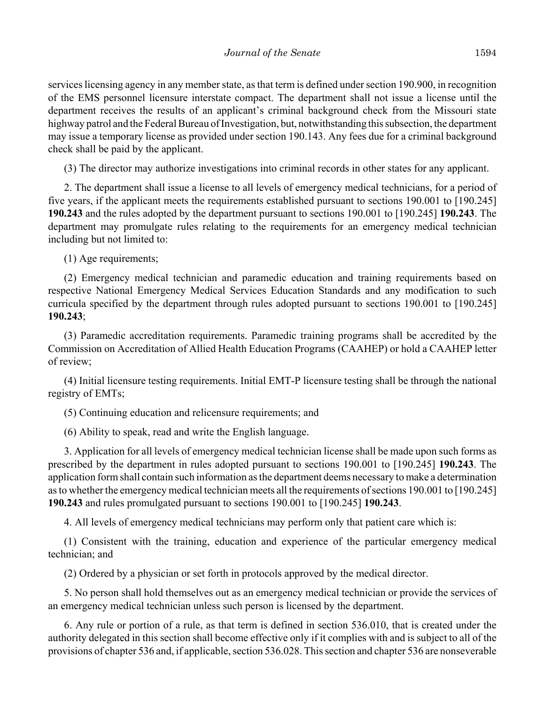services licensing agency in any member state, as that term is defined under section 190.900, in recognition of the EMS personnel licensure interstate compact. The department shall not issue a license until the department receives the results of an applicant's criminal background check from the Missouri state highway patrol and the Federal Bureau of Investigation, but, notwithstanding this subsection, the department may issue a temporary license as provided under section 190.143. Any fees due for a criminal background check shall be paid by the applicant.

(3) The director may authorize investigations into criminal records in other states for any applicant.

2. The department shall issue a license to all levels of emergency medical technicians, for a period of five years, if the applicant meets the requirements established pursuant to sections 190.001 to [190.245] **190.243** and the rules adopted by the department pursuant to sections 190.001 to [190.245] **190.243**. The department may promulgate rules relating to the requirements for an emergency medical technician including but not limited to:

(1) Age requirements;

(2) Emergency medical technician and paramedic education and training requirements based on respective National Emergency Medical Services Education Standards and any modification to such curricula specified by the department through rules adopted pursuant to sections 190.001 to [190.245] **190.243**;

(3) Paramedic accreditation requirements. Paramedic training programs shall be accredited by the Commission on Accreditation of Allied Health Education Programs (CAAHEP) or hold a CAAHEP letter of review;

(4) Initial licensure testing requirements. Initial EMT-P licensure testing shall be through the national registry of EMTs;

(5) Continuing education and relicensure requirements; and

(6) Ability to speak, read and write the English language.

3. Application for all levels of emergency medical technician license shall be made upon such forms as prescribed by the department in rules adopted pursuant to sections 190.001 to [190.245] **190.243**. The application form shall contain such information as the department deems necessary to make a determination as to whether the emergency medical technician meets all the requirements of sections 190.001 to [190.245] **190.243** and rules promulgated pursuant to sections 190.001 to [190.245] **190.243**.

4. All levels of emergency medical technicians may perform only that patient care which is:

(1) Consistent with the training, education and experience of the particular emergency medical technician; and

(2) Ordered by a physician or set forth in protocols approved by the medical director.

5. No person shall hold themselves out as an emergency medical technician or provide the services of an emergency medical technician unless such person is licensed by the department.

6. Any rule or portion of a rule, as that term is defined in section 536.010, that is created under the authority delegated in this section shall become effective only if it complies with and is subject to all of the provisions of chapter 536 and, if applicable, section 536.028. This section and chapter 536 are nonseverable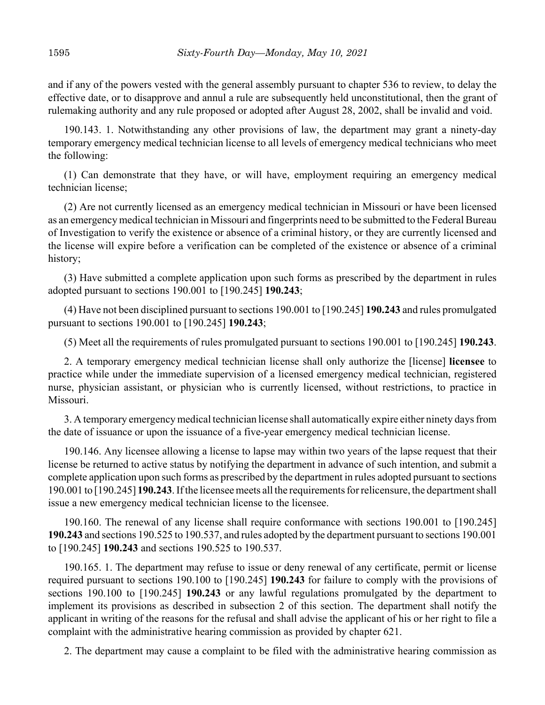and if any of the powers vested with the general assembly pursuant to chapter 536 to review, to delay the effective date, or to disapprove and annul a rule are subsequently held unconstitutional, then the grant of rulemaking authority and any rule proposed or adopted after August 28, 2002, shall be invalid and void.

190.143. 1. Notwithstanding any other provisions of law, the department may grant a ninety-day temporary emergency medical technician license to all levels of emergency medical technicians who meet the following:

(1) Can demonstrate that they have, or will have, employment requiring an emergency medical technician license;

(2) Are not currently licensed as an emergency medical technician in Missouri or have been licensed as an emergency medical technician in Missouri and fingerprints need to be submitted to the Federal Bureau of Investigation to verify the existence or absence of a criminal history, or they are currently licensed and the license will expire before a verification can be completed of the existence or absence of a criminal history;

(3) Have submitted a complete application upon such forms as prescribed by the department in rules adopted pursuant to sections 190.001 to [190.245] **190.243**;

(4) Have not been disciplined pursuant to sections 190.001 to [190.245] **190.243** and rules promulgated pursuant to sections 190.001 to [190.245] **190.243**;

(5) Meet all the requirements of rules promulgated pursuant to sections 190.001 to [190.245] **190.243**.

2. A temporary emergency medical technician license shall only authorize the [license] **licensee** to practice while under the immediate supervision of a licensed emergency medical technician, registered nurse, physician assistant, or physician who is currently licensed, without restrictions, to practice in Missouri.

3. A temporary emergency medical technician license shall automatically expire either ninety days from the date of issuance or upon the issuance of a five-year emergency medical technician license.

190.146. Any licensee allowing a license to lapse may within two years of the lapse request that their license be returned to active status by notifying the department in advance of such intention, and submit a complete application upon such forms as prescribed by the department in rules adopted pursuant to sections 190.001 to [190.245] **190.243**. If the licensee meets all the requirements for relicensure, the department shall issue a new emergency medical technician license to the licensee.

190.160. The renewal of any license shall require conformance with sections 190.001 to [190.245] **190.243** and sections 190.525 to 190.537, and rules adopted by the department pursuant to sections 190.001 to [190.245] **190.243** and sections 190.525 to 190.537.

190.165. 1. The department may refuse to issue or deny renewal of any certificate, permit or license required pursuant to sections 190.100 to [190.245] **190.243** for failure to comply with the provisions of sections 190.100 to [190.245] **190.243** or any lawful regulations promulgated by the department to implement its provisions as described in subsection 2 of this section. The department shall notify the applicant in writing of the reasons for the refusal and shall advise the applicant of his or her right to file a complaint with the administrative hearing commission as provided by chapter 621.

2. The department may cause a complaint to be filed with the administrative hearing commission as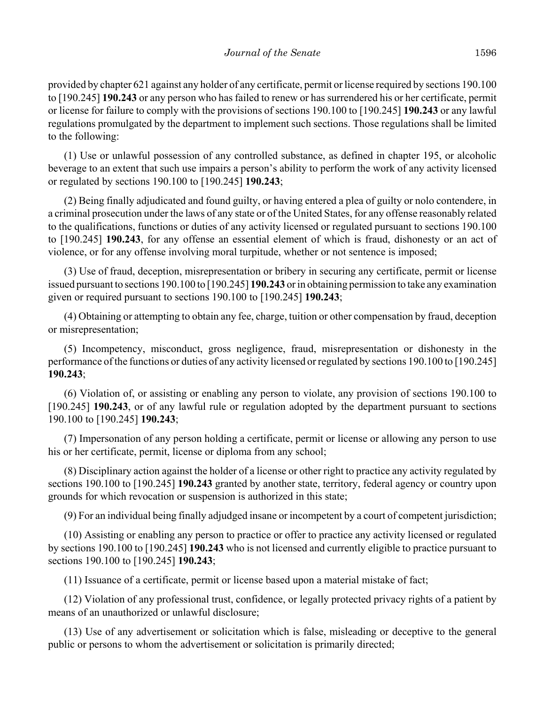provided by chapter 621 against any holder of any certificate, permit or license required by sections 190.100 to [190.245] **190.243** or any person who has failed to renew or has surrendered his or her certificate, permit or license for failure to comply with the provisions of sections 190.100 to [190.245] **190.243** or any lawful regulations promulgated by the department to implement such sections. Those regulations shall be limited to the following:

(1) Use or unlawful possession of any controlled substance, as defined in chapter 195, or alcoholic beverage to an extent that such use impairs a person's ability to perform the work of any activity licensed or regulated by sections 190.100 to [190.245] **190.243**;

(2) Being finally adjudicated and found guilty, or having entered a plea of guilty or nolo contendere, in a criminal prosecution under the laws of any state or of the United States, for any offense reasonably related to the qualifications, functions or duties of any activity licensed or regulated pursuant to sections 190.100 to [190.245] **190.243**, for any offense an essential element of which is fraud, dishonesty or an act of violence, or for any offense involving moral turpitude, whether or not sentence is imposed;

(3) Use of fraud, deception, misrepresentation or bribery in securing any certificate, permit or license issued pursuant to sections 190.100 to [190.245] **190.243** or in obtaining permission to take any examination given or required pursuant to sections 190.100 to [190.245] **190.243**;

(4) Obtaining or attempting to obtain any fee, charge, tuition or other compensation by fraud, deception or misrepresentation;

(5) Incompetency, misconduct, gross negligence, fraud, misrepresentation or dishonesty in the performance of the functions or duties of any activity licensed or regulated by sections 190.100 to [190.245] **190.243**;

(6) Violation of, or assisting or enabling any person to violate, any provision of sections 190.100 to [190.245] **190.243**, or of any lawful rule or regulation adopted by the department pursuant to sections 190.100 to [190.245] **190.243**;

(7) Impersonation of any person holding a certificate, permit or license or allowing any person to use his or her certificate, permit, license or diploma from any school;

(8) Disciplinary action against the holder of a license or other right to practice any activity regulated by sections 190.100 to [190.245] **190.243** granted by another state, territory, federal agency or country upon grounds for which revocation or suspension is authorized in this state;

(9) For an individual being finally adjudged insane or incompetent by a court of competent jurisdiction;

(10) Assisting or enabling any person to practice or offer to practice any activity licensed or regulated by sections 190.100 to [190.245] **190.243** who is not licensed and currently eligible to practice pursuant to sections 190.100 to [190.245] **190.243**;

(11) Issuance of a certificate, permit or license based upon a material mistake of fact;

(12) Violation of any professional trust, confidence, or legally protected privacy rights of a patient by means of an unauthorized or unlawful disclosure;

(13) Use of any advertisement or solicitation which is false, misleading or deceptive to the general public or persons to whom the advertisement or solicitation is primarily directed;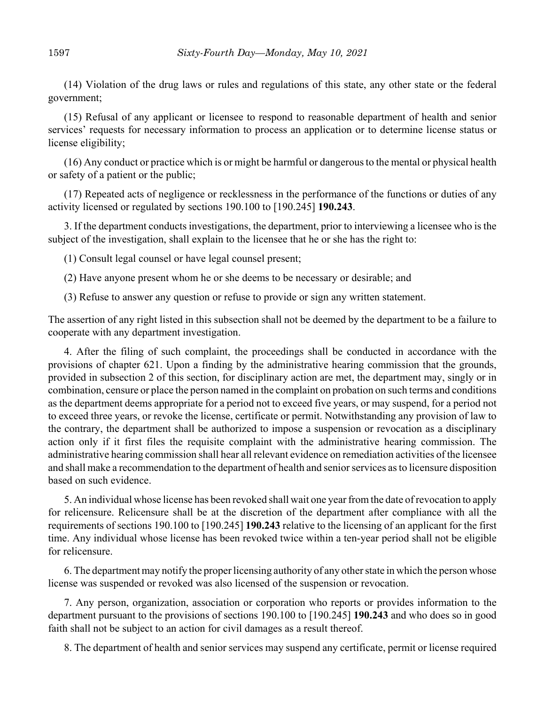(14) Violation of the drug laws or rules and regulations of this state, any other state or the federal government;

(15) Refusal of any applicant or licensee to respond to reasonable department of health and senior services' requests for necessary information to process an application or to determine license status or license eligibility;

(16) Any conduct or practice which is or might be harmful or dangerous to the mental or physical health or safety of a patient or the public;

(17) Repeated acts of negligence or recklessness in the performance of the functions or duties of any activity licensed or regulated by sections 190.100 to [190.245] **190.243**.

3. If the department conducts investigations, the department, prior to interviewing a licensee who is the subject of the investigation, shall explain to the licensee that he or she has the right to:

(1) Consult legal counsel or have legal counsel present;

(2) Have anyone present whom he or she deems to be necessary or desirable; and

(3) Refuse to answer any question or refuse to provide or sign any written statement.

The assertion of any right listed in this subsection shall not be deemed by the department to be a failure to cooperate with any department investigation.

4. After the filing of such complaint, the proceedings shall be conducted in accordance with the provisions of chapter 621. Upon a finding by the administrative hearing commission that the grounds, provided in subsection 2 of this section, for disciplinary action are met, the department may, singly or in combination, censure or place the person named in the complaint on probation on such terms and conditions as the department deems appropriate for a period not to exceed five years, or may suspend, for a period not to exceed three years, or revoke the license, certificate or permit. Notwithstanding any provision of law to the contrary, the department shall be authorized to impose a suspension or revocation as a disciplinary action only if it first files the requisite complaint with the administrative hearing commission. The administrative hearing commission shall hear all relevant evidence on remediation activities of the licensee and shall make a recommendation to the department of health and senior services as to licensure disposition based on such evidence.

5. An individual whose license has been revoked shall wait one year from the date of revocation to apply for relicensure. Relicensure shall be at the discretion of the department after compliance with all the requirements of sections 190.100 to [190.245] **190.243** relative to the licensing of an applicant for the first time. Any individual whose license has been revoked twice within a ten-year period shall not be eligible for relicensure.

6. The department may notify the proper licensing authority of any other state in which the person whose license was suspended or revoked was also licensed of the suspension or revocation.

7. Any person, organization, association or corporation who reports or provides information to the department pursuant to the provisions of sections 190.100 to [190.245] **190.243** and who does so in good faith shall not be subject to an action for civil damages as a result thereof.

8. The department of health and senior services may suspend any certificate, permit or license required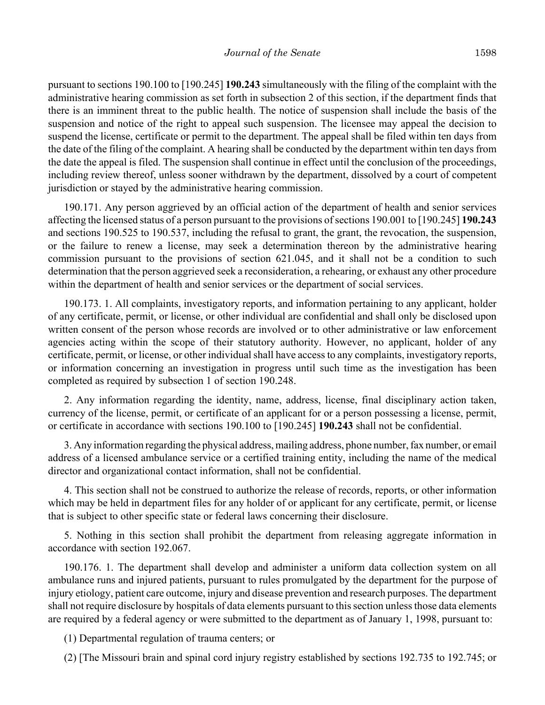pursuant to sections 190.100 to [190.245] **190.243** simultaneously with the filing of the complaint with the administrative hearing commission as set forth in subsection 2 of this section, if the department finds that there is an imminent threat to the public health. The notice of suspension shall include the basis of the suspension and notice of the right to appeal such suspension. The licensee may appeal the decision to suspend the license, certificate or permit to the department. The appeal shall be filed within ten days from the date of the filing of the complaint. A hearing shall be conducted by the department within ten days from the date the appeal is filed. The suspension shall continue in effect until the conclusion of the proceedings, including review thereof, unless sooner withdrawn by the department, dissolved by a court of competent jurisdiction or stayed by the administrative hearing commission.

190.171. Any person aggrieved by an official action of the department of health and senior services affecting the licensed status of a person pursuant to the provisions of sections 190.001 to [190.245] **190.243** and sections 190.525 to 190.537, including the refusal to grant, the grant, the revocation, the suspension, or the failure to renew a license, may seek a determination thereon by the administrative hearing commission pursuant to the provisions of section 621.045, and it shall not be a condition to such determination that the person aggrieved seek a reconsideration, a rehearing, or exhaust any other procedure within the department of health and senior services or the department of social services.

190.173. 1. All complaints, investigatory reports, and information pertaining to any applicant, holder of any certificate, permit, or license, or other individual are confidential and shall only be disclosed upon written consent of the person whose records are involved or to other administrative or law enforcement agencies acting within the scope of their statutory authority. However, no applicant, holder of any certificate, permit, or license, or other individual shall have access to any complaints, investigatory reports, or information concerning an investigation in progress until such time as the investigation has been completed as required by subsection 1 of section 190.248.

2. Any information regarding the identity, name, address, license, final disciplinary action taken, currency of the license, permit, or certificate of an applicant for or a person possessing a license, permit, or certificate in accordance with sections 190.100 to [190.245] **190.243** shall not be confidential.

3. Any information regarding the physical address, mailing address, phone number, fax number, or email address of a licensed ambulance service or a certified training entity, including the name of the medical director and organizational contact information, shall not be confidential.

4. This section shall not be construed to authorize the release of records, reports, or other information which may be held in department files for any holder of or applicant for any certificate, permit, or license that is subject to other specific state or federal laws concerning their disclosure.

5. Nothing in this section shall prohibit the department from releasing aggregate information in accordance with section 192.067.

190.176. 1. The department shall develop and administer a uniform data collection system on all ambulance runs and injured patients, pursuant to rules promulgated by the department for the purpose of injury etiology, patient care outcome, injury and disease prevention and research purposes. The department shall not require disclosure by hospitals of data elements pursuant to this section unless those data elements are required by a federal agency or were submitted to the department as of January 1, 1998, pursuant to:

(1) Departmental regulation of trauma centers; or

(2) [The Missouri brain and spinal cord injury registry established by sections 192.735 to 192.745; or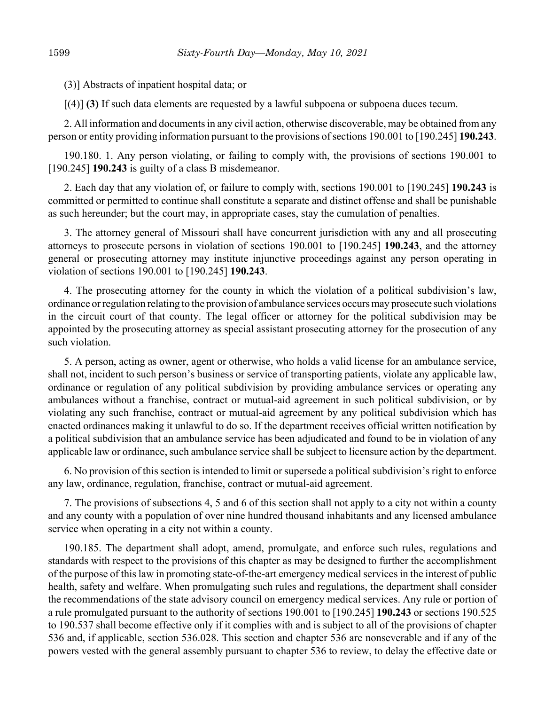(3)] Abstracts of inpatient hospital data; or

[(4)] **(3)** If such data elements are requested by a lawful subpoena or subpoena duces tecum.

2. All information and documents in any civil action, otherwise discoverable, may be obtained from any person or entity providing information pursuant to the provisions of sections 190.001 to [190.245] **190.243**.

190.180. 1. Any person violating, or failing to comply with, the provisions of sections 190.001 to [190.245] **190.243** is guilty of a class B misdemeanor.

2. Each day that any violation of, or failure to comply with, sections 190.001 to [190.245] **190.243** is committed or permitted to continue shall constitute a separate and distinct offense and shall be punishable as such hereunder; but the court may, in appropriate cases, stay the cumulation of penalties.

3. The attorney general of Missouri shall have concurrent jurisdiction with any and all prosecuting attorneys to prosecute persons in violation of sections 190.001 to [190.245] **190.243**, and the attorney general or prosecuting attorney may institute injunctive proceedings against any person operating in violation of sections 190.001 to [190.245] **190.243**.

4. The prosecuting attorney for the county in which the violation of a political subdivision's law, ordinance or regulation relating to the provision of ambulance services occurs may prosecute such violations in the circuit court of that county. The legal officer or attorney for the political subdivision may be appointed by the prosecuting attorney as special assistant prosecuting attorney for the prosecution of any such violation.

5. A person, acting as owner, agent or otherwise, who holds a valid license for an ambulance service, shall not, incident to such person's business or service of transporting patients, violate any applicable law, ordinance or regulation of any political subdivision by providing ambulance services or operating any ambulances without a franchise, contract or mutual-aid agreement in such political subdivision, or by violating any such franchise, contract or mutual-aid agreement by any political subdivision which has enacted ordinances making it unlawful to do so. If the department receives official written notification by a political subdivision that an ambulance service has been adjudicated and found to be in violation of any applicable law or ordinance, such ambulance service shall be subject to licensure action by the department.

6. No provision of this section is intended to limit or supersede a political subdivision's right to enforce any law, ordinance, regulation, franchise, contract or mutual-aid agreement.

7. The provisions of subsections 4, 5 and 6 of this section shall not apply to a city not within a county and any county with a population of over nine hundred thousand inhabitants and any licensed ambulance service when operating in a city not within a county.

190.185. The department shall adopt, amend, promulgate, and enforce such rules, regulations and standards with respect to the provisions of this chapter as may be designed to further the accomplishment of the purpose of this law in promoting state-of-the-art emergency medical services in the interest of public health, safety and welfare. When promulgating such rules and regulations, the department shall consider the recommendations of the state advisory council on emergency medical services. Any rule or portion of a rule promulgated pursuant to the authority of sections 190.001 to [190.245] **190.243** or sections 190.525 to 190.537 shall become effective only if it complies with and is subject to all of the provisions of chapter 536 and, if applicable, section 536.028. This section and chapter 536 are nonseverable and if any of the powers vested with the general assembly pursuant to chapter 536 to review, to delay the effective date or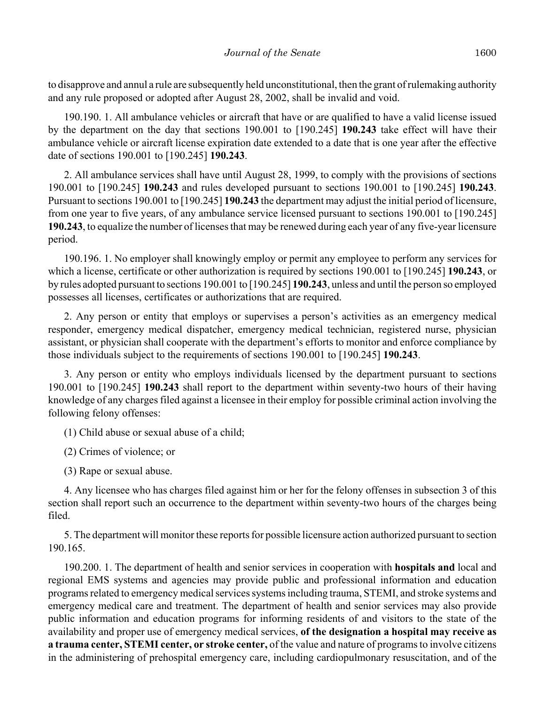to disapprove and annul a rule are subsequently held unconstitutional, then the grant of rulemaking authority and any rule proposed or adopted after August 28, 2002, shall be invalid and void.

190.190. 1. All ambulance vehicles or aircraft that have or are qualified to have a valid license issued by the department on the day that sections 190.001 to [190.245] **190.243** take effect will have their ambulance vehicle or aircraft license expiration date extended to a date that is one year after the effective date of sections 190.001 to [190.245] **190.243**.

2. All ambulance services shall have until August 28, 1999, to comply with the provisions of sections 190.001 to [190.245] **190.243** and rules developed pursuant to sections 190.001 to [190.245] **190.243**. Pursuant to sections 190.001 to [190.245] **190.243** the department may adjust the initial period of licensure, from one year to five years, of any ambulance service licensed pursuant to sections 190.001 to [190.245] **190.243**, to equalize the number of licenses that may be renewed during each year of any five-year licensure period.

190.196. 1. No employer shall knowingly employ or permit any employee to perform any services for which a license, certificate or other authorization is required by sections 190.001 to [190.245] **190.243**, or by rules adopted pursuant to sections 190.001 to [190.245] **190.243**, unless and until the person so employed possesses all licenses, certificates or authorizations that are required.

2. Any person or entity that employs or supervises a person's activities as an emergency medical responder, emergency medical dispatcher, emergency medical technician, registered nurse, physician assistant, or physician shall cooperate with the department's efforts to monitor and enforce compliance by those individuals subject to the requirements of sections 190.001 to [190.245] **190.243**.

3. Any person or entity who employs individuals licensed by the department pursuant to sections 190.001 to [190.245] **190.243** shall report to the department within seventy-two hours of their having knowledge of any charges filed against a licensee in their employ for possible criminal action involving the following felony offenses:

(1) Child abuse or sexual abuse of a child;

(2) Crimes of violence; or

(3) Rape or sexual abuse.

4. Any licensee who has charges filed against him or her for the felony offenses in subsection 3 of this section shall report such an occurrence to the department within seventy-two hours of the charges being filed.

5. The department will monitor these reports for possible licensure action authorized pursuant to section 190.165.

190.200. 1. The department of health and senior services in cooperation with **hospitals and** local and regional EMS systems and agencies may provide public and professional information and education programs related to emergency medical services systems including trauma, STEMI, and stroke systems and emergency medical care and treatment. The department of health and senior services may also provide public information and education programs for informing residents of and visitors to the state of the availability and proper use of emergency medical services, **of the designation a hospital may receive as a trauma center, STEMI center, or stroke center,** of the value and nature of programs to involve citizens in the administering of prehospital emergency care, including cardiopulmonary resuscitation, and of the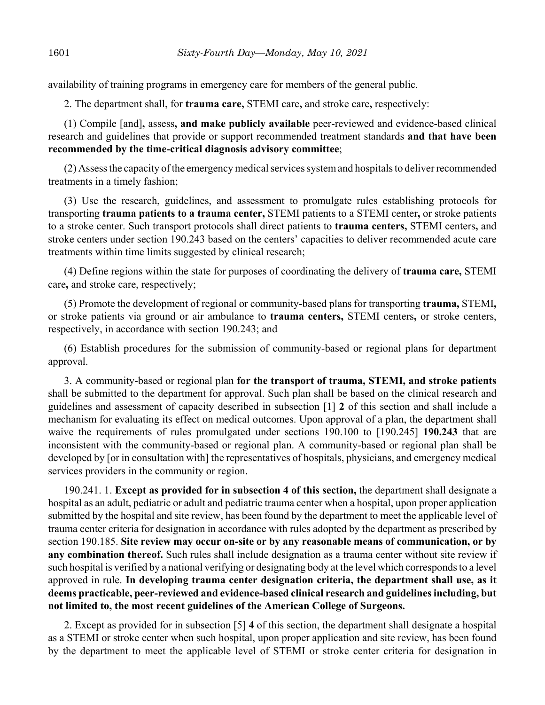availability of training programs in emergency care for members of the general public.

2. The department shall, for **trauma care,** STEMI care**,** and stroke care**,** respectively:

(1) Compile [and]**,** assess**, and make publicly available** peer-reviewed and evidence-based clinical research and guidelines that provide or support recommended treatment standards **and that have been recommended by the time-critical diagnosis advisory committee**;

(2) Assess the capacity of the emergency medical services system and hospitals to deliver recommended treatments in a timely fashion;

(3) Use the research, guidelines, and assessment to promulgate rules establishing protocols for transporting **trauma patients to a trauma center,** STEMI patients to a STEMI center**,** or stroke patients to a stroke center. Such transport protocols shall direct patients to **trauma centers,** STEMI centers**,** and stroke centers under section 190.243 based on the centers' capacities to deliver recommended acute care treatments within time limits suggested by clinical research;

(4) Define regions within the state for purposes of coordinating the delivery of **trauma care,** STEMI care**,** and stroke care, respectively;

(5) Promote the development of regional or community-based plans for transporting **trauma,** STEMI**,** or stroke patients via ground or air ambulance to **trauma centers,** STEMI centers**,** or stroke centers, respectively, in accordance with section 190.243; and

(6) Establish procedures for the submission of community-based or regional plans for department approval.

3. A community-based or regional plan **for the transport of trauma, STEMI, and stroke patients** shall be submitted to the department for approval. Such plan shall be based on the clinical research and guidelines and assessment of capacity described in subsection [1] **2** of this section and shall include a mechanism for evaluating its effect on medical outcomes. Upon approval of a plan, the department shall waive the requirements of rules promulgated under sections 190.100 to [190.245] **190.243** that are inconsistent with the community-based or regional plan. A community-based or regional plan shall be developed by [or in consultation with] the representatives of hospitals, physicians, and emergency medical services providers in the community or region.

190.241. 1. **Except as provided for in subsection 4 of this section,** the department shall designate a hospital as an adult, pediatric or adult and pediatric trauma center when a hospital, upon proper application submitted by the hospital and site review, has been found by the department to meet the applicable level of trauma center criteria for designation in accordance with rules adopted by the department as prescribed by section 190.185. **Site review may occur on-site or by any reasonable means of communication, or by any combination thereof.** Such rules shall include designation as a trauma center without site review if such hospital is verified by a national verifying or designating body at the level which corresponds to a level approved in rule. **In developing trauma center designation criteria, the department shall use, as it deems practicable, peer-reviewed and evidence-based clinical research and guidelines including, but not limited to, the most recent guidelines of the American College of Surgeons.**

2. Except as provided for in subsection [5] **4** of this section, the department shall designate a hospital as a STEMI or stroke center when such hospital, upon proper application and site review, has been found by the department to meet the applicable level of STEMI or stroke center criteria for designation in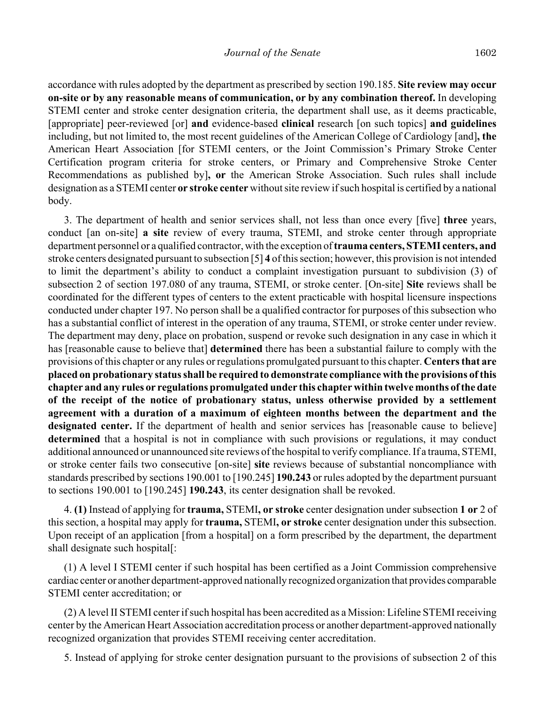accordance with rules adopted by the department as prescribed by section 190.185. **Site review may occur on-site or by any reasonable means of communication, or by any combination thereof.** In developing STEMI center and stroke center designation criteria, the department shall use, as it deems practicable, [appropriate] peer-reviewed [or] **and** evidence-based **clinical** research [on such topics] **and guidelines** including, but not limited to, the most recent guidelines of the American College of Cardiology [and]**, the** American Heart Association [for STEMI centers, or the Joint Commission's Primary Stroke Center Certification program criteria for stroke centers, or Primary and Comprehensive Stroke Center Recommendations as published by]**, or** the American Stroke Association. Such rules shall include designation as a STEMI center **or stroke center** without site review if such hospital is certified by a national body.

3. The department of health and senior services shall, not less than once every [five] **three** years, conduct [an on-site] **a site** review of every trauma, STEMI, and stroke center through appropriate department personnel or a qualified contractor, with the exception of **trauma centers, STEMI centers, and** stroke centers designated pursuant to subsection [5] **4** of this section; however, this provision is not intended to limit the department's ability to conduct a complaint investigation pursuant to subdivision (3) of subsection 2 of section 197.080 of any trauma, STEMI, or stroke center. [On-site] **Site** reviews shall be coordinated for the different types of centers to the extent practicable with hospital licensure inspections conducted under chapter 197. No person shall be a qualified contractor for purposes of this subsection who has a substantial conflict of interest in the operation of any trauma, STEMI, or stroke center under review. The department may deny, place on probation, suspend or revoke such designation in any case in which it has [reasonable cause to believe that] **determined** there has been a substantial failure to comply with the provisions of this chapter or any rules or regulations promulgated pursuant to this chapter. **Centers that are placed on probationary status shall be required to demonstrate compliance with the provisions of this chapter and any rules or regulations promulgated under this chapter within twelve months of the date of the receipt of the notice of probationary status, unless otherwise provided by a settlement agreement with a duration of a maximum of eighteen months between the department and the designated center.** If the department of health and senior services has [reasonable cause to believe] **determined** that a hospital is not in compliance with such provisions or regulations, it may conduct additional announced or unannounced site reviews of the hospital to verify compliance. If a trauma, STEMI, or stroke center fails two consecutive [on-site] **site** reviews because of substantial noncompliance with standards prescribed by sections 190.001 to [190.245] **190.243** or rules adopted by the department pursuant to sections 190.001 to [190.245] **190.243**, its center designation shall be revoked.

4. **(1)** Instead of applying for **trauma,** STEMI**, or stroke** center designation under subsection **1 or** 2 of this section, a hospital may apply for **trauma,** STEMI**, or stroke** center designation under this subsection. Upon receipt of an application [from a hospital] on a form prescribed by the department, the department shall designate such hospital[:

(1) A level I STEMI center if such hospital has been certified as a Joint Commission comprehensive cardiac center or another department-approved nationally recognized organization that provides comparable STEMI center accreditation; or

(2) A level II STEMI center if such hospital has been accredited as a Mission: Lifeline STEMI receiving center by the American Heart Association accreditation process or another department-approved nationally recognized organization that provides STEMI receiving center accreditation.

5. Instead of applying for stroke center designation pursuant to the provisions of subsection 2 of this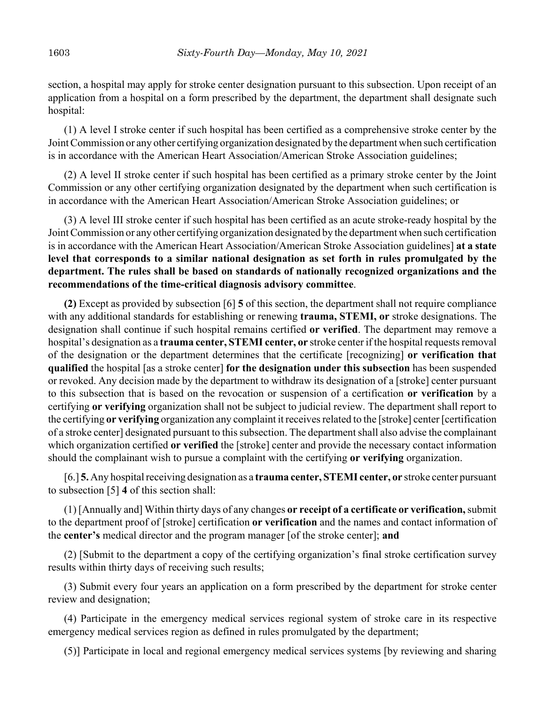section, a hospital may apply for stroke center designation pursuant to this subsection. Upon receipt of an application from a hospital on a form prescribed by the department, the department shall designate such hospital:

(1) A level I stroke center if such hospital has been certified as a comprehensive stroke center by the Joint Commission or any other certifying organization designated by the department when such certification is in accordance with the American Heart Association/American Stroke Association guidelines;

(2) A level II stroke center if such hospital has been certified as a primary stroke center by the Joint Commission or any other certifying organization designated by the department when such certification is in accordance with the American Heart Association/American Stroke Association guidelines; or

(3) A level III stroke center if such hospital has been certified as an acute stroke-ready hospital by the Joint Commission or any other certifying organization designated by the department when such certification is in accordance with the American Heart Association/American Stroke Association guidelines] **at a state level that corresponds to a similar national designation as set forth in rules promulgated by the department. The rules shall be based on standards of nationally recognized organizations and the recommendations of the time-critical diagnosis advisory committee**.

**(2)** Except as provided by subsection [6] **5** of this section, the department shall not require compliance with any additional standards for establishing or renewing **trauma, STEMI, or** stroke designations. The designation shall continue if such hospital remains certified **or verified**. The department may remove a hospital's designation as a **trauma center, STEMI center, or** stroke center if the hospital requests removal of the designation or the department determines that the certificate [recognizing] **or verification that qualified** the hospital [as a stroke center] **for the designation under this subsection** has been suspended or revoked. Any decision made by the department to withdraw its designation of a [stroke] center pursuant to this subsection that is based on the revocation or suspension of a certification **or verification** by a certifying **or verifying** organization shall not be subject to judicial review. The department shall report to the certifying **or verifying** organization any complaint it receives related to the [stroke] center [certification of a stroke center] designated pursuant to this subsection. The department shall also advise the complainant which organization certified **or verified** the [stroke] center and provide the necessary contact information should the complainant wish to pursue a complaint with the certifying **or verifying** organization.

[6.] **5.** Any hospital receiving designation as a **trauma center, STEMI center, or** stroke center pursuant to subsection [5] **4** of this section shall:

(1) [Annually and] Within thirty days of any changes **or receipt of a certificate or verification,** submit to the department proof of [stroke] certification **or verification** and the names and contact information of the **center's** medical director and the program manager [of the stroke center]; **and**

(2) [Submit to the department a copy of the certifying organization's final stroke certification survey results within thirty days of receiving such results;

(3) Submit every four years an application on a form prescribed by the department for stroke center review and designation;

(4) Participate in the emergency medical services regional system of stroke care in its respective emergency medical services region as defined in rules promulgated by the department;

(5)] Participate in local and regional emergency medical services systems [by reviewing and sharing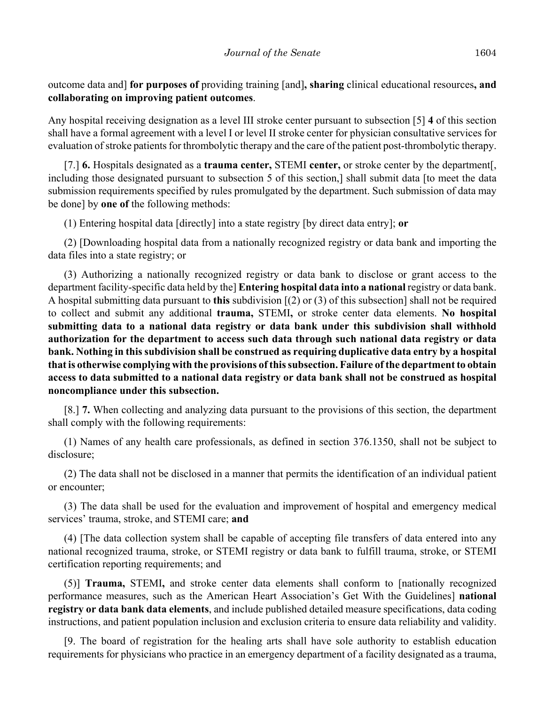outcome data and] **for purposes of** providing training [and]**, sharing** clinical educational resources**, and collaborating on improving patient outcomes**.

Any hospital receiving designation as a level III stroke center pursuant to subsection [5] **4** of this section shall have a formal agreement with a level I or level II stroke center for physician consultative services for evaluation of stroke patients for thrombolytic therapy and the care of the patient post-thrombolytic therapy.

[7.] **6.** Hospitals designated as a **trauma center,** STEMI **center,** or stroke center by the department[, including those designated pursuant to subsection 5 of this section,] shall submit data [to meet the data submission requirements specified by rules promulgated by the department. Such submission of data may be done] by **one of** the following methods:

(1) Entering hospital data [directly] into a state registry [by direct data entry]; **or**

(2) [Downloading hospital data from a nationally recognized registry or data bank and importing the data files into a state registry; or

(3) Authorizing a nationally recognized registry or data bank to disclose or grant access to the department facility-specific data held by the] **Entering hospital data into a national** registry or data bank. A hospital submitting data pursuant to **this** subdivision [(2) or (3) of this subsection] shall not be required to collect and submit any additional **trauma,** STEMI**,** or stroke center data elements. **No hospital submitting data to a national data registry or data bank under this subdivision shall withhold authorization for the department to access such data through such national data registry or data bank. Nothing in this subdivision shall be construed as requiring duplicative data entry by a hospital that is otherwise complying with the provisions of this subsection. Failure of the department to obtain access to data submitted to a national data registry or data bank shall not be construed as hospital noncompliance under this subsection.**

[8.] **7.** When collecting and analyzing data pursuant to the provisions of this section, the department shall comply with the following requirements:

(1) Names of any health care professionals, as defined in section 376.1350, shall not be subject to disclosure;

(2) The data shall not be disclosed in a manner that permits the identification of an individual patient or encounter;

(3) The data shall be used for the evaluation and improvement of hospital and emergency medical services' trauma, stroke, and STEMI care; **and**

(4) [The data collection system shall be capable of accepting file transfers of data entered into any national recognized trauma, stroke, or STEMI registry or data bank to fulfill trauma, stroke, or STEMI certification reporting requirements; and

(5)] **Trauma,** STEMI**,** and stroke center data elements shall conform to [nationally recognized performance measures, such as the American Heart Association's Get With the Guidelines] **national registry or data bank data elements**, and include published detailed measure specifications, data coding instructions, and patient population inclusion and exclusion criteria to ensure data reliability and validity.

[9. The board of registration for the healing arts shall have sole authority to establish education requirements for physicians who practice in an emergency department of a facility designated as a trauma,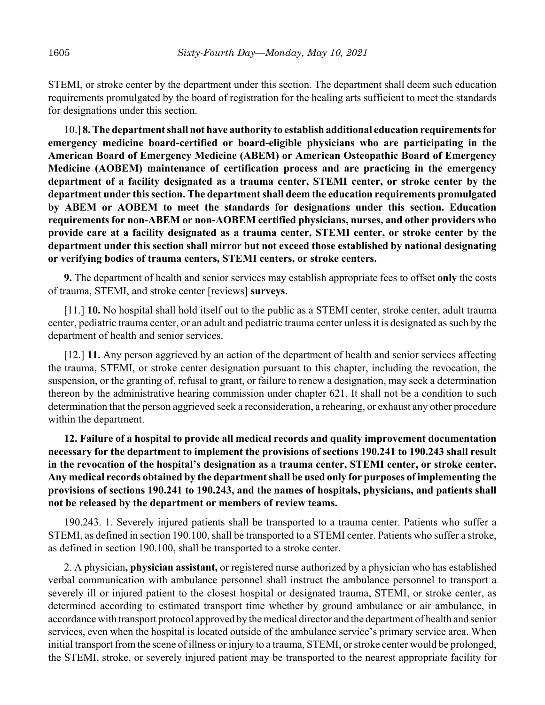STEMI, or stroke center by the department under this section. The department shall deem such education requirements promulgated by the board of registration for the healing arts sufficient to meet the standards for designations under this section.

10.] **8. The department shall not have authority to establish additional education requirements for emergency medicine board-certified or board-eligible physicians who are participating in the American Board of Emergency Medicine (ABEM) or American Osteopathic Board of Emergency Medicine (AOBEM) maintenance of certification process and are practicing in the emergency department of a facility designated as a trauma center, STEMI center, or stroke center by the department under this section. The department shall deem the education requirements promulgated by ABEM or AOBEM to meet the standards for designations under this section. Education requirements for non-ABEM or non-AOBEM certified physicians, nurses, and other providers who provide care at a facility designated as a trauma center, STEMI center, or stroke center by the department under this section shall mirror but not exceed those established by national designating or verifying bodies of trauma centers, STEMI centers, or stroke centers.**

**9.** The department of health and senior services may establish appropriate fees to offset **only** the costs of trauma, STEMI, and stroke center [reviews] **surveys**.

[11.] **10.** No hospital shall hold itself out to the public as a STEMI center, stroke center, adult trauma center, pediatric trauma center, or an adult and pediatric trauma center unless it is designated as such by the department of health and senior services.

[12.] **11.** Any person aggrieved by an action of the department of health and senior services affecting the trauma, STEMI, or stroke center designation pursuant to this chapter, including the revocation, the suspension, or the granting of, refusal to grant, or failure to renew a designation, may seek a determination thereon by the administrative hearing commission under chapter 621. It shall not be a condition to such determination that the person aggrieved seek a reconsideration, a rehearing, or exhaust any other procedure within the department.

**12. Failure of a hospital to provide all medical records and quality improvement documentation necessary for the department to implement the provisions of sections 190.241 to 190.243 shall result in the revocation of the hospital's designation as a trauma center, STEMI center, or stroke center. Any medical records obtained by the department shall be used only for purposes of implementing the provisions of sections 190.241 to 190.243, and the names of hospitals, physicians, and patients shall not be released by the department or members of review teams.**

190.243. 1. Severely injured patients shall be transported to a trauma center. Patients who suffer a STEMI, as defined in section 190.100, shall be transported to a STEMI center. Patients who suffer a stroke, as defined in section 190.100, shall be transported to a stroke center.

2. A physician**, physician assistant,** or registered nurse authorized by a physician who has established verbal communication with ambulance personnel shall instruct the ambulance personnel to transport a severely ill or injured patient to the closest hospital or designated trauma, STEMI, or stroke center, as determined according to estimated transport time whether by ground ambulance or air ambulance, in accordance with transport protocol approved by the medical director and the department of health and senior services, even when the hospital is located outside of the ambulance service's primary service area. When initial transport from the scene of illness or injury to a trauma, STEMI, or stroke center would be prolonged, the STEMI, stroke, or severely injured patient may be transported to the nearest appropriate facility for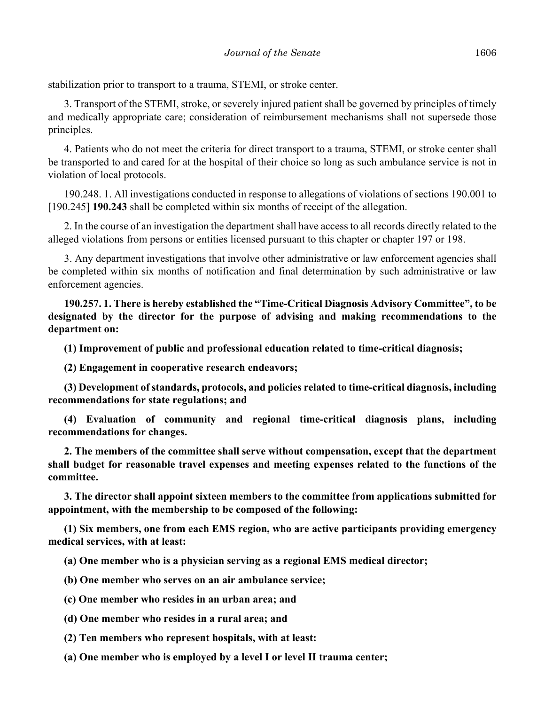stabilization prior to transport to a trauma, STEMI, or stroke center.

3. Transport of the STEMI, stroke, or severely injured patient shall be governed by principles of timely and medically appropriate care; consideration of reimbursement mechanisms shall not supersede those principles.

4. Patients who do not meet the criteria for direct transport to a trauma, STEMI, or stroke center shall be transported to and cared for at the hospital of their choice so long as such ambulance service is not in violation of local protocols.

190.248. 1. All investigations conducted in response to allegations of violations of sections 190.001 to [190.245] **190.243** shall be completed within six months of receipt of the allegation.

2. In the course of an investigation the department shall have access to all records directly related to the alleged violations from persons or entities licensed pursuant to this chapter or chapter 197 or 198.

3. Any department investigations that involve other administrative or law enforcement agencies shall be completed within six months of notification and final determination by such administrative or law enforcement agencies.

**190.257. 1. There is hereby established the "Time-Critical Diagnosis Advisory Committee", to be designated by the director for the purpose of advising and making recommendations to the department on:**

**(1) Improvement of public and professional education related to time-critical diagnosis;**

**(2) Engagement in cooperative research endeavors;**

**(3) Development of standards, protocols, and policies related to time-critical diagnosis, including recommendations for state regulations; and**

**(4) Evaluation of community and regional time-critical diagnosis plans, including recommendations for changes.**

**2. The members of the committee shall serve without compensation, except that the department shall budget for reasonable travel expenses and meeting expenses related to the functions of the committee.**

**3. The director shall appoint sixteen members to the committee from applications submitted for appointment, with the membership to be composed of the following:**

**(1) Six members, one from each EMS region, who are active participants providing emergency medical services, with at least:**

**(a) One member who is a physician serving as a regional EMS medical director;**

**(b) One member who serves on an air ambulance service;**

**(c) One member who resides in an urban area; and**

**(d) One member who resides in a rural area; and**

**(2) Ten members who represent hospitals, with at least:**

**(a) One member who is employed by a level I or level II trauma center;**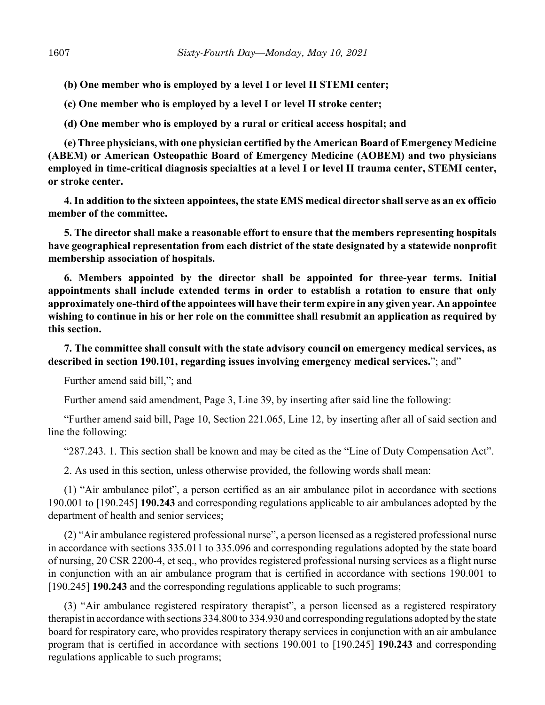**(b) One member who is employed by a level I or level II STEMI center;**

**(c) One member who is employed by a level I or level II stroke center;**

**(d) One member who is employed by a rural or critical access hospital; and**

**(e) Three physicians, with one physician certified by the American Board of Emergency Medicine (ABEM) or American Osteopathic Board of Emergency Medicine (AOBEM) and two physicians employed in time-critical diagnosis specialties at a level I or level II trauma center, STEMI center, or stroke center.**

**4. In addition to the sixteen appointees, the state EMS medical director shall serve as an ex officio member of the committee.**

**5. The director shall make a reasonable effort to ensure that the members representing hospitals have geographical representation from each district of the state designated by a statewide nonprofit membership association of hospitals.**

**6. Members appointed by the director shall be appointed for three-year terms. Initial appointments shall include extended terms in order to establish a rotation to ensure that only approximately one-third of the appointees will have their term expire in any given year. An appointee wishing to continue in his or her role on the committee shall resubmit an application as required by this section.**

**7. The committee shall consult with the state advisory council on emergency medical services, as described in section 190.101, regarding issues involving emergency medical services.**"; and"

Further amend said bill,"; and

Further amend said amendment, Page 3, Line 39, by inserting after said line the following:

"Further amend said bill, Page 10, Section 221.065, Line 12, by inserting after all of said section and line the following:

"287.243. 1. This section shall be known and may be cited as the "Line of Duty Compensation Act".

2. As used in this section, unless otherwise provided, the following words shall mean:

(1) "Air ambulance pilot", a person certified as an air ambulance pilot in accordance with sections 190.001 to [190.245] **190.243** and corresponding regulations applicable to air ambulances adopted by the department of health and senior services;

(2) "Air ambulance registered professional nurse", a person licensed as a registered professional nurse in accordance with sections 335.011 to 335.096 and corresponding regulations adopted by the state board of nursing, 20 CSR 2200-4, et seq., who provides registered professional nursing services as a flight nurse in conjunction with an air ambulance program that is certified in accordance with sections 190.001 to [190.245] **190.243** and the corresponding regulations applicable to such programs;

(3) "Air ambulance registered respiratory therapist", a person licensed as a registered respiratory therapist in accordance with sections 334.800 to 334.930 and corresponding regulations adopted by the state board for respiratory care, who provides respiratory therapy services in conjunction with an air ambulance program that is certified in accordance with sections 190.001 to [190.245] **190.243** and corresponding regulations applicable to such programs;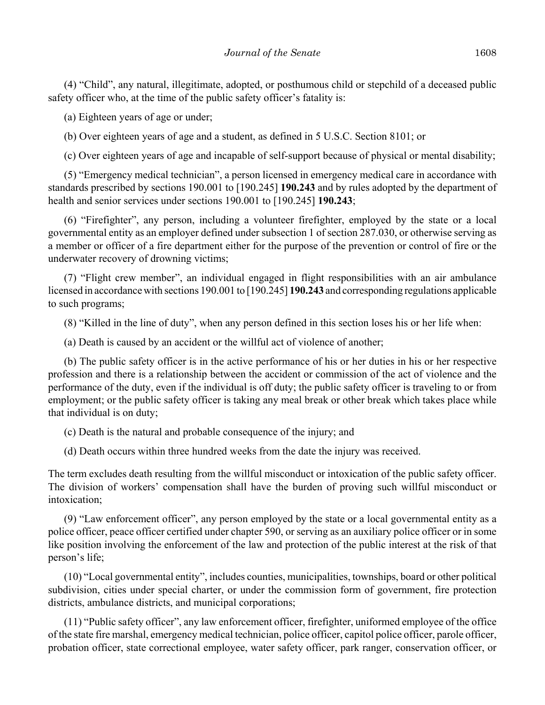(4) "Child", any natural, illegitimate, adopted, or posthumous child or stepchild of a deceased public safety officer who, at the time of the public safety officer's fatality is:

(a) Eighteen years of age or under;

(b) Over eighteen years of age and a student, as defined in 5 U.S.C. Section 8101; or

(c) Over eighteen years of age and incapable of self-support because of physical or mental disability;

(5) "Emergency medical technician", a person licensed in emergency medical care in accordance with standards prescribed by sections 190.001 to [190.245] **190.243** and by rules adopted by the department of health and senior services under sections 190.001 to [190.245] **190.243**;

(6) "Firefighter", any person, including a volunteer firefighter, employed by the state or a local governmental entity as an employer defined under subsection 1 of section 287.030, or otherwise serving as a member or officer of a fire department either for the purpose of the prevention or control of fire or the underwater recovery of drowning victims;

(7) "Flight crew member", an individual engaged in flight responsibilities with an air ambulance licensed in accordance with sections 190.001 to [190.245] **190.243** and corresponding regulations applicable to such programs;

(8) "Killed in the line of duty", when any person defined in this section loses his or her life when:

(a) Death is caused by an accident or the willful act of violence of another;

(b) The public safety officer is in the active performance of his or her duties in his or her respective profession and there is a relationship between the accident or commission of the act of violence and the performance of the duty, even if the individual is off duty; the public safety officer is traveling to or from employment; or the public safety officer is taking any meal break or other break which takes place while that individual is on duty;

(c) Death is the natural and probable consequence of the injury; and

(d) Death occurs within three hundred weeks from the date the injury was received.

The term excludes death resulting from the willful misconduct or intoxication of the public safety officer. The division of workers' compensation shall have the burden of proving such willful misconduct or intoxication;

(9) "Law enforcement officer", any person employed by the state or a local governmental entity as a police officer, peace officer certified under chapter 590, or serving as an auxiliary police officer or in some like position involving the enforcement of the law and protection of the public interest at the risk of that person's life;

(10) "Local governmental entity", includes counties, municipalities, townships, board or other political subdivision, cities under special charter, or under the commission form of government, fire protection districts, ambulance districts, and municipal corporations;

(11) "Public safety officer", any law enforcement officer, firefighter, uniformed employee of the office of the state fire marshal, emergency medical technician, police officer, capitol police officer, parole officer, probation officer, state correctional employee, water safety officer, park ranger, conservation officer, or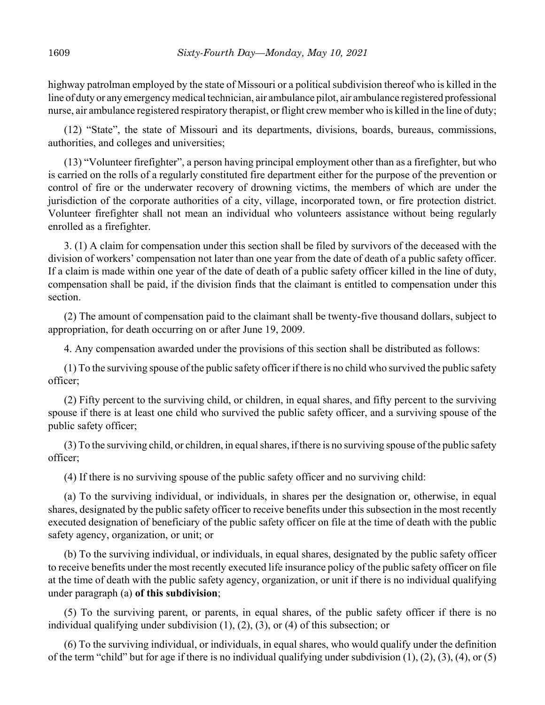highway patrolman employed by the state of Missouri or a political subdivision thereof who is killed in the line of duty or any emergency medical technician, air ambulance pilot, air ambulance registered professional nurse, air ambulance registered respiratory therapist, or flight crew member who is killed in the line of duty;

(12) "State", the state of Missouri and its departments, divisions, boards, bureaus, commissions, authorities, and colleges and universities;

(13) "Volunteer firefighter", a person having principal employment other than as a firefighter, but who is carried on the rolls of a regularly constituted fire department either for the purpose of the prevention or control of fire or the underwater recovery of drowning victims, the members of which are under the jurisdiction of the corporate authorities of a city, village, incorporated town, or fire protection district. Volunteer firefighter shall not mean an individual who volunteers assistance without being regularly enrolled as a firefighter.

3. (1) A claim for compensation under this section shall be filed by survivors of the deceased with the division of workers' compensation not later than one year from the date of death of a public safety officer. If a claim is made within one year of the date of death of a public safety officer killed in the line of duty, compensation shall be paid, if the division finds that the claimant is entitled to compensation under this section.

(2) The amount of compensation paid to the claimant shall be twenty-five thousand dollars, subject to appropriation, for death occurring on or after June 19, 2009.

4. Any compensation awarded under the provisions of this section shall be distributed as follows:

(1) To the surviving spouse of the public safety officer if there is no child who survived the public safety officer;

(2) Fifty percent to the surviving child, or children, in equal shares, and fifty percent to the surviving spouse if there is at least one child who survived the public safety officer, and a surviving spouse of the public safety officer;

(3) To the surviving child, or children, in equal shares, if there is no surviving spouse of the public safety officer;

(4) If there is no surviving spouse of the public safety officer and no surviving child:

(a) To the surviving individual, or individuals, in shares per the designation or, otherwise, in equal shares, designated by the public safety officer to receive benefits under this subsection in the most recently executed designation of beneficiary of the public safety officer on file at the time of death with the public safety agency, organization, or unit; or

(b) To the surviving individual, or individuals, in equal shares, designated by the public safety officer to receive benefits under the most recently executed life insurance policy of the public safety officer on file at the time of death with the public safety agency, organization, or unit if there is no individual qualifying under paragraph (a) **of this subdivision**;

(5) To the surviving parent, or parents, in equal shares, of the public safety officer if there is no individual qualifying under subdivision (1), (2), (3), or (4) of this subsection; or

(6) To the surviving individual, or individuals, in equal shares, who would qualify under the definition of the term "child" but for age if there is no individual qualifying under subdivision (1), (2), (3), (4), or (5)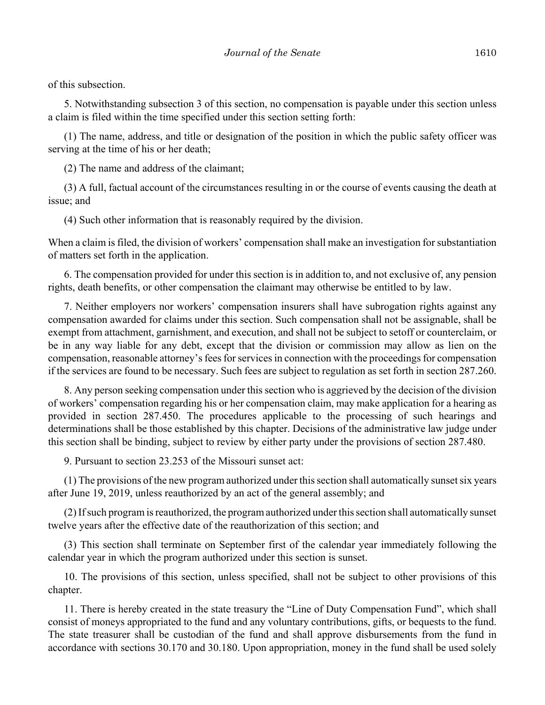of this subsection.

5. Notwithstanding subsection 3 of this section, no compensation is payable under this section unless a claim is filed within the time specified under this section setting forth:

(1) The name, address, and title or designation of the position in which the public safety officer was serving at the time of his or her death;

(2) The name and address of the claimant;

(3) A full, factual account of the circumstances resulting in or the course of events causing the death at issue; and

(4) Such other information that is reasonably required by the division.

When a claim is filed, the division of workers' compensation shall make an investigation for substantiation of matters set forth in the application.

6. The compensation provided for under this section is in addition to, and not exclusive of, any pension rights, death benefits, or other compensation the claimant may otherwise be entitled to by law.

7. Neither employers nor workers' compensation insurers shall have subrogation rights against any compensation awarded for claims under this section. Such compensation shall not be assignable, shall be exempt from attachment, garnishment, and execution, and shall not be subject to setoff or counterclaim, or be in any way liable for any debt, except that the division or commission may allow as lien on the compensation, reasonable attorney's fees for services in connection with the proceedings for compensation if the services are found to be necessary. Such fees are subject to regulation as set forth in section 287.260.

8. Any person seeking compensation under this section who is aggrieved by the decision of the division of workers' compensation regarding his or her compensation claim, may make application for a hearing as provided in section 287.450. The procedures applicable to the processing of such hearings and determinations shall be those established by this chapter. Decisions of the administrative law judge under this section shall be binding, subject to review by either party under the provisions of section 287.480.

9. Pursuant to section 23.253 of the Missouri sunset act:

(1) The provisions of the new program authorized under this section shall automatically sunset six years after June 19, 2019, unless reauthorized by an act of the general assembly; and

(2) If such program is reauthorized, the program authorized under this section shall automatically sunset twelve years after the effective date of the reauthorization of this section; and

(3) This section shall terminate on September first of the calendar year immediately following the calendar year in which the program authorized under this section is sunset.

10. The provisions of this section, unless specified, shall not be subject to other provisions of this chapter.

11. There is hereby created in the state treasury the "Line of Duty Compensation Fund", which shall consist of moneys appropriated to the fund and any voluntary contributions, gifts, or bequests to the fund. The state treasurer shall be custodian of the fund and shall approve disbursements from the fund in accordance with sections 30.170 and 30.180. Upon appropriation, money in the fund shall be used solely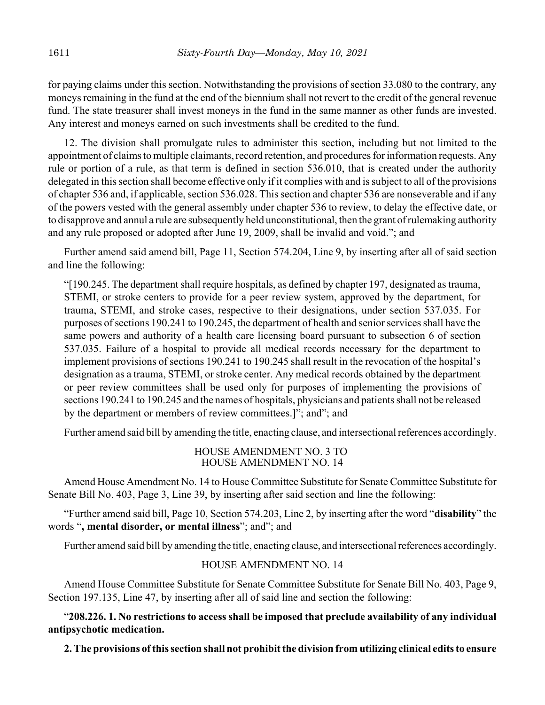for paying claims under this section. Notwithstanding the provisions of section 33.080 to the contrary, any moneys remaining in the fund at the end of the biennium shall not revert to the credit of the general revenue fund. The state treasurer shall invest moneys in the fund in the same manner as other funds are invested. Any interest and moneys earned on such investments shall be credited to the fund.

12. The division shall promulgate rules to administer this section, including but not limited to the appointment of claims to multiple claimants, record retention, and procedures for information requests. Any rule or portion of a rule, as that term is defined in section 536.010, that is created under the authority delegated in this section shall become effective only if it complies with and is subject to all of the provisions of chapter 536 and, if applicable, section 536.028. This section and chapter 536 are nonseverable and if any of the powers vested with the general assembly under chapter 536 to review, to delay the effective date, or to disapprove and annul a rule are subsequently held unconstitutional, then the grant of rulemaking authority and any rule proposed or adopted after June 19, 2009, shall be invalid and void."; and

Further amend said amend bill, Page 11, Section 574.204, Line 9, by inserting after all of said section and line the following:

"[190.245. The department shall require hospitals, as defined by chapter 197, designated as trauma, STEMI, or stroke centers to provide for a peer review system, approved by the department, for trauma, STEMI, and stroke cases, respective to their designations, under section 537.035. For purposes of sections 190.241 to 190.245, the department of health and senior services shall have the same powers and authority of a health care licensing board pursuant to subsection 6 of section 537.035. Failure of a hospital to provide all medical records necessary for the department to implement provisions of sections 190.241 to 190.245 shall result in the revocation of the hospital's designation as a trauma, STEMI, or stroke center. Any medical records obtained by the department or peer review committees shall be used only for purposes of implementing the provisions of sections 190.241 to 190.245 and the names of hospitals, physicians and patients shall not be released by the department or members of review committees.]"; and"; and

Further amend said bill by amending the title, enacting clause, and intersectional references accordingly.

## HOUSE AMENDMENT NO. 3 TO HOUSE AMENDMENT NO. 14

Amend House Amendment No. 14 to House Committee Substitute for Senate Committee Substitute for Senate Bill No. 403, Page 3, Line 39, by inserting after said section and line the following:

"Further amend said bill, Page 10, Section 574.203, Line 2, by inserting after the word "**disability**" the words "**, mental disorder, or mental illness**"; and"; and

Further amend said bill by amending the title, enacting clause, and intersectional references accordingly.

## HOUSE AMENDMENT NO. 14

Amend House Committee Substitute for Senate Committee Substitute for Senate Bill No. 403, Page 9, Section 197.135, Line 47, by inserting after all of said line and section the following:

"**208.226. 1. No restrictions to access shall be imposed that preclude availability of any individual antipsychotic medication.**

**2. The provisions of this section shall not prohibit the division from utilizing clinical edits to ensure**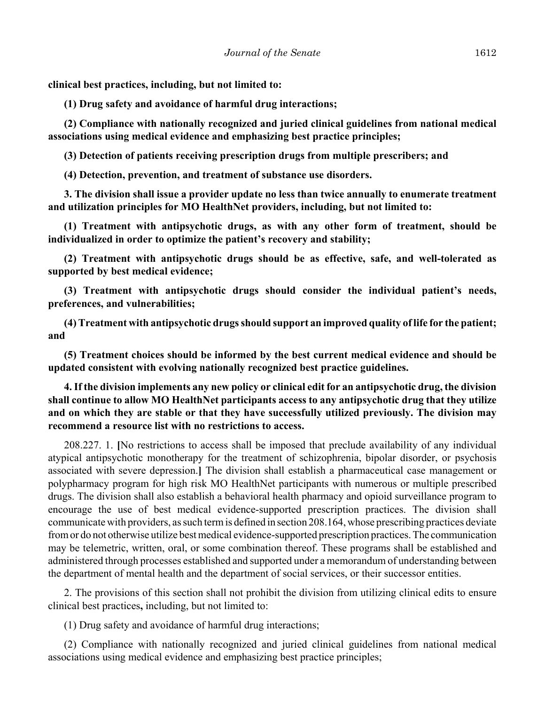**clinical best practices, including, but not limited to:**

**(1) Drug safety and avoidance of harmful drug interactions;**

**(2) Compliance with nationally recognized and juried clinical guidelines from national medical associations using medical evidence and emphasizing best practice principles;**

**(3) Detection of patients receiving prescription drugs from multiple prescribers; and**

**(4) Detection, prevention, and treatment of substance use disorders.**

**3. The division shall issue a provider update no less than twice annually to enumerate treatment and utilization principles for MO HealthNet providers, including, but not limited to:**

**(1) Treatment with antipsychotic drugs, as with any other form of treatment, should be individualized in order to optimize the patient's recovery and stability;**

**(2) Treatment with antipsychotic drugs should be as effective, safe, and well-tolerated as supported by best medical evidence;**

**(3) Treatment with antipsychotic drugs should consider the individual patient's needs, preferences, and vulnerabilities;**

**(4) Treatment with antipsychotic drugs should support an improved quality of life for the patient; and**

**(5) Treatment choices should be informed by the best current medical evidence and should be updated consistent with evolving nationally recognized best practice guidelines.**

**4. If the division implements any new policy or clinical edit for an antipsychotic drug, the division shall continue to allow MO HealthNet participants access to any antipsychotic drug that they utilize and on which they are stable or that they have successfully utilized previously. The division may recommend a resource list with no restrictions to access.**

208.227. 1. **[**No restrictions to access shall be imposed that preclude availability of any individual atypical antipsychotic monotherapy for the treatment of schizophrenia, bipolar disorder, or psychosis associated with severe depression.**]** The division shall establish a pharmaceutical case management or polypharmacy program for high risk MO HealthNet participants with numerous or multiple prescribed drugs. The division shall also establish a behavioral health pharmacy and opioid surveillance program to encourage the use of best medical evidence-supported prescription practices. The division shall communicate with providers, as such term is defined in section 208.164, whose prescribing practices deviate from or do not otherwise utilize best medical evidence-supported prescription practices. The communication may be telemetric, written, oral, or some combination thereof. These programs shall be established and administered through processes established and supported under a memorandum of understanding between the department of mental health and the department of social services, or their successor entities.

2. The provisions of this section shall not prohibit the division from utilizing clinical edits to ensure clinical best practices**,** including, but not limited to:

(1) Drug safety and avoidance of harmful drug interactions;

(2) Compliance with nationally recognized and juried clinical guidelines from national medical associations using medical evidence and emphasizing best practice principles;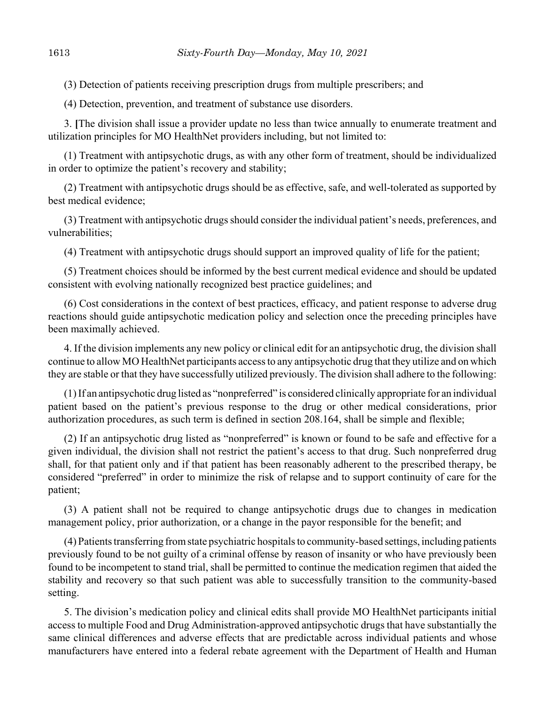(3) Detection of patients receiving prescription drugs from multiple prescribers; and

(4) Detection, prevention, and treatment of substance use disorders.

3. **[**The division shall issue a provider update no less than twice annually to enumerate treatment and utilization principles for MO HealthNet providers including, but not limited to:

(1) Treatment with antipsychotic drugs, as with any other form of treatment, should be individualized in order to optimize the patient's recovery and stability;

(2) Treatment with antipsychotic drugs should be as effective, safe, and well-tolerated as supported by best medical evidence;

(3) Treatment with antipsychotic drugs should consider the individual patient's needs, preferences, and vulnerabilities;

(4) Treatment with antipsychotic drugs should support an improved quality of life for the patient;

(5) Treatment choices should be informed by the best current medical evidence and should be updated consistent with evolving nationally recognized best practice guidelines; and

(6) Cost considerations in the context of best practices, efficacy, and patient response to adverse drug reactions should guide antipsychotic medication policy and selection once the preceding principles have been maximally achieved.

4. If the division implements any new policy or clinical edit for an antipsychotic drug, the division shall continue to allow MO HealthNet participants access to any antipsychotic drug that they utilize and on which they are stable or that they have successfully utilized previously. The division shall adhere to the following:

(1) If an antipsychotic drug listed as "nonpreferred" is considered clinically appropriate for an individual patient based on the patient's previous response to the drug or other medical considerations, prior authorization procedures, as such term is defined in section 208.164, shall be simple and flexible;

(2) If an antipsychotic drug listed as "nonpreferred" is known or found to be safe and effective for a given individual, the division shall not restrict the patient's access to that drug. Such nonpreferred drug shall, for that patient only and if that patient has been reasonably adherent to the prescribed therapy, be considered "preferred" in order to minimize the risk of relapse and to support continuity of care for the patient;

(3) A patient shall not be required to change antipsychotic drugs due to changes in medication management policy, prior authorization, or a change in the payor responsible for the benefit; and

(4) Patients transferring from state psychiatric hospitals to community-based settings, including patients previously found to be not guilty of a criminal offense by reason of insanity or who have previously been found to be incompetent to stand trial, shall be permitted to continue the medication regimen that aided the stability and recovery so that such patient was able to successfully transition to the community-based setting.

5. The division's medication policy and clinical edits shall provide MO HealthNet participants initial access to multiple Food and Drug Administration-approved antipsychotic drugs that have substantially the same clinical differences and adverse effects that are predictable across individual patients and whose manufacturers have entered into a federal rebate agreement with the Department of Health and Human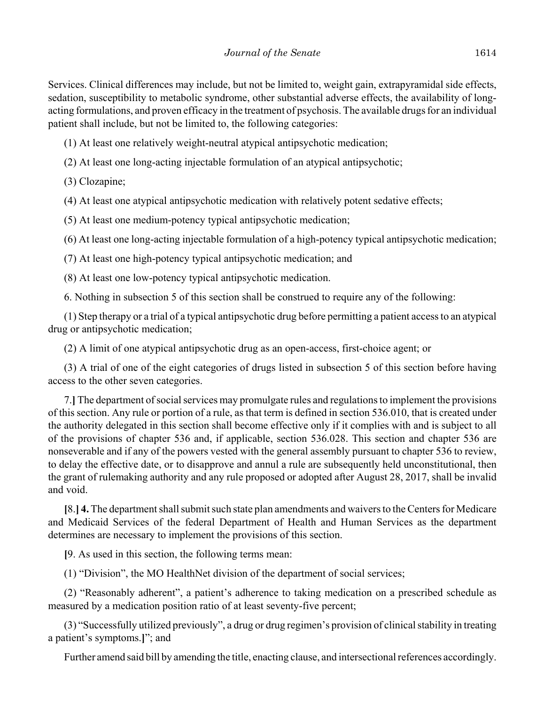Services. Clinical differences may include, but not be limited to, weight gain, extrapyramidal side effects, sedation, susceptibility to metabolic syndrome, other substantial adverse effects, the availability of longacting formulations, and proven efficacy in the treatment of psychosis. The available drugs for an individual patient shall include, but not be limited to, the following categories:

(1) At least one relatively weight-neutral atypical antipsychotic medication;

(2) At least one long-acting injectable formulation of an atypical antipsychotic;

(3) Clozapine;

(4) At least one atypical antipsychotic medication with relatively potent sedative effects;

(5) At least one medium-potency typical antipsychotic medication;

(6) At least one long-acting injectable formulation of a high-potency typical antipsychotic medication;

(7) At least one high-potency typical antipsychotic medication; and

(8) At least one low-potency typical antipsychotic medication.

6. Nothing in subsection 5 of this section shall be construed to require any of the following:

(1) Step therapy or a trial of a typical antipsychotic drug before permitting a patient access to an atypical drug or antipsychotic medication;

(2) A limit of one atypical antipsychotic drug as an open-access, first-choice agent; or

(3) A trial of one of the eight categories of drugs listed in subsection 5 of this section before having access to the other seven categories.

7.**]** The department of social services may promulgate rules and regulations to implement the provisions of this section. Any rule or portion of a rule, as that term is defined in section 536.010, that is created under the authority delegated in this section shall become effective only if it complies with and is subject to all of the provisions of chapter 536 and, if applicable, section 536.028. This section and chapter 536 are nonseverable and if any of the powers vested with the general assembly pursuant to chapter 536 to review, to delay the effective date, or to disapprove and annul a rule are subsequently held unconstitutional, then the grant of rulemaking authority and any rule proposed or adopted after August 28, 2017, shall be invalid and void.

**[**8.**] 4.** The department shall submit such state plan amendments and waivers to the Centers for Medicare and Medicaid Services of the federal Department of Health and Human Services as the department determines are necessary to implement the provisions of this section.

**[**9. As used in this section, the following terms mean:

(1) "Division", the MO HealthNet division of the department of social services;

(2) "Reasonably adherent", a patient's adherence to taking medication on a prescribed schedule as measured by a medication position ratio of at least seventy-five percent;

(3) "Successfully utilized previously", a drug or drug regimen's provision of clinical stability in treating a patient's symptoms.**]**"; and

Further amend said bill by amending the title, enacting clause, and intersectional references accordingly.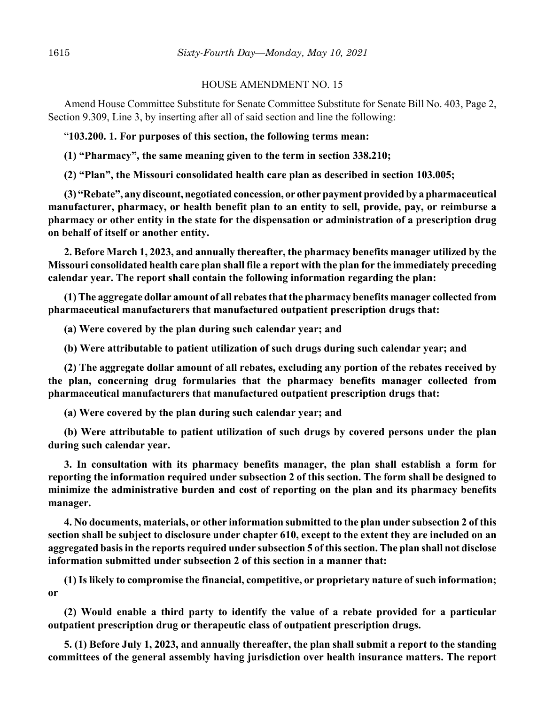### HOUSE AMENDMENT NO. 15

Amend House Committee Substitute for Senate Committee Substitute for Senate Bill No. 403, Page 2, Section 9.309, Line 3, by inserting after all of said section and line the following:

"**103.200. 1. For purposes of this section, the following terms mean:**

**(1) "Pharmacy", the same meaning given to the term in section 338.210;**

**(2) "Plan", the Missouri consolidated health care plan as described in section 103.005;**

**(3) "Rebate", any discount, negotiated concession, or other payment provided by a pharmaceutical manufacturer, pharmacy, or health benefit plan to an entity to sell, provide, pay, or reimburse a pharmacy or other entity in the state for the dispensation or administration of a prescription drug on behalf of itself or another entity.**

**2. Before March 1, 2023, and annually thereafter, the pharmacy benefits manager utilized by the Missouri consolidated health care plan shall file a report with the plan for the immediately preceding calendar year. The report shall contain the following information regarding the plan:**

**(1) The aggregate dollar amount of all rebates that the pharmacy benefits manager collected from pharmaceutical manufacturers that manufactured outpatient prescription drugs that:**

**(a) Were covered by the plan during such calendar year; and**

**(b) Were attributable to patient utilization of such drugs during such calendar year; and**

**(2) The aggregate dollar amount of all rebates, excluding any portion of the rebates received by the plan, concerning drug formularies that the pharmacy benefits manager collected from pharmaceutical manufacturers that manufactured outpatient prescription drugs that:**

**(a) Were covered by the plan during such calendar year; and**

**(b) Were attributable to patient utilization of such drugs by covered persons under the plan during such calendar year.**

**3. In consultation with its pharmacy benefits manager, the plan shall establish a form for reporting the information required under subsection 2 of this section. The form shall be designed to minimize the administrative burden and cost of reporting on the plan and its pharmacy benefits manager.**

**4. No documents, materials, or other information submitted to the plan under subsection 2 of this section shall be subject to disclosure under chapter 610, except to the extent they are included on an aggregated basis in the reports required under subsection 5 of this section. The plan shall not disclose information submitted under subsection 2 of this section in a manner that:**

**(1) Is likely to compromise the financial, competitive, or proprietary nature of such information; or**

**(2) Would enable a third party to identify the value of a rebate provided for a particular outpatient prescription drug or therapeutic class of outpatient prescription drugs.**

**5. (1) Before July 1, 2023, and annually thereafter, the plan shall submit a report to the standing committees of the general assembly having jurisdiction over health insurance matters. The report**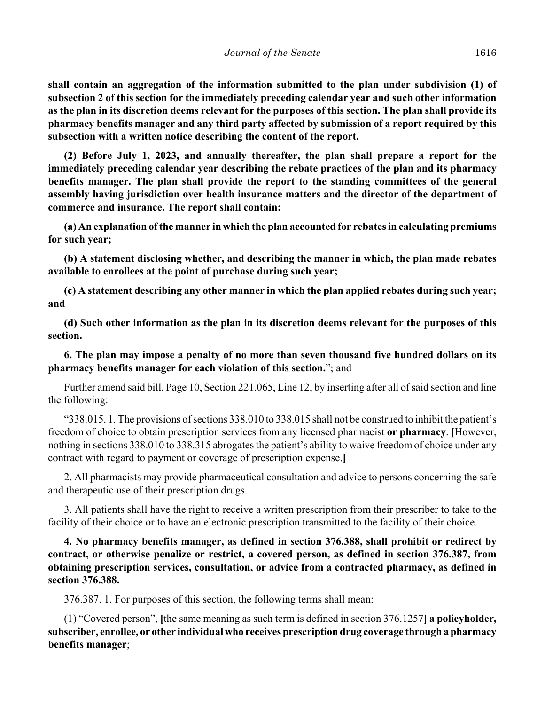**shall contain an aggregation of the information submitted to the plan under subdivision (1) of subsection 2 of this section for the immediately preceding calendar year and such other information as the plan in its discretion deems relevant for the purposes of this section. The plan shall provide its pharmacy benefits manager and any third party affected by submission of a report required by this subsection with a written notice describing the content of the report.**

**(2) Before July 1, 2023, and annually thereafter, the plan shall prepare a report for the immediately preceding calendar year describing the rebate practices of the plan and its pharmacy benefits manager. The plan shall provide the report to the standing committees of the general assembly having jurisdiction over health insurance matters and the director of the department of commerce and insurance. The report shall contain:**

**(a) An explanation of the manner in which the plan accounted for rebates in calculating premiums for such year;**

**(b) A statement disclosing whether, and describing the manner in which, the plan made rebates available to enrollees at the point of purchase during such year;**

**(c) A statement describing any other manner in which the plan applied rebates during such year; and**

**(d) Such other information as the plan in its discretion deems relevant for the purposes of this section.**

**6. The plan may impose a penalty of no more than seven thousand five hundred dollars on its pharmacy benefits manager for each violation of this section.**"; and

Further amend said bill, Page 10, Section 221.065, Line 12, by inserting after all of said section and line the following:

"338.015. 1. The provisions of sections 338.010 to 338.015 shall not be construed to inhibit the patient's freedom of choice to obtain prescription services from any licensed pharmacist **or pharmacy**. **[**However, nothing in sections 338.010 to 338.315 abrogates the patient's ability to waive freedom of choice under any contract with regard to payment or coverage of prescription expense.**]**

2. All pharmacists may provide pharmaceutical consultation and advice to persons concerning the safe and therapeutic use of their prescription drugs.

3. All patients shall have the right to receive a written prescription from their prescriber to take to the facility of their choice or to have an electronic prescription transmitted to the facility of their choice.

**4. No pharmacy benefits manager, as defined in section 376.388, shall prohibit or redirect by contract, or otherwise penalize or restrict, a covered person, as defined in section 376.387, from obtaining prescription services, consultation, or advice from a contracted pharmacy, as defined in section 376.388.**

376.387. 1. For purposes of this section, the following terms shall mean:

(1) "Covered person", **[**the same meaning as such term is defined in section 376.1257**] a policyholder, subscriber, enrollee, or other individual who receives prescription drug coverage through a pharmacy benefits manager**;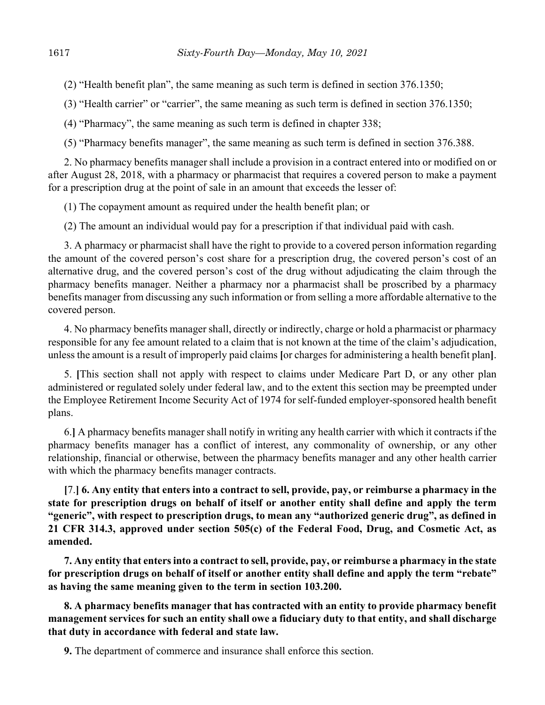(2) "Health benefit plan", the same meaning as such term is defined in section 376.1350;

(3) "Health carrier" or "carrier", the same meaning as such term is defined in section 376.1350;

(4) "Pharmacy", the same meaning as such term is defined in chapter 338;

(5) "Pharmacy benefits manager", the same meaning as such term is defined in section 376.388.

2. No pharmacy benefits manager shall include a provision in a contract entered into or modified on or after August 28, 2018, with a pharmacy or pharmacist that requires a covered person to make a payment for a prescription drug at the point of sale in an amount that exceeds the lesser of:

(1) The copayment amount as required under the health benefit plan; or

(2) The amount an individual would pay for a prescription if that individual paid with cash.

3. A pharmacy or pharmacist shall have the right to provide to a covered person information regarding the amount of the covered person's cost share for a prescription drug, the covered person's cost of an alternative drug, and the covered person's cost of the drug without adjudicating the claim through the pharmacy benefits manager. Neither a pharmacy nor a pharmacist shall be proscribed by a pharmacy benefits manager from discussing any such information or from selling a more affordable alternative to the covered person.

4. No pharmacy benefits manager shall, directly or indirectly, charge or hold a pharmacist or pharmacy responsible for any fee amount related to a claim that is not known at the time of the claim's adjudication, unless the amount is a result of improperly paid claims **[**or charges for administering a health benefit plan**]**.

5. **[**This section shall not apply with respect to claims under Medicare Part D, or any other plan administered or regulated solely under federal law, and to the extent this section may be preempted under the Employee Retirement Income Security Act of 1974 for self-funded employer-sponsored health benefit plans.

6.**]** A pharmacy benefits manager shall notify in writing any health carrier with which it contracts if the pharmacy benefits manager has a conflict of interest, any commonality of ownership, or any other relationship, financial or otherwise, between the pharmacy benefits manager and any other health carrier with which the pharmacy benefits manager contracts.

**[**7.**] 6. Any entity that enters into a contract to sell, provide, pay, or reimburse a pharmacy in the state for prescription drugs on behalf of itself or another entity shall define and apply the term "generic", with respect to prescription drugs, to mean any "authorized generic drug", as defined in 21 CFR 314.3, approved under section 505(c) of the Federal Food, Drug, and Cosmetic Act, as amended.**

**7. Any entity that enters into a contract to sell, provide, pay, or reimburse a pharmacy in the state for prescription drugs on behalf of itself or another entity shall define and apply the term "rebate" as having the same meaning given to the term in section 103.200.**

**8. A pharmacy benefits manager that has contracted with an entity to provide pharmacy benefit management services for such an entity shall owe a fiduciary duty to that entity, and shall discharge that duty in accordance with federal and state law.**

**9.** The department of commerce and insurance shall enforce this section.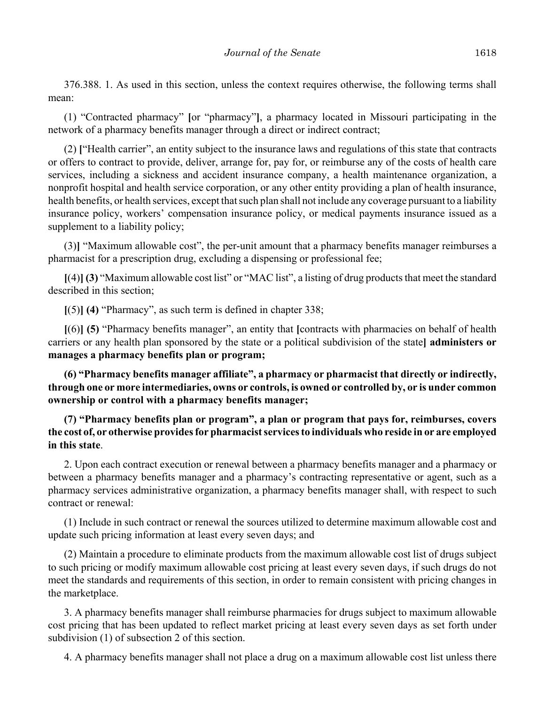376.388. 1. As used in this section, unless the context requires otherwise, the following terms shall mean:

(1) "Contracted pharmacy" **[**or "pharmacy"**]**, a pharmacy located in Missouri participating in the network of a pharmacy benefits manager through a direct or indirect contract;

(2) **[**"Health carrier", an entity subject to the insurance laws and regulations of this state that contracts or offers to contract to provide, deliver, arrange for, pay for, or reimburse any of the costs of health care services, including a sickness and accident insurance company, a health maintenance organization, a nonprofit hospital and health service corporation, or any other entity providing a plan of health insurance, health benefits, or health services, except that such plan shall not include any coverage pursuant to a liability insurance policy, workers' compensation insurance policy, or medical payments insurance issued as a supplement to a liability policy;

(3)**]** "Maximum allowable cost", the per-unit amount that a pharmacy benefits manager reimburses a pharmacist for a prescription drug, excluding a dispensing or professional fee;

**[**(4)**] (3)** "Maximum allowable cost list" or "MAC list", a listing of drug products that meet the standard described in this section;

**[**(5)**] (4)** "Pharmacy", as such term is defined in chapter 338;

**[**(6)**] (5)** "Pharmacy benefits manager", an entity that **[**contracts with pharmacies on behalf of health carriers or any health plan sponsored by the state or a political subdivision of the state**] administers or manages a pharmacy benefits plan or program;**

**(6) "Pharmacy benefits manager affiliate", a pharmacy or pharmacist that directly or indirectly, through one or more intermediaries, owns or controls, is owned or controlled by, or is under common ownership or control with a pharmacy benefits manager;**

**(7) "Pharmacy benefits plan or program", a plan or program that pays for, reimburses, covers the cost of, or otherwise provides for pharmacist services to individuals who reside in or are employed in this state**.

2. Upon each contract execution or renewal between a pharmacy benefits manager and a pharmacy or between a pharmacy benefits manager and a pharmacy's contracting representative or agent, such as a pharmacy services administrative organization, a pharmacy benefits manager shall, with respect to such contract or renewal:

(1) Include in such contract or renewal the sources utilized to determine maximum allowable cost and update such pricing information at least every seven days; and

(2) Maintain a procedure to eliminate products from the maximum allowable cost list of drugs subject to such pricing or modify maximum allowable cost pricing at least every seven days, if such drugs do not meet the standards and requirements of this section, in order to remain consistent with pricing changes in the marketplace.

3. A pharmacy benefits manager shall reimburse pharmacies for drugs subject to maximum allowable cost pricing that has been updated to reflect market pricing at least every seven days as set forth under subdivision (1) of subsection 2 of this section.

4. A pharmacy benefits manager shall not place a drug on a maximum allowable cost list unless there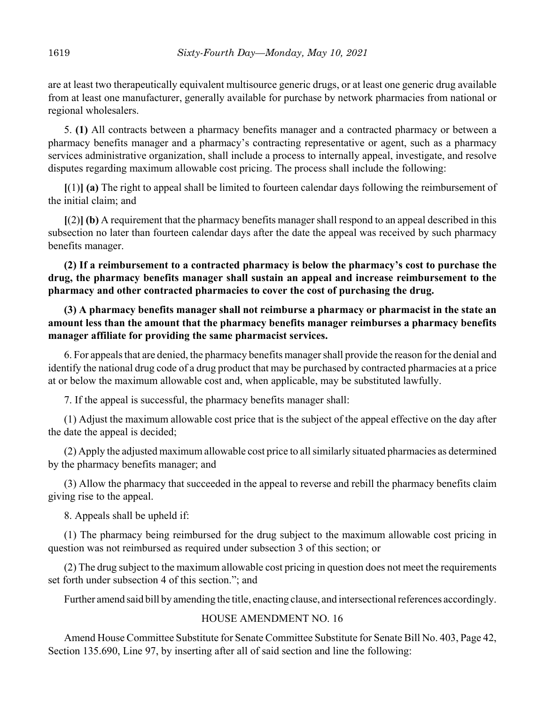are at least two therapeutically equivalent multisource generic drugs, or at least one generic drug available from at least one manufacturer, generally available for purchase by network pharmacies from national or regional wholesalers.

5. **(1)** All contracts between a pharmacy benefits manager and a contracted pharmacy or between a pharmacy benefits manager and a pharmacy's contracting representative or agent, such as a pharmacy services administrative organization, shall include a process to internally appeal, investigate, and resolve disputes regarding maximum allowable cost pricing. The process shall include the following:

**[**(1)**] (a)** The right to appeal shall be limited to fourteen calendar days following the reimbursement of the initial claim; and

**[**(2)**] (b)** A requirement that the pharmacy benefits manager shall respond to an appeal described in this subsection no later than fourteen calendar days after the date the appeal was received by such pharmacy benefits manager.

**(2) If a reimbursement to a contracted pharmacy is below the pharmacy's cost to purchase the drug, the pharmacy benefits manager shall sustain an appeal and increase reimbursement to the pharmacy and other contracted pharmacies to cover the cost of purchasing the drug.**

# **(3) A pharmacy benefits manager shall not reimburse a pharmacy or pharmacist in the state an amount less than the amount that the pharmacy benefits manager reimburses a pharmacy benefits manager affiliate for providing the same pharmacist services.**

6. For appeals that are denied, the pharmacy benefits manager shall provide the reason for the denial and identify the national drug code of a drug product that may be purchased by contracted pharmacies at a price at or below the maximum allowable cost and, when applicable, may be substituted lawfully.

7. If the appeal is successful, the pharmacy benefits manager shall:

(1) Adjust the maximum allowable cost price that is the subject of the appeal effective on the day after the date the appeal is decided;

(2) Apply the adjusted maximum allowable cost price to all similarly situated pharmacies as determined by the pharmacy benefits manager; and

(3) Allow the pharmacy that succeeded in the appeal to reverse and rebill the pharmacy benefits claim giving rise to the appeal.

8. Appeals shall be upheld if:

(1) The pharmacy being reimbursed for the drug subject to the maximum allowable cost pricing in question was not reimbursed as required under subsection 3 of this section; or

(2) The drug subject to the maximum allowable cost pricing in question does not meet the requirements set forth under subsection 4 of this section."; and

Further amend said bill by amending the title, enacting clause, and intersectional references accordingly.

## HOUSE AMENDMENT NO. 16

Amend House Committee Substitute for Senate Committee Substitute for Senate Bill No. 403, Page 42, Section 135.690, Line 97, by inserting after all of said section and line the following: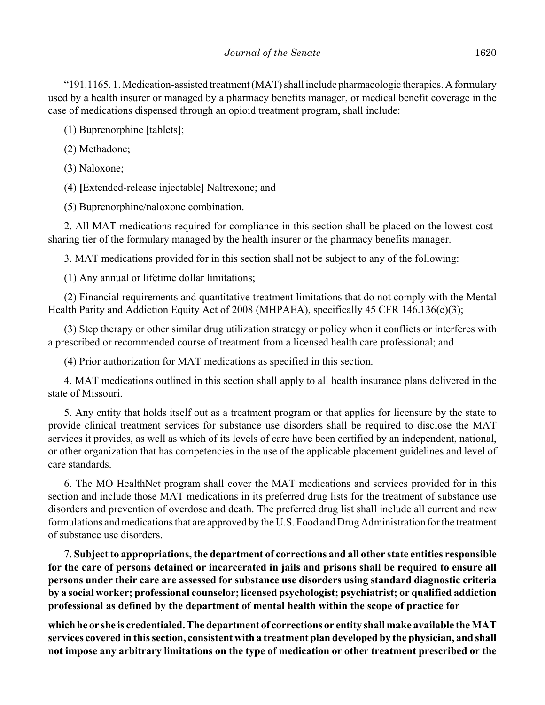"191.1165. 1. Medication-assisted treatment (MAT) shall include pharmacologic therapies. A formulary used by a health insurer or managed by a pharmacy benefits manager, or medical benefit coverage in the case of medications dispensed through an opioid treatment program, shall include:

(1) Buprenorphine **[**tablets**]**;

(2) Methadone;

(3) Naloxone;

(4) **[**Extended-release injectable**]** Naltrexone; and

(5) Buprenorphine/naloxone combination.

2. All MAT medications required for compliance in this section shall be placed on the lowest costsharing tier of the formulary managed by the health insurer or the pharmacy benefits manager.

3. MAT medications provided for in this section shall not be subject to any of the following:

(1) Any annual or lifetime dollar limitations;

(2) Financial requirements and quantitative treatment limitations that do not comply with the Mental Health Parity and Addiction Equity Act of 2008 (MHPAEA), specifically 45 CFR 146.136(c)(3);

(3) Step therapy or other similar drug utilization strategy or policy when it conflicts or interferes with a prescribed or recommended course of treatment from a licensed health care professional; and

(4) Prior authorization for MAT medications as specified in this section.

4. MAT medications outlined in this section shall apply to all health insurance plans delivered in the state of Missouri.

5. Any entity that holds itself out as a treatment program or that applies for licensure by the state to provide clinical treatment services for substance use disorders shall be required to disclose the MAT services it provides, as well as which of its levels of care have been certified by an independent, national, or other organization that has competencies in the use of the applicable placement guidelines and level of care standards.

6. The MO HealthNet program shall cover the MAT medications and services provided for in this section and include those MAT medications in its preferred drug lists for the treatment of substance use disorders and prevention of overdose and death. The preferred drug list shall include all current and new formulations and medications that are approved by the U.S. Food and Drug Administration for the treatment of substance use disorders.

7. **Subject to appropriations, the department of corrections and all other state entities responsible for the care of persons detained or incarcerated in jails and prisons shall be required to ensure all persons under their care are assessed for substance use disorders using standard diagnostic criteria by a social worker; professional counselor; licensed psychologist; psychiatrist; or qualified addiction professional as defined by the department of mental health within the scope of practice for**

**which he or she is credentialed. The department of corrections or entity shall make available the MAT services covered in this section, consistent with a treatment plan developed by the physician, and shall not impose any arbitrary limitations on the type of medication or other treatment prescribed or the**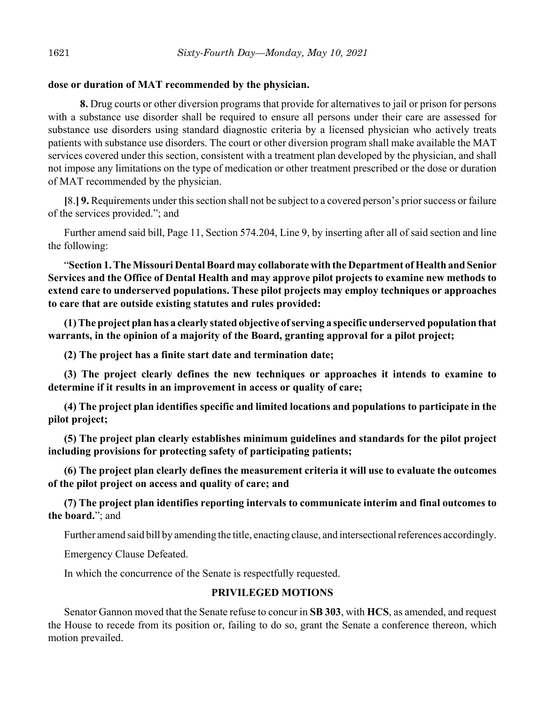# **dose or duration of MAT recommended by the physician.**

**8.** Drug courts or other diversion programs that provide for alternatives to jail or prison for persons with a substance use disorder shall be required to ensure all persons under their care are assessed for substance use disorders using standard diagnostic criteria by a licensed physician who actively treats patients with substance use disorders. The court or other diversion program shall make available the MAT services covered under this section, consistent with a treatment plan developed by the physician, and shall not impose any limitations on the type of medication or other treatment prescribed or the dose or duration of MAT recommended by the physician.

**[**8.**] 9.** Requirements under this section shall not be subject to a covered person's prior success or failure of the services provided."; and

Further amend said bill, Page 11, Section 574.204, Line 9, by inserting after all of said section and line the following:

"**Section 1. The Missouri Dental Board may collaborate with the Department of Health and Senior Services and the Office of Dental Health and may approve pilot projects to examine new methods to extend care to underserved populations. These pilot projects may employ techniques or approaches to care that are outside existing statutes and rules provided:**

**(1) The project plan has a clearly stated objective of serving a specific underserved population that warrants, in the opinion of a majority of the Board, granting approval for a pilot project;**

**(2) The project has a finite start date and termination date;**

**(3) The project clearly defines the new techniques or approaches it intends to examine to determine if it results in an improvement in access or quality of care;**

**(4) The project plan identifies specific and limited locations and populations to participate in the pilot project;**

**(5) The project plan clearly establishes minimum guidelines and standards for the pilot project including provisions for protecting safety of participating patients;**

**(6) The project plan clearly defines the measurement criteria it will use to evaluate the outcomes of the pilot project on access and quality of care; and**

**(7) The project plan identifies reporting intervals to communicate interim and final outcomes to the board.**"; and

Further amend said bill by amending the title, enacting clause, and intersectional references accordingly.

Emergency Clause Defeated.

In which the concurrence of the Senate is respectfully requested.

# **PRIVILEGED MOTIONS**

Senator Gannon moved that the Senate refuse to concur in **SB 303**, with **HCS**, as amended, and request the House to recede from its position or, failing to do so, grant the Senate a conference thereon, which motion prevailed.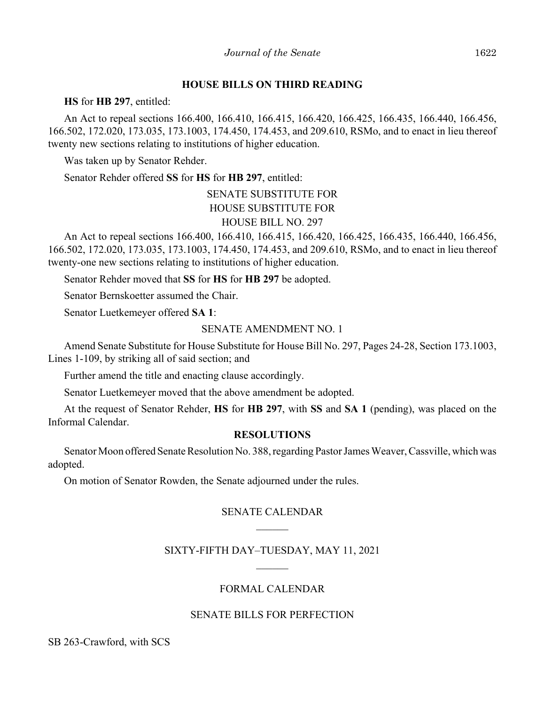### **HOUSE BILLS ON THIRD READING**

**HS** for **HB 297**, entitled:

An Act to repeal sections 166.400, 166.410, 166.415, 166.420, 166.425, 166.435, 166.440, 166.456, 166.502, 172.020, 173.035, 173.1003, 174.450, 174.453, and 209.610, RSMo, and to enact in lieu thereof twenty new sections relating to institutions of higher education.

Was taken up by Senator Rehder.

Senator Rehder offered **SS** for **HS** for **HB 297**, entitled:

SENATE SUBSTITUTE FOR HOUSE SUBSTITUTE FOR HOUSE BILL NO. 297

An Act to repeal sections 166.400, 166.410, 166.415, 166.420, 166.425, 166.435, 166.440, 166.456, 166.502, 172.020, 173.035, 173.1003, 174.450, 174.453, and 209.610, RSMo, and to enact in lieu thereof twenty-one new sections relating to institutions of higher education.

Senator Rehder moved that **SS** for **HS** for **HB 297** be adopted.

Senator Bernskoetter assumed the Chair.

Senator Luetkemeyer offered **SA 1**:

## SENATE AMENDMENT NO. 1

Amend Senate Substitute for House Substitute for House Bill No. 297, Pages 24-28, Section 173.1003, Lines 1-109, by striking all of said section; and

Further amend the title and enacting clause accordingly.

Senator Luetkemeyer moved that the above amendment be adopted.

At the request of Senator Rehder, **HS** for **HB 297**, with **SS** and **SA 1** (pending), was placed on the Informal Calendar.

### **RESOLUTIONS**

Senator Moon offered Senate Resolution No. 388, regarding Pastor James Weaver, Cassville, which was adopted.

On motion of Senator Rowden, the Senate adjourned under the rules.

## SENATE CALENDAR

# SIXTY-FIFTH DAY–TUESDAY, MAY 11, 2021

# FORMAL CALENDAR

## SENATE BILLS FOR PERFECTION

SB 263-Crawford, with SCS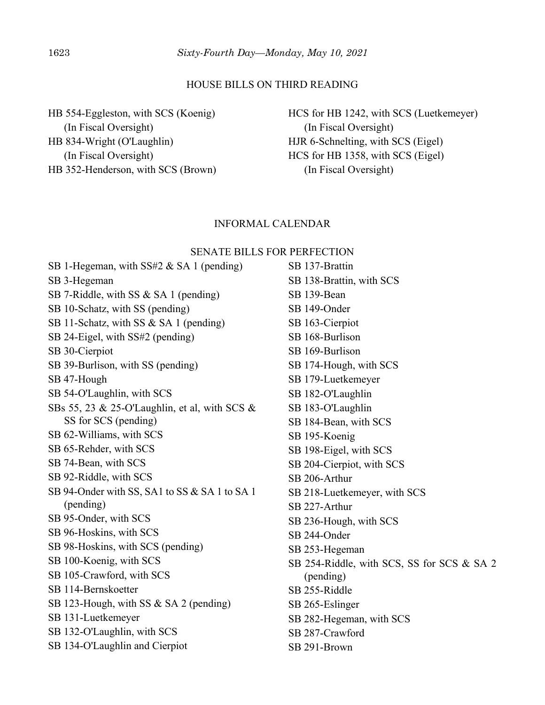#### HOUSE BILLS ON THIRD READING

HB 554-Eggleston, with SCS (Koenig) (In Fiscal Oversight) HB 834-Wright (O'Laughlin) (In Fiscal Oversight) HB 352-Henderson, with SCS (Brown) HCS for HB 1242, with SCS (Luetkemeyer) (In Fiscal Oversight) HJR 6-Schnelting, with SCS (Eigel) HCS for HB 1358, with SCS (Eigel) (In Fiscal Oversight)

#### INFORMAL CALENDAR

#### SENATE BILLS FOR PERFECTION

SB 1-Hegeman, with SS#2 & SA 1 (pending) SB 3-Hegeman SB 7-Riddle, with SS & SA 1 (pending) SB 10-Schatz, with SS (pending) SB 11-Schatz, with SS & SA 1 (pending) SB 24-Eigel, with SS#2 (pending) SB 30-Cierpiot SB 39-Burlison, with SS (pending) SB 47-Hough SB 54-O'Laughlin, with SCS SBs 55, 23 & 25-O'Laughlin, et al, with SCS & SS for SCS (pending) SB 62-Williams, with SCS SB 65-Rehder, with SCS SB 74-Bean, with SCS SB 92-Riddle, with SCS SB 94-Onder with SS, SA1 to SS & SA 1 to SA 1 (pending) SB 95-Onder, with SCS SB 96-Hoskins, with SCS SB 98-Hoskins, with SCS (pending) SB 100-Koenig, with SCS SB 105-Crawford, with SCS SB 114-Bernskoetter SB 123-Hough, with SS & SA 2 (pending) SB 131-Luetkemeyer SB 132-O'Laughlin, with SCS SB 134-O'Laughlin and Cierpiot

SB 137-Brattin SB 138-Brattin, with SCS SB 139-Bean SB 149-Onder SB 163-Cierpiot SB 168-Burlison SB 169-Burlison SB 174-Hough, with SCS SB 179-Luetkemeyer SB 182-O'Laughlin SB 183-O'Laughlin SB 184-Bean, with SCS SB 195-Koenig SB 198-Eigel, with SCS SB 204-Cierpiot, with SCS SB 206-Arthur SB 218-Luetkemeyer, with SCS SB 227-Arthur SB 236-Hough, with SCS SB 244-Onder SB 253-Hegeman SB 254-Riddle, with SCS, SS for SCS & SA 2 (pending) SB 255-Riddle SB 265-Eslinger SB 282-Hegeman, with SCS SB 287-Crawford SB 291-Brown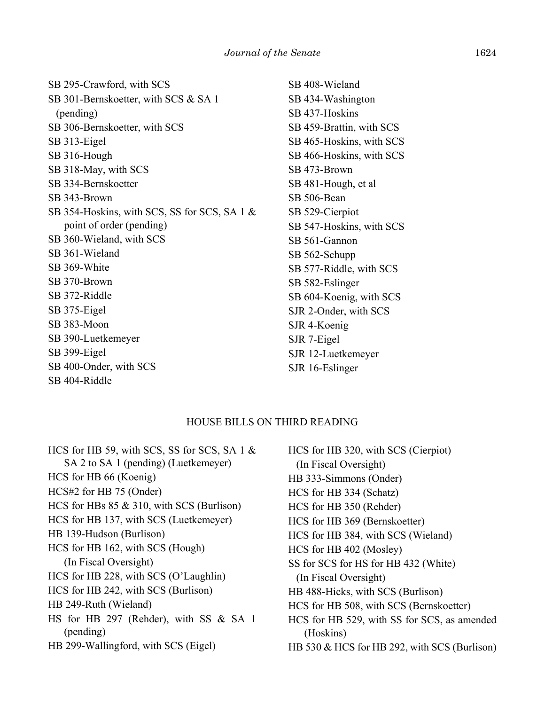SB 295-Crawford, with SCS SB 301-Bernskoetter, with SCS & SA 1 (pending) SB 306-Bernskoetter, with SCS SB 313-Eigel SB 316-Hough SB 318-May, with SCS SB 334-Bernskoetter SB 343-Brown SB 354-Hoskins, with SCS, SS for SCS, SA 1 & point of order (pending) SB 360-Wieland, with SCS SB 361-Wieland SB 369-White SB 370-Brown SB 372-Riddle SB 375-Eigel SB 383-Moon SB 390-Luetkemeyer SB 399-Eigel SB 400-Onder, with SCS SB 404-Riddle

SB 408-Wieland SB 434-Washington SB 437-Hoskins SB 459-Brattin, with SCS SB 465-Hoskins, with SCS SB 466-Hoskins, with SCS SB 473-Brown SB 481-Hough, et al SB 506-Bean SB 529-Cierpiot SB 547-Hoskins, with SCS SB 561-Gannon SB 562-Schupp SB 577-Riddle, with SCS SB 582-Eslinger SB 604-Koenig, with SCS SJR 2-Onder, with SCS SJR 4-Koenig SJR 7-Eigel SJR 12-Luetkemeyer SJR 16-Eslinger

### HOUSE BILLS ON THIRD READING

HCS for HB 59, with SCS, SS for SCS, SA 1 & SA 2 to SA 1 (pending) (Luetkemeyer) HCS for HB 66 (Koenig) HCS#2 for HB 75 (Onder) HCS for HBs 85 & 310, with SCS (Burlison) HCS for HB 137, with SCS (Luetkemeyer) HB 139-Hudson (Burlison) HCS for HB 162, with SCS (Hough) (In Fiscal Oversight) HCS for HB 228, with SCS (O'Laughlin) HCS for HB 242, with SCS (Burlison) HB 249-Ruth (Wieland) HS for HB 297 (Rehder), with SS & SA 1 (pending) HB 299-Wallingford, with SCS (Eigel)

HCS for HB 320, with SCS (Cierpiot) (In Fiscal Oversight) HB 333-Simmons (Onder) HCS for HB 334 (Schatz) HCS for HB 350 (Rehder) HCS for HB 369 (Bernskoetter) HCS for HB 384, with SCS (Wieland) HCS for HB 402 (Mosley) SS for SCS for HS for HB 432 (White) (In Fiscal Oversight) HB 488-Hicks, with SCS (Burlison) HCS for HB 508, with SCS (Bernskoetter) HCS for HB 529, with SS for SCS, as amended (Hoskins) HB 530 & HCS for HB 292, with SCS (Burlison)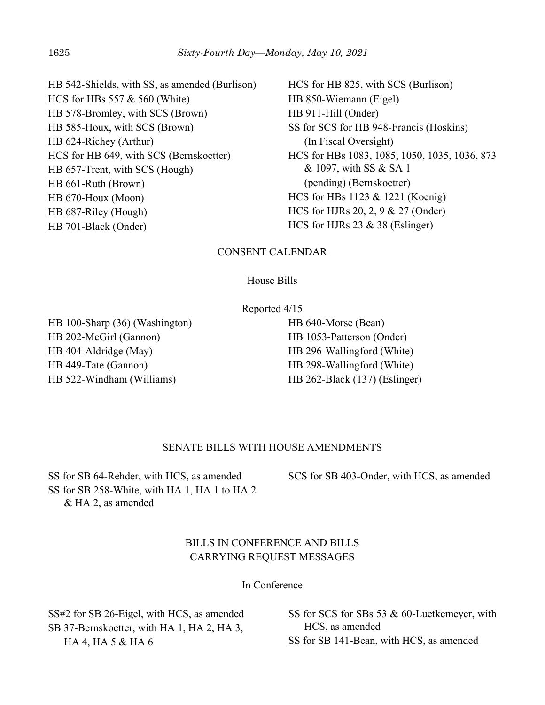HB 542-Shields, with SS, as amended (Burlison) HCS for HBs 557 & 560 (White) HB 578-Bromley, with SCS (Brown) HB 585-Houx, with SCS (Brown) HB 624-Richey (Arthur) HCS for HB 649, with SCS (Bernskoetter) HB 657-Trent, with SCS (Hough) HB 661-Ruth (Brown) HB 670-Houx (Moon) HB 687-Riley (Hough) HB 701-Black (Onder)

HCS for HB 825, with SCS (Burlison) HB 850-Wiemann (Eigel) HB 911-Hill (Onder) SS for SCS for HB 948-Francis (Hoskins) (In Fiscal Oversight) HCS for HBs 1083, 1085, 1050, 1035, 1036, 873 & 1097, with SS & SA 1 (pending) (Bernskoetter) HCS for HBs 1123 & 1221 (Koenig) HCS for HJRs 20, 2, 9 & 27 (Onder) HCS for HJRs 23 & 38 (Eslinger)

## CONSENT CALENDAR

### House Bills

Reported 4/15

HB 100-Sharp (36) (Washington) HB 202-McGirl (Gannon) HB 404-Aldridge (May) HB 449-Tate (Gannon) HB 522-Windham (Williams)

HB 640-Morse (Bean) HB 1053-Patterson (Onder) HB 296-Wallingford (White) HB 298-Wallingford (White) HB 262-Black (137) (Eslinger)

## SENATE BILLS WITH HOUSE AMENDMENTS

SS for SB 64-Rehder, with HCS, as amended SS for SB 258-White, with HA 1, HA 1 to HA 2 & HA 2, as amended

SCS for SB 403-Onder, with HCS, as amended

# BILLS IN CONFERENCE AND BILLS CARRYING REQUEST MESSAGES

In Conference

SS#2 for SB 26-Eigel, with HCS, as amended SB 37-Bernskoetter, with HA 1, HA 2, HA 3, HA 4, HA 5 & HA 6

SS for SCS for SBs 53 & 60-Luetkemeyer, with HCS, as amended SS for SB 141-Bean, with HCS, as amended